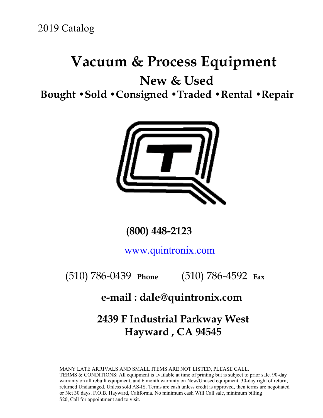# **Vacuum & Process Equipment**

**New & Used** 

**Bought •Sold •Consigned •Traded •Rental •Repair**



 **(800) 448-2123**

www.quintronix.com

(510) 786-0439 **Phone** (510) 786-4592 **Fax**

## **e-mail : dale@quintronix.com**

**2439 F Industrial Parkway West Hayward , CA 94545** 

MANY LATE ARRIVALS AND SMALL ITEMS ARE NOT LISTED, PLEASE CALL. TERMS & CONDITIONS: All equipment is available at time of printing but is subject to prior sale. 90-day warranty on all rebuilt equipment, and 6 month warranty on New/Unused equipment. 30-day right of return; returned Undamaged, Unless sold AS-IS. Terms are cash unless credit is approved, then terms are negotiated or Net 30 days. F.O.B. Hayward, California. No minimum cash Will Call sale, minimum billing \$20, Call for appointment and to visit.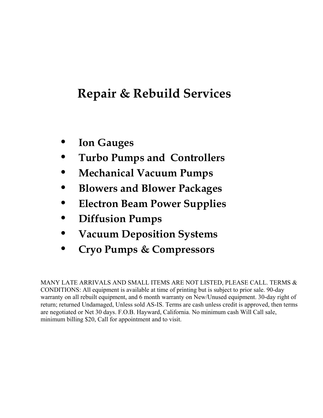# **Repair & Rebuild Services**

- **Ion Gauges**
- **Turbo Pumps and Controllers**
- **Mechanical Vacuum Pumps**
- **Blowers and Blower Packages**
- **Electron Beam Power Supplies**
- **Diffusion Pumps**
- **Vacuum Deposition Systems**
- **Cryo Pumps & Compressors**

MANY LATE ARRIVALS AND SMALL ITEMS ARE NOT LISTED, PLEASE CALL. TERMS & CONDITIONS: All equipment is available at time of printing but is subject to prior sale. 90-day warranty on all rebuilt equipment, and 6 month warranty on New/Unused equipment. 30-day right of return; returned Undamaged, Unless sold AS-IS. Terms are cash unless credit is approved, then terms are negotiated or Net 30 days. F.O.B. Hayward, California. No minimum cash Will Call sale, minimum billing \$20, Call for appointment and to visit.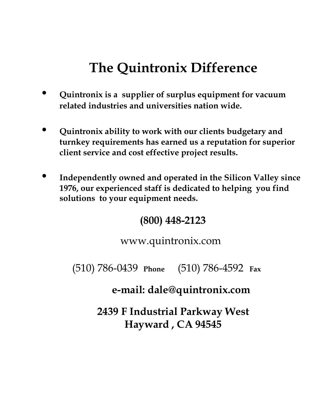# **The Quintronix Difference**

- **Quintronix is a supplier of surplus equipment for vacuum related industries and universities nation wide.**
- **Quintronix ability to work with our clients budgetary and turnkey requirements has earned us a reputation for superior client service and cost effective project results.**
- **Independently owned and operated in the Silicon Valley since 1976, our experienced staff is dedicated to helping you find solutions to your equipment needs.**

## **(800) 448-2123**

www.quintronix.com

(510) 786-0439 **Phone** (510) 786-4592 **Fax**

**e-mail: dale@quintronix.com**

**2439 F Industrial Parkway West Hayward , CA 94545**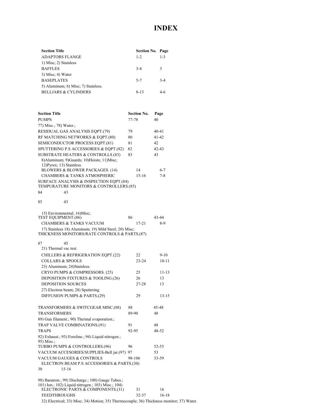### **INDEX**

| <b>Section Title</b>                | <b>Section No. Page</b> |         |
|-------------------------------------|-------------------------|---------|
| <b>ADAPTORS FLANGE</b>              | $1 - 2$                 | $1 - 3$ |
| 1) Misc; 2) Stainless               |                         |         |
| <b>BAFFLES</b>                      | $3 - 4$                 | 3       |
| $3)$ Misc; 4) Water                 |                         |         |
| <b>BASEPLATES</b>                   | $5 - 7$                 | $3 - 4$ |
| 5) Aluminum; 6) Misc; 7) Stainless. |                         |         |
| <b>BELLJARS &amp; CYLINDERS</b>     | $8 - 13$                |         |

| <b>Section Title</b>                                                               | <b>Section No.</b> | Page      |
|------------------------------------------------------------------------------------|--------------------|-----------|
| <b>PUMPS</b>                                                                       | 77-78              | 40        |
| 77) Misc.; 78) Water.;                                                             |                    |           |
| RESIDUAL GAS ANALYSIS EQPT.(79)                                                    | 79                 | 40-41     |
| RF MATCHING NETWORKS & EQPT.(80)                                                   | 80                 | 41-42     |
| SEMICONDUCTOR PROCESS EQPT.(81)                                                    | 81                 | 42        |
| SPUTTERING P.S ACCESSORIES & EQPT.(82)                                             | 82                 | 42-43     |
| SUBSTRATE HEATERS & CONTROLLS.(83)                                                 | 83                 | 43        |
| 8) Aluminum; 9) Guards; 10) Hoists; 11) Misc;                                      |                    |           |
| 12) Pyrex; 13) Stainless.                                                          |                    |           |
| <b>BLOWERS &amp; BLOWER PACKAGES. (14)</b>                                         | 14                 | $6 - 7$   |
| <b>CHAMBERS &amp; TANKS ATMOSPHERIC</b>                                            | $15-16$            | 7-8       |
| SURFACE ANALYSIS & INSPECTION EOPT.(84)<br>TEMPURATURE MONITORS & CONTROLLERS.(85) |                    |           |
| 43<br>84                                                                           |                    |           |
|                                                                                    |                    |           |
| 85<br>43                                                                           |                    |           |
|                                                                                    |                    |           |
| 15) Environmental; 16)Misc;<br>TEST EQUIPMENT.(86)                                 | 86                 | 43-44     |
| <b>CHAMBERS &amp; TANKS VACUUM</b>                                                 | $17 - 21$          | 8-9       |
| 17) Stainless 18) Aluminum; 19) Mild Steel; 20) Misc;                              |                    |           |
| THICKNESS MONITORS/RATE CONTROLS & PARTS.(87)                                      |                    |           |
| 87<br>45                                                                           |                    |           |
| 21) Thermal vac test.                                                              |                    |           |
| <b>CHILLERS &amp; REFRIGERATION EQPT.(22)</b>                                      | 22                 | $9 - 10$  |
| <b>COLLARS &amp; SPOOLS</b>                                                        | $23 - 24$          | $10 - 11$ |
| 23) Aluminum; 24) Stainless.                                                       |                    |           |
| CRYO PUMPS & COMPRESSORS. (25)                                                     | 25                 | 11-13     |
| DEPOSITION FIXTURES & TOOLING.(26)                                                 | 26                 | 13        |
| <b>DEPOSITION SOURCES</b>                                                          | 27-28              | 13        |
| 27) Electron beam; 28) Sputtering.                                                 |                    |           |
| DIFFUSION PUMPS & PARTS.(29)                                                       | 29                 | 13-15     |
| TRANSFORMERS & SWITCGEAR MISC.(88)                                                 | 88                 | 45-48     |
| TRANSFORMERS                                                                       | 89-90              | 48        |
| 89) Gun filament.; 90) Thermal evaporation.;                                       |                    |           |
| TRAP VALVE COMBINATIONS.(91)                                                       | 91                 | 48        |
| <b>TRAPS</b>                                                                       | 92-95              | 48-52     |
| 92) Exhaust.; 93) Foreline.; 94) Liquid nitrogen.;                                 |                    |           |
| 95) Misc.:                                                                         |                    |           |
| TURBO PUMPS & CONTROLLERS.(96)                                                     | 96                 | 52-53     |
| VACUUM ACCESORIES/SUPPLIES-Bell jar.(97)                                           | 97                 | 53        |
| <b>VACUUM GAUGES &amp; CONTROLS</b>                                                | 98-106             | 53-59     |
| ELECTRON BEAM P.S ACCESSORIES & PARTS.(30)                                         |                    |           |
| 30<br>15-16                                                                        |                    |           |
| 98) Baratron.; 99) Discharge.; 100) Gauge Tubes.;                                  |                    |           |
| 101) Ion.; 102) Liquid nitrogen.; 103) Misc.; 104)                                 |                    |           |
| ELECTRONIC PARTS & COMPONENTS.(31)                                                 | 31                 | 16        |
| <b>FEEDTHROUGHS</b>                                                                | 32-37              | $16 - 18$ |

32) Electrical; 33) Misc; 34) Motion; 35) Thermocouple; 36) Thickness monitor; 37) Water.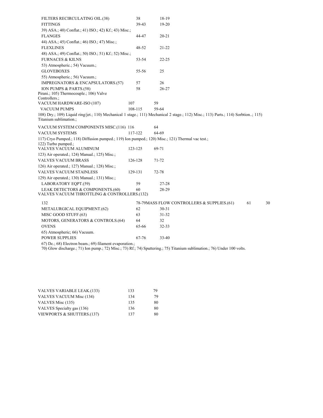| FILTERS RECIRCULATING OIL.(38)                                                                   | 38      | 18-19                                                                                                                              |    |    |
|--------------------------------------------------------------------------------------------------|---------|------------------------------------------------------------------------------------------------------------------------------------|----|----|
| <b>FITTINGS</b>                                                                                  | 39-43   | 19-20                                                                                                                              |    |    |
| 39) ASA.; 40) Conflat.; 41) ISO.; 42) Kf.; 43) Misc.;                                            |         |                                                                                                                                    |    |    |
| <b>FLANGES</b>                                                                                   | 44-47   | $20 - 21$                                                                                                                          |    |    |
| 44) ASA.; 45) Conflat.; 46) ISO.; 47) Misc.;                                                     |         |                                                                                                                                    |    |    |
| <b>FLEXLINES</b>                                                                                 | 48-52   | $21 - 22$                                                                                                                          |    |    |
| 48) ASA.; 49) Conflat.; 50) ISO.; 51) Kf.; 52) Misc.;                                            |         |                                                                                                                                    |    |    |
| <b>FURNACES &amp; KILNS</b>                                                                      | 53-54   | 22-25                                                                                                                              |    |    |
| 53) Atmospheric.; 54) Vacuum.;                                                                   |         |                                                                                                                                    |    |    |
| <b>GLOVEBOXES</b>                                                                                | 55-56   | 25                                                                                                                                 |    |    |
| 55) Atmospheric.; 56) Vacuum.;                                                                   |         |                                                                                                                                    |    |    |
| IMPREGNATORS & ENCAPSULATORS.(57)                                                                | 57      | 26                                                                                                                                 |    |    |
| ION PUMPS & PARTS.(58)                                                                           | 58      | $26 - 27$                                                                                                                          |    |    |
| Pirani.; 105) Thermocouple.; 106) Valve                                                          |         |                                                                                                                                    |    |    |
| Controllers.:                                                                                    | 107     |                                                                                                                                    |    |    |
| VACUUM HARDWARE-ISO (107)                                                                        | 108-115 | 59<br>59-64                                                                                                                        |    |    |
| <b>VACUUM PUMPS</b>                                                                              |         | 108) Dry.; 109) Liquid ring/jet.; 110) Mechanical 1 stage.; 111) Mechanical 2 stage.; 112) Misc.; 113) Parts.; 114) Sorbtion; 115) |    |    |
| Titanium sublimation.;                                                                           |         |                                                                                                                                    |    |    |
| VACUUM SYSTEM COMPONENTS MISC.(116) 116                                                          |         | 64                                                                                                                                 |    |    |
| <b>VACUUM SYSTEMS</b>                                                                            | 117-122 | 64-69                                                                                                                              |    |    |
| 117) Cryo Pumped.; 118) Diffusion pumped.; 119) Ion pumped.; 120) Misc.; 121) Thermal vac test.; |         |                                                                                                                                    |    |    |
| 122) Turbo pumped.;<br>VALVES VACUUM ALUMINUM                                                    | 123-125 | 69-71                                                                                                                              |    |    |
| 123) Air operated.; 124) Manual.; 125) Misc.;                                                    |         |                                                                                                                                    |    |    |
| <b>VALVES VACUUM BRASS</b>                                                                       | 126-128 | 71-72                                                                                                                              |    |    |
| 126) Air operated.; 127) Manual.; 128) Misc.;                                                    |         |                                                                                                                                    |    |    |
| <b>VALVES VACUUM STAINLESS</b>                                                                   | 129-131 | 72-78                                                                                                                              |    |    |
| 129) Air operated.; 130) Manual.; 131) Misc.;                                                    |         |                                                                                                                                    |    |    |
| LABORATORY EQPT.(59)                                                                             | 59      | 27-28                                                                                                                              |    |    |
| LEAK DETECTORS & COMPONENTS.(60)<br>VALVES VACUUM THROTTLING & CONTROLLERS.(132)                 | 60      | 28-29                                                                                                                              |    |    |
| 132                                                                                              |         | 78-79 MASS FLOW CONTROLLERS & SUPPLIES. (61)                                                                                       | 61 | 30 |
| METALURGICAL EQUIPMENT.(62)                                                                      | 62      | $30 - 31$                                                                                                                          |    |    |
| MISC GOOD STUFF.(63)                                                                             | 63      | $31 - 32$                                                                                                                          |    |    |
| MOTORS, GENERATORS & CONTROLS.(64)                                                               | 64      | 32                                                                                                                                 |    |    |
| <b>OVENS</b>                                                                                     | 65-66   | 32-33                                                                                                                              |    |    |
| 65) Atmospheric; 66) Vacuum.                                                                     |         |                                                                                                                                    |    |    |
| <b>POWER SUPPLIES</b>                                                                            | 67-76   | 33-40                                                                                                                              |    |    |
| 67) Dc.; 68) Electron beam.; 69) filament evaporation.;                                          |         |                                                                                                                                    |    |    |

70) Glow discharge.; 71) Ion pump.; 72) Misc.; 73) Rf.; 74) Sputtering.; 75) Titanium sublimation.; 76) Under 100 volts.

| VALVES VARIABLE LEAK.(133) | 133 | 79 |
|----------------------------|-----|----|
| VALVES VACUUM Misc (134)   | 134 | 79 |
| VALVES Misc (135)          | 135 | 80 |
| VALVES Specialty gas (136) | 136 | 80 |
| VIEWPORTS & SHUTTERS.(137) | 137 | 80 |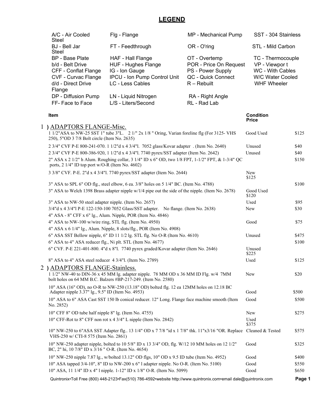## **LEGEND**

| A/C - Air Cooled<br>Steel                                                                                                 | Flg - Flange                                                                                                                                             | MP - Mechanical Pump                                                                                | SST - 304 Stainless                                                                                      |        |
|---------------------------------------------------------------------------------------------------------------------------|----------------------------------------------------------------------------------------------------------------------------------------------------------|-----------------------------------------------------------------------------------------------------|----------------------------------------------------------------------------------------------------------|--------|
| BJ - Bell Jar<br>Steel                                                                                                    | FT - Feedthrough                                                                                                                                         | OR - O'ring                                                                                         | STL - Mild Carbon                                                                                        |        |
| <b>BP</b> - Base Plate<br>b/d - Belt Drive<br>CFF - Conflat Flange<br>CVF - Curvac Flange<br>d/d - Direct Drive<br>Flange | HAF - Hall Flange<br>HUF - Hughes Flange<br>IG - Ion Gauge<br>IPCU - Ion Pump Control Unit<br>LC - Less Cables                                           | OT - Overtemp<br>POR - Price On Request<br>PS - Power Supply<br>QC - Quick Connect<br>$R -$ Rebuilt | TC - Thermocouple<br>VP - Viewpor t<br>WC - With Cables<br><b>W/C Water Cooled</b><br><b>WHF Wheeler</b> |        |
| DP - Diffusion Pump<br>FF-Face to Face                                                                                    | LN - Liquid Nitrogen<br>L/S - Liters/Second                                                                                                              | RA - Right Angle<br>RL - Rad Lab                                                                    |                                                                                                          |        |
| Item                                                                                                                      |                                                                                                                                                          |                                                                                                     | <b>Condition</b><br><b>Price</b>                                                                         |        |
| 1) ADAPTORS FLANGE-Misc.<br>250), 5"OD 3 7/8 Bolt circle (Item No. 2635)                                                  | 1 1/2"ASA to NW-25 SST 1" tube 3"L. 2 1/" 2x 1/8 " Oring, Varian foreline flg (For 3125- VHS                                                             |                                                                                                     | Good Used                                                                                                | \$125  |
|                                                                                                                           | 2 3/4" CVF P-E 800-241-070. 1 1/2"d x 4 3/4"l. 7052 glass/Kovar adapter . (Item No. 2640)                                                                |                                                                                                     | Unused                                                                                                   | \$40   |
|                                                                                                                           | 2 3/4" CVF P-E 800-386-920, 1 1/2"d x 4 3/4"l. 7740 pyrex/SST adapter (Item No. 2642)                                                                    |                                                                                                     | Unused                                                                                                   | \$40   |
| ports, 2 1/4" ID top port w/O-R (Item No. 4602)                                                                           | 2" ASA x 2 1/2" h Alum. Roughing collar, 3 1/4" ID x 6" OD, two 1/8 FPT, 1-1/2" FPT, & 1-3/4" QC                                                         |                                                                                                     |                                                                                                          | \$150  |
|                                                                                                                           | 3 3/8" CVF. P-E. 2"d x 4 3/4"l. 7740 pyrex/SST adapter (Item No. 2644)                                                                                   |                                                                                                     | New<br>\$125                                                                                             |        |
|                                                                                                                           | 3" ASA to SPL 6" OD flg., steel elbow, 6 ea. 3/8" holes on 5 1/4" BC. (Item No. 4788)                                                                    |                                                                                                     |                                                                                                          | \$100  |
|                                                                                                                           | 3" ASA to Welch 1398 Brass adapter nipple w/1/4 pipe out the side of the nipple. (Item No. 2678)                                                         |                                                                                                     | Good Used<br>\$120                                                                                       |        |
| 3" ASA to NW-50 steel adapter nipple. (Item No. 2657)                                                                     |                                                                                                                                                          |                                                                                                     | Used                                                                                                     | \$95   |
|                                                                                                                           | 3/4"d x 4 3/4"l P-E 122-150-100 7052 Glass/SST adapter. No flange. (Item No. 2638)<br>4" ASA - 8" CFF x 6" lg., Alum. Nipple, POR (Item No. 4846)        |                                                                                                     | New                                                                                                      | \$30   |
| 4" ASA to NW-100 w/wire ring, STL flg. (Item No. 4950)                                                                    |                                                                                                                                                          |                                                                                                     | Good                                                                                                     | \$75   |
|                                                                                                                           | 4" ASA x 6 1/4" lg., Alum. Nipple, 8 slots/flg., POR (Item No. 4908)                                                                                     |                                                                                                     |                                                                                                          |        |
|                                                                                                                           | 6" ASA SST Bellow nipple, 6" ID 11 1/2 lg. STL flg. No O-R (Item No. 4610)                                                                               |                                                                                                     | Unused                                                                                                   | \$475  |
| 6" ASA to 4" ASA reducer flg., Ni plt. STL (Item No. 4677)                                                                |                                                                                                                                                          |                                                                                                     |                                                                                                          | \$100  |
|                                                                                                                           | 6" CVF. P-E 221-401-800. 4"d x 8"l. 7740 pyrex graded/Kovar adapter (Item No. 2646)                                                                      |                                                                                                     | Unused<br>\$225                                                                                          |        |
| 8" ASA to 4" ASA steel reducer 4 3/4"l. (Item No. 2789)                                                                   |                                                                                                                                                          |                                                                                                     | Used                                                                                                     | \$125  |
| ) ADAPTORS FLANGE-Stainless.                                                                                              | $11/2$ " NW-40 to DIN-36 x 45 MM lg. adapter nipple. 78 MM OD x 36 MM ID Flg. w/4 7MM                                                                    |                                                                                                     | New                                                                                                      | \$20   |
|                                                                                                                           | bolt holes on 64 MM B.C. Balzers #BP-217-249. (Item No. 2580)<br>10" ASA (16" OD), no O-R to NW-250 (13.18" OD) bolted flg. 12 ea 12MM holes on 12.18 BC |                                                                                                     |                                                                                                          |        |
| Adapter nipple 3.37" 1g., 9.5" ID (Item No. 4953)                                                                         |                                                                                                                                                          |                                                                                                     | Good                                                                                                     | \$500  |
| No. 2852)                                                                                                                 | 10" ASA to 6" ASA Cast SST 150 lb conical reducer. 12" Long. Flange face machine smooth (Item                                                            |                                                                                                     | Good                                                                                                     | \$500  |
| 10" CFF 8" OD tube half nipple 8" lg. (Item No. 4755)                                                                     |                                                                                                                                                          |                                                                                                     | New                                                                                                      | \$275  |
|                                                                                                                           | 10" CFF-Rot to 8" CFF non rot $x$ 4 3/4" L nipple (Item No. 2842)                                                                                        |                                                                                                     | Used                                                                                                     |        |
|                                                                                                                           |                                                                                                                                                          |                                                                                                     | \$375                                                                                                    |        |
| VHS-250 w/ CTI-8 575 (Item No. 2861)                                                                                      | 10" NW-250 to 6"ASA SST Adapter flg 13 1/4" OD x 7 7/8 "id x 1 7/8" thk. 11"x3/16 "OR. Replace                                                           |                                                                                                     | Cleaned & Tested                                                                                         | \$575  |
| BC, 2" hi, 10 7/8" ID x 3/16" O-R. (Item No. 4654)                                                                        | 10" NW-250 adapter nipple, bolted to 10 5/8" ID x 13 3/4" OD, flg. W/12 10 MM holes on 12 1/2"                                                           |                                                                                                     | Good                                                                                                     | \$325  |
|                                                                                                                           | 10" NW-250 nipple 7.87 lg., w/bolted 13.12" OD flgs, 10" OD x 9.5 ID tube (Item No. 4952)                                                                |                                                                                                     | Good                                                                                                     | \$400  |
|                                                                                                                           | 10" ASA tapped 3/4-10", 8" ID to NW-200 x 6" l adapter nipple. No O-R. (Item No. 5100)                                                                   |                                                                                                     | Good                                                                                                     | \$550  |
|                                                                                                                           | 10" ASA, 11 1/4" ID x 4" l nipple. 1-12" ID x 1/8" O-R. (Item No. 5099)                                                                                  |                                                                                                     | Good                                                                                                     | \$650  |
|                                                                                                                           | Quintronix•Toll Free (800) 448-2123•Fax(510) 786-4592•website http://www.quintronix.com•email dale@quintronix.com                                        |                                                                                                     |                                                                                                          | Page 1 |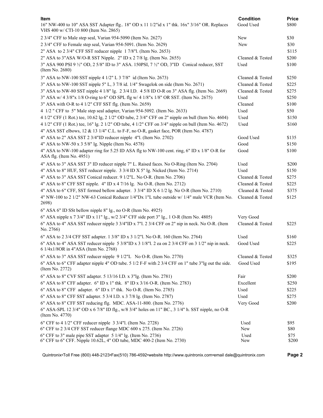| ltem                                                                                                                                     | <b>Condition</b> | <b>Price</b>  |
|------------------------------------------------------------------------------------------------------------------------------------------|------------------|---------------|
| 16" NW-400 to 10" ASA SST Adapter flg 18" OD x 11 1/2"id x 1" thk. 16x" 3/16" OR. Replaces<br>VHS 400 w/ CTI-10 800 (Item No. 2865)      | Good Used        | \$800         |
| 2 3/4" CFF to Male step seal, Varian 954-5090 (Item No. 2627)                                                                            | New              | \$30          |
| 2 3/4" CFF to Female step seal, Varian 954-5091. (Item No. 2629)                                                                         | New              | \$30          |
| 2" ASA to 2 3/4" CFF SST reducer nipple 1 7/8"1. (Item No. 2653)                                                                         |                  | \$115         |
| 2" ASA to 3"ASA W/O-R SST Nipple. 2" ID x 2 7/8 lg. (Item No. 2655)                                                                      | Cleaned & Tested | \$200         |
| 3" ASA 900 PSI 9 1/2" OD, 2 5/8" ID to 3" ASA. 150PSI, 7 1/2" OD, 3"ID Conical reducer, SST<br>(Item No. 2680)                           | Used             | \$100         |
| 3" ASA to NW-100 SST nipple 4 1/2" L 3 7/8" id (Item No. 2673)                                                                           | Cleaned & Tested | \$250         |
| 3" ASA to NW-100 SST nipple 5" L, 3 7/8 id. 1/4" Swagelok on side (Item No. 2671)                                                        | Cleaned & Tested | \$225         |
| 3" ASA to NW-80 SST nipple 4 1/8" lg. 2 3/4 I.D. 4 5/8 ID O-R on 3" ASA flg. (Item No. 2669)                                             | Cleaned & Tested | \$275         |
| 3" ASA w/ 4 3/8"x 1/8 O-ring to 6" OD SPL flg w/ 4 1/8"x 1/8" OR SST. (Item No. 2675)                                                    | Used             | \$250         |
| 3" ASA with O-R to 4 1/2" CFF SST flg. (Item No. 2659)                                                                                   | Cleaned          | \$100         |
| 4 1/2 " CFF to 5" Male step seal adapter, Varian 954-5092. (Item No. 2633)                                                               | Used             | \$50          |
| 4 1/2" CFF (1 Rot.) tee, 10.62 lg, 2 1/2" OD tube, 2 3/4" CFF on 2" nipple on bull (Item No. 4604)                                       | Used             | \$150         |
| 4 1/2" CFF (1 Rot.) tee, 16" lg. 2 1/2" OD tube, 4 1/2" CFF on 3/4" nipple on bull (Item No. 4672)                                       | Used             | \$160         |
| 4" ASA SST elbows, 12 & 13 1/4" C.L. to F-F, no O-R, gasket face, POR (Item No. 4787)                                                    |                  |               |
| 4" ASA to 2" ASA SST 2 3/4"ID reducer nipple 4"l. (Item No. 2702)                                                                        | Good Used        | \$135         |
| 4" ASA to NW-50 x 3 5/8" lg. Nipple (Item No. 4578)                                                                                      | Good             | \$150         |
| 4" ASA to NW-100 adapter ring for 5.25 ID ASA flg to NW-100 cent. ring, 6" ID x 1/8" O-R for<br>ASA flg. (Item No. 4951)                 | Good             | \$100         |
| 4" ASA to 3" ASA SST 3" ID reducer nipple 7" L. Raised faces. No O-Ring (Item No. 2704)                                                  | Used             | \$200         |
| 4" ASA to 8" HUF, SST reducer nipple. 3 3/4 ID X 5" lg. Nicked (Item No. 2714)                                                           | Used             | \$150         |
| 4" ASA to 3" ASA SST Conical reducer. 9 1/2"L. No O-R. (Item No. 2706)                                                                   | Cleaned & Tested | \$275         |
| 4" ASA to 8" CFF SST nipple. 4" ID x 4 7/16 lg. No O-R. (Item No. 2712)                                                                  | Cleaned & Tested | \$225         |
| 4" ASA to 6" CFF, SST formed bellow adapter. 3 3/4" ID X 6 1/2 lg. No O-R (Item No. 2710)                                                | Cleaned & Tested | \$375         |
| 4" NW-100 to 2 1/2" NW-63 Conical Reducer 1/4"Dx 1"L tube outside w/ 1/4" male VCR (Item No.<br>2698)                                    | Cleaned & Tested | \$125         |
| 6" ASA 6" ID SSt bellow nipple 8" lg., no O-R (Item No. 4925)                                                                            |                  |               |
| 6" ASA nipple x 7 3/4" ID x 11" lg., w/2 3/4" CFF side port 3" lg., 1 O-R (Item No. 4805)                                                | Very Good        |               |
| 6" ASA to 4" ASA SST reducer nipple 3 3/4"ID x 7"1. 2 3/4 CFF on 2" nip in neck. No O-R. (Item<br>No. 2766)                              | Cleaned & Tested | \$225         |
| 6" ASA to 2 3/4 CFF SST adapter. 1 3/8" ID x 3 1/2"l. No O-R. 160 (Item No. 2764)                                                        | Used             | \$160         |
| 6" ASA to 4" ASA SST reducer nipple 5 3/8"ID x 3 1/8"l. 2 ea on 2 3/4 CFF on 3 1/2" nip in neck.<br>6 1/4x1/8OR in 4"ASA (Item No. 2768) | Good Used        | \$225         |
| 6" ASA to 3" ASA SST reducer nipple 9 1/2"L No O-R. (Item No. 2770)                                                                      | Cleaned & Tested | \$325         |
| 6" ASA to 6" CFF adapter nipple 4" OD tube. 5 1/2 F-F with 2 3/4 CFF on 1" tube 3"lg out the side.<br>(Item No. 2772)                    | Good Used        | \$195         |
| 6" ASA to 8" CVF SST adapter. 5 13/16 I.D. x 3"lg. (Item No. 2781)                                                                       | Fair             | \$200         |
| 6" ASA to 8" CFF adapter. 6" ID x 1" thk. 8" ID x 3/16 O-R. (Item No. 2783)                                                              | Excellent        | \$250         |
| 6" ASA to 8" CFF adapter. 6" ID x 1" thk. No O-R. (Item No. 2785)                                                                        | Used             | \$225         |
| 6" ASA to 8" CFF SST adapter. 5 3/4 I.D. x 3 7/8 lg. (Item No. 2787)                                                                     | Used             | \$275         |
| 6" ASA to 8" CFF SST reducing flg. MDC. ASA-11-800. (Item No. 2776)                                                                      | Very Good        | \$200         |
| 6" ASA-SPL 12 3/4" OD x 6 7/8" ID flg., w/8 3/4" holes on 11" BC., 3 1/4" h. SST nipple, no O-R<br>(Item No. 4770)                       |                  |               |
| 6" CFF to 4 1/2" CFF reducer nipple 3 3/4"1. (Item No. 2728)                                                                             | Used             | \$95          |
| 6" CFF to 2 3/4 CFF SST reducer flange MDC 600 x 275. (Item No. 2726)                                                                    | New              | \$80          |
| 6" CFF to 3" male pipe SST adapter 5 1/4" lg. (Item No. 2736)<br>6" CFF to 6" CFF. Nipple 10.62L, 4" OD tube, MDC 400-2 (Item No. 2730)  | Used<br>New      | \$75<br>\$200 |
|                                                                                                                                          |                  |               |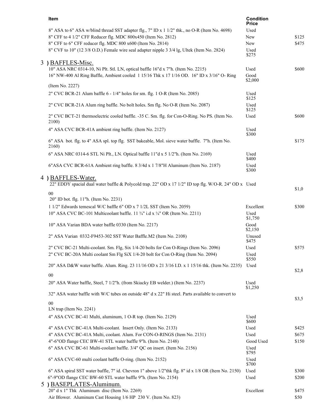| Item                                                                                                    | <b>Condition</b><br>Price |       |
|---------------------------------------------------------------------------------------------------------|---------------------------|-------|
| 8" ASA to 6" ASA w/blind thread SST adapter flg., 7" ID x 1 1/2" thk., no O-R (Item No. 4698)           | Used                      |       |
| 8" CFF to 4 1/2" CFF Reducer flg. MDC 800x450 (Item No. 2812)                                           | New                       | \$125 |
| 8" CFF to 6" CFF reducer flg. MDC 800 x600 (Item No. 2814)                                              | New                       | \$475 |
| 8" CVF to 10" (12 3/8 O.D.) Female wire seal adapter nipple 3 3/4 lg, Ultek (Item No. 2824)             | Used                      |       |
|                                                                                                         | \$275                     |       |
| 3 ) BAFFLES-Misc.                                                                                       |                           |       |
| 10" ASA NRC 0314-10, Ni Plt. Stl. LN, optical baffle 16"d x 7"h. (Item No. 2215)                        | Used                      | \$600 |
| 16" NW-400 Al Ring Baffle, Ambient cooled 1 15/16 Thk x 17 1/16 OD. 16" ID x 3/16" O- Ring              | Good<br>\$2,000           |       |
| (Item No. 2227)                                                                                         |                           |       |
| 2" CVC BCR-21 Alum baffle 6 - 1/4" holes for sm. flg. 1 O-R (Item No. 2085)                             | Used<br>\$125             |       |
| 2" CVC BCR-21A Alum ring baffle. No bolt holes. Sm flg. No O-R (Item No. 2087)                          | Used<br>\$125             |       |
| 2" CVC BCT-21 thermoelectric cooled baffle. -35 C. Sm. flg. for Con-O-Ring. No PS. (Item No.<br>2100)   | Used                      | \$600 |
| 4" ASA CVC BCR-41A ambient ring baffle. (Item No. 2127)                                                 | Used                      |       |
|                                                                                                         | \$300                     |       |
| 6" ASA bot. flg. to 4" ASA spl. top flg. SST bakeable, Mol. sieve water baffle. 7"h. (Item No.<br>2160) |                           | \$175 |
| 6" ASA NRC 0314-6 STL Ni Plt., LN. Optical baffle 11"d x 5 1/2"h. (Item No. 2169)                       | Used<br>\$400             |       |
| 6"ASA CVC BCR-61A Ambient ring baffle. 8 3/4d x 1 7/8"H Aluminum (Item No. 2187)                        | Used                      |       |
|                                                                                                         | \$300                     |       |
| 4 ) BAFFLES-Water.                                                                                      |                           |       |
| 22" EDDY spacial dual water baffle & Polycold trap. 22" OD x 17 1/2" ID top flg. W/O-R. 24" OD x Used   |                           | \$1,0 |
| $00\,$                                                                                                  |                           |       |
| 20" ID bot. flg. 11"h. (Item No. 2231)                                                                  |                           |       |
| 1 1/2" Edwards temescal W/C baffle 6" OD x 7 1/2L SST (Item No. 2059)                                   | Excellent                 | \$300 |
| 10" ASA CVC BC-101 Multicoolant baffle. 11 3/4" i.d x 1/4" OR (Item No. 2211)                           | Used<br>\$1,750           |       |
| 10" ASA Varian BDA water baffle 0330 (Item No. 2217)                                                    | Good                      |       |
|                                                                                                         | \$2,150                   |       |
| 2" ASA Varian 0332-F9453-302 SST Water Baffle.M2 (Item No. 2108)                                        | Unused<br>\$475           |       |
| 2" CVC BC-21 Multi-coolant. Sm. Flg, Six 1/4-20 bolts for Con O-Rings (Item No. 2096)                   | Used                      | \$575 |
| 2" CVC BC-20A Multi coolant Sm Flg SiX 1/4-20 bolt for Con O-Ring (Item No. 2094)                       | Used                      |       |
|                                                                                                         | \$550                     |       |
| 20" ASA D&W water baffle. Alum. Ring. 23 11/16 OD x 21 3/16 I.D. x 1 15/16 thk. (Item No. 2235)         | Used                      | \$2,8 |
| $00\,$                                                                                                  |                           |       |
| 20" ASA Water baffle, Steel, 7 1/2"h. (from Skiacky EB welder.) (Item No. 2237)                         | Used                      |       |
| 32" ASA water baffle with W/C tubes on outside 48" d x 22" Hi steel. Parts available to convert to      | \$1,250                   |       |
|                                                                                                         |                           | \$3,5 |
| $00\,$<br>LN trap (Item No. 2241)                                                                       |                           |       |
|                                                                                                         |                           |       |
| 4" ASA CVC BC-41 Multi, aluminum, 1 O-R top. (Item No. 2129)                                            | Used<br>\$600             |       |
| 4" ASA CVC BC-41A Multi-coolant. Insert Only. (Item No. 2133)                                           | Used                      | \$425 |
| 4" ASA CVC BC-41A Multi, coolant. Alum. For CON-O-RINGS (Item No. 2131)                                 | Used                      | \$675 |
| 4"-6"OD flange CEC BW-41 STL water baffle 9"h. (Item No. 2148)                                          | Good Used                 | \$150 |
| 6" ASA CVC BC-61 Multi-coolant baffle. 3/4" QC on insert. (Item No. 2156)                               | Used                      |       |
|                                                                                                         | \$795                     |       |
| 6" ASA CVC-60 multi coolant baffle O-ring. (Item No. 2152)                                              | Used<br>\$700             |       |
| 6" ASA spiral SST water baffle, 7" id. Chevron 1" above 1/2" thk flg. 8" id x 1/8 OR (Item No. 2150)    | Used                      | \$300 |
| 6"-9"OD flange CEC BW-60 STL water baffle 9"h. (Item No. 2154)                                          | Used                      | \$200 |
| 5 ) BASEPLATES-Aluminum.                                                                                |                           |       |
| 20" d x 1" Thk Aluminum disc (Item No. 2269)                                                            | Excellent                 | \$475 |
| Air Blower. Aluminum Cast Housing 1/6 HP 230 V. (Item No. 823)                                          |                           | \$50  |
|                                                                                                         |                           |       |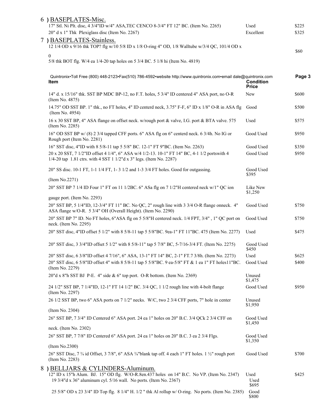|   | 6) BASEPLATES-Misc.                                                                                                                                             |                                  |        |
|---|-----------------------------------------------------------------------------------------------------------------------------------------------------------------|----------------------------------|--------|
|   | 17" Stl. Ni Plt. disc, 4 3/4"ID w/4" ASA, TEC CENCO 8-3/4" FT 12" BC. (Item No. 2265)                                                                           | Used                             | \$225  |
|   | 20" d x 1" Thk Plexiglass disc (Item No. 2267)                                                                                                                  | Excellent                        | \$325  |
|   | 7) BASEPLATES-Stainless.                                                                                                                                        |                                  |        |
|   | 12 1/4 OD x 9/16 thk TOP? flg w/10 5/8 ID x 1/8 O-ring 4" OD, 1/8 Walltube w/3/4 QC, 101/4 OD x                                                                 |                                  | \$60   |
|   | $\boldsymbol{0}$                                                                                                                                                |                                  |        |
|   | 5/8 thk BOT flg. W/4 ea 1/4-20 tap holes on 5 3/4 BC. 5 1/8 hi (Item No. 4819)                                                                                  |                                  |        |
|   |                                                                                                                                                                 |                                  |        |
|   | Quintronix•Toll Free (800) 448-2123•Fax(510) 786-4592•website http://www.quintronix.com•email dale@quintronix.com<br>Item                                       | <b>Condition</b><br><b>Price</b> | Page 3 |
|   | 14" d. x 15/16" thk. SST BP MDC BP-12, no F.T. holes, 5 3/4" ID centered 4" ASA port, no O-R<br>(Item No. 4875)                                                 | New                              | \$600  |
|   | 14.75" OD SST BP. 1" thk., no FT holes, 4" ID centerd neck, 3.75" F-F, 6" ID x 1/8" O-R in ASA flg<br>(Item No. 4954)                                           | Good                             | \$500  |
|   | 16 x 30 SST BP, 4" ASA flange on offset neck. w/rough port & valve, I.G. port & BTA valve. 575<br>(Item No. 2285)                                               | Used                             | \$575  |
|   | 16" OD SST BP w/ (8) 2 3/4 tapped CFF ports. 6" ASA flg on 6" centerd neck. 6 3/4h. No IG or<br>Rough port (Item No. 2281)                                      | Good Used                        | \$950  |
|   | 16" SST disc, 4"ID with 8 5/8-11 tap 5 5/8" BC. 12-1" FT 9"BC. (Item No. 2263)                                                                                  | Good Used                        | \$350  |
|   | 20 x 20 SST, 7 1/2"ID offset 4 1/4", 6" ASA w/4 1/2-13. 10-1" FT 14" BC, 4-1 1/2 portswith 4                                                                    | Good Used                        | \$950  |
|   | 1/4-20 tap 1.81 ctrs. with 4 SST 1 $1/2$ "d x 3" legs. (Item No. 2287)                                                                                          |                                  |        |
|   | 20" SS disc. 10-1 FT, 1-1 1/4 FT, 1-3 1/2 and 1-3 3/4 FT holes. Good for outgassing.                                                                            | Good Used                        |        |
|   |                                                                                                                                                                 | \$395                            |        |
|   | (Item No.2271)                                                                                                                                                  |                                  |        |
|   | 20" SST BP 7 1/4 ID Four 1" FT on 11 1/2BC. 6" ASa flg on 7 1/2"H centered neck w/1" QC ion                                                                     | Like New<br>\$1,250              |        |
|   | gauge port. (Item No. 2293)                                                                                                                                     |                                  |        |
|   | 20" SST BP, 5 1/4"ID, 12-3/4" FT 11" BC. No QC, 2" rough line with 3 3/4 O-R flange onneck. 4"<br>ASA flange w/O-R. 5 3/4" OH (Overall Height). (Item No. 2290) | Good Used                        | \$750  |
|   | 20" SST BP 7" ID. No FT holes, 6"ASA flg on 5 5/8"H centered neck. 1/4 FPT, 3/4", 1" QC port on<br>neck. (Item No. 2295)                                        | Good Used                        | \$750  |
|   | 20" SST disc, 4"ID offset 5 1/2" with 8 5/8-11 tap 5 5/8"BC. 9ea-1" FT 11"BC. 475 (Item No. 2277)                                                               | Used                             | \$475  |
|   | 20" SST disc, 3 3/4"ID offset 5 1/2" with 8 5/8-11" tap 5 7/8" BC, 5-7/16-3/4 FT. (Item No. 2275)                                                               | Good Used<br>\$450               |        |
|   | 20" SST disc, 6 3/8"ID offset 4 7/16", 6" ASA, 13-1" FT 14" BC, 2-1" FT.7 3/8h. (Item No. 2273)                                                                 | Used                             | \$625  |
|   | 20" SST disc, 6 5/8"ID offset 4" with 8 5/8-11 tap 5 5/8"BC. 9 ea-5/8" FT & 1 ea 1" FT holes11"BC.<br>(Item No. 2279)                                           | Good Used                        | \$400  |
|   | 20"d x 8"h SST BJ P-E. 4" side & 6" top port. O-R bottom. (Item No. 2369)                                                                                       | Unused<br>\$1,475                |        |
|   | 24 1/2" SST BP, 7 1/4"ID, 12-1" FT 14 1/2" BC. 3/4 QC, 1 1/2 rough line with 4-bolt flange<br>(Item No. 2297)                                                   | Good Used                        | \$950  |
|   | 26 1/2 SST BP, two 6" ASA ports on 7 1/2" necks. W/C, two 2 3/4 CFF ports, 7" hole in center                                                                    | Unused<br>\$1,950                |        |
|   | (Item No. 2304)                                                                                                                                                 |                                  |        |
|   | 26" SST BP, 7 3/4" ID Centered 6" ASA port. 24 ea 1" holes on 20" B.C. 3/4 QCk 2 3/4 CFF on                                                                     | Good Used<br>\$1,450             |        |
|   | neck. (Item No. 2302)                                                                                                                                           |                                  |        |
|   | 26" SST BP, 7 7/8" ID Centered 6" ASA port. 24 ea 1" holes on 20" B.C. 3 ea 2 3/4 Flgs.                                                                         | Good Used                        |        |
|   |                                                                                                                                                                 | \$1,350                          |        |
|   | (Item No.2300)                                                                                                                                                  |                                  |        |
|   | 26" SST Disc, 7 3/4 id Offset, 3 7/8", 6" ASA 3/4" blank tap off. 4 each 1" FT holes. 1 1/2" rough port<br>(Item No. 2283)                                      | Good Used                        | \$700  |
| 8 | ) BELLJARS & CYLINDERS-Aluminum.                                                                                                                                |                                  |        |
|   | 12" ID x 15"h Alum. BJ. 15" OD flg. W/O-R.8en.437 holes on 14" B.C. No VP. (Item No. 2347)<br>19 3/4"d x 36" aluminum cyl. 5/16 wall. No ports. (Item No. 2367) | Used<br>Used<br>\$695            | \$425  |
|   | 25 5/8" OD x 23 3/4" ID Top flg. 8 1/4" H. 1/2 " thk Al rollup w/ O-ring. No ports. (Item No. 2385)                                                             | Good<br>\$800                    |        |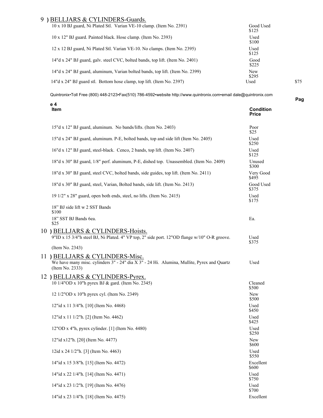### 9 **)** BELLJARS & CYLINDERS-Guards.

| $10 \times 10$ BJ guard, Ni Plated Stl. Varian VE-10 clamp. (Item No. 2391)   | Good Used<br>\$125  |      |
|-------------------------------------------------------------------------------|---------------------|------|
| 10 x 12" BJ guard. Painted black. Hose clamp. (Item No. 2393)                 | Used<br>\$100       |      |
| 12 x 12 BJ guard, Ni Plated Stl. Varian VE-10. No clamps. (Item No. 2395)     | Used<br>\$125       |      |
| 14"d x 24" BJ guard, galv. steel CVC, bolted bands, top lift. (Item No. 2401) | Good<br>\$225       |      |
| 14"d x 24" BJ guard, aluminum, Varian bolted bands, top lift. (Item No. 2399) | <b>New</b><br>\$295 |      |
| 14"d x 24" BJ guard stl. Bottom hose clamp, top lift. (Item No. 2397)         | Used                | \$75 |

Quintronix•Toll Free (800) 448-2123•Fax(510) 786-4592•website http://www.quintronix.com•email dale@quintronix.com

| e 4<br>Item                                                                                                                                      | <b>Condition</b><br><b>Price</b> |
|--------------------------------------------------------------------------------------------------------------------------------------------------|----------------------------------|
| 15"d x 12" BJ guard, aluminum. No bands/lifts. (Item No. 2403)                                                                                   | Poor<br>\$25                     |
| 15"d x 24" BJ guard, aluminum. P-E, bolted bands, top and side lift (Item No. 2405)                                                              | Used<br>\$250                    |
| 16"d x 12" BJ guard, steel-black. Cenco, 2 bands, top lift. (Item No. 2407)                                                                      | Used<br>\$125                    |
| 18"d x 30" BJ guard, 1/8" perf. aluminum, P-E, dished top. Unassembled. (Item No. 2409)                                                          | Unused<br>\$300                  |
| 18"d x 30" BJ guard, steel CVC, bolted bands, side guides, top lift. (Item No. 2411)                                                             | Very Good<br>\$495               |
| 18"d x 30" BJ guard, steel, Varian, Bolted bands, side lift. (Item No. 2413)                                                                     | Good Used<br>\$375               |
| 19 1/2" x 28" guard, open both ends, steel, no lifts. (Item No. 2415)                                                                            | Used<br>\$175                    |
| 18" BJ side lift w 2 SST Bands<br>\$100                                                                                                          |                                  |
| 18" SST BJ Bands 6ea.<br>\$25                                                                                                                    | Ea.                              |
| 10 ) BELLJARS & CYLINDERS-Hoists.<br>9"ID x 15 3/4"h steel BJ, Ni Plated. 4" VP top, 2" side port. 12"OD flange w/10" O-R groove.                | Used                             |
| (Item No. 2343)                                                                                                                                  | \$375                            |
| 11 ) BELLJARS & CYLINDERS-Misc.<br>We have many misc. cylinders 3" - 24" dia X 3" - 24 Hi. Alumina, Mullite, Pyrex and Quartz<br>(Item No. 2333) | Used                             |
| 12) BELLJARS & CYLINDERS-Pyrex.                                                                                                                  |                                  |
| 10 1/4"OD x 10"h pyrex BJ & gard. (Item No. 2345)                                                                                                | Cleaned<br>\$500                 |
| 12 1/2"OD x 10"h pyrex cyl. (Item No. 2349)                                                                                                      | New<br>\$500                     |
| 12"id x 11 3/4"h. [10] (Item No. 4468)                                                                                                           | Used<br>\$450                    |
| 12"id x 11 1/2"h. [2] (Item No. 4462)                                                                                                            | Used<br>\$425                    |
| 12"OD x 4"h, pyrex cylinder. [1] (Item No. 4480)                                                                                                 | Used<br>\$250                    |
| 12"id x12"h. [20] (Item No. 4477)                                                                                                                | New<br>\$600                     |
| 12id x 24 1/2"h. [3] (Item No. 4463)                                                                                                             | Used<br>\$550                    |
| 14"id x 15 3/8"h. [15] (Item No. 4472)                                                                                                           | Excellent<br>\$600               |
| 14"id x 22 1/4"h. [14] (Item No. 4471)                                                                                                           | Used<br>\$750                    |
| 14"id x 23 1/2"h. [19] (Item No. 4476)                                                                                                           | Used<br>\$700                    |
| 14"id x 23 1/4"h. [18] (Item No. 4475)                                                                                                           | Excellent                        |

**Pag**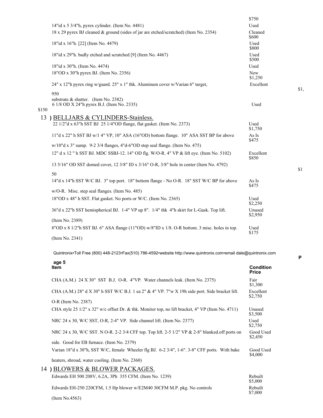|       |                                                                                                                   | \$750                 |     |
|-------|-------------------------------------------------------------------------------------------------------------------|-----------------------|-----|
|       | 14"id x 5 3/4"h, pyrex cylinder. (Item No. 4481)                                                                  | Used                  |     |
|       | 18 x 29 pyrex BJ cleaned & ground (sides of jar are etched/scratched) (Item No. 2354)                             | Cleaned<br>\$600      |     |
|       | 18"id x 16"h. [22] (Item No. 4479)                                                                                | Used<br>\$800         |     |
|       | 18"id x 29"h. badly etched and scratched [9] (Item No. 4467)                                                      | Used<br>\$500         |     |
|       | 18"id x 30"h. (Item No. 4474)                                                                                     | Used                  |     |
|       | 18"OD x 30"h pyrex BJ. (Item No. 2356)                                                                            | <b>New</b><br>\$1,250 |     |
|       | 24" x 12"h pyrex ring w/guard. 25" x 1" thk. Aluminum cover w/Varian 6" target,                                   | Excellent             | \$1 |
|       | 950<br>substrate & shutter. (Item No. 2382)                                                                       |                       |     |
| \$150 | 6 1/8 OD X 24"h pyrex B.J. (Item No. 2335)                                                                        | Used                  |     |
| 13    | BELLJARS & CYLINDERS-Stainless.                                                                                   |                       |     |
|       | 22 1/2"d x 63"h SST BJ 25 1/4"OD flange, flat gasket. (Item No. 2373)                                             | Used<br>\$1,750       |     |
|       | $11"d$ x 22" h SST BJ w/1 4" VP, $10"$ ASA $(16"OD)$ bottom flange. 10" ASA SST BP for above                      | As Is<br>\$475        |     |
|       | $w/10$ "d x 3" sump. 9-2 3/4 flanges, 4"d-6"OD step seal flange. (Item No. 475)                                   |                       |     |
|       | 12" d x 12 " h SST BJ. MDC SSBJ-12. 14" OD flg. W/O-R. 4" VP & lift eye. (Item No. 5102)                          | Excellent<br>\$850    |     |
|       | 13 5/16" OD SST domed cover, 12 3/8" ID x 3/16" O-R, 3/8" hole in center (Item No. 4792)                          |                       | \$1 |
|       | 50<br>14"d x 14"h SST W/C BJ. 3" top port. 18" bottom flange - No O-R. 18" SST W/C BP for above                   | As Is<br>\$475        |     |
|       | w/O-R. Misc. step seal flanges. (Item No. 485)                                                                    |                       |     |
|       | 18"OD x 48" h SST. Flat gasket. No ports or W/C. (Item No. 2365)                                                  | Used<br>\$2,250       |     |
|       | 36"d x 22"h SST hemispherical BJ. 1-4" VP up 8". 1/4" thk 4"h skirt for L-Gask. Top lift.                         | Unused<br>\$2,950     |     |
|       | (Item No. 2389)                                                                                                   |                       |     |
|       | 8"OD x 8 1/2"h SST BJ. 6" ASA flange (11"OD) w/8"ID x 1/8. O-R bottom. 3 misc. holes in top.                      | Used<br>\$175         |     |
|       | (Item No. 2341)                                                                                                   |                       |     |
|       | Quintronix•Toll Free (800) 448-2123•Fax(510) 786-4592•website http://www.quintronix.com•email dale@quintronix.com |                       | P   |
|       | age 5<br>Item                                                                                                     | <b>Condition</b>      |     |
|       |                                                                                                                   | <b>Price</b>          |     |
|       | CHA (A.M.) 24 X 30" SST B.J. O-R. 4"VP. Water channels leak. (Item No. 2375)                                      | Fair<br>\$1,300       |     |
|       | CHA (A.M.) 28" d X 30" h SST W/C B.J. 1 ea 2" & 4" VP. 7"w X 19h side port. Side bracket lift.                    | Excellent<br>\$2,750  |     |
|       | O-R (Item No. 2387)                                                                                               |                       |     |
|       | CHA style 25 1/2" x 32" w/c offset Dr. & thk. Monitor top, no lift bracket, 4" VP (Item No. 4711)                 | Unused<br>\$3,500     |     |
|       | NRC 24 x 30, W/C SST, O-R, 2-4" VP. Side channel lift. (Item No. 2377)                                            | Used<br>\$2,750       |     |
|       | NRC 24 x 30, W/C SST. N O-R. 2-2 3/4 CFF top. Top lift. 2-5 1/2" VP & 2-8" blanked.off ports on                   | Good Used<br>\$2,450  |     |
|       | side. Good for EB furnace. (Item No. 2379)                                                                        |                       |     |
|       | Varian 18"d x 30"h, SST W/C, female Wheeler flg BJ. 6-2 3/4", 1-6". 3-8" CFF ports. With bake                     | Good Used<br>\$4,000  |     |

heaters, shroud, water cooling. (Item No. 2360) 14 **)** BLOWERS & BLOWER PACKAGES.

| TDLO WLIW & DLO WLIVINIOLU.                                              |                    |
|--------------------------------------------------------------------------|--------------------|
| Edwards EH 500 208V, 6.2A, 3Ph 355 CFM. (Item No. 1239)                  | Rebuilt<br>\$5,000 |
| Edwards EH-250 220CFM, 1.5 Hp blower w/E2M40 30CFM M.P. pkg. No controls | Rebuilt<br>\$7,000 |
| (Item No.4563)                                                           |                    |

\$1,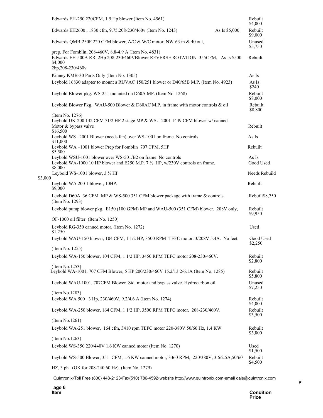|         | Edwards EH-250 220CFM, 1.5 Hp blower (Item No. 4561)                                                                                                                     |               | Rebuilt<br>\$4,000   |
|---------|--------------------------------------------------------------------------------------------------------------------------------------------------------------------------|---------------|----------------------|
|         | Edwards EH2600, 1830 cfm, 9.75, 208-230/460v (Item No. 1243)                                                                                                             | As Is \$5,000 | Rebuilt<br>\$9,000   |
|         | Edwards QMB-250F 220 CFM blower, A/C & W/C motor, NW-63 in & 40 out,                                                                                                     |               | Unused<br>\$5,750    |
|         | prep. For Fomblin, 208-460V, 8.8-4.9 A (Item No. 4831)<br>Edwards EH-500A RR. 2Hp 208-230/460VBlower REVERSE ROTATION 355CFM, As Is \$500<br>\$4,000<br>2hp,208-230/460v |               | Rebuilt              |
|         | Kinney KMB-30 Parts Only (Item No. 1305)                                                                                                                                 |               | As Is                |
|         | Leybold 16830 adapter to mount a RUVAC 150/251 blower or D40/65B M.P. (Item No. 4923)                                                                                    |               | As Is<br>\$240       |
|         | Leybold Blower pkg. WS-251 mounted on D60A MP. (Item No. 1268)                                                                                                           |               | Rebuilt<br>\$8,000   |
|         | Leybold Blower Pkg. WAU-500 Blower & D60AC M.P. in frame with motor controls & oil                                                                                       |               | Rebuilt<br>\$8,800   |
|         | (Item No. 1276)<br>Leybold DK-200 132 CFM 71/2 HP 2 stage MP & WSU-2001 1449 CFM blower w/ canned<br>Motor & bypass valve<br>\$16,500                                    |               | Rebuilt              |
|         | Leybold WS -2001 Blower (needs fan) over WS-1001 on frame. No controls<br>\$11,000                                                                                       |               | As Is                |
|         | Leybold WA-1001 blower Prep for Fomblin 707 CFM, 5HP<br>\$5,500                                                                                                          |               | Rebuilt              |
|         | Leybold WSU-1001 blower over WS-501/B2 on frame. No controls<br>Leybold WA-1000 10 HP blower and E250 M.P. 7 1/2 HP, w/230V controls on frame.<br>\$8,000                |               | As Is<br>Good Used   |
|         | Leybold WS-1001 blower, $3\frac{1}{2}$ HP                                                                                                                                |               | Needs Rebuild        |
| \$3,000 | Leybold WA 200 1 blower, 10HP.<br>\$9,000                                                                                                                                |               | Rebuilt              |
|         | Leybold D60A 36 CFM MP & WS-500 351 CFM blower package with frame & controls.<br>(Item No. 1293)                                                                         |               | Rebuilt\$8,750       |
|         | Leybold pump blower pkg. E150 (100 GPM) MP and WAU-500 (351 CFM) blower. 208V only,                                                                                      |               | Rebuilt<br>\$9,950   |
|         | OF-1000 oil filter. (Item No. 1250)                                                                                                                                      |               |                      |
|         | Leybold RG-350 canned motor. (Item No. 1272)<br>\$1,250                                                                                                                  |               | Used                 |
|         | Leybold WAU-150 blower, 104 CFM, 1 1/2 HP, 3500 RPM TEFC motor. 3/208V 5.4A. No feet.                                                                                    |               | Good Used<br>\$2,250 |
|         | (Item No. 1255)                                                                                                                                                          |               |                      |
|         | Leybold WA-150 blower, 104 CFM, 1 1/2 HP, 3450 RPM TEFC motor 208-230/460V.                                                                                              |               | Rebuilt<br>\$2,800   |
|         | (Item No.1253)<br>Leybold WA-1001, 707 CFM Blower, 5 HP 200/230/460V 15.2/13.2/6.1A (Item No. 1285)                                                                      |               | Rebuilt<br>\$5,800   |
|         | Leybold WAU-1001, 707CFM Blower. Std. motor and bypass valve. Hydrocarbon oil                                                                                            |               | Unused<br>\$7,250    |
|         | (Item No.1283)<br>Leybold WA 500 3 Hp, 230/460V, 9.2/4.6 A (Item No. 1274)                                                                                               |               | Rebuilt<br>\$4,000   |
|         | Leybold WA-250 blower, 164 CFM, 1 1/2 HP, 3500 RPM TEFC motor. 208-230/460V.                                                                                             |               | Rebuilt<br>\$3,500   |
|         | (Item No.1261)                                                                                                                                                           |               |                      |
|         | Leybold WA-251 blower, 164 cfm, 3410 rpm TEFC motor 220-380V 50/60 Hz, 1.4 KW                                                                                            |               | Rebuilt<br>\$3,800   |
|         | (Item No.1263)                                                                                                                                                           |               |                      |
|         | Leybold WS-350 220/440V 1.6 KW canned motor (Item No. 1270)                                                                                                              |               | Used<br>\$1,500      |
|         | Leybold WS-500 Blower, 351 CFM, 1.6 KW canned motor, 3360 RPM, 220/380V, 3.6/2.5A,50/60                                                                                  |               | Rebuilt<br>\$4,500   |
|         | HZ, 3 ph. (OK for 208-240 60 Hz). (Item No. 1279)                                                                                                                        |               |                      |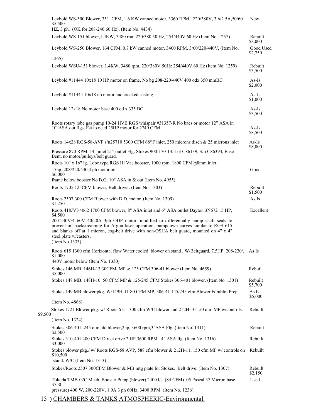|         | Leybold WS-500 Blower, 351 CFM, 1.6 KW canned motor, 3360 RPM, 220/380V, 3.6/2.5A, 50/60<br>\$5,500                                                                                                                                                                                                                                                                                                                       | New                  |
|---------|---------------------------------------------------------------------------------------------------------------------------------------------------------------------------------------------------------------------------------------------------------------------------------------------------------------------------------------------------------------------------------------------------------------------------|----------------------|
|         | HZ, 3 ph. (OK for 208-240 60 Hz). (Item No. 4434)                                                                                                                                                                                                                                                                                                                                                                         |                      |
|         | Leybold WS-151 blower, 1.4KW, 3480 rpm 220/380 50 Hz, 254/440V 60 Hz (Item No. 1257)                                                                                                                                                                                                                                                                                                                                      | Rebuilt<br>\$3,000   |
|         | Leybold WS-250 Blower, 164 CFM, 0.7 kW canned motor, 3400 RPM, 3/60/220/440V, (Item No.                                                                                                                                                                                                                                                                                                                                   | Good Used<br>\$2,750 |
|         | 1265)                                                                                                                                                                                                                                                                                                                                                                                                                     |                      |
|         | Leybold WSU-151 blower, 1.4KW, 3480 rpm, 220/380V 50Hz 254/440V 60 Hz (Item No. 1259)                                                                                                                                                                                                                                                                                                                                     | Rebuilt<br>\$3,500   |
|         | Leybold #11444 10x18 10 HP motor on frame, No bg 208-220/440V 400 odx 350 mmBC                                                                                                                                                                                                                                                                                                                                            | $As-Is$<br>\$2,000   |
|         | Leybold #11444 10x18 no motor and cracked casting                                                                                                                                                                                                                                                                                                                                                                         | $As-Is$<br>\$1,000   |
|         | Leybold 12x18 No motor base 400 od x 335 BC                                                                                                                                                                                                                                                                                                                                                                               | $As-Is$<br>\$3,500   |
|         | Roots rotary lobe gas pump 10-24 HVB RGS whispair #31357-R No baes or motor 12" ASA in<br>10"ASA out flgs. Est to need 25HP motor for 2740 CFM                                                                                                                                                                                                                                                                            | $As-Is$<br>\$8,500   |
|         | Roots 14x28 RGS-58-AVP s/n25710 5300 CFM 68 <sup>0</sup> F inlet, 250 microns disch & 25 microns inlet                                                                                                                                                                                                                                                                                                                    | $As-Is$<br>\$8,000   |
|         | Pressure 870 RPM. 14" inlet 21" outlet Flg, Stokes 900-170-13. Lot C86139, S/n C86394, Base<br>Bent, no motor/pulleys/belt guard.                                                                                                                                                                                                                                                                                         |                      |
|         | Roots 10" x 16" lg. Lobe type RGS Hi Vac booster, 1000 rpm, 1800 CFM@8mm inlet,<br>15hp, 208/220/440,3 ph motor on<br>\$6,000                                                                                                                                                                                                                                                                                             | Good                 |
|         | frame below booster No B.G. 10" ASA in & out (Item No. 4955)                                                                                                                                                                                                                                                                                                                                                              |                      |
|         | Roots 1705 125CFM blower, Belt driver. (Item No. 1303)                                                                                                                                                                                                                                                                                                                                                                    | Rebuilt<br>\$1,500   |
|         | Roots 2507 300 CFM Blower with D.D. motor. (Item No. 1309)<br>\$1,250                                                                                                                                                                                                                                                                                                                                                     | As Is                |
|         | Roots 418JVI-4062 1700 CFM blower, 8" ASA inlet and 6" ASA outlet Dayton 3N672 15 HP,<br>\$4,500<br>200-230V/4 60V 40/20A 3ph ODP motor, modified to differentially pump shaft seals to<br>prevent oil backstreaming for Argon laser operation, pumpdown curves similar to RGS 615<br>and blanks off at 1 micron, cog-belt drive with non-OSHA belt guard, mounted on 4" x 4"<br>steel plate w/casters.<br>(Item No 1333) | Excellent            |
|         | Roots 615 1300 cfm Horizontal flow Water cooled blower on stand, W/Beltguard, 7.5HP 208-220/. As Is<br>\$1,000<br>440V motor below (Item No. 1330)                                                                                                                                                                                                                                                                        |                      |
|         | Stokes 146 MB, 146H-13 30CFM MP & 125 CFM 306-41 blower (Item No. 4659)<br>\$5,000                                                                                                                                                                                                                                                                                                                                        | Rebuilt              |
|         | Stokes 148 MB. 148H-10 50 CFM MP & 125/245 CFM Stokes 306-401 blower. (Item No. 1301)                                                                                                                                                                                                                                                                                                                                     | Rebuilt<br>\$5,700   |
|         | Stokes 149 MB blower pkg. W/149H-11 80 CFM MP, 306-41 145/245 cfm Blower Fomblin Prep                                                                                                                                                                                                                                                                                                                                     | As Is<br>\$5,000     |
|         | (Item No. 4868)                                                                                                                                                                                                                                                                                                                                                                                                           |                      |
| \$9,500 | Stokes 1721 Blower pkg. w/ Roots 615 1300 cfm W/C blower and 212H-10 150 cfm MP w/controls.                                                                                                                                                                                                                                                                                                                               | Rebuilt              |
|         | (Item No. 1324)                                                                                                                                                                                                                                                                                                                                                                                                           |                      |
|         | Stokes 306-401, 245 cfm, dd blower, 2hp, 3600 rpm, 3"ASA Flg. (Item No. 1311)<br>\$2,500                                                                                                                                                                                                                                                                                                                                  | Rebuilt              |
|         | Stokes 310-401 400 CFM Direct drive 2 HP 3600 RPM. 4" ASA flg. (Item No. 1316)<br>\$3,000                                                                                                                                                                                                                                                                                                                                 | Rebuilt              |
|         | Stokes blower pkg./ w/ Roots RGS-58 AVP, 588 cfm blower & 212H-11, 150 cfm MP w/ controls on<br>\$10,500<br>stand. W/C (Item No. $1313$ )                                                                                                                                                                                                                                                                                 | Rebuilt              |
|         | Stokes/Roots 2507 300CFM Blower & MB mtg plate for Stokes. Belt drive. (Item No. 1307)                                                                                                                                                                                                                                                                                                                                    | Rebuilt<br>\$2,150   |
|         | Tokuda TMB-02C Mech. Booster Pump (blower) 2400 l/s (84 CFM) .05 Pascal.37 Micron base<br>\$750                                                                                                                                                                                                                                                                                                                           | Used                 |
|         | pressure) 400 W, 200-220V, 1.9A 3 ph 60Hz. 3400 RPM. (Item No. 1236)                                                                                                                                                                                                                                                                                                                                                      |                      |

15 **)** CHAMBERS & TANKS ATMOSPHERIC-Environmental.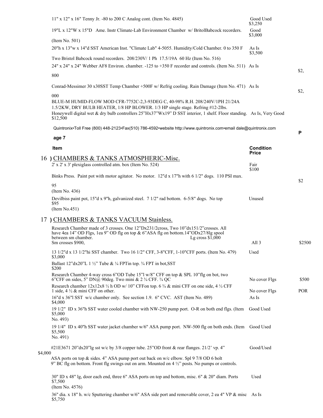|         | $11"$ x $12"$ x $16"$ Tenny Jr. -80 to 200 C Analog cont. (Item No. 4845)                                                                                                                                                                                                                                  | Good Used<br>\$3,250 |            |
|---------|------------------------------------------------------------------------------------------------------------------------------------------------------------------------------------------------------------------------------------------------------------------------------------------------------------|----------------------|------------|
|         | 19"L x 12"W x 15"D Ame. Instr Climate-Lab Environment Chamber w/ BritolBabcock recorders.                                                                                                                                                                                                                  | Good<br>\$3,000      |            |
|         | $($ Item No. 501 $)$                                                                                                                                                                                                                                                                                       |                      |            |
|         | 20"h x 13"w x 14"d SST American Inst. "Climate Lab" 4-5055. Humidity/Cold Chamber. 0 to 350 F                                                                                                                                                                                                              | As Is                |            |
|         | Two Bristol Babcock round recorders. 208/230V/1 Ph 17.5/19A 60 Hz (Item No. 516)                                                                                                                                                                                                                           | \$3,500              |            |
|         | 24" x 24" x 24" Webber AF8 Environ. chamber. -125 to +350 F recorder and controls. (Item No. 511) As Is                                                                                                                                                                                                    |                      |            |
|         | 800                                                                                                                                                                                                                                                                                                        |                      | \$2,       |
|         | Conrad-Messimer 30 x30SST Temp Chamber +500F w/ Refrig cooling. Rain Damage (Item No. 471) As Is                                                                                                                                                                                                           |                      | \$2,       |
|         | 000<br>BLUE-M HUMID-FLOW MOD CFR-7752C-2,3-93DEG C, 40-98% R.H. 208/240V/1PH 21/24A<br>1.5/2KW, DRY BULB HEATER, 1/8 HP BLOWER. 1/3 HP single stage. Refring #12-2lbs.<br>Honeywell digital wet & dry bulb controllers 25"Hx37"Wx19" D SST interior, 1 shelf. Floor standing. As Is, Very Good<br>\$12,500 |                      |            |
|         | Quintronix•Toll Free (800) 448-2123•Fax(510) 786-4592•website http://www.quintronix.com•email dale@quintronix.com                                                                                                                                                                                          |                      |            |
|         | age 7                                                                                                                                                                                                                                                                                                      |                      | Ρ          |
|         | Item                                                                                                                                                                                                                                                                                                       | <b>Condition</b>     |            |
|         | 16 CHAMBERS & TANKS ATMOSPHERIC-Misc.                                                                                                                                                                                                                                                                      | <b>Price</b>         |            |
|         | 2' x 2' x 3' plexiglass controlled atm. box (Item No. 524)                                                                                                                                                                                                                                                 | Fair                 |            |
|         | Binks Press. Paint pot with motor agitator. No motor. 12"d x 17"h with 6 1/2" dogs. 110 PSI max.                                                                                                                                                                                                           | \$100                |            |
|         | 95                                                                                                                                                                                                                                                                                                         |                      | \$2        |
|         | (Item No. 436)<br>Devilbiss paint pot, 15"d x 9"h, galvanized steel. 7 1/2" rad bottom. 6-5/8" dogs. No top                                                                                                                                                                                                | Unused               |            |
|         | \$95<br>(Item No.451)                                                                                                                                                                                                                                                                                      |                      |            |
|         | 17 ) CHAMBERS & TANKS VACUUM Stainless.                                                                                                                                                                                                                                                                    |                      |            |
|         | Research Chamber made of 3 crosses. One 12"Dx231/2cross, Two 10"dx151/2"crosses. All<br>have 4ea 14" OD Flgs, 1ea 9" OD flg on top & 6"ASA flg on bottom.14"ODx27/8lg spool<br>between sm chamber.<br>Lg cross $$1,000$<br>Sm crosses \$900,                                                               | All <sub>3</sub>     | \$2500     |
|         | 13 1/2"d x 13 1/2"hi SST chamber. Two 16 1/2" CFF, 3-8"CFF, 1-10"CFF ports. (Item No. 479)                                                                                                                                                                                                                 | Used                 |            |
|         | \$3,000                                                                                                                                                                                                                                                                                                    |                      |            |
|         | Ballast 12"dx20"L 1 1/2" Tube & 1/4 FPT in top. 3/4 FPT in bot, SST<br>\$200                                                                                                                                                                                                                               |                      |            |
|         | Research Chamber 4-way cross 6"OD Tube 15"l w/8" CFF on top & SPL 10"flg on bot, two<br>6"CFF on sides, 5" DN@ 90deg. Two mini & $2\frac{3}{4}$ CFF. $\frac{3}{4}$ QC                                                                                                                                      | No cover Flgs        | \$500      |
|         | Research chamber $12x12x8 \frac{1}{2}$ h OD w/ 10" CFF on top. 6 $\frac{3}{4}$ & mini CFF on one side, 4 $\frac{1}{2}$ CFF<br>1 side, $4\frac{1}{2}$ & mini CFF on other.                                                                                                                                  | No cover Flgs        | <b>POR</b> |
|         | 16"d x 36"l SST w/c chamber only. See section 1.9. 6" CVC. AST (Item No. 489)<br>\$4,000                                                                                                                                                                                                                   | As Is                |            |
|         | 19 1/2" ID x 36"h SST water cooled chamber with NW-250 pump port. O-R on both end flgs. (Item<br>\$5,000<br>No. 493)                                                                                                                                                                                       | Good Used            |            |
|         | 19 1/4" ID x 40"h SST water jacket chamber w/6" ASA pump port. NW-500 flg on both ends. (Item Good Used<br>\$5,500<br>No. 491)                                                                                                                                                                             |                      |            |
|         | #21E3671 20"dx20"lg sst w/c by 3/8 copper tube. 25"OD front & rear flanges. 21/2' vp. 4"                                                                                                                                                                                                                   | Good/Used            |            |
| \$4,000 | ASA ports on top & sides. 4" ASA pump port out back on w/c elbow. Spl 9 7/8 OD 6 bolt<br>9" BC flg on bottom. Front flg swings out on arm. Mounted on $4\frac{1}{2}$ " posts. No pumps or controls.                                                                                                        |                      |            |
|         | 30" ID x 48" lg, door each end, three 6" ASA ports on top and bottom, misc. 6" & 20" diam. Ports<br>\$7,500<br>(Item No. 4576)                                                                                                                                                                             | Used                 |            |
|         | 36" dia. x 18" h. w/c Sputtering chamber w/6" ASA side port and removable cover, 2 ea 4" VP & misc As Is<br>\$5,750                                                                                                                                                                                        |                      |            |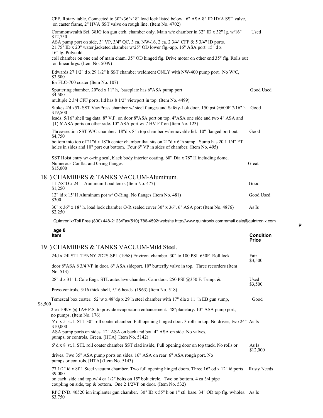|         | CFF, Rotary table, Connected to 30"x36"x18" load lock listed below. 6" ASA 8" ID HVA SST valve,<br>on caster frame, 2" HVA SST valve on rough line. (Item No. 4702)                                                                                                              |                    |
|---------|----------------------------------------------------------------------------------------------------------------------------------------------------------------------------------------------------------------------------------------------------------------------------------|--------------------|
|         | Commonwealth Sci. 38JG ion gun etch. chamber only. Main w/c chamber in 32" ID x 32" lg. w/16"                                                                                                                                                                                    | Used               |
|         | \$12,750<br>ASA pump port on side, 3" VP, 3/4" QC, 3 ea. NW-16, 2 ea. 2 3/4" CFF & 5 3/4" ID ports.<br>21.75" ID x 20" water jacketed chamber w/25" OD lower flg.-app. 16" ASA port. 15" d x<br>16" lg. Polycold                                                                 |                    |
|         | coil chamber on one end of main cham. 35" OD hinged flg. Drive motor on other end 35" flg. Rolls out<br>on linear brgs. (Item No. 5039)                                                                                                                                          |                    |
|         | Edwards 27 $1/2$ " d x 29 $1/2$ " h SST chamber weldment ONLY with NW-400 pump port. No W/C,<br>\$3,500<br>for FLC-700 coater (Item No. 107)                                                                                                                                     |                    |
|         | Sputtering chamber, 20"od x 11" h, baseplate has 6"ASA pump port                                                                                                                                                                                                                 | Good Used          |
|         | \$4,500<br>multiple 2 3/4 CFF ports, lid has 8 1/2" viewport in top. (Item No. 4499)                                                                                                                                                                                             |                    |
|         | Stokes 4'd x5'L SST Vac/Press chamber w/ steel flanges and Safety-Lok door. 150 psi @600F 7/16" h                                                                                                                                                                                | Good               |
|         | \$19,500<br>leads. 5/16" shell tag data. 8" V.P. on door 8"ASA port on top. 4"ASA one side and two 4" ASA and<br>(1) 6' ASA ports on other side. $10''$ ASA port w/ 7 HV FT on (Item No. 123)                                                                                    |                    |
|         | Three-section SST W/C chamber. 18"d x 8"h top chamber w/removable lid. 10" flanged port out                                                                                                                                                                                      | Good               |
|         | \$4,750<br>bottom into top of 21"d x 18"h center chamber that sits on 21"d x 6"h sump. Sump has 20 1 1/4" FT<br>holes in sides and 10" port out bottom. Four 6" VP in sides of chamber. (Item No. 495)                                                                           |                    |
|         | SST Hoist entry w/ o-ring seal, black body interior coating, 68" Dia x 78" H including dome,<br>Numerous Conflat and 0-ring flanges<br>\$15,000                                                                                                                                  | Great              |
|         | 18 ) CHAMBERS & TANKS VACUUM-Aluminum.<br>11 7/8"D x 24"l Auminum Load locks (Item No. 477)<br>\$1,250                                                                                                                                                                           | Good               |
|         | 12" id x 15"H Aluminum pot w/ O-Ring. No flanges (Item No. 481)<br>\$300                                                                                                                                                                                                         | Good Used          |
|         | 30" x 36" x 18" h. load lock chamber O-R sealed cover 30" x 36", 6" ASA port (Item No. 4876)<br>\$2,250                                                                                                                                                                          | As Is              |
|         | Quintronix•Toll Free (800) 448-2123•Fax(510) 786-4592•website http://www.quintronix.com•email dale@quintronix.com                                                                                                                                                                |                    |
|         | age 8<br>Item                                                                                                                                                                                                                                                                    | <b>Condition</b>   |
|         | 19 ) CHAMBERS & TANKS VACUUM-Mild Steel.                                                                                                                                                                                                                                         | Price              |
|         | 24d x 241 STL TENNY 2D2S-SPL (1968) Environ. chamber. 30" to 100 PSI. 650F Roll lock                                                                                                                                                                                             | Fair               |
|         | door.8"ASA 8 3/4 VP in door. 6" ASA sideport. 10" butterfly valve in top. Three recorders (Item<br>No. $513$ )                                                                                                                                                                   | \$3,500            |
|         | 28"id x 31" L Cole Engr. STL autoclave chamber. Cam door. 250 PSI @350 F. Temp. &                                                                                                                                                                                                | Used               |
|         | Press.controls, 3/16 thick shell, 5/16 heads (1963) (Item No. 518)                                                                                                                                                                                                               | \$3,500            |
|         | Temescal box coater. 52"w x 48"dp x 29"h steel chamber with 17" dia x 11 "h EB gun sump,                                                                                                                                                                                         | Good               |
| \$8,500 | 2 ea 10KV @ 1A+ P.S. to provide evaporation enhancement. 48"planetary. 10" ASA pump port,<br>no pumps. (Item No. 176)                                                                                                                                                            |                    |
|         | 5' d x 5' st. l. STL 30" roll coater chamber. Full opening hinged door. 3 rolls in top. No drives, two 24" As Is<br>\$10,000<br>ASA pump ports on sides. 12" ASA on back and bot. 4" ASA on side. No valves,                                                                     |                    |
|         | pumps, or controls. Green. [HTA] (Item No. 5142)<br>6' d x 8' st. l. STL roll coater chamber SST clad inside, Full opening door on top track. No rolls or                                                                                                                        | As Is              |
|         | drives. Two 35" ASA pump ports on sides. 16" ASA on rear. 6" ASA rough port. No                                                                                                                                                                                                  | \$12,000           |
|         |                                                                                                                                                                                                                                                                                  |                    |
|         | pumps or controls. [HTA] (Item No. 5143)                                                                                                                                                                                                                                         |                    |
|         | 77 1/2" id x 8f L Steel vacuum chamber. Two full opening hinged doors. Three 16" od x 12" id ports<br>\$9,000<br>on each side and top.w/ 4 ea 1/2" bolts on 15" bolt circle. Two on bottom. 4 ea 3/4 pipe<br>coupling on side, top & bottom. One 2 1/2VP on door. (Item No. 532) | <b>Rusty Needs</b> |

RPC IND. 40520 ion implanter gun chamber. 30" ID x 55" h on 1" stl. base. 34" OD top flg. w/holes. As Is \$3,750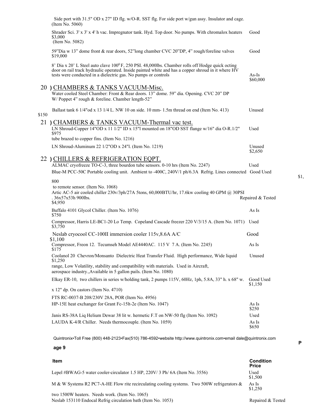|       | Side port with 31.5" OD x 27" ID flg. w/O-R. SST flg. For side port w/gun assy. Insulator and cage.<br>(Item No. 5060)                                                                                                                                                               |                      |
|-------|--------------------------------------------------------------------------------------------------------------------------------------------------------------------------------------------------------------------------------------------------------------------------------------|----------------------|
|       | Shrader Sci. 3' x 3' x 4' h vac. Impregnator tank. Hyd. Top door. No pumps. With chromalox heaters<br>\$3,000<br>(Item No. 5082)                                                                                                                                                     | Good                 |
|       | 59"Dia w 13" dome front & rear doors, 52"long chamber CVC 20"DP, 4" rough/foreline valves<br>\$19,000                                                                                                                                                                                | Good                 |
|       | 8' Dia x 20' L Steel auto clave 100 <sup>0</sup> F, 250 PSI. 48,000lbs. Chamber rolls off Hodge quick octing<br>door on rail track hydraulic operated. Inside painted white and has a copper shroud in it where HV<br>tests were conducted in a dielectric gas. No pumps or controls | As-Is<br>\$60,000    |
|       | 20 ) CHAMBERS & TANKS VACUUM-Misc.<br>Water cooled Steel Chamber: Front & Rear doors. 13" dome. 59" dia. Opening. CVC 20" DP<br>W/Poppet 4" rough & foreline. Chamber length-52"                                                                                                     |                      |
| \$150 | Ballast tank 6 1/4" od x 13 1/4 L. NW 10 on side. 10 mm-1.5m thread on end (Item No. 413)                                                                                                                                                                                            | Unused               |
|       | 21 ) CHAMBERS & TANKS VACUUM-Thermal vac test.<br>LN Shroud-Copper 14"OD x 11 1/2" ID x 15"l mounted on 18"OD SST flange $w/16$ " dia O-R.1/2"<br>\$975<br>tube brazed to copper fins. (Item No. 1216)                                                                               | Used                 |
|       | LN Shroud-Aluminum 22 1/2"OD x 24"l. (Item No. 1219)                                                                                                                                                                                                                                 | Unused<br>\$2,650    |
|       | 22 ) CHILLERS & REFRIGERATION EQPT.<br>ALMAC cryofreeze TO-C-3, three bourdon tube sensors. 0-10 hrs (Item No. 2247)<br>Blue-M PCC-50C Portable cooling unit. Ambient to -400C, 240V/1 ph/6.3A Refrig. Lines connected Good Used                                                     | Used                 |
|       | 800<br>to remote sensor. (Item No. 1068)<br>Artic AC-5 air cooled chiller 230v/3ph/27A 5tons, 60,000BTU/hr, 17.6kw cooling 40 GPM @ 30PSI<br>.36x57x53h 900lbs.<br>\$4,950                                                                                                           | Repaired & Tested    |
|       |                                                                                                                                                                                                                                                                                      |                      |
|       | Buffalo 4101 Glycol Chiller. (Item No. 1076)<br>\$750                                                                                                                                                                                                                                | As Is                |
|       | Compressor, Harris LE-BC1-20 Lo Temp. Copeland Cascade freezer 220 V/3/15 A. (Item No. 1071) Used<br>\$3,750                                                                                                                                                                         |                      |
|       | Neslab cryocool CC-100II immersion cooler 115v,8.6A A/C<br>\$1.100                                                                                                                                                                                                                   | Good                 |
|       | Compressor, Freon 12. Tecumseh Model AE4440AC. 115 V 7 A. (Item No. 2245)<br>\$175                                                                                                                                                                                                   | As Is                |
|       | Coolanol 20 Chevron/Monsanto Dielectric Heat Transfer Fluid. High performance, Wide liquid                                                                                                                                                                                           | Unused               |
|       | \$1,250<br>range, Low Volatility, stability and compatibility with materials. Used in Aircraft,<br>aerospace industry., Available in 5 gallon pails. (Item No. 1080)                                                                                                                 |                      |
|       | Elkay ER-10, two chillers in series w/holding tank, 2 pumps 115V, 60Hz, 1ph, 5.8A, 33" h. x 68" w.                                                                                                                                                                                   | Good Used<br>\$1,150 |
|       | x 12" dp. On castors (Item No. 4710)                                                                                                                                                                                                                                                 |                      |
|       | FTS RC-0037-B 208/230V 28A, POR (Item No. 4956)                                                                                                                                                                                                                                      |                      |
|       | HP-15E heat exchanger for Grant Fc-15lt-2e (Item No. 1047)                                                                                                                                                                                                                           | As Is<br>\$250       |
|       | Janis RS-38A Liq Helium Dewar 38 lit w. hermetic F.T on NW-50 flg (Item No. 1092)                                                                                                                                                                                                    | Used                 |
|       | LAUDA K-4/R Chiller. Needs thermocouple. (Item No. 1059)                                                                                                                                                                                                                             | As Is<br>\$650       |

**P**

\$1,

**age 9**

| <b>Item</b>                                                                                 | <b>Condition</b><br><b>Price</b> |
|---------------------------------------------------------------------------------------------|----------------------------------|
| Lepel #BWAG-5 water cooler-circulator 1.5 HP, 220V/3 Ph/ 6A (Item No. 3556)                 | Used<br>\$1,500                  |
| M & W Systems R2 PC7-A-HE Flow rite recirculating cooling systems. Two 500W refrigerators & | As Is<br>\$1,250                 |
| two 1500W heaters. Needs work. (Item No. 1065)                                              |                                  |
| Neslab 153110 Endocal Refrig circulation bath (Item No. 1053)                               | Repaired & Tested                |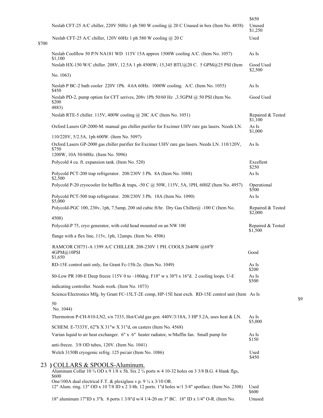|       |                                                                                                                                                                         | \$650                        |
|-------|-------------------------------------------------------------------------------------------------------------------------------------------------------------------------|------------------------------|
|       | Neslab CFT-25 A/C chiller, 220V 50Hz 1 ph 580 W cooling @ 20 C Unused in box (Item No. 4858)                                                                            | Unused<br>\$1,250            |
| \$700 | Neslab CFT-25 A/C chiller, 120V 60Hz 1 ph 580 W cooling @ 20 C                                                                                                          | Used                         |
|       | Neslab Coolflow 50 P/N NA181 WD 115V 15A approx 1500W cooling A/C. (Item No. 1057)<br>\$1,100                                                                           | As Is                        |
|       | Neslab HX-150 W/C chiller. 208V, 12.5A 1 ph 4500W; 15,345 BTU@20 C. 5 GPM@25 PSI (Item                                                                                  | Good Used<br>\$2,500         |
|       | No. 1063)                                                                                                                                                               |                              |
|       | Neslab P BC-2 bath cooler 220V 1Ph. 4.6A 60Hz. 1000W cooling. A/C. (Item No. 1055)<br>\$450                                                                             | As Is                        |
|       | Neslab PD-2, pump option for CFT serives, 208v 1Ph 50/60 Hz ,3.5GPM @ 50 PSI (Item No.<br>\$200<br>4883)                                                                | Good Used                    |
|       | Neslab RTE-5 chiller. 115V, 400W cooling @ 20C A/C (Item No. 1051)                                                                                                      | Repaired & Tested<br>\$1,100 |
|       | Oxford Lasers GP-2000-M. manual gas chiller purifier for Excimer UHV rare gas lasers. Needs LN.                                                                         | As Is<br>\$1,000             |
|       | 110/220V, 5/2.5A, 1ph 600W. (Item No. 5097)                                                                                                                             |                              |
|       | Oxford Lasers GP-2000 gas chiller purifier for Excimer UHV rare gas lasers. Needs LN. 110/120V,<br>\$750<br>1200W, 10A 50/60Hz. (Item No. 5096)                         | As Is                        |
|       | Polycold 4 cu. ft. expansion tank. (Item No. 520)                                                                                                                       | Excellent                    |
|       | Polycold PCT-200 trap refrigerator. 208/230V 3 Ph. 8A (Item No. 1088)                                                                                                   | \$250<br>As Is               |
|       | \$2,500<br>Polycold P-20 cryocooler for baffles & traps, -50 C @ 50W, 115V, 5A, 1PH, 60HZ (Item No. 4957)                                                               | Operational                  |
|       | Polycold PCT-500 trap refrigerator. 208/230V 3 Ph. 18A (Item No. 1090)<br>\$5,000                                                                                       | \$500<br>As Is               |
|       | Polycold-PGC 100, 230v, 1ph, 7.5amp, 200 std cubic ft/hr. Dry Gas Chiller@ -100 C (Item No.                                                                             | Repaired & Tested<br>\$2,000 |
|       | 4508)                                                                                                                                                                   |                              |
|       | Polycold-P 75, cryo generator, with cold head mounted on an NW 100                                                                                                      | Repaired & Tested<br>\$1,500 |
|       | flange with a flex line, 115v, 1ph, 12amps. (Item No. 4506)                                                                                                             |                              |
|       | RAMCOR CH751-A 1399 A/C CHILLER. 208-230V 1 PH. COOLS 2640W @68 <sup>0</sup> F<br>4GPM@10PSI<br>\$1,650                                                                 | Good                         |
|       | RD-15E control unit only, for Grant Fc-15lt-2e. (Item No. 1049)                                                                                                         | As Is<br>\$200               |
|       | S0-Low PR 100-E Deep freeze 115V 0 to -100deg. F18" w x 30"l x 16"d. 2 cooling loops. U-E                                                                               | As Is<br>\$500               |
|       | indicating controller. Needs work. (Item No. 1073)                                                                                                                      |                              |
|       | Science/Electronics Mfg. by Grant FC-15LT-2E comp, HP-15E heat exch. RD-15E control unit (Item As Is<br>50                                                              |                              |
|       | No. 1044)                                                                                                                                                               |                              |
|       | Thermotron P-CH-810-LN2, s/n 7333, Hot/Cold gas gen. 440V/3/18A, 3 HP 5.2A, uses heat & LN.                                                                             | As Is<br>\$5,000             |
|       | SCHEM. E-7333Y, 62"h X 31"w X 31"d, on casters (Item No. 4568)                                                                                                          |                              |
|       | Varian liquid to air heat exchanger. 6" x 6" heater radiator, w/Muffin fan. Small pump for<br>anti-freeze. $3/8$ OD tubes, $120V$ . (Item No. 1041)                     | As Is<br>\$150               |
|       | Welch 3150B cryogenic refrig. 125 psi/air (Item No. 1086)                                                                                                               | Used<br>\$450                |
|       | 23 ) COLLARS & SPOOLS-Aluminum.                                                                                                                                         |                              |
|       | Aluminum Collar 10 3/4 OD x 9 1/8 x 5h. Six 2 3/4 ports w 4 10-32 holes on 3 3/8 B.G. 4 blank flgs,<br>\$600                                                            |                              |
|       | One/100A dual electrical F.T. & plexiglass v.p. 9 1/4 x 3/10 OR.<br>12" Alum. ring. 13" OD x 10 7/8 ID x 2 3/4h. 12 ports. 1"d holes w/1 3/4" spotface. (Item No. 2308) | Used<br>\$600                |
|       | 18" aluminum 17"ID x 3"h. 8 ports 1 3/8"d w/4 1/4-20 on 3" BC. 18" ID x 1/4" O-R. (Item No.                                                                             | Unused                       |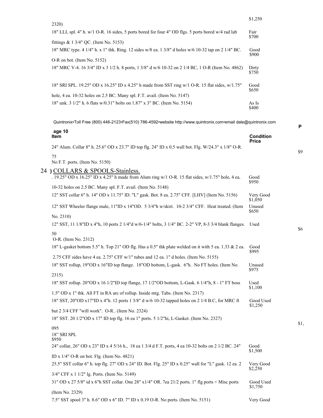| 2320)                                                                                               | \$1,250        |
|-----------------------------------------------------------------------------------------------------|----------------|
| 18" LLL spl. 4" h. w/1 O-R. 16 sides, 5 ports bored for four 4" OD flgs. 5 ports bored w/4 rad lab  | Fair<br>\$700  |
| fittings $& 13/4"$ OC. (Item No. 5153)                                                              |                |
| 18" MRC type. 4 1/4" h. x 1" thk. Ring. 12 sides w/8 ea. 1 3/8" d holes w/6 10-32 tap on 2 1/4" BC. | Good<br>\$900  |
| O-R on bot. (Item No. 5152)                                                                         |                |
| 18" MRC V-4. 16 3/4" ID x 3 1/2 h. 8 ports, 1 3/8" d w/6 10-32 on 2 1/4 BC, 1 O-R (Item No. 4862)   | Dirty<br>\$750 |
| 18" SRI SPL. 19.25" OD x 16.25" ID x 4.25" h made from SST ring w/1 O-R. 15 flat sides, w/1.75"     | Good<br>\$650  |
| hole, 4 ea. 10-32 holes on 2.5 BC. Many spl. F.T. avail. (Item No. 5147)                            |                |
| 18" unk. 3 1/2" h. 6 flats w/0.31" bolts on 1.87" x 3" BC. (Item No. 5154)                          | As Is<br>\$400 |

| Quintronix•Toll Free (800) 448-2123•Fax(510) 786-4592•website http://www.quintronix.com•email dale@quintronix.com                                                                                     |                                  |
|-------------------------------------------------------------------------------------------------------------------------------------------------------------------------------------------------------|----------------------------------|
| age 10<br><b>Item</b>                                                                                                                                                                                 | <b>Condition</b><br><b>Price</b> |
| 24" Alum. Collar 8" h. 25.6" OD x 23.7" ID top flg. 24" ID x 0.5 wall bot. Flg. W/24.3" x 1/8" O-R.                                                                                                   |                                  |
| 75<br>No F.T. ports. (Item No. 5150)                                                                                                                                                                  |                                  |
| 24 ) COLLARS & SPOOLS-Stainless.<br>. 19.25" OD x 16.25" ID x 4.25" h made from Alum ring w/1 O-R. 15 flat sides, w/1.75" hole, 4 ea.<br>10-32 holes on 2.5 BC. Many spl. F.T. avail. (Item No. 5148) | Good<br>\$950                    |
| 12" SST collar 6" h. 14" OD x 11.75" ID. "L" gask. Bot. 8 ea. 2.75" CFF. [LHV] (Item No. 5156)                                                                                                        | Very Good<br>\$1,050             |
| 12" SST Wheeler flange male, 11"ID x 14"OD. 5 3/4"h w/skirt. 10-2 3/4" CFF. Heat treated. (Item                                                                                                       | Unused<br>\$650                  |
| No. 2310)                                                                                                                                                                                             |                                  |
| 12" SST, 11 1/8"ID x 4"h, 10 ports 2 1/4"d w/6-1/4" bolts, 3 1/4" BC. 2-2" VP, 8-3 3/4 blank flanges.                                                                                                 | Used                             |
| 50<br>O-R. (Item No. 2312)                                                                                                                                                                            |                                  |
| 18" L-gasket bottom 5.5" h. Top 21" OD flg. Has a 0.5" thk plate welded on it with 5 ea. 1.33 & 2 ea.                                                                                                 | Good<br>\$995                    |
| 2.75 CFF sides have 4 ea. $2.75$ " CFF w/1" tubes and 12 ea. 1" d holes. (Item No. 5155)                                                                                                              |                                  |
| 18" SST rollup, 19"OD x 16"ID top flange. 18"OD bottom, L-gask. 6"h. No FT holes. (Item No.                                                                                                           | Unused<br>\$975                  |
| 2315)                                                                                                                                                                                                 |                                  |
| 18" SST rollup. 20"OD x 16 1/2"ID top flange, 17 1/2"OD bottom, L-Gask. 6 1/4"h, 8 - 1" FT boss                                                                                                       | Used<br>\$1,100                  |
| 1.5" OD x 1" thk. All FT in RA arc of rollup. Inside mtg. Tabs. (Item No. 2317)                                                                                                                       |                                  |
| 18" SST, 20"OD x17"ID x 4"h. 12 ports 1 3/8" d w/6 10-32 tapped holes on 2 1/4 B.C, for MRC ft                                                                                                        | Good Used<br>\$1,250             |

but 2 3/4 CFF "will work". O-R.. (Item No. 2324)

18" SST. 20 1/2"OD x 17" ID top flg. 16 ea 1" ports. 5 1/2"hi, L-Gasket. (Item No. 2327)

#### 095

18" SRI SPL \$950

24" collar, 26" OD x 23" ID x 4 5/16 h., 18 ea 1 3/4 d F.T. ports, 4 ea 10-32 bolts on 2 1/2 BC. 24" Good \$1,500 ID x 1/4" O-R on bot. Flg. (Item No. 4821) 25.5" SST collar 6" h. top flg. 27" OD x 24" ID. Bot. Flg. 25" ID x 0.25" wall for "L" gask. 12 ea. 2 Very Good \$2,250 3/4" CFF x 1 1/2" lg. Ports. (Item No. 5149) 31" OD x 27 5/8" id x 6"h SST collar. One 28" x1/4" OR. 7ea 21/2 ports. 1" flg ports + Misc ports Good Used  $$1,750$ 

\$9

\$1,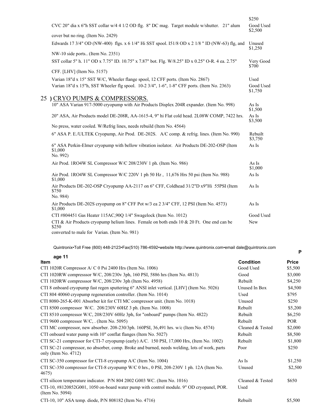|                                                                                                                                                                                                                                                                                                                                                                                      | \$250                |
|--------------------------------------------------------------------------------------------------------------------------------------------------------------------------------------------------------------------------------------------------------------------------------------------------------------------------------------------------------------------------------------|----------------------|
| CVC 20" dia x 6"h SST collar w/4 4 1/2 OD flg. 8" DC mag. Target module w/shutter. 21" alum                                                                                                                                                                                                                                                                                          | Good Used<br>\$2,500 |
| cover but no ring. (Item No. 2429)                                                                                                                                                                                                                                                                                                                                                   |                      |
| Edwards 17 3/4" OD (NW-400) flgs. x 6 1/4" Hi SST spool. I51/8 OD x 2 1/8 " ID (NW-63) flg, and                                                                                                                                                                                                                                                                                      | Unused<br>\$1,250    |
| NW-10 side ports (Item No. 2351)                                                                                                                                                                                                                                                                                                                                                     |                      |
| SST collar 5" h. 11" OD x 7.75" ID. 10.75" x 7.87" bot. Flg. W/8.25" ID x 0.25" O-R. 4 ea. 2.75"                                                                                                                                                                                                                                                                                     | Very Good<br>\$700   |
| CFF. [LHV] (Item No. 5157)                                                                                                                                                                                                                                                                                                                                                           |                      |
| Varian 18"d x 15" SST W/C, Wheeler flange spool, 12 CFF ports. (Item No. 2867)                                                                                                                                                                                                                                                                                                       | Used                 |
| Varian 18"d x 15"h, SST Wheeler flg spool. 10-2 3/4", 1-6", 1-8" CFF ports. (Item No. 2363)                                                                                                                                                                                                                                                                                          | Good Used<br>\$1,750 |
| 25) CRYO PUMPS & COMPRESSORS.                                                                                                                                                                                                                                                                                                                                                        |                      |
| 10" ASA Varian 917-5000 cryopump with Air Products Displex 204R expander. (Item No. 998)                                                                                                                                                                                                                                                                                             | As Is<br>\$1,500     |
| 20" ASA, Air Products model DE-208R, AA-1615-4, 9" hi Flat cold head. 2L08W COMP, 7422 hrs.                                                                                                                                                                                                                                                                                          | As Is<br>\$3,500     |
| No press, water cooled. W/Refrig lines, needs rebuild (Item No. 4564)                                                                                                                                                                                                                                                                                                                |                      |
| 6" ASA P. E./ULTEK Cryopump, Air Prod. DE-202S. A/C comp. & refrig. lines. (Item No. 990)                                                                                                                                                                                                                                                                                            | Rebuilt<br>\$3,750   |
| 6" ASA Perkin-Elmer cryopump with bellow vibration isolator. Air Products DE-202-OSP (Item<br>\$1,000<br>No. 992)                                                                                                                                                                                                                                                                    | As Is                |
| Air Prod. 1RO4W SL Compressor W/C 208/230V 1 ph. (Item No. 986)                                                                                                                                                                                                                                                                                                                      | As Is<br>\$1,000     |
| Air Prod. 1RO4W SL Compressor W/C 220V 1 ph 50 Hz, 11,676 Hrs 50 psi (Item No. 988)<br>\$1,000                                                                                                                                                                                                                                                                                       | As Is                |
| Air Products DE-202-OSP Cryopump AA-2117 on 6" CFF, Coldhead 31/2"D x9"Hi 55PSI (Item<br>\$750                                                                                                                                                                                                                                                                                       | As Is                |
| No. 984)                                                                                                                                                                                                                                                                                                                                                                             |                      |
| Air Products DE-202S cryopump on 8" CFF Pot w/3 ea 2 3/4" CFF, 12 PSI (Item No. 4573)<br>\$1,000                                                                                                                                                                                                                                                                                     | As Is                |
| CTI #804451 Gas Heater 115AC, 90Q 1/4" Swagelock (Item No. 1012)                                                                                                                                                                                                                                                                                                                     | Good Used            |
| CTI & Air Products cryopump helium lines. Female on both ends $10 \& 20$ Ft. One end can be<br>\$250                                                                                                                                                                                                                                                                                 | New                  |
| $\overline{1}$ $\overline{0}$ $\overline{1}$ $\overline{1}$ $\overline{1}$ $\overline{1}$ $\overline{1}$ $\overline{1}$ $\overline{1}$ $\overline{1}$ $\overline{1}$ $\overline{1}$ $\overline{1}$ $\overline{1}$ $\overline{1}$ $\overline{1}$ $\overline{1}$ $\overline{1}$ $\overline{1}$ $\overline{1}$ $\overline{1}$ $\overline{1}$ $\overline{1}$ $\overline{1}$ $\overline{$ |                      |

converted to male for Varian. (Item No. 981)

Quintronix•Toll Free (800) 448-2123•Fax(510) 786-4592•website http://www.quintronix.com•email dale@quintronix.com

**P**

#### **age 11**

| <b>Item</b>                                                                                                           | <b>Condition</b> | <b>Price</b> |
|-----------------------------------------------------------------------------------------------------------------------|------------------|--------------|
| CTI 1020R Compressor $A/C$ 0 Psi 2400 Hrs (Item No. 1006)                                                             | Good Used        | \$5,500      |
| CTI 1020RW compresssor W/C, 208/230v 3ph, 160 PSI, 5886 hrs (Item No. 4813)                                           | Good             | \$3,000      |
| CTI 1020RW compresssor W/C, $208/230v$ 3ph (Item No. 4958)                                                            | Rebuilt          | \$4,250      |
| CTI 8 onboard cryopump fast regen sputtering 6" ANSI inlet vertical. [LHV] (Item No. 5026)                            | Unused In Box    | \$4,500      |
| CTI 804 40060 cryopump regeneration controller. (Item No. 1014)                                                       | Used             | \$795        |
| CTI 8080-265-K-001 Absorber kit for CTI MC compressor unit. (Item No. 1018)                                           | Unused           | \$250        |
| CTI 8500 compressor W/C. 208/230V 60HZ 3 ph. (Item No. 1008)                                                          | Rebuilt          | \$5,200      |
| CTI 8510 compressor W/C, $208/230V$ 60Hz 3ph, for "onboard" pumps (Item No. 4822)                                     | Rebuilt          | \$6,250      |
| CTI 9600 compressor W/C, . (Item No. 5095)                                                                            | Rebuilt          | <b>POR</b>   |
| CTI MC compressor, new absorber. 208-230/3ph. 160PSI, 36,491 hrs. w/c (Item No. 4574)                                 | Cleaned & Tested | \$2,000      |
| CTI onboard water pump with 10" conflat flanges (Item No. 5027)                                                       | Rebuilt          | \$8,500      |
| CTI SC-21 compressor for CTI-7 cryopump (early) $A/C$ . 150 PSI, 17,000 Hrs, (Item No. 1002)                          | Rebuilt          | \$1,800      |
| CTI SC-21 compressor, no absorber, comp. Broke and burned, needs welding, lots of work, parts<br>only (Item No. 4712) | Poor             | \$250        |
| CTI SC-350 compressor for CTI-8 cryopump A/C (Item No. 1004)                                                          | As Is            | \$1,250      |
| CTI SC-350 compressor for CTI-8 cryopump W/C 0 hrs., 0 PSI, 208-230V 1 ph. 12A (Item No.<br>4675)                     | Unused           | \$2,500      |
| CTI silicon temperature indicator. P/N 804 2002 G003 WC. (Item No. 1016)                                              | Cleaned & Tested | \$650        |
| CTI-10, #8120852G001, 1050 on-board water pump with control module. 9" OD cryopanel, POR.<br>(Item No. 5094)          | Used             |              |
| CTI-10, 10" ASA temp. diode, P/N 808182 (Item No. 4716)                                                               | Rebuilt          | \$5,500      |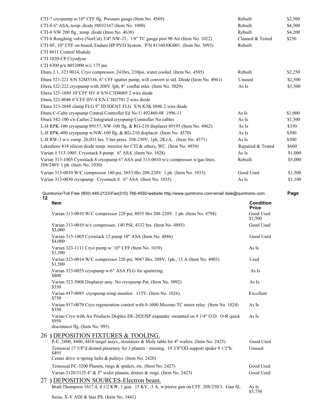|    | CTI-7 cryopump w/10" CFF flg. Pressure gauge (Item No. 4569)<br>CTI-8 6" ASA, temp. diode #8033167 (Item No. 1000)<br>CTI-8 NW 200 flg., temp. diode (Item No. 4638)<br>CTI-8 Roughing valve (NorCal) 3/4" NW-25, 1/8" TC gauge port 90 Air (Item No. 1022)<br>CTI-8F, 10" CFF on-board, Endura HP PVD System. P/N 8116030G001. (Item No. 5093)<br>CTI 8011 Control Module<br>CTI 1020-CP Cryodyne | Rebuilt<br>Rebuilt<br>Rebuilt<br>Rebuilt | Cleaned & Tested          | \$2,500<br>\$4,500<br>\$4,200<br>\$250 |
|----|----------------------------------------------------------------------------------------------------------------------------------------------------------------------------------------------------------------------------------------------------------------------------------------------------------------------------------------------------------------------------------------------------|------------------------------------------|---------------------------|----------------------------------------|
|    | CTI 8300 p/n 8052000 w/c 175 psi<br>Ebara 2.1, 323 0014, Cryo compressor, 241hrs, 210psi, water cooled. (Item No. 4505)                                                                                                                                                                                                                                                                            | Rebuilt                                  |                           | \$2,250                                |
|    | Ebara 521-221 S/N 52M5336, 6" CFF sputter pump, will convert to std. Diode (Item No. 4961)<br>Ebera 522-222 cryopump with 208V 3ph, 8" conflat inlet. (Item No. 5029)<br>Ebera 323-1049 10"CFF HV-8 S/N C3D4005 2 wire diode                                                                                                                                                                       | Unused<br>As Is                          |                           | \$2,500<br>\$3,500                     |
|    | Ebara 323-8046 6"CFF HV-4 S/N C3H3781 2 wire diode                                                                                                                                                                                                                                                                                                                                                 |                                          |                           |                                        |
|    | Ebara 323-2048 clamp FLG 9" ID IDENT FLG S/N K3K 8846 2 wire diode                                                                                                                                                                                                                                                                                                                                 |                                          |                           |                                        |
|    | Ebara C-Cube cryopump Central Controller Ed No U 492460-08 1996-11                                                                                                                                                                                                                                                                                                                                 | As Is                                    |                           | \$1,000                                |
|    | Ebara 542-100 s/n Carlos 2 Integrated cryopump Controller No cables<br>L-H RPK-100 cryopump 89157, NW-100 flg. & RG-210 displacer 89195 (Item No. 4962)                                                                                                                                                                                                                                            | As Is<br>As Is                           |                           | \$1,500<br>\$350                       |
|    | L-H RPK-400 cryopump w/NW-100 flg. & RG-210 displacer. (Item No. 4570)                                                                                                                                                                                                                                                                                                                             | As Is                                    |                           | \$500                                  |
|    | L-H RW-3 w/c comp. 26,031 hrs. 5 bar press. 208-230V, 1ph, 2KvA, . (Item No. 4571)                                                                                                                                                                                                                                                                                                                 | As Is                                    |                           | \$500                                  |
|    | Lakeshore 818 silicon diode temp. monitor for CTI & others, WC. (Item No. 4959)                                                                                                                                                                                                                                                                                                                    |                                          | Repaired & Tested         | \$600                                  |
|    | Varian #313-1005. Cryostack 8 pump. 6" ASA. (Item No. 1028)                                                                                                                                                                                                                                                                                                                                        | As Is                                    |                           | \$1,000                                |
|    | Varian 313-1005 Cyrostack 8 cryopump 6" ASA and 313-0010 w/c compressor w/gas lines.<br>208/240V 1 ph. (Item No. 1030)                                                                                                                                                                                                                                                                             | Rebuilt                                  |                           | \$5,000                                |
|    | Varian 313-0010 W/C compressor 140 psi, 5653 Hrs 208-220V 1 ph. (Item No. 1033)                                                                                                                                                                                                                                                                                                                    |                                          | Good Used                 | \$1,500                                |
|    | Varian 313-0030 cryopump. Cryostack 8. 6" ASA. (Item No. 1035)                                                                                                                                                                                                                                                                                                                                     | As Is                                    |                           | \$1,100                                |
|    | Quintronix•Toll Free (800) 448-2123•Fax(510) 786-4592•website http://www.quintronix.com•email dale@quintronix.com                                                                                                                                                                                                                                                                                  |                                          |                           | Page                                   |
| 12 | Item                                                                                                                                                                                                                                                                                                                                                                                               |                                          | <b>Condition</b><br>Price |                                        |
|    |                                                                                                                                                                                                                                                                                                                                                                                                    |                                          |                           |                                        |
|    | Varian 313-0010 W/C compressor 220 psi, 8055 Hrs 208-220V 1 ph. (Item No. 4794)                                                                                                                                                                                                                                                                                                                    |                                          | Good Used<br>\$1,500      |                                        |
|    | Varian 313-0010 w/c compressor, 140 PSI, 4332 hrs. (Item No. 4885)<br>\$2,000                                                                                                                                                                                                                                                                                                                      |                                          | Good Used                 |                                        |
|    | Varian 315-1005 Cyrostack 12 pump 10" ASA (Item No. 4886)<br>\$4,000                                                                                                                                                                                                                                                                                                                               |                                          | Good Used                 |                                        |
|    | Varian 323-1111 Cryo pump w/ 10" CFF (Item No. 1039)<br>\$1,500                                                                                                                                                                                                                                                                                                                                    |                                          | As Is                     |                                        |
|    | Varian 323-0014 W/C compressor 220 psi, 9047 Hrs. 208V, 1ph., 15 A (Item No. 4903)<br>\$1,500                                                                                                                                                                                                                                                                                                      |                                          | Used                      |                                        |
|    | Varian 323-0055 cryopump w/6" ASA FLG for sputtering.<br>\$800                                                                                                                                                                                                                                                                                                                                     |                                          | As Is                     |                                        |
|    | Varian 323-5008 Displacer assy. No cryopump Pat. (Item No. 5092)<br>\$350                                                                                                                                                                                                                                                                                                                          |                                          | As Is                     |                                        |
|    | Varian 917-0085 cryopump temp monitor. 115V. (Item No. 1026)<br>\$750                                                                                                                                                                                                                                                                                                                              |                                          | Excellent                 |                                        |
|    | Varian 917-0070 Cryo regeneration control with 0-1000 Microns TC meter relay. (Item No. 1024)<br>\$350                                                                                                                                                                                                                                                                                             |                                          | As Is                     |                                        |
|    | Varian Cryo with Air Products Displex DE-202OSP expander mounted on 9 1/4" O.D. O-R quick<br>\$950                                                                                                                                                                                                                                                                                                 |                                          | As Is                     |                                        |
|    | disconnect flg. (Item No. 995)                                                                                                                                                                                                                                                                                                                                                                     |                                          |                           |                                        |
|    | 26 ) DEPOSITION FIXTURES & TOOLING.<br>P-E 2400, 4400, 4410 target assys., insulators & Moly table for 4" wafers. (Item No. 2425)<br>Temescal 17 5/8"d domed planetary for 3 planets - missing. 19 3/8"OD support spider 9 1/2"h.<br>\$495                                                                                                                                                         |                                          | Good Used<br>Unused       |                                        |
|    | Center drive w/spring belts & pulleys. (Item No. 2420)                                                                                                                                                                                                                                                                                                                                             |                                          |                           |                                        |
|    | Temescal FC-3200 Planets, rings & spiders, etc. (Item No. 2427)                                                                                                                                                                                                                                                                                                                                    |                                          | Good Used                 |                                        |
|    | Varian 3120/3125 4" & 5" wafer planets, domes & rings. (Item No. 2423)                                                                                                                                                                                                                                                                                                                             |                                          | Good Used                 |                                        |
|    | 27) DEPOSITION SOURCES-Electron beam.<br>Brad-Thompson 1617.4, 4 1/2 KW, 1 gun. 15 KV, .3 A, w/pierce gun on CFF. 208/230/3. Gun fil,<br>$\sum V V \wedge \prod P_{\text{obs}} \wedge \prod C$ (Itam $N_2$ 2441)                                                                                                                                                                                   |                                          | As Is<br>\$3,750          |                                        |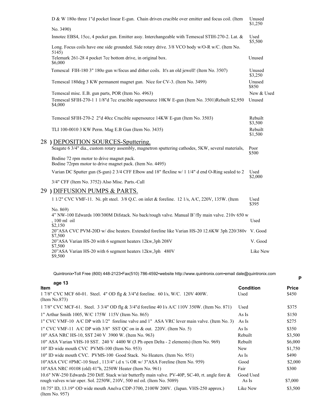| D & W 1800 three 1"d pocket linear E-gun. Chain driven crucible over emitter and focus coil. (Item                                    | Unused<br>\$1,250  |
|---------------------------------------------------------------------------------------------------------------------------------------|--------------------|
| No. 3490)                                                                                                                             |                    |
| Innotec EBS4, 15cc, 4 pocket gun. Emitter assy. Interchangeable with Temescal STIH-270-2. Lat. &                                      | Used<br>\$5,500    |
| Long. Focus coils have one side grounded. Side rotary drive. 3/8 VCO body w/O-R w/C. (Item No.<br>5145)                               |                    |
| Telemark 261-28 4 pocket 7cc bottom drive, in original box.<br>\$6,000                                                                | Unused             |
| Temescal FIH-180 3" 1800 gun w/focus and dither coils. It's an old jewell! (Item No. 3507)                                            | Unused<br>\$3,250  |
| Temescal 180deg 3 KW permanent magnet gun. Nice for CV-3. (Item No. 3499)                                                             | Unused<br>\$850    |
| Temescal misc. E.B. gun parts, POR (Item No. 4963)                                                                                    | New & Used         |
| Temescal SFIH-270-1 1 1/8"d 7cc crucible supersource 10KW E-gun (Item No. 3501)Rebuilt \$2,950<br>\$4,000                             | Unused             |
| Temescal SFIH-270-2 2"d 40cc Crucible supersource 14KW E-gun (Item No. 3503)                                                          | Rebuilt<br>\$3,500 |
| TLI 100-0010 3 KW Perm. Mag E.B Gun (Item No. 3435)                                                                                   | Rebuilt<br>\$1,500 |
| 28 ) DEPOSITION SOURCES-Sputtering.                                                                                                   |                    |
| Seagate 6 3/4" dia., custom rotary assembly, magnetron sputtering cathodes, 5KW, several materials,                                   | Poor<br>\$500      |
| Bodine 72 rpm motor to drive magnet pack.<br>Bodine 72rpm motor to drive magnet pack. (Item No. 4495)                                 |                    |
| Varian DC Sputter gun (S-gun) 2 3/4 CFF Elbow and 18" flexline w/ 1 1/4" d end O-Ring sealed to 2                                     | Used<br>\$2,000    |
| 3/4" CFF (Item No. 3752) Also Misc. Parts.-Call                                                                                       |                    |
| 29 ) DIFFUSION PUMPS & PARTS.                                                                                                         |                    |
| 1 1/2" CVC VMF-11. Ni. plt steel. 3/8 Q.C. on inlet & foreline. 12 1/s, A/C, 220V, 135W. (Item                                        | Used<br>\$395      |
| No. 869)<br>4" NW-100 Edwards 100/300M Difstack. No back/rough valve. Manual B'/fly main valve. 210v 650 w<br>, 100 ml oil<br>\$2,150 | Used               |
| 20"ASA CVC PVM-20D w/ disc heaters. Extended foreline like Varian HS-20 12.6KW 3ph 220/380v V. Good<br>\$7,500                        |                    |
| 20"ASA Varian HS-20 with 6 segment heaters 12kw, 3ph 208V<br>\$7,500                                                                  | V. Good            |
| 20"ASA Varian HS-20 with 6 segment heaters 12kw,3ph 480V<br>\$9,500                                                                   | Like New           |

| age 13<br>Item                                                                                                                                                                | <b>Condition</b>   | <b>Price</b> |
|-------------------------------------------------------------------------------------------------------------------------------------------------------------------------------|--------------------|--------------|
| $17/8$ " CVC MCF 60-01. Steel. 4" OD flg & $3/4$ "d foreline. 60 l/s, W/C. 120V 400W.<br>(Item No.873)                                                                        | Used               | \$450        |
| 1 7/8" CVC MCF-61. Steel. 3 3/4" OD flg & 3/4" d foreline 40 l/s A/C 110V 350W. (Item No. 871)                                                                                | Used               | \$375        |
| 1" Arthur Smith 1005, W/C 175W 115V (Item No. 865)                                                                                                                            | As Is              | \$150        |
| 1" CVC VMF-10 A/C DP with 1/2" foreline valve and 1" ASA VRC lever main valve. (Item No. 3)                                                                                   | As Is              | \$275        |
| 1" CVC VMF-11 $\triangle$ /C DP with 3/8" SST QC on in & out. 220V. (Item No. 5)                                                                                              | As Is              | \$350        |
| 10" ASA NRC HS-10, SST 240 V 3900 W. (Item No. 963)                                                                                                                           | Rebuilt            | \$3,500      |
| 10" ASA Varian VHS-10 SST. 240 V 4400 W (3 Ph open Delta - 2 elements) (Item No. 969)                                                                                         | Rebuilt            | \$6,000      |
| 10" ID wide mouth CVC PVMS-100 (Item No. 953)                                                                                                                                 | New                | \$1,750      |
| 10" ID wide mouth CVC. PVMS-100 Good Stack. No Heaters. (Item No. 951)                                                                                                        | As Is              | \$490        |
| 10"ASA CVC #PMC-10 Steel, $113/4$ " i.d x $\frac{1}{4}$ OR w/ 3"ASA Foreline (Item No. 959)                                                                                   | Good               | \$2,000      |
| 10"ASA NRC #0108 (old) 41"h, 2250W Heater (Item No. 961)                                                                                                                      | Fair               | \$300        |
| 10.6" NW-250 Edwards 250 Diff. Stack w/air butterfly main valve. PV-40P, SC-40, rt. angle fore $\&$<br>rough valves w/air oper. Sol. 2250W, 210V, 500 ml oil. (Item No. 5089) | Good Used<br>As Is | \$7,000      |
| 10.75" ID, 13.19" OD wide mouth Anelya CDP-3700, 2100W 200V. (Japan. VHS-250 approx.)<br>(Item No. 957)                                                                       | Like New           | \$3,500      |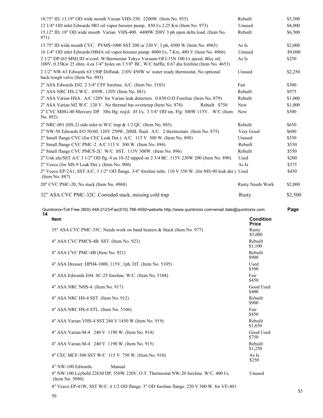| 10.75" ID, 13.19" OD wide mouth Varian VHS-250. 2200W. (Item No. 955)                                                                                                                       | Rebuilt                          | \$3,500 |
|---------------------------------------------------------------------------------------------------------------------------------------------------------------------------------------------|----------------------------------|---------|
| 12 1/4" OD inlet Edwards 9B3 oil vapor booster pump. 850 l/s 2.25 Kw (Item No. 973)                                                                                                         | Unused                           | \$4,000 |
| 15.12" ID, 18" OD wide mouth Varian VHS-400. 4400W 208V 3 ph open delta load. (Item No.<br>971)                                                                                             | Rebuilt                          | \$6,500 |
| 15.75" ID wide mouth CVC. PVMS-1000 SST 208 or 230 V, 3 ph, 4500 W (Item No. 4965)                                                                                                          | As Is                            | \$2,000 |
| 16 1/4" OD inlet Edwards18B4A oil vapor booster pump. 4000 l/s, 7 Kw, 480 V (Item No. 4966)                                                                                                 | Unused                           | \$9,000 |
| 2 1/2" DP (65 MM) ID w/cool. W/thermostat Tokyo Vacuum OFJ-15N 100 l/s speed, 40cc oil,<br>100V, 0.35Kw 25 ohm, 4 ea 1/4" holes on 3 5/8" BC, W/C baffle, 0.67 dia foreline (Item No. 4653) | As Is                            | \$250   |
| 2 1/2" NW-63 Edwards 63/150P Diffstak. 210V 450W w/ water ready thermostat, No optional<br>back/rough valve (Item No. 903)                                                                  | Unused                           | \$2,250 |
| 2" ASA Edwards E02. 2 3/4" CFF foreline. A/C. (Item No. 5103)                                                                                                                               | Fair                             | \$300   |
| 2" ASA NRC HS-2 W/C. 450W, 120V (Item No. 881)                                                                                                                                              | Rebuilt                          | \$975   |
| 2" ASA Varian HSA. A/C 120V for Varian leak detectors. 0.830 O.D Foreline (Item No. 879)                                                                                                    | Rebuilt                          | \$1,000 |
| 2" ASA Varian M2 W/C 120 V. No thermal bar overtemp (Item No. 878)<br>Rebuilt \$750                                                                                                         | New                              | \$1,000 |
| 2" CVC MHG-40 Mercury DP. 3lbs Hg. req'd. 45 l/s, 3 3/4" OD sm. Flg. 300W 115V. W/C (Item<br>No. 892)                                                                                       | New                              | \$500   |
| 2" NRC-001 (HS-2) side inlet to W/C trap & 1/2 QC. (Item No. 885)                                                                                                                           | Rebuilt                          | \$650   |
| 2" NW-50 Edwards EO 50/60, 120V 250W, 20ML fluid. A/C. 2 thermostats. (Item No. 875)                                                                                                        | Very Good                        | \$600   |
| 2" Small flange CVC (for CEC Leak Det.) A/C. 115 V 300 W. (Item No. 898)                                                                                                                    | Unused                           | \$550   |
| 2" Small flange CVC PMC-2 A/C 115 V 300 W. (Item No. 894)                                                                                                                                   | Rebuilt                          | \$550   |
| 2" Small flange CVC PMCS-2C W/C SST. 115V 300W. (Item No. 896)                                                                                                                              | Rebuilt                          | \$550   |
| 2" Unk alu/SST A/C 3 1/2" OD flg. 4 ea 10-32 tapped on 2 3/4 BC. 115V 230W 200 (Item No. 890)                                                                                               | Used                             | \$200   |
| 2" Veeco (for MS-9 Leak Det.). (Item No. 900)                                                                                                                                               | As Is                            | \$375   |
| 2" Veeco EP-2A1, SST A/C. 3 1/2" OD flange. 3/4" foreline tube. 110 V 350 W. (for MS-90 leak det.) Used<br>(Item No. 887)                                                                   |                                  | \$450   |
| 20" CVC PMC-20, No stack (Item No. 4968)                                                                                                                                                    | <b>Rusty Needs Work</b>          | \$2,000 |
| 32" ASA CVC PMC-32C. Corroded stack, missing cold trap                                                                                                                                      | <b>Rusty</b>                     | \$2,500 |
|                                                                                                                                                                                             |                                  |         |
| Quintronix•Toll Free (800) 448-2123•Fax(510) 786-4592•website http://www.quintronix.com•email dale@quintronix.com                                                                           |                                  | Page    |
| 14<br>Item                                                                                                                                                                                  | <b>Condition</b><br><b>Price</b> |         |
| 35" ASA CVC PMC-35C. Needs work on band heaters & Stack (Item No. 977)                                                                                                                      | <b>Rusty</b><br>\$5,000          |         |
| 4" ASA CVC PMCS-4B SST. (Item No. 923)                                                                                                                                                      | Rebuilt<br>\$1,100               |         |
| 4" ASA CVC PMC-4B (Item No. 921)                                                                                                                                                            | Rebuilt<br>\$900                 |         |
| 4" ASA Dresser. DPD4-1000, 115V, 1ph. DT. (Item No. 5105)                                                                                                                                   | Used<br>\$500                    |         |
| 4" ASA Edwards E04. SC-25 foreline. W/C. (Item No. 5104)                                                                                                                                    | Fair<br>\$450                    |         |
| 4" ASA NRC NHS-4. (Item No. 917)                                                                                                                                                            | Good Used<br>\$400               |         |
| 4" ASA NRC HS-4 SST. (Item No. 912)                                                                                                                                                         | Rebuilt<br>\$900                 |         |
| 4" ASA NRC HS-4 STL. (Item No. 5106)                                                                                                                                                        | Fair<br>\$450                    |         |
| 4" ASA Varian VHS-4 SST 240 V 1450 W (Item No. 919)                                                                                                                                         | Rebuilt<br>\$1,650               |         |
| 4" ASA Varian M-4 240 V 1190 W. (Item No. 914)                                                                                                                                              | Good Used<br>\$750               |         |
| 4" ASA Varian M-4 240 V 1190 W. (Item No. 915)                                                                                                                                              | Rebuilt<br>\$1,250               |         |
| 4" CEC MCF-300 SST W/C 115 V 750 W. (Item No. 910)                                                                                                                                          | As Is<br>\$250                   |         |
| Manual<br>4" NW-100 Edwards.                                                                                                                                                                |                                  |         |
| 4" NW-100 Leybold 22630 DP, 550W 220V, O.T. Thermostat NW-20 foreline. W/C. 400 l/s.<br>(Item No. 5090)                                                                                     | Unused                           |         |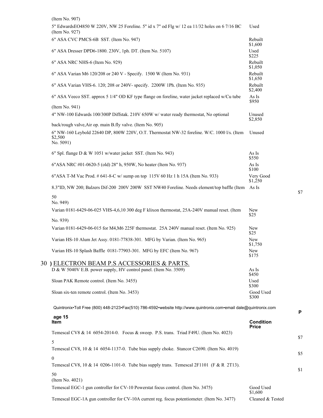$($ Item  $N_{\odot}$   $.007)$ 

| (Item No. $90$ )                                                                                                    |                      |
|---------------------------------------------------------------------------------------------------------------------|----------------------|
| 5" EdwardsEO4850 W 220V, NW 25 Foreline. 5" id x 7" od Flg w/ 12 ea 11/32 holes on 6 7/16 BC<br>(Item No. 927)      | Used                 |
| 6" ASA CVC PMCS-6B SST. (Item No. 947)                                                                              | Rebuilt<br>\$1,600   |
| 6" ASA Dresser DPD6-1800. 230V, 1ph. DT. (Item No. 5107)                                                            | Used<br>\$225        |
| 6" ASA NRC NHS-6 (Item No. 929)                                                                                     | Rebuilt<br>\$1,050   |
| 6" ASA Varian M6 120/208 or 240 V - Specify. 1500 W (Item No. 931)                                                  | Rebuilt<br>\$1,650   |
| 6" ASA Varian VHS-6. 120; 208 or 240V- specify. 2200W 1Ph. (Item No. 935)                                           | Rebuilt<br>\$2,400   |
| 6" ASA Veeco SST. approx 5 1/4" OD KF type flange on foreline, water jacket replaced w/Cu tube                      | As Is<br>\$950       |
| (Item No. 941)                                                                                                      |                      |
| 4" NW-100 Edwards 100/300P Diffstak. 210V 650W w/ water ready thermostat, No optional                               | Unused<br>\$2,850    |
| back/rough valve, Air op. main B.fly valve. (Item No. 905)                                                          |                      |
| 6" NW-160 Leybold 22640 DP, 800W 220V, O.T. Thermostat NW-32 foreline. W/C. 1000 l/s. (Item<br>\$2,500<br>No. 5091) | Unused               |
| 6" Spl. flange D & W 1051 w/water jacket SST. (Item No. 943)                                                        | As Is<br>\$550       |
| 6"ASA NRC #01-0620-5 (old) 28" h, 950W, No heater (Item No. 937)                                                    | As Is<br>\$100       |
| 6"ASA T-M Vac Prod. #641-8-C w/ sump on top 115V 60 Hz 1 h 15A (Item No. 933)                                       | Very Good<br>\$1,250 |
| 8.3"ID, NW 200; Balzers Dif-200 200V 200W SST NW40 Foreline. Needs element/top baffle (Item                         | As Is                |
| 50<br>No. 949)                                                                                                      |                      |
| Varian 0181-6429-06-025 VHS-4,6,10 300 deg F klixon thermostat, 25A-240V manual reset. (Item                        | New<br>\$25          |
| No. 939)                                                                                                            |                      |
| Varian 0181-6429-06-015 for M4, M6 225F thermostat. 25A 240V manual reset. (Item No. 925)                           | New<br>\$25          |
| Varian HS-10 Alum Jet Assy. 0181-77838-301. MFG by Varian. (Item No. 965)                                           | New<br>\$1,750       |
| Varian HS-10 Splash Baffle 0181-77903-301. MFG by EFC (Item No. 967)                                                | New<br>\$175         |
| 30 ) ELECTRON BEAM P.S ACCESSORIES & PARTS.                                                                         |                      |
| D & W 5040V E.B. power supply, HV control panel. (Item No. 3509)                                                    | As Is<br>\$450       |
| Sloan PAK Remote control. (Item No. 3455)                                                                           | Used<br>\$300        |
| Sloan six-ten remote control. (Item No. 3453)                                                                       | Good Used<br>\$300   |
| Quintronix•Toll Free (800) 448-2123•Fax(510) 786-4592•website http://www.quintronix.com•email dale@quintronix.com   |                      |
| age 15<br>Item                                                                                                      | <b>Condition</b>     |
|                                                                                                                     | <b>Price</b>         |
| Temescal CV8 & 14 6054-2014-0. Focus & sweep. P.S. trans. Triad F49U. (Item No. 4023)                               |                      |
| 5<br>Temescal CV8, 10 & 14 6054-1137-0. Tube bias supply choke. Stancor C2690. (Item No. 4019)                      |                      |
| $\boldsymbol{0}$                                                                                                    |                      |
| Temescal CV8, 10 & 14 0206-1101-0. Tube bias supply trans. Temescal 2F1101 (F & R 2T13).                            |                      |
| 50<br>(Item No. 4021)                                                                                               |                      |
| Temescal EGC-1 gun controller for CV-10 Powerstat focus control. (Item No. 3475)                                    | Good Used<br>\$1,600 |
|                                                                                                                     |                      |

\$7

**P**

\$7

\$5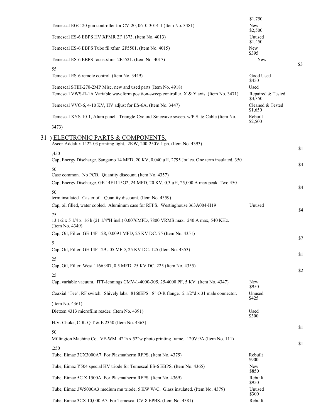|    |                                                                                                                                                              | \$1,750                              |     |
|----|--------------------------------------------------------------------------------------------------------------------------------------------------------------|--------------------------------------|-----|
|    | Temescal EGC-20 gun controller for CV-20, 0610-3014-1 (Item No. 3481)                                                                                        | New<br>\$2,500                       |     |
|    | Temescal ES-6 EBPS HV XFMR 2F 1373. (Item No. 4013)                                                                                                          | Unused<br>\$1,450                    |     |
|    | Temescal ES-6 EBPS Tube fil.xfmr 2F5501. (Item No. 4015)                                                                                                     | New<br>\$395                         |     |
|    | Temescal ES-6 EBPS focus.xfmr 2F5521. (Item No. 4017)                                                                                                        | New                                  | \$3 |
|    | 55                                                                                                                                                           |                                      |     |
|    | Temescal ES-6 remote control. (Item No. 3449)                                                                                                                | Good Used<br>\$450                   |     |
|    | Temescal STIH-270-2MP Misc. new and used parts (Item No. 4918)<br>Temescal VWS-R-1A Variable waveform position-sweep controller. X & Y axis. (Item No. 3471) | Used<br>Repaired & Tested<br>\$3,350 |     |
|    | Temescal VVC-6, 4-10 KV, HV adjust for ES-6A. (Item No. 3447)                                                                                                | Cleaned & Tested<br>\$1,650          |     |
|    | Temescal XYS-10-1, Alum panel. Triangle-Cycloid-Sinewave sweep. w/P.S. & Cable (Item No.                                                                     | Rebuilt<br>\$2,500                   |     |
|    | 3473)                                                                                                                                                        |                                      |     |
| 31 | ELECTRONIC PARTS & COMPONENTS.                                                                                                                               |                                      |     |
|    | Ascor-Addalux 1422-03 printing light. 2KW, 200-250V 1 ph. (Item No. 4393)                                                                                    |                                      | \$1 |
|    | ,450<br>Cap, Energy Discharge. Sangamo 14 MFD, 20 KV, 0.040 µH, 2795 Joules. One term insulated. 350                                                         |                                      |     |
|    | 50                                                                                                                                                           |                                      | \$3 |
|    | Case common. No PCB. Quantity discount. (Item No. 4357)                                                                                                      |                                      |     |
|    | Cap, Energy Discharge. GE 14F1115G2, 24 MFD, 20 KV, 0.3 µH, 25,000 A max peak. Two 450                                                                       |                                      | \$4 |
|    | 50                                                                                                                                                           |                                      |     |
|    | term insulated. Caster oil. Quantity discount. (Item No. 4359)<br>Cap, oil filled, water cooled. Aluminum case for RFPS. Westinghouse 363A004-H19            | Unused                               |     |
|    | 75                                                                                                                                                           |                                      | \$4 |
|    | 13 1/2 x 5 1/4 x 16 h (21 1/4"H insl.) 0.0076MFD, 7800 VRMS max. 240 A max, 540 KHz.<br>(Item No. 4349)                                                      |                                      |     |
|    | Cap, Oil, Filter. GE 14F 128, 0.0091 MFD, 25 KV DC. 75 (Item No. 4351)                                                                                       |                                      | \$7 |
|    | 5<br>Cap, Oil, Filter. GE 14F 129, .05 MFD, 25 KV DC. 125 (Item No. 4353)                                                                                    |                                      |     |
|    | 25                                                                                                                                                           |                                      | \$1 |
|    | Cap, Oil, Filter. West 1166 907, 0.5 MFD, 25 KV DC. 225 (Item No. 4355)                                                                                      |                                      |     |
|    | 25                                                                                                                                                           |                                      | \$2 |
|    | Cap, variable vacuum. ITT-Jennings CMV-1-4000-305, 25-4000 PF, 5 KV. (Item No. 4347)                                                                         | New<br>\$950                         |     |
|    | Coaxial "Tee", RF switch. Shively labs. 8160EPS. 8" O-R flange. 2 1/2"d x 31 male connector.                                                                 | Unused<br>\$425                      |     |
|    | (Item No. 4361)                                                                                                                                              |                                      |     |
|    | Dietzen 4313 microfilm reader. (Item No. 4391)                                                                                                               | Used<br>\$300                        |     |
|    | H.V. Choke, C-R. Q T & E 2350 (Item No. 4363)                                                                                                                |                                      | \$1 |
|    | 50                                                                                                                                                           |                                      |     |
|    | Millington Machine Co. VF-WM 42"h x 52"w photo printing frame. 120V 9A (Item No. 111)                                                                        |                                      | \$1 |
|    | ,250<br>Tube, Eimac 3CX3000A7. For Plasmatherm RFPS. (Item No. 4375)                                                                                         | Rebuilt<br>\$900                     |     |
|    | Tube, Eimac Y504 special HV triode for Temescal ES-6 EBPS. (Item No. 4365)                                                                                   | New<br>\$850                         |     |
|    | Tube, Eimac 5C X 1500A. For Plasmatherm RFPS. (Item No. 4369)                                                                                                | Rebuilt<br>\$950                     |     |
|    | Tube, Eimac 3W5000A3 medium mu triode, 5 KW W/C. Glass insulated. (Item No. 4379)                                                                            | Unused<br>\$300                      |     |
|    | Tube, Eimac 3CX 10,000 A7. For Temescal CV-8 EPBS. (Item No. 4381)                                                                                           | Rebuilt                              |     |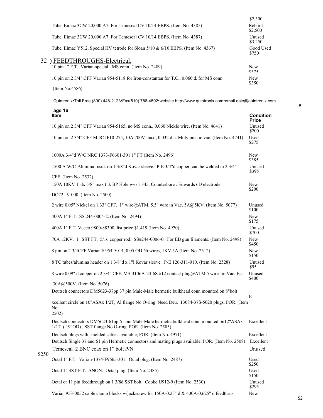|                                                                                          | \$2,300             |
|------------------------------------------------------------------------------------------|---------------------|
| Tube, Eimac 3CW 20,000 A7. For Temescal CV 10/14 EBPS. (Item No. 4385)                   | Rebuilt<br>\$2,500  |
| Tube, Eimac 3CW 20,000 A7. For Temescal CV 10/14 EBPS. (Item No. 4387)                   | Unused<br>\$3,250   |
| Tube, Eimac Y512. Special HV tetrode for Sloan $5/10 \& 6/10$ EBPS. (Item No. 4367)      | Good Used<br>\$750  |
| 32 ) FEEDTHROUGHS-Electrical.                                                            |                     |
| 10 pin 1" F.T. Varian-special. MS conn. (Item No. 2489)                                  | <b>New</b><br>\$375 |
| 10 pin on 2 3/4" CFF Varian 954-5118 for Iron-constantan for T.C., 0.060 d. for MS conn. | <b>New</b><br>\$350 |
| (Item No.4586)                                                                           |                     |

## **age 16**

|       | Item                                                                                                                                                 | Condition<br><b>Price</b> |
|-------|------------------------------------------------------------------------------------------------------------------------------------------------------|---------------------------|
|       | 10 pin on 2 3/4" CFF Varian 954-5165, no MS conn., 0.060 Nickle wire. (Item No. 4641)                                                                | Unused<br>\$200           |
|       | 10 pin on 2 3/4" CFF MDC IF10-275, 10A 700V max., 0.032 dia. Moly pins in vac. (Item No. 4741)                                                       | Used<br>\$275             |
|       | 1000A 3/4"d W/C NRC 1373-F6601-301 1" FT (Item No. 2496)                                                                                             | New<br>\$385              |
|       | 1500 A W/C-Alumina Insul. on 1 3/8"d Kovar sleeve. P-E 3/4"d copper, can be welded in 2 3/4"                                                         | Unused<br>\$395           |
|       | CFF. (Item No. 2532)<br>150A 10KV 1"dx 5/8" max thk BP Hole w/o 1.345. Counterbore . Edwards 6D electrode                                            | New                       |
|       | DO72-19-000. (Item No. 2500)                                                                                                                         | \$200                     |
|       | 2 wire 0.05" Nickel on 1.33" CFF. 1" wire@ATM, 5.5" wire in Vac. 5A@5KV. (Item No. 5077)                                                             | Unused<br>\$100           |
|       | 400A 1" F.T. SS 244-0004-2. (Item No. 2494)                                                                                                          | New<br>\$175              |
|       | 400A 1" F.T. Veeco 9800-88300, list price \$1,419 (Item No. 4970)                                                                                    | Unused<br>\$700           |
|       | 70A 12KV. 1" SST FT. 5/16 copper rod. SS#244-0006-0. For EB gun filaments. (Item No. 2498)                                                           | New<br>\$450              |
|       | 8 pin on 2 3/4CFF Varian # 954-5014, 0.05 OD Ni wires, 1KV 5A (Item No. 2512)                                                                        | New<br>\$150              |
|       | 8 TC tubes/alumina header on 1 3/8"d x 1"l Kovar sleeve. P-E 126-311-010. (Item No. 2528)                                                            | Unused<br>\$95            |
|       | 8 wire 0.09" d copper on 2 3/4" CFF. MS-3106A-24-6S #12 contact plug@ATM 5 wires in Vac. Est.                                                        | Unused<br>\$400           |
|       | 30A@500V. (Item No. 5076)                                                                                                                            |                           |
|       | Deutsch connectors DM5623-37pp 37 pin Male-Male hermetic bulkhead conn mounted on 8"bolt                                                             |                           |
|       | xcellent circle on 10"ASAx 1/2T, Al flange No O-ring. Need Deu. 13084-37S-5020 plugs. POR. (Item<br>No.<br>2502)                                     | E                         |
|       | Deutsch connectors DM5623-61pp 61 pin Male-Male hermetic bulkhead conn mounted on12"ASAx<br>1/2T (19"OD), SST flange No O-ring. POR. (Item No. 2505) | Excellent                 |
|       | Deutsch plugs with shielded cables available, POR. (Item No. 4971)                                                                                   | Excellent                 |
|       | Deutsch Single 37 and 61 pin Hermetic connectors and mating plugs available. POR. (Item No. 2508)                                                    | Excellent                 |
|       | Temescal 2 BNC coax on 1" bolt P/N                                                                                                                   | Unused                    |
| \$250 | Octal 1" F.T. Varian-1374-F9665-301. Octal plug. (Item No. 2487)                                                                                     | Used<br>\$250             |
|       | Octal 1" SST F.T. ANON. Octal plug. (Item No. 2485)                                                                                                  | Used<br>\$150             |
|       | Octal or 11 pin feedthrough on 1 3/8d SST bolt. Cooke U912-9 (Item No. 2530)                                                                         | Unused<br>\$295           |
|       | Varian 953-0052 cable clamp blocks w/jackscrew for 150A-0.25" d & 400A-0.625" d feedthrus.                                                           | New                       |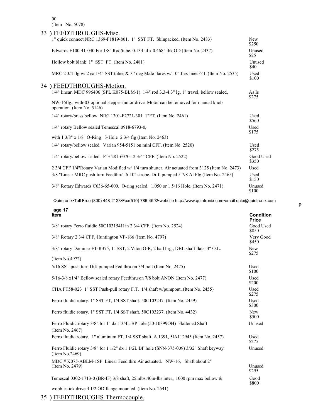00 (Item No. 5078)

| 33) FEEDTHROUGHS-Misc.                                                                                              |                     |
|---------------------------------------------------------------------------------------------------------------------|---------------------|
| 1" quick connect NRC 1369-F1819-801. 1" SST FT. Skinpacked. (Item No. 2483)                                         | <b>New</b><br>\$250 |
| Edwards E100-41-040 For 1/8" Rod/tube. 0.134 id x 0.468" thk OD (Item No. 2437)                                     | Unused<br>\$25      |
| Hollow bolt blank 1" SST FT. (Item No. 2481)                                                                        | Unused<br>\$40      |
| MRC 2 3/4 flg w/ 2 ea 1/4" SST tubes & 37 deg Male flares w/ 10" flex lines 6"L (Item No. 2535)                     | Used<br>\$100       |
| 34) FEEDTHROUGHS-Motion.                                                                                            |                     |
| 1/4" linear. MDC 996406 (SPL K075-BLM-1). 1/4" rod 3.3-4.3" lg, 1" travel, bellow sealed,                           | As Is<br>\$275      |
| NW-16flg., with-03 optional stepper motor drive. Motor can be removed for manual knob<br>operation. (Item No. 5146) |                     |
| $1/4$ " rotary/brass bellow NRC 1301-F2721-301 1"FT. (Item No. 2461)                                                | Used<br>\$560       |
| 1/4" rotary Bellow sealed Temescal 0918-6793-0,                                                                     | Used<br>\$175       |
| with $1 \frac{3}{8}$ " x $\frac{1}{8}$ " O-Ring 3-Hole 2 3/4 flg (Item No. 2463)                                    |                     |
| $1/4$ " rotary/bellow sealed. Varian 954-5151 on mini CFF. (Item No. 2520)                                          | Used<br>\$275       |
| 1/4" rotary/bellow sealed. P-E 281-6070. 2 3/4" CFF. (Item No. 2522)                                                | Good Used<br>\$350  |
| 2 3/4 CFF 1/4"Rotary Varian Modified w/ 1/4 turn shutter. Air actuated from 3125 (Item No. 2473)                    | Used                |
| 3/8 "Linear MRC push-turn Feedthru'. 6-10" strobe. Diff. pumped 5 7/8 Al Flg (Item No. 2465)                        | Used<br>\$150       |
| 3/8" Rotary Edwards C636-65-000. O-ring sealed. 1.050 or 1 5/16 Hole. (Item No. 2471)                               | Unused<br>\$100     |

Quintronix•Toll Free (800) 448-2123•Fax(510) 786-4592•website http://www.quintronix.com•email dale@quintronix.com

| age 17<br><b>Item</b>                                                                                     | <b>Condition</b><br><b>Price</b> |
|-----------------------------------------------------------------------------------------------------------|----------------------------------|
| 3/8" rotary Ferro fluidic 50C103154H in 2 3/4 CFF. (Item No. 2524)                                        | Good Used<br>\$850               |
| 3/8" Rotary 2 3/4 CFF, Huntington VF-166 (Item No. 4797)                                                  | Very Good<br>\$450               |
| 3/8" rotary Dominar FT-R375, 1" SST, 2 Viton O-R, 2 ball brg., DBL shaft flats, 4" O.L.                   | New<br>\$275                     |
| (Item No.4972)                                                                                            |                                  |
| 5/16 SST push turn Diff pumped Fed thru on 3/4 bolt (Item No. 2475)                                       | Used<br>\$100                    |
| 5/16-3/8 x1/4" Bellow sealed rotary Feedthru on 7/8 bolt ANON (Item No. 2477)                             | Used<br>\$200                    |
| CHA FT58-023 1" SST Push-pull rotary F.T. 1/4 shaft w/pumpout. (Item No. 2455)                            | Used<br>\$275                    |
| Ferro fluidic rotary. 1" SST FT, 1/4 SST shaft. 50C103237. (Item No. 2459)                                | Used<br>\$300                    |
| Ferro fluidic rotary. 1" SST FT, 1/4 SST shaft. 50C103237. (Item No. 4432)                                | New<br>\$500                     |
| Ferro Fluidic rotary 3/8" for 1" dx 1 3/4L BP hole (50-103990H) Flattened Shaft<br>(Item No. 2467)        | Unused                           |
| Ferro fluidic rotary. 1" aluminum FT, 1/4 SST shaft. A 1391, 5IA112945 (Item No. 2457)                    | Used<br>\$275                    |
| Ferro Fluidic rotary 3/8" for 1 1/2" dx 1 1/2L BP hole (SNN-375-009) 3/32" Shaft keyway<br>(Item No.2469) | Unused                           |
| MDC # K075-ABLM-1SP Linear Feed thru Air actuated. NW-16, Shaft about 2"<br>(Item No. 2479)               | Unused<br>\$295                  |
| Temescal 0302-1713-0 (BR-IF) 3/8 shaft, 25inlbs, 40in-lbs inter., 1000 rpm max bellow &                   | Good<br>\$800                    |
| wobblestick drive 4 1/2 OD flange mounted. (Item No. 2541)                                                |                                  |

35 **)** FEEDTHROUGHS-Thermocouple.

**P**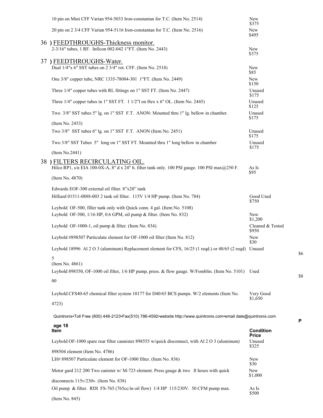| 10 pin on Mini CFF Varian 954-5033 Iron-constantan for T.C. (Item No. 2514)                                       | New<br>\$375              |     |
|-------------------------------------------------------------------------------------------------------------------|---------------------------|-----|
| 20 pin on 2 3/4 CFF Varian 954-5116 Iron-constantan for T.C. (Item No. 2516)                                      | New<br>\$495              |     |
| 36) FEEDTHROUGHS-Thickness monitor.                                                                               |                           |     |
| 2-3/16" tubes, 1 RF. Inficon 002-042 1"FT. (Item No. 2443)                                                        | New<br>\$375              |     |
| 37) FEEDTHROUGHS-Water.                                                                                           |                           |     |
| Dual 1/4"x 6" SST tubes on 2 3/4" rot. CFF. (Item No. 2518)                                                       | New<br>\$85               |     |
| One 3/8" copper tube, NRC 1335-78084-301 1"FT. (Item No. 2449)                                                    | New<br>\$150              |     |
| Three 1/4" copper tubes with RL fittings on 1" SST FT. (Item No. 2447)                                            | Unused<br>\$175           |     |
| Three $1/4$ " copper tubes in 1" SST FT. $11/2$ "l on Hex x 6" OL. (Item No. 2445)                                | Unused<br>\$125           |     |
| Two 3/8" SST tubes 5" lg. on 1" SST F.T. ANON: Mounted thru 1" lg. bellow in chamber.                             | Unused<br>\$175           |     |
| (Item No. 2453)                                                                                                   |                           |     |
| Two 3/8" SST tubes 6" lg. on 1" SST F.T. ANON (Item No. 2451)                                                     | Unused<br>\$175           |     |
| Two 3/8" SST Tubes 5" long on 1" SST FT. Mounted thru 1" long bellow in chamber                                   | Unused<br>\$175           |     |
| (Item No.2441)                                                                                                    |                           |     |
| 38 ) FILTERS RECIRCULATING OIL.                                                                                   |                           |     |
| Hilco RP1, s/n EIA 100-0X-A, 8" d x 24" h. filter tank only. 100 PSI gauge. 100 PSI max $@250$ F.                 | As Is<br>\$95             |     |
| (Item No. 4870)                                                                                                   |                           |     |
| Edwards EOF-300 external oil filter. 8"x20" tank                                                                  |                           |     |
| Hilliard 01511-0888-003 2 tank oil filter. 115V 1/4 HP pump. (Item No. 784)                                       | Good Used<br>\$750        |     |
| Leybold OF-500, filler tank only with Quick conn. 4 gal. (Item No. 5108)                                          |                           |     |
| Leybold OF-500, 1/16 HP, 0.6 GPM, oil pump & filter. (Item No. 832)                                               | New<br>\$1,200            |     |
| Leybold OF-1000-1, oil pump & filter. (Item No. 834)                                                              | Cleaned & Tested<br>\$950 |     |
| Leybold #898507 Particulate element for OF-1000 oil filter (Item No. 812)                                         | New<br>\$30               |     |
| Leybold 18996 Al 2 O 3 (aluminum) Replacement element for CFS, 16/25 (1 reqd.) or 40/65 (2 reqd) Unused           |                           | \$6 |
| 5                                                                                                                 |                           |     |
| (Item No. 4861)                                                                                                   |                           |     |
| Leybold 898550, OF-1000 oil filter, 1/6 HP pump, press. & flow gauge. W/Fomblin. (Item No. 5101) Used             |                           | \$8 |
| ${\bf 00}$                                                                                                        |                           |     |
| Leybold CFS40-65 chemical filter system 10177 for D40/65 BCS pumps. W/2 elements (Item No.                        | Very Good<br>\$1,650      |     |
| 4723)                                                                                                             |                           |     |
| Quintronix•Toll Free (800) 448-2123•Fax(510) 786-4592•website http://www.quintronix.com•email dale@quintronix.com |                           | P   |
| age 18<br>Item                                                                                                    | <b>Condition</b>          |     |
| Leybold OF-1000 spare rear filter cannister 898555 w/quick disconnect, with Al 2 O 3 (aluminum)                   | <b>Price</b><br>Unused    |     |
| 898504 element (Item No. 4786)                                                                                    | \$325                     |     |
| LH# 898507 Particulate element for OF-1000 filter. (Item No. 836)                                                 | New                       |     |
| Motor gard 212 200 Two canister w/ M-723 element. Press gauge & two ft hoses with quick                           | \$30<br>New               |     |
| disconnects $115v/230v$ . (Item No. 838)                                                                          | \$1,000                   |     |
| Oil pump & filter. RDI FS-765 (765cc/in oil flow) 1/4 HP 115/230V. 50 CFM pump max.                               | As Is                     |     |
| (Item No. 845)                                                                                                    | \$500                     |     |
|                                                                                                                   |                           |     |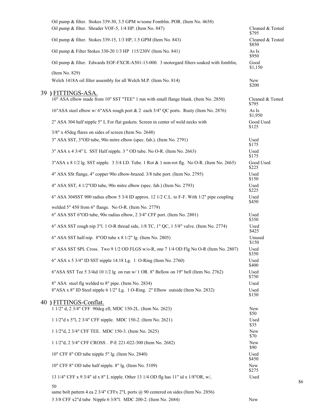| Oil pump & filter. Stokes 339-30, 3.5 GPM w/some Fomblin. POR. (Item No. 4658) |                                                                                                                                                                                                                                                                                                                                                                                                                                                                                                                                                                                                                                                                                                                                                                                                                                                                                                                                                                                                                                                                                                                                                                                                                                                                                                                                                                                                                                                                                                                                                                                                                                                                                                                                                                                                                                                                                                                                                                                                                                                                                                                                                                                                                                                                                                                                                                                                                                                                                                                                                     |
|--------------------------------------------------------------------------------|-----------------------------------------------------------------------------------------------------------------------------------------------------------------------------------------------------------------------------------------------------------------------------------------------------------------------------------------------------------------------------------------------------------------------------------------------------------------------------------------------------------------------------------------------------------------------------------------------------------------------------------------------------------------------------------------------------------------------------------------------------------------------------------------------------------------------------------------------------------------------------------------------------------------------------------------------------------------------------------------------------------------------------------------------------------------------------------------------------------------------------------------------------------------------------------------------------------------------------------------------------------------------------------------------------------------------------------------------------------------------------------------------------------------------------------------------------------------------------------------------------------------------------------------------------------------------------------------------------------------------------------------------------------------------------------------------------------------------------------------------------------------------------------------------------------------------------------------------------------------------------------------------------------------------------------------------------------------------------------------------------------------------------------------------------------------------------------------------------------------------------------------------------------------------------------------------------------------------------------------------------------------------------------------------------------------------------------------------------------------------------------------------------------------------------------------------------------------------------------------------------------------------------------------------------|
|                                                                                | Cleaned & Tested<br>\$795                                                                                                                                                                                                                                                                                                                                                                                                                                                                                                                                                                                                                                                                                                                                                                                                                                                                                                                                                                                                                                                                                                                                                                                                                                                                                                                                                                                                                                                                                                                                                                                                                                                                                                                                                                                                                                                                                                                                                                                                                                                                                                                                                                                                                                                                                                                                                                                                                                                                                                                           |
|                                                                                | Cleaned & Tested<br>\$850                                                                                                                                                                                                                                                                                                                                                                                                                                                                                                                                                                                                                                                                                                                                                                                                                                                                                                                                                                                                                                                                                                                                                                                                                                                                                                                                                                                                                                                                                                                                                                                                                                                                                                                                                                                                                                                                                                                                                                                                                                                                                                                                                                                                                                                                                                                                                                                                                                                                                                                           |
|                                                                                | As Is<br>\$950                                                                                                                                                                                                                                                                                                                                                                                                                                                                                                                                                                                                                                                                                                                                                                                                                                                                                                                                                                                                                                                                                                                                                                                                                                                                                                                                                                                                                                                                                                                                                                                                                                                                                                                                                                                                                                                                                                                                                                                                                                                                                                                                                                                                                                                                                                                                                                                                                                                                                                                                      |
|                                                                                | Good<br>\$1,150                                                                                                                                                                                                                                                                                                                                                                                                                                                                                                                                                                                                                                                                                                                                                                                                                                                                                                                                                                                                                                                                                                                                                                                                                                                                                                                                                                                                                                                                                                                                                                                                                                                                                                                                                                                                                                                                                                                                                                                                                                                                                                                                                                                                                                                                                                                                                                                                                                                                                                                                     |
|                                                                                | New<br>\$200                                                                                                                                                                                                                                                                                                                                                                                                                                                                                                                                                                                                                                                                                                                                                                                                                                                                                                                                                                                                                                                                                                                                                                                                                                                                                                                                                                                                                                                                                                                                                                                                                                                                                                                                                                                                                                                                                                                                                                                                                                                                                                                                                                                                                                                                                                                                                                                                                                                                                                                                        |
|                                                                                | Cleaned & Tested<br>\$795                                                                                                                                                                                                                                                                                                                                                                                                                                                                                                                                                                                                                                                                                                                                                                                                                                                                                                                                                                                                                                                                                                                                                                                                                                                                                                                                                                                                                                                                                                                                                                                                                                                                                                                                                                                                                                                                                                                                                                                                                                                                                                                                                                                                                                                                                                                                                                                                                                                                                                                           |
|                                                                                | As Is<br>\$1,950                                                                                                                                                                                                                                                                                                                                                                                                                                                                                                                                                                                                                                                                                                                                                                                                                                                                                                                                                                                                                                                                                                                                                                                                                                                                                                                                                                                                                                                                                                                                                                                                                                                                                                                                                                                                                                                                                                                                                                                                                                                                                                                                                                                                                                                                                                                                                                                                                                                                                                                                    |
|                                                                                | Good Used<br>\$125                                                                                                                                                                                                                                                                                                                                                                                                                                                                                                                                                                                                                                                                                                                                                                                                                                                                                                                                                                                                                                                                                                                                                                                                                                                                                                                                                                                                                                                                                                                                                                                                                                                                                                                                                                                                                                                                                                                                                                                                                                                                                                                                                                                                                                                                                                                                                                                                                                                                                                                                  |
|                                                                                |                                                                                                                                                                                                                                                                                                                                                                                                                                                                                                                                                                                                                                                                                                                                                                                                                                                                                                                                                                                                                                                                                                                                                                                                                                                                                                                                                                                                                                                                                                                                                                                                                                                                                                                                                                                                                                                                                                                                                                                                                                                                                                                                                                                                                                                                                                                                                                                                                                                                                                                                                     |
|                                                                                | Used<br>\$175                                                                                                                                                                                                                                                                                                                                                                                                                                                                                                                                                                                                                                                                                                                                                                                                                                                                                                                                                                                                                                                                                                                                                                                                                                                                                                                                                                                                                                                                                                                                                                                                                                                                                                                                                                                                                                                                                                                                                                                                                                                                                                                                                                                                                                                                                                                                                                                                                                                                                                                                       |
|                                                                                | Used<br>\$175                                                                                                                                                                                                                                                                                                                                                                                                                                                                                                                                                                                                                                                                                                                                                                                                                                                                                                                                                                                                                                                                                                                                                                                                                                                                                                                                                                                                                                                                                                                                                                                                                                                                                                                                                                                                                                                                                                                                                                                                                                                                                                                                                                                                                                                                                                                                                                                                                                                                                                                                       |
|                                                                                | Good Used<br>\$225                                                                                                                                                                                                                                                                                                                                                                                                                                                                                                                                                                                                                                                                                                                                                                                                                                                                                                                                                                                                                                                                                                                                                                                                                                                                                                                                                                                                                                                                                                                                                                                                                                                                                                                                                                                                                                                                                                                                                                                                                                                                                                                                                                                                                                                                                                                                                                                                                                                                                                                                  |
|                                                                                | Used<br>\$150                                                                                                                                                                                                                                                                                                                                                                                                                                                                                                                                                                                                                                                                                                                                                                                                                                                                                                                                                                                                                                                                                                                                                                                                                                                                                                                                                                                                                                                                                                                                                                                                                                                                                                                                                                                                                                                                                                                                                                                                                                                                                                                                                                                                                                                                                                                                                                                                                                                                                                                                       |
|                                                                                | Used<br>\$225                                                                                                                                                                                                                                                                                                                                                                                                                                                                                                                                                                                                                                                                                                                                                                                                                                                                                                                                                                                                                                                                                                                                                                                                                                                                                                                                                                                                                                                                                                                                                                                                                                                                                                                                                                                                                                                                                                                                                                                                                                                                                                                                                                                                                                                                                                                                                                                                                                                                                                                                       |
|                                                                                | Used<br>\$450                                                                                                                                                                                                                                                                                                                                                                                                                                                                                                                                                                                                                                                                                                                                                                                                                                                                                                                                                                                                                                                                                                                                                                                                                                                                                                                                                                                                                                                                                                                                                                                                                                                                                                                                                                                                                                                                                                                                                                                                                                                                                                                                                                                                                                                                                                                                                                                                                                                                                                                                       |
|                                                                                |                                                                                                                                                                                                                                                                                                                                                                                                                                                                                                                                                                                                                                                                                                                                                                                                                                                                                                                                                                                                                                                                                                                                                                                                                                                                                                                                                                                                                                                                                                                                                                                                                                                                                                                                                                                                                                                                                                                                                                                                                                                                                                                                                                                                                                                                                                                                                                                                                                                                                                                                                     |
|                                                                                | Used<br>\$350                                                                                                                                                                                                                                                                                                                                                                                                                                                                                                                                                                                                                                                                                                                                                                                                                                                                                                                                                                                                                                                                                                                                                                                                                                                                                                                                                                                                                                                                                                                                                                                                                                                                                                                                                                                                                                                                                                                                                                                                                                                                                                                                                                                                                                                                                                                                                                                                                                                                                                                                       |
|                                                                                | Used<br>\$425                                                                                                                                                                                                                                                                                                                                                                                                                                                                                                                                                                                                                                                                                                                                                                                                                                                                                                                                                                                                                                                                                                                                                                                                                                                                                                                                                                                                                                                                                                                                                                                                                                                                                                                                                                                                                                                                                                                                                                                                                                                                                                                                                                                                                                                                                                                                                                                                                                                                                                                                       |
|                                                                                | Unused<br>\$150                                                                                                                                                                                                                                                                                                                                                                                                                                                                                                                                                                                                                                                                                                                                                                                                                                                                                                                                                                                                                                                                                                                                                                                                                                                                                                                                                                                                                                                                                                                                                                                                                                                                                                                                                                                                                                                                                                                                                                                                                                                                                                                                                                                                                                                                                                                                                                                                                                                                                                                                     |
|                                                                                | Used<br>\$350                                                                                                                                                                                                                                                                                                                                                                                                                                                                                                                                                                                                                                                                                                                                                                                                                                                                                                                                                                                                                                                                                                                                                                                                                                                                                                                                                                                                                                                                                                                                                                                                                                                                                                                                                                                                                                                                                                                                                                                                                                                                                                                                                                                                                                                                                                                                                                                                                                                                                                                                       |
|                                                                                | Used<br>\$400                                                                                                                                                                                                                                                                                                                                                                                                                                                                                                                                                                                                                                                                                                                                                                                                                                                                                                                                                                                                                                                                                                                                                                                                                                                                                                                                                                                                                                                                                                                                                                                                                                                                                                                                                                                                                                                                                                                                                                                                                                                                                                                                                                                                                                                                                                                                                                                                                                                                                                                                       |
|                                                                                | Used<br>\$750                                                                                                                                                                                                                                                                                                                                                                                                                                                                                                                                                                                                                                                                                                                                                                                                                                                                                                                                                                                                                                                                                                                                                                                                                                                                                                                                                                                                                                                                                                                                                                                                                                                                                                                                                                                                                                                                                                                                                                                                                                                                                                                                                                                                                                                                                                                                                                                                                                                                                                                                       |
|                                                                                | Used                                                                                                                                                                                                                                                                                                                                                                                                                                                                                                                                                                                                                                                                                                                                                                                                                                                                                                                                                                                                                                                                                                                                                                                                                                                                                                                                                                                                                                                                                                                                                                                                                                                                                                                                                                                                                                                                                                                                                                                                                                                                                                                                                                                                                                                                                                                                                                                                                                                                                                                                                |
|                                                                                | Used<br>\$150                                                                                                                                                                                                                                                                                                                                                                                                                                                                                                                                                                                                                                                                                                                                                                                                                                                                                                                                                                                                                                                                                                                                                                                                                                                                                                                                                                                                                                                                                                                                                                                                                                                                                                                                                                                                                                                                                                                                                                                                                                                                                                                                                                                                                                                                                                                                                                                                                                                                                                                                       |
|                                                                                |                                                                                                                                                                                                                                                                                                                                                                                                                                                                                                                                                                                                                                                                                                                                                                                                                                                                                                                                                                                                                                                                                                                                                                                                                                                                                                                                                                                                                                                                                                                                                                                                                                                                                                                                                                                                                                                                                                                                                                                                                                                                                                                                                                                                                                                                                                                                                                                                                                                                                                                                                     |
|                                                                                | New<br>\$50                                                                                                                                                                                                                                                                                                                                                                                                                                                                                                                                                                                                                                                                                                                                                                                                                                                                                                                                                                                                                                                                                                                                                                                                                                                                                                                                                                                                                                                                                                                                                                                                                                                                                                                                                                                                                                                                                                                                                                                                                                                                                                                                                                                                                                                                                                                                                                                                                                                                                                                                         |
|                                                                                | Used<br>\$35                                                                                                                                                                                                                                                                                                                                                                                                                                                                                                                                                                                                                                                                                                                                                                                                                                                                                                                                                                                                                                                                                                                                                                                                                                                                                                                                                                                                                                                                                                                                                                                                                                                                                                                                                                                                                                                                                                                                                                                                                                                                                                                                                                                                                                                                                                                                                                                                                                                                                                                                        |
|                                                                                | New<br>\$70                                                                                                                                                                                                                                                                                                                                                                                                                                                                                                                                                                                                                                                                                                                                                                                                                                                                                                                                                                                                                                                                                                                                                                                                                                                                                                                                                                                                                                                                                                                                                                                                                                                                                                                                                                                                                                                                                                                                                                                                                                                                                                                                                                                                                                                                                                                                                                                                                                                                                                                                         |
|                                                                                | New<br>\$90                                                                                                                                                                                                                                                                                                                                                                                                                                                                                                                                                                                                                                                                                                                                                                                                                                                                                                                                                                                                                                                                                                                                                                                                                                                                                                                                                                                                                                                                                                                                                                                                                                                                                                                                                                                                                                                                                                                                                                                                                                                                                                                                                                                                                                                                                                                                                                                                                                                                                                                                         |
|                                                                                | Used<br>\$450                                                                                                                                                                                                                                                                                                                                                                                                                                                                                                                                                                                                                                                                                                                                                                                                                                                                                                                                                                                                                                                                                                                                                                                                                                                                                                                                                                                                                                                                                                                                                                                                                                                                                                                                                                                                                                                                                                                                                                                                                                                                                                                                                                                                                                                                                                                                                                                                                                                                                                                                       |
|                                                                                | New<br>\$275                                                                                                                                                                                                                                                                                                                                                                                                                                                                                                                                                                                                                                                                                                                                                                                                                                                                                                                                                                                                                                                                                                                                                                                                                                                                                                                                                                                                                                                                                                                                                                                                                                                                                                                                                                                                                                                                                                                                                                                                                                                                                                                                                                                                                                                                                                                                                                                                                                                                                                                                        |
|                                                                                | Used                                                                                                                                                                                                                                                                                                                                                                                                                                                                                                                                                                                                                                                                                                                                                                                                                                                                                                                                                                                                                                                                                                                                                                                                                                                                                                                                                                                                                                                                                                                                                                                                                                                                                                                                                                                                                                                                                                                                                                                                                                                                                                                                                                                                                                                                                                                                                                                                                                                                                                                                                |
|                                                                                |                                                                                                                                                                                                                                                                                                                                                                                                                                                                                                                                                                                                                                                                                                                                                                                                                                                                                                                                                                                                                                                                                                                                                                                                                                                                                                                                                                                                                                                                                                                                                                                                                                                                                                                                                                                                                                                                                                                                                                                                                                                                                                                                                                                                                                                                                                                                                                                                                                                                                                                                                     |
|                                                                                | Oil pump & filter. Shrader VOF-5, 1/4 HP. (Item No. 847)<br>Oil pump & filter. Stokes 339-15, 1/3 HP, 1.5 GPM (Item No. 843)<br>Oil pump & Filter Stokes 330-20 1/3 HP 115/230V (Item No. 841)<br>Oil pump & filter. Edwards EOF-FXCR-A501-13-000. 3 motorgard filters soaked with fomblin,<br>(Item No. 829)<br>Welch 1418A oil filter assembly for all Welch M.P. (Item No. 814)<br>39 FITTINGS-ASA.<br>10" ASA elbow made from 10" SST "TEE" 1 run with small flange blank. (Item No. 2850)<br>16"ASA steel elbow w/ 6"ASA rough port & 2 each 3/4" QC ports. Rusty (Item No. 2876)<br>2" ASA 304 half nipple 5" L For flat gaskets. Screen in center of weld necks with<br>3/8" x 45 deg flares on sides of screen (Item No. 2648)<br>3" ASA SST, 3"OD tube, 90o mitre elbow (spec. fab.). (Item No. 2791)<br>3" ASA x 4 3/4" L SST Half nipple. 3 " OD tube. No O-R. (Item No. 2663)<br>$3"$ ASA x $8$ 1/2 lg. SST nipple. $3\frac{3}{4}$ I.D. Tube. 1 Rot & 1 non-rot flg. No O-R. (Item No. 2665)<br>4" ASA SSt flange, 4" copper 90o elbow-brazed. 3/8 tube port. (Item No. 2795)<br>4" ASA SST, 4 1/2"OD tube, 90o mitre elbow (spec. fab.) (Item No. 2793)<br>6" ASA 304SST 900 radius elbow 5 3/4 ID approx. 12 1/2 C.L. to F-F. With $1/2$ " pipe coupling<br>welded 5" 450 from 6" flange. No O-R. (Item No. 2779)<br>6" ASA SST 6"OD tube, 90o radius elbow, 2 3/4" CFF port. (Item No. 2801)<br>6" ASA SST rough nip 3"l. 1 O-R thread side, 1/8 TC, 1" QC, 1 5/8" valve. (Item No. 2774)<br>6" ASA SST half-nip. 8"OD tube x 8 1/2" lg. (Item No. 2805)<br>6" ASA SST SPL Cross. Two 9 1/2 OD FLGS w/o-R, one 7 1/4 OD Flg No O-R (Item No. 2807)<br>6" ASA x 5 3/4" ID SST nipple 14.18 Lg. 1 O-Ring (Item No. 2760)<br>6"ASA SST Tee 5 3/4id 10 1/2 lg on run w/ 1 OR. 8" Bellow on 19" bell (Item No. 2762)<br>8" ASA steel flg welded to 8" pipe. (Item No. 2834)<br>8"ASA x 8" ID Steel nipple 6 1/2" Lg. 1 O-Ring. 2" Elbow outside (Item No. 2832)<br>40 ) FITTINGS-Conflat.<br>1 1/2" d, 2 3/4" CFF 90deg ell, MDC 150-2L. (Item No. 2623)<br>1 1/2"d x 5"l, 2 3/4" CFF nipple. MDC 150-2. (Item No. 2621)<br>1 1/2"d, 2 3/4" CFF TEE. MDC 150-3. (Item No. 2625)<br>1 1/2"d, 2 3/4" CFF CROSS. P-E 221-022-300 (Item No. 2682)<br>10" CFF 8" OD tube nipple 5" lg. (Item No. 2840)<br>10" CFF 8" OD tube half nipple. 8" lg. (Item No. 5109)<br>13 1/4" CFF x 9 3/4" id x 8" L nipple. Other 13 1/4 OD flg has 11" id x 1/8"OR, w/,<br>same bolt pattern 4 ea 2 3/4" CFFx 2"L ports @ 90 centered on sides (Item No. 2856) |

3 3/8 CFF x2"d tube Nipple 6 3/8"l. MDC 200-2. (Item No. 2684) New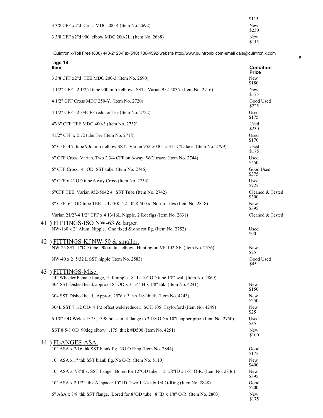|                                                      | \$115               |
|------------------------------------------------------|---------------------|
| 3 3/8 CFF x2"d Cross MDC 200-4 (Item No. 2692)       | <b>New</b><br>\$230 |
| 3 3/8 CFF x2"d 900 elbow MDC 200-2L. (Item No. 2688) | New<br>\$115        |

|    | age 19<br><b>Item</b>                                                                                  | <b>Condition</b><br><b>Price</b> |
|----|--------------------------------------------------------------------------------------------------------|----------------------------------|
|    | 3 3/8 CFF x2"d TEE MDC 200-3 (Item No. 2690)                                                           | New<br>\$180                     |
|    | 4 1/2" CFF - 2 1/2"d tube 900 mitre elbow. SST. Varian 952-5035. (Item No. 2716)                       | New<br>\$175                     |
|    | 4 1/2" CFF Cross MDC 250-Y. (Item No. 2720)                                                            | Good Used<br>\$225               |
|    | 4 1/2" CFF - 2 3/4CFF reducer Tee (Item No. 2722)                                                      | Used<br>\$175                    |
|    | 4"-6" CFF TEE MDC 400-3 (Item No. 2732)                                                                | Used<br>\$230                    |
|    | 41/2" CFF x 21/2 tube Tee (Item No. 2718)                                                              | Used<br>\$170                    |
|    | 6" CFF 4"d tube 90o mitre elbow SST. Varian 952-5040. 5.31" C/L-face. (Item No. 2799)                  | Used<br>\$175                    |
|    | 6" CFF Cross. Varian. Two 2 3/4 CFF on 6-way. W/C trace. (Item No. 2744)                               | Used<br>\$450                    |
|    | 6" CFF Cross. 4" OD SST tube. (Item No. 2746)                                                          | Good Used<br>\$375               |
|    | 6" CFF x 4" OD tube 6 way Cross (Item No. 2734)                                                        | Used<br>\$725                    |
|    | 6"CFF TEE. Varian 952-5042 4" SST Tube (Item No. 2742)                                                 | Cleaned & Tested<br>\$300        |
|    | 8" CFF 6" OD tube TEE. ULTEK 221-028-500 x Non-rot flgs (Item No. 2818)                                | New<br>\$395                     |
|    | Varian 21/2"-4 1/2" CFF x 4 13/16L Nipple. 2 Rot flgs (Item No. 2631)                                  | Cleaned & Tested                 |
|    | 41) FITTINGS-ISO NW-63 & larger.<br>NW-160 x 2" Alum. Nipple. One fixed & one rot flg. (Item No. 2752) | Used<br>\$90                     |
|    | 42) FITTINGS-Kf NW-50 & smaller.                                                                       |                                  |
|    | NW-25 SST, 1"OD tube, 90o radius elbow. Huntington VF-102-SF. (Item No. 2576)                          | New<br>\$25                      |
|    | NW-40 x 2 5/32 L SST nipple (Item No. 2583)                                                            | Good Used<br>\$45                |
|    | 43 ) FITTINGS-Misc.                                                                                    |                                  |
|    | 14" Wheeler Female flange, Half nipple 18" L. 10" OD tube 1/8" wall (Item No. 2869)                    |                                  |
|    | 304 SST Dished head. approx 18" OD x 3 1/4" H x 1/8" thk. (Item No. 4241)                              | New<br>\$150                     |
|    | 304 SST Dished head. Approx. 25"d x 3"h x 1/8"thick. (Item No. 4243)                                   | New<br>\$250                     |
|    | 304L SST 8 1/2 OD- 4 1/2 offset weld reducer. SCH 105 Taylorford (Item No. 4249)                       | New<br>\$25                      |
|    | 6 1/8" OD Welch 1375, 1398 brass inlet flange to 3 1/8 OD x 10"l copper pipe. (Item No. 2750)          | Used<br>\$35                     |
|    | SST 8 5/8 OD 90deg elbow. .175 thick #D500 (Item No. 4251)                                             | New<br>\$100                     |
| 44 | ) FLANGES-ASA.                                                                                         |                                  |
|    | 10" ASA x 7/16 thk SST blank flg NO O Ring (Item No. 2844)                                             | Good<br>\$175                    |
|    | 10" ASA x 1" thk SST blank flg. No O-R. (Item No. 5110)                                                | New<br>\$400                     |
|    | 10" ASA x 7/8"thk. SST flange. Bored for 12"OD tube. 12 1/8"ID x 1/8" O-R. (Item No. 2846)             | New<br>\$395                     |
|    | 10" ASA x 2 1/2" thk Al spacer 10" ID, Two 1 1/4 idx 1/4 O-Ring (Item No. 2848)                        | Good<br>\$200                    |
|    | 6" ASA x 7/8" thk SST flange. Bored for 8" OD tube. 8" ID x 1/8" O-R. (Item No. 2803)                  | New<br>\$175                     |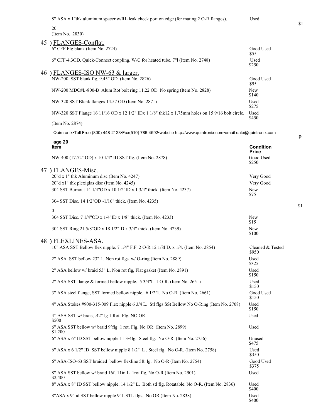8" ASA x 1"thk aluminum spacer w/RL leak check port on edge (for mating 2 O-R flanges). Used

| 8" ASA x 1"thk aluminum spacer w/RL leak check port on edge (for mating 2 O-R flanges).                           | Used                             |
|-------------------------------------------------------------------------------------------------------------------|----------------------------------|
| 20<br>(Item No. 2830)                                                                                             |                                  |
| 45 ) FLANGES-Conflat.                                                                                             |                                  |
| 6" CFF Flg blank (Item No. 2724)                                                                                  | Good Used<br>\$55                |
| 6" CFF-4.3OD. Quick-Connect coupling. W/C for heated tube. 7"1 (Item No. 2748)                                    | Used<br>\$250                    |
| 46) FLANGES-ISO NW-63 & larger.                                                                                   |                                  |
| NW-200 SST blank flg. 9.45" OD. (Item No. 2826)                                                                   | Good Used<br>\$95                |
| NW-200 MDC#L-800-B Alum Rot bolt ring 11.22 OD No spring (Item No. 2828)                                          | <b>New</b><br>\$140              |
| NW-320 SST Blank flanges 14.57 OD (Item No. 2871)                                                                 | Used<br>\$275                    |
| NW-320 SST Flange 16 11/16 OD x 12 1/2" IDx 1 1/8" thk12 x 1.75mm holes on 15 9/16 bolt circle.                   | Used<br>\$450                    |
| (Item No. 2874)                                                                                                   |                                  |
| Quintronix•Toll Free (800) 448-2123•Fax(510) 786-4592•website http://www.quintronix.com•email dale@quintronix.com |                                  |
| age 20<br><b>Item</b>                                                                                             | <b>Condition</b><br><b>Price</b> |
| NW-400 (17.72" OD) x 10 1/4" ID SST flg. (Item No. 2878)                                                          | Good Used<br>\$250               |
| 47) FLANGES-Misc.                                                                                                 |                                  |
| 20"d x 1" thk Aluminum disc (Item No. 4247)                                                                       | Very Good                        |
| 20"d x1" thk plexiglas disc (Item No. 4245)                                                                       | Very Good                        |
| 304 SST Burnout 14 1/4"OD x 10 1/2"ID x 1 3/4" thick. (Item No. 4237)                                             | <b>New</b><br>\$75               |
| 304 SST Disc. 14 1/2"OD -1/16" thick. (Item No. 4235)                                                             |                                  |
| $\theta$                                                                                                          |                                  |
| 304 SST Disc. 7 1/4"OD x 1/4"ID x 1/8" thick. (Item No. 4233)                                                     | New<br>\$15                      |
| 304 SST Ring 21 5/8"OD x 18 1/2"ID x 3/4" thick. (Item No. 4239)                                                  | <b>New</b><br>\$100              |
| 48 ) FLEXLINES-ASA.                                                                                               |                                  |
| 10" ASA SST Bellow flex nipple. 7 1/4" F.F. 2 O-R 12 1/8I.D. x 1/4. (Item No. 2854)                               | Cleaned & Tested<br>\$950        |
| 2" ASA SST bellow 23" L. Non rot flgs. w/ O-ring (Item No. 2889)                                                  | Used<br>\$325                    |
| 2" ASA bellow w/ braid 53" L. Non rot flg, Flat gasket (Item No. 2891)                                            | Used<br>\$150                    |
|                                                                                                                   |                                  |

\$1

**P**

| 2" ASA SST bellow 23" L. Non rot flgs. w/ O-ring (Item No. 2889)                              | Used<br>\$325      |
|-----------------------------------------------------------------------------------------------|--------------------|
| 2" ASA bellow w/ braid 53" L. Non rot flg, Flat gasket (Item No. 2891)                        | Used<br>\$150      |
| 2" ASA SST flange & formed bellow nipple. 5 3/4"1. 1 O-R. (Item No. 2651)                     | Used<br>\$150      |
| 3" ASA steel flange, SST formed bellow nipple. 6 1/2"l. No O-R. (Item No. 2661)               | Good Used<br>\$150 |
| 4" ASA Stokes #900-315-009 Flex nipple 6 3/4 L. Stl flgs SSt Bellow No O-Ring (Item No. 2708) | Used<br>\$150      |
| $4"$ ASA SST w/ brais, $.42"$ lg 1 Rot. Flg. NO OR<br>\$500                                   | Used               |
| 6" ASA SST bellow w/ braid 9'flg 1 rot. Flg. No OR (Item No. 2899)<br>\$1,200                 | Used               |
| 6" ASA x 6" ID SST bellow nipple 11 3/4lg. Steel flg. No O-R. (Item No. 2756)                 | Unused<br>\$475    |
| 6" ASA x 6 1/2" ID SST bellow nipple 8 1/2" L. Steel flg. No O-R. (Item No. 2758)             | Used<br>\$350      |
| 6" ASA-ISO-63 SST braided bellow flexline 5ft. lg. No O-R (Item No. 2754)                     | Good Used<br>\$375 |
| 8" ASA SST bellow w/ braid 16ft 11in L. 1rot flg, No O-R (Item No. 2901)<br>\$2,400           | Used               |
| 8" ASA x 8" ID SST bellow nipple. 14 1/2" L. Both stl flg. Rotatable. No O-R. (Item No. 2836) | Used<br>\$400      |
| 8"ASA x 9" id SST bellow nipple 9"L STL flgs, No OR (Item No. 2838)                           | Used<br>\$400      |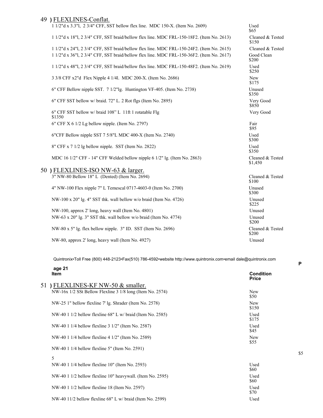### 49 **)** FLEXLINES-Conflat.

| TT LEALINES-COMMAN.                                                                       |                             |
|-------------------------------------------------------------------------------------------|-----------------------------|
| 1 1/2"d x 3.3"l, 2 3/4" CFF, SST bellow flex line. MDC 150-X. (Item No. 2609)             | Used<br>\$65                |
| 1 1/2"d x 18"l, 2 3/4" CFF, SST braid/bellow flex line. MDC FRL-150-18F2. (Item No. 2613) | Cleaned & Tested<br>\$150   |
| 1 1/2"d x 24"l, 2 3/4" CFF, SST braid/bellow flex line. MDC FRL-150-24F2. (Item No. 2615) | Cleaned & Tested            |
| 1 1/2"d x 36"l, 2 3/4" CFF, SST braid/bellow flex line. MDC FRL-150-36F2. (Item No. 2617) | Good Clean<br>\$200         |
| 1 1/2"d x 48"l, 2 3/4" CFF, SST braid/bellow flex line. MDC FRL-150-48F2. (Item No. 2619) | Used<br>\$250               |
| 3 3/8 CFF x2"d Flex Nipple 4 1/41. MDC 200-X. (Item No. 2686)                             | New<br>\$175                |
| 6" CFF Bellow nipple SST. 7 1/2"lg. Huntington VF-405. (Item No. 2738)                    | Unused<br>\$350             |
| 6" CFF SST bellow w/ braid. 72" L. 2 Rot flgs (Item No. 2895)                             | Very Good<br>\$850          |
| 6" CFF SST bellow w/ braid 108" L 11ft 1 rotatable Flg<br>\$1350                          | Very Good                   |
| $6"$ CFF X 6 1/2 Lg bellow nipple. (Item No. 2797)                                        | Fair<br>\$95                |
| 6"CFF Bellow nipple SST 7 5/8"L MDC 400-X (Item No. 2740)                                 | Used<br>\$300               |
| 8" CFF x 7 1/2 lg bellow nipple. SST (Item No. 2822)                                      | Used<br>\$350               |
| MDC 16 1/2" CFF - 14" CFF Welded bellow nipple 6 1/2" lg. (Item No. 2863)                 | Cleaned & Tested<br>\$1,450 |
| 50 ) FLEXLINES-ISO NW-63 & larger.                                                        |                             |
| $3"$ NW-80 Bellow $18"$ L (Dented) (Item No. 2694)                                        | Cleaned & Tested<br>\$100   |
| 4" NW-100 Flex nipple 7" L Temescal 0717-4603-0 (Item No. 2700)                           | Unused<br>\$300             |
| NW-100 x 20" lg. 4" SST thk. wall bellow w/o braid (Item No. 4726)                        | Unused<br>\$225             |
| NW-100, approx 2' long, heavy wall (Item No. 4801)                                        | Unused                      |
| NW-63 x 20" lg. $3$ " SST thk. wall bellow w/o braid (Item No. 4774)                      | Unused<br>\$200             |
| NW-80 x 5" lg. flex bellow nipple. 3" ID. SST (Item No. 2696)                             | Cleaned & Tested<br>\$200   |
| NW-80, approx 2' long, heavy wall (Item No. 4927)                                         | Unused                      |

Quintronix•Toll Free (800) 448-2123•Fax(510) 786-4592•website http://www.quintronix.com•email dale@quintronix.com

|    | age 21<br><b>Item</b>                                        | <b>Condition</b><br><b>Price</b> |
|----|--------------------------------------------------------------|----------------------------------|
| 51 | ) FLEXLINES-KF NW-50 $\&$ smaller.                           |                                  |
|    | NW-16x 1/2 SSt Bellow Flexline 3 1/8 long (Item No. 2574)    | <b>New</b><br>\$50               |
|    | NW-25 1" bellow flexline 7' lg. Shrader (Item No. 2578)      | <b>New</b><br>\$150              |
|    | NW-40 1 $1/2$ bellow flexline 68" L w/ braid (Item No. 2585) | Used<br>\$175                    |
|    | NW-40 1 1/4 bellow flexline 3 1/2" (Item No. 2587)           | Used<br>\$45                     |
|    | NW-40 1 1/4 bellow flexline 4 1/2" (Item No. 2589)           | <b>New</b><br>\$55               |
|    | NW-40 1 1/4 bellow flexline 5" (Item No. 2591)               |                                  |
|    | 5                                                            |                                  |
|    | NW-40 1 1/4 bellow flexline 10" (Item No. 2593)              | Used<br>\$60                     |
|    | NW-40 1 1/2 bellow flexline 10" heavywall. (Item No. 2595)   | Used<br>\$60                     |
|    | NW-40 1 1/2 bellow flexline 18 (Item No. 2597)               | Used<br>\$70                     |
|    | NW-40 $11/2$ bellow flexline 68" L w/ braid (Item No. 2599)  | Used                             |
|    |                                                              |                                  |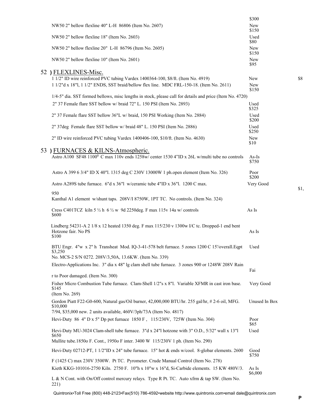|                                                                                                                               | \$300               |      |
|-------------------------------------------------------------------------------------------------------------------------------|---------------------|------|
| NW50 2" bellow flexline 40" L-H 86806 (Item No. 2607)                                                                         | New<br>\$150        |      |
| NW50 2" bellow flexline 18" (Item No. 2603)                                                                                   | Used<br>\$80        |      |
| NW50 2" bellow flexline 20" L-H 86796 (Item No. 2605)                                                                         | New<br>\$150        |      |
| NW50 2" bellow flexline 10" (Item No. 2601)                                                                                   | New<br>\$95         |      |
| 52 ) FLEXLINES-Misc.                                                                                                          |                     |      |
| 1 1/2" ID wire reinforced PVC tubing Vardex 1400364-100, \$8/ft. (Item No. 4919)                                              | New                 | \$8  |
| 1 1/2"d x 18"l, 1 1/2" ENDS, SST braid/bellow flex line. MDC FRL-150-18. (Item No. 2611)                                      | <b>New</b><br>\$150 |      |
| 1/4-5" dia. SST formed bellows, misc lengths in stock, please call for details and price (Item No. 4720)                      |                     |      |
| 2" 37 Female flare SST bellow w/ braid 72" L. 150 PSI (Item No. 2893)                                                         | Used<br>\$325       |      |
| 2" 37 Female flare SST bellow 36"L w/ braid, 150 PSI Working (Item No. 2884)                                                  | Used<br>\$200       |      |
| 2" 37deg Female flare SST bellow w/ braid 48" L. 150 PSI (Item No. 2886)                                                      | Used<br>\$250       |      |
| 2" ID wire reinforced PVC tubing Vardex 1400406-100, \$10/ft. (Item No. 4630)                                                 | New<br>\$10         |      |
| 53 ) FURNACES & KILNS-Atmospheric.                                                                                            |                     |      |
| Astro A100 SF48 1100 <sup>0</sup> C max 110v ends 1258w/ center 1530 4"ID x 26L w/multi tube no controls                      | As-Is<br>\$750      |      |
| Astro A 399 6 3/4" ID X 40"l. 1315 deg C 230V 13000W 1 ph.open element (Item No. 326)                                         | Poor<br>\$200       |      |
| Astro A289S tube furnace. 6"d x 36"l w/ceramic tube 4"ID x 36"l. 1200 C max.                                                  | Very Good           | \$1, |
| 950<br>Kanthal A1 element w/shunt taps. 208V/I 8750W, 1PT TC. No controls. (Item No. 324)                                     |                     |      |
| Cress C401TCZ kiln 5 $\frac{1}{2}$ h 6 $\frac{1}{2}$ w 9d 2250deg. F max 115v 14a w/ controls<br>\$600                        | As Is               |      |
| Lindberg 54231-A 2 1/8 x 12 heated 1350 deg. F max 115/230 v 1300w I/C tc. Dropped-1 end bent<br>Hotzone fair. No PS<br>\$100 | As Is               |      |
| BTU Engr. 4"w x 2" h Transheat Mod. IQ-3-41-578 belt furnace. 5 zones 1200 C 15'/overall. Eqpt<br>\$3,250                     | Used                |      |
| No. MCS-2 S/N 0272. 208V/3,50A, 13.6KW. (Item No. 339)                                                                        |                     |      |
| Electro-Applications Inc. 3" dia x 48" lg clam shell tube furnace. 3 zones 900 or 1248W 208V Rain                             | Fai                 |      |
| r to Poor damaged. (Item No. 300)                                                                                             |                     |      |
| Fisher Micro Combustion Tube furnace. Clam-Shell 1/2"s x 8"l. Variable XFMR in cast iron base.<br>\$145                       | Very Good           |      |
| (Item No. 269)                                                                                                                |                     |      |
| Gordon Piatt F22-G0-600, Natural gas/Oil burner, 42,000,000 BTU/hr. 255 gal/hr, #2-6 oil, MFG.<br>\$10,000                    | Unused In Box       |      |
| 7/94, \$35,000 new. 2 units available, 460V/3ph/73A (Item No. 4817)                                                           |                     |      |
| Hevi-Duty 86 4" D x 5" Dp pot furnace 1850 F, 115/230V, 725W (Item No. 304)                                                   | Poor<br>\$65        |      |
| Hevi-Duty MU-3024 Clam-shell tube furnace. 3"d x 24"l hotzone with 3" O.D., 5/32" wall x 13"l<br>\$650                        | Used                |      |
| Mullite tube.1850o F. Cont., 1950o F inter. 3400 W 115/230V 1 ph. (Item No. 290)                                              |                     |      |
| Hevi-Duty 02712-PT, 1 1/2"ID x 24" tube furnace. 15" hot & ends w/cool. 8-globar elements. 2600                               | Good<br>\$750       |      |
| F (1425 C) max 230V 3500W. Pt TC. Pyrometer. Crude Manual Control (Item No. 278)                                              |                     |      |
| Kieth KKG-101016-2750 Kiln. 2750 F. 10"h x 10"w x 16"d, Si-Carbide elements. 15 KW 480V/3.                                    | As Is<br>\$6,000    |      |
| L & N Cont. with On/Off control mercury relays. Type R Pt. TC. Auto xfrm & tap SW. (Item No.<br>221)                          |                     |      |

\$1,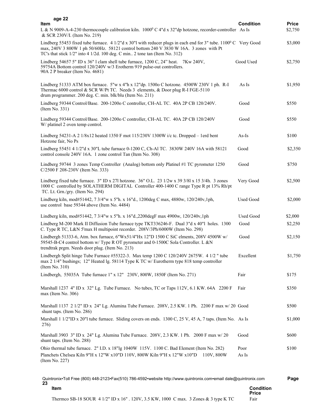| L & N 9009-A-4-230 thermocouple calibration kiln. $1000^{\circ}$ C 4"d x 32"dp hotzone, recorder-controller As Is         | <b>Price</b><br>\$2,750 |
|---------------------------------------------------------------------------------------------------------------------------|-------------------------|
| Lindberg 55453 fixed tube furnace. 4 1/2"d x 30"l with reducer plugs in each end for 3" tube. 1100 $^{\circ}$ C Very Good | \$3,000                 |
| Good Used                                                                                                                 | \$2,750                 |
| As Is                                                                                                                     | \$1,950                 |
| Good                                                                                                                      | \$550                   |
| Good                                                                                                                      | \$550                   |
| $As-Is$                                                                                                                   | \$100                   |
| Good                                                                                                                      | \$2,350                 |
| Good                                                                                                                      | \$750                   |
| Very Good                                                                                                                 | \$2,500                 |
| <b>Used Good</b>                                                                                                          | \$2,000                 |
| <b>Used Good</b>                                                                                                          | \$2,000                 |
| Good                                                                                                                      | \$2,250                 |
| Good                                                                                                                      | \$2,150                 |
| Excellent                                                                                                                 | \$1,750                 |
| Fair                                                                                                                      | \$175                   |
| Fair                                                                                                                      | \$350                   |
| Marshall 1137 2 1/2" ID x 24" Lg. Alumina Tube Furnace. 208V, 2.5 KW. 1 Ph. 2200 F max w/ 20 Good                         | \$500                   |
| Marshall 1 1/2"ID x 20"1 tube furnace. Sliding covers on ends. 1300 C, 25 V, 45 A, 7 taps. (Item No. As Is                | \$1,000                 |
| Good                                                                                                                      | \$600                   |
| Poor<br>As Is                                                                                                             | \$100                   |
|                                                                                                                           | <b>Condition</b>        |

Thermco SB-18 SOUR 4 1/2" ID x 16" . 120V, 3.5 KW, 1000 C max. 3 Zones & 3 type K TC Fair

**Price**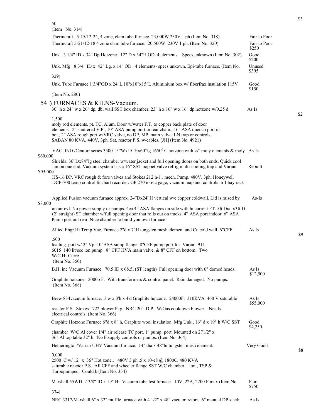50

| (Item No. 314)                                                                                                                                                                                                                                                         |                       |
|------------------------------------------------------------------------------------------------------------------------------------------------------------------------------------------------------------------------------------------------------------------------|-----------------------|
| Thermcraft. 5-15/12-24, 4 zone, clam tube furnace. 23,000W 230V 1 ph (Item No. 318)                                                                                                                                                                                    | Fair to Poor          |
| Thermcraft 5-21/12-18 4 zone clam tube furnace. 20,500W 230V 1 ph. (Item No. 320)                                                                                                                                                                                      | Fair to Poor<br>\$250 |
| Unk. 3 1/4" ID x 34" Dp Hotzone. 12" D x 34"H OD. 4 elements. Specs unknown (Item No. 302)                                                                                                                                                                             | Good<br>\$200         |
| Unk. Mfg. 8 3/4" ID x 42" Lg. x 14" OD. 4 elements- specs unkown. Epi-tube furnace. (Item No.                                                                                                                                                                          | Unused<br>\$395       |
| 329)                                                                                                                                                                                                                                                                   |                       |
| Unk. Tube Furnace $1\frac{3}{4}$ "OD x $24$ "L.10"x10"x15"L Aluminium box w/fiberfrax insulation 115V                                                                                                                                                                  | Good<br>\$150         |
| (Item No. 280)                                                                                                                                                                                                                                                         |                       |
| 54 ) FURNACES & KILNS-Vacuum.<br>30" h x 24" w x 26" dp, dbl wall SST box chamber, 23" h x 16" w x 16" dp hotzone w/0.25 d                                                                                                                                             | As Is                 |
| 1,500<br>moly rod elements. pt. TC, Alum. Door w/water F.T. to copper back plate of door<br>elements. 2" shuttered V.P., 10" ASA pump port in rear cham., 16" ASA quench port in                                                                                       |                       |
| bot., 2" ASA rough port w/VRC valve, no DP, MP, main valve, LN trap or controls,<br>SABAN 80 KVA, 440V, 3ph. Sat. reactor P.S. w/cables. [JH] (Item No. 4921)                                                                                                          |                       |
| VAC. IND./Centorr series 3500 15"Wx15"Hx60"lg 1650°C hotzone with 1/4" moly elements & moly As-Is<br>\$60,000                                                                                                                                                          |                       |
| Shields. 36"Dx84"lg steel chamber w/water jacket and full opening doors on both ends. Quick cool<br>fan on one end. Vacuum system has a 16" SST poppet valve refrig multi-cooling trap and Varian<br>\$95,000                                                          | Rebuilt               |
| HS-16 DP. VRC rough & fore valves and Stokes 212 h-11 mech. Pump. 480V. 3ph. Honeywell<br>DCP-700 temp control & chart recorder. GP 270 ion/tc gage, vacuum map and controls in 1 bay rack                                                                             |                       |
| Applied Fusion vacuum furnace approx. 24"Dx24"H vertical w/c copper coldwall. Lid is raised by<br>\$8,000                                                                                                                                                              | $As-Is$               |
| an air cyl. No power supply or pumps. 4ea 4" ASA flanges on side with hi current FT. 5ft Dia. x3ft D<br>(2' straight) ST chamber w/full opening door that rolls out on tracks. 4" ASA port indoor. 6" ASA<br>Pump port out rear. Nice chamber to build you own furnace |                       |
| Allied Engr Hi Temp Vac. Furnace 2"d x 7"H tungsten mesh element and Cu cold wall. 6"CFF                                                                                                                                                                               | As Is                 |
| ,500<br>loading port w/2" Vp. 10"ASA sump flange. 8"CFF pump port for Varian 911-<br>6015 140 lit/sec ion pump. 8" CFF HVA main valve. & 8" CFF on bottom. Two<br>W/C Hi-Curre<br>(Item No. 350)                                                                       |                       |
| B.H. inc Vacuum Furnace. 70.5 ID x 68.51 (ST length) Full opening door with 6" domed heads.                                                                                                                                                                            | As Is<br>\$12,500     |
| Graphite hotzone. 2000o F. With transformers & control panel. Rain damaged. No pumps.<br>(Item No. 368)                                                                                                                                                                |                       |
| Brew 834vacuum furnace. 3'w x 3'h x 4'd Graphite hotzone. 24000F. 310KVA 460 V saturable                                                                                                                                                                               | As Is<br>\$55,000     |
| reactor P.S. Stokes 1722 blower Pkg. NRC 20" D.P. W/Gas cooldown blower. Needs<br>electrical controls. (Item No. 366)                                                                                                                                                  |                       |
| Graphite Hotzone Furnace 6"d x 8" h, Graphite wool insulation. Mfg Unk., 16" d x 19" h W/C SST                                                                                                                                                                         | Good                  |
| chamber W/C Al cover 1/4" air release TC port. 1" pump port. Mounted on 271/2" x<br>36" Al top table 32" h. No P.supply controls or pumps. (Item No. 364)                                                                                                              | \$4,250               |
| Hetherington/Varian UHV Vacuum furnace. 14" dia x 48"hi tungsten mesh element.                                                                                                                                                                                         | Very Good             |
| 0,000<br>2500 C w/ 12" x 36" Hot zone 480V 3 ph .5 x 10-e8 @ 1800C. 480 KVA<br>saturable reactor P.S. All CFF and wheeler flange SST W/C chamber. Ion, TSP &<br>Turbopumped. Could b (Item No. 354)                                                                    |                       |
| Marshall 55WD 2 3/8" ID x 19" Hi Vacuum tube test furnace 110V, 22A, 2200 F max (Item No.                                                                                                                                                                              | Fair<br>\$750         |
| 374)<br>NRC 3317/Marshall 6" x 32" muffle furnace with 4 1/2" x 48" vacuum retort. 6" manual DP stack.                                                                                                                                                                 | As Is                 |

\$3

\$2

\$9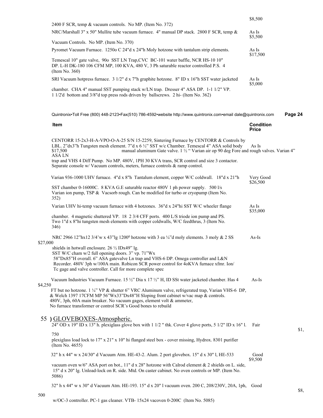|          |                                                                                                                                                                                                                                                                                                                                                             | \$8,500                          |         |
|----------|-------------------------------------------------------------------------------------------------------------------------------------------------------------------------------------------------------------------------------------------------------------------------------------------------------------------------------------------------------------|----------------------------------|---------|
|          | 2400 F SCR, temp & vacuum controls. No MP. (Item No. 372)<br>NRC/Marshall 3" x 50" Mullite tube vacuum furnace. 4" manual DP stack. 2800 F SCR, temp &                                                                                                                                                                                                      | As Is<br>\$5,500                 |         |
|          | Vacuum Controls. No MP. (Item No. 370)                                                                                                                                                                                                                                                                                                                      |                                  |         |
|          | Pyromet Vacuum Furnace. 1250o C 24"d x 24"h Moly hotzone with tantalum strip elements.                                                                                                                                                                                                                                                                      | As Is<br>\$17,500                |         |
|          | Temescal 10" gate valve, 90o SST LN Trap, CVC BC-101 water baffle, NCR HS-10 10"<br>DP. L-H DK-180 106 CFM MP, 100 KVA, 480 V, 3 Ph saturable reactor controlled P.S. 4<br>(Item No. 360)                                                                                                                                                                   |                                  |         |
|          | SRI Vacuum hotpress furnace. 3 1/2" d x 7"h graphite hotzone. 8" ID x 16"h SST water jacketed                                                                                                                                                                                                                                                               | As Is<br>\$5,000                 |         |
|          | chamber. CHA 4" manual SST pumping stack w/LN trap. Dresser 4" ASA DP. 1-1 1/2" VP.<br>1 1/2'd bottom and 3/8"d top press rods driven by ballscrews. 2 hi- (Item No. 362)                                                                                                                                                                                   |                                  |         |
|          | Quintronix•Toll Free (800) 448-2123•Fax(510) 786-4592•website http://www.quintronix.com•email dale@quintronix.com                                                                                                                                                                                                                                           |                                  | Page 24 |
|          | Item                                                                                                                                                                                                                                                                                                                                                        | <b>Condition</b><br><b>Price</b> |         |
|          | CENTORR 15-2x3-H-A-VPO-O-A-25 S/N 15-2259, Sintering Furnace by CENTORR & Controls by<br>LBL. 2"dx3"h Tungsten mesh element. 7"d x 6 1/2" SST w/c Chamber. Temescal 4" ASA solid body<br>manual aluminum Gate valve. 1 1/2 " Varian air op 90 deg Fore and rough valves. Varian 4"<br>\$17,500<br><b>ASALN</b>                                              | As Is                            |         |
|          | trap and VHS 4 Diff Pump. No MP. 480V, 1PH 30 KVA trans, SCR control and size 3 contactor.<br>Separate console w/ Vacuum controls, meters, furnace controls & ramp control.                                                                                                                                                                                 |                                  |         |
|          | Varian 936-1000 UHV furnace. 4"d x 8"h Tantalum element, copper W/C coldwall. 18"d x 21"h                                                                                                                                                                                                                                                                   | Very Good<br>\$26,500            |         |
|          | SST chamber 0-16000C. 8 KVA G.E saturable reactor 480V 1 ph power supply. 500 l/s<br>Varian ion pump, TSP & Vacsorb rough. Can be modified for turbo or cryopump (Item No.<br>352)                                                                                                                                                                          |                                  |         |
|          | Varian UHV hi-temp vacuum furnace with 4 hotzones. 36"d x 24"hi SST W/C wheeler flange                                                                                                                                                                                                                                                                      | As Is<br>\$35,000                |         |
|          | chamber. 4 magnetic shuttered VP. 18 2 3/4 CFF ports. 400 L/S triode ion pump and PS.<br>Two 1"d x 8"hi tungsten mesh elements with copper coldwalls, W/C feedthrus, 3 (Item No.<br>346)                                                                                                                                                                    |                                  |         |
| \$27,000 | NRC 2966 12"hx12 3/4"w x 43"lg 1200 <sup>0</sup> hotzone with 3 ea ¼"d moly elements. 3 moly & 2 SS                                                                                                                                                                                                                                                         | $As-Is$                          |         |
|          | shields in hotwall enclosure. $26 \frac{1}{2}$ IDx49" lg.<br>SST W/C cham w/2 full opening doors. 3" vp. 71"Wx<br>58"Dx85"H overall. 6" ASA gatevalve Ln trap and VHS-6 DP. Omega controller and L&N<br>Recorder. 480V 3ph w/100A main. Robicon SCR power control for 4oKVA furnace xfmr. Ion/<br>Tc gage and valve controller. Call for more complete spec |                                  |         |
|          | Vacuum Industries Vacuum Furnace. 15 1/2" Dia x 17 1/2" H, ID SSt water jacketed chamber. Has 4                                                                                                                                                                                                                                                             | $As-Is$                          |         |
| \$4,250  | FT but no hotzone. 1 1/4" VP & shutter 6" VRC Aluminum valve, refrigerated trap, Varian VHS-6 DP,<br>& Welch 1397 17CFM MP 56"Wx33"Dx48"H Sloping front cabinet w/vac map & controls.<br>480V, 3ph, 60A main breaker. No vacuum gages, element volt & ammeter,<br>No furnace transformer or control SCR's Good bones to rebuild                             |                                  |         |
|          | 55 ) GLOVEBOXES-Atmospheric.<br>24" OD x 19" ID x 13" h. plexiglass glove box with 1 1/2 " thk. Cover 4 glove ports, 5 1/2" ID x 16" l.                                                                                                                                                                                                                     | Fair                             | \$1,    |
|          | 750<br>plexiglass load lock to 17" x 21" x 10" hi flanged steel box - cover missing, Hydrox. 8301 purifier<br>(Item No. 4655)                                                                                                                                                                                                                               |                                  |         |
|          | 32" h x 44" w x 24/30" d Vacuum Atm. HE-43-2. Alum. 2 port glovebox. 15" d x 30" l, HE-533                                                                                                                                                                                                                                                                  | Good<br>\$9,500                  |         |
|          | vacuum oven w/6" ASA port on bot., 11" d x 28" hotzone with Calrod element & 2 shields on L. side,<br>15" d x 20" lg. Unload-lock on R. side. Mtd. On caster cabinet. No oven controls or MP. (Item No.<br>5086)                                                                                                                                            |                                  |         |
|          | 32" h x 44" w x 30" d Vacuum Atm. HE-193. 15" d x 20" l vacuum oven. 200 C, 208/230V, 20A, 1ph, Good                                                                                                                                                                                                                                                        |                                  | \$8,    |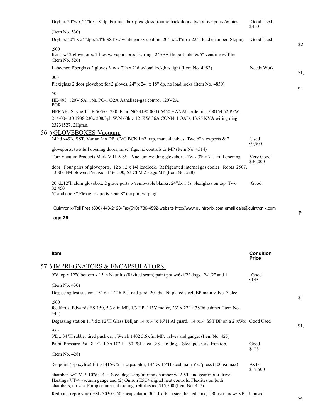| Drybox 24"w x 24"h x 18"dp. Formica box plexiglass front & back doors. two glove ports /w lites.                                                                                        | Good Used<br>\$450    |      |
|-----------------------------------------------------------------------------------------------------------------------------------------------------------------------------------------|-----------------------|------|
| (Item No. 530)                                                                                                                                                                          |                       |      |
| Drybox 40"l x 24"dp x 24"h SST w/ white epoxy coating. 20"l x 24"dp x 22"h load chamber. Sloping                                                                                        | Good Used             | \$2  |
| ,500<br>front $w/2$ gloveports. 2 lites w/ vapors proof wiring 2"ASA flg port inlet & 5" ventline w/ filter<br>(Item No. $526$ )                                                        |                       |      |
| Labconco fiberglass 2 gloves 3' w x 2' h x 2' d w/load lock, has light (Item No. 4982)                                                                                                  | Needs Work            |      |
| 000                                                                                                                                                                                     |                       | \$1, |
| Plexiglass 2 door glovebox for 2 gloves, 24" x 24" x 18" dp, no load locks (Item No. 4850)                                                                                              |                       | \$4  |
| 50                                                                                                                                                                                      |                       |      |
| HE-493 120V, 5A, 1ph. PC-1 O2A Aanalizer-gas control 120V2A.<br><b>POR</b>                                                                                                              |                       |      |
| HERAEUS type T UF-50/60 -230, Fabr. NO 4190-00 D-6450 HANAU order no. 500154 52 PFW                                                                                                     |                       |      |
| 214-00-130 1988 230c 208/3ph W/N 60hrz 121KW 36A CONN. LOAD, 13.75 KVA wiring diag.                                                                                                     |                       |      |
| 23231527. 2Hpfan.                                                                                                                                                                       |                       |      |
| 56 ) GLOVEBOXES-Vacuum.                                                                                                                                                                 |                       |      |
| 24"id x49"d SST, Varian M6 DP, CVC BCN Ln2 trap, manual valves, Two 6" viewports & 2                                                                                                    | Used<br>\$9,500       |      |
| gloveports, two full opening doors, misc. flgs. no controls or MP (Item No. 4514)                                                                                                       |                       |      |
| Torr Vacuum Products Mark VIII-A SST Vacuum welding glovebox. 4'w x 3'h x 7'l. Full opening                                                                                             | Very Good<br>\$30,000 |      |
| door. Four pairs of gloveports. $12 \times 12 \times 14$ loadlock. Refrigerated internal gas cooler. Roots 2507,<br>300 CFM blower, Precision PS-1500, 53 CFM 2 stage MP (Item No. 528) |                       |      |
| 20"dx12"h alum glovebox. 2 glove ports w/removable blanks. 24"dx 1 $\frac{1}{2}$ plexiglass on top. Two<br>\$2,450                                                                      | Good                  |      |
| 5" and one 8" Plexiglass ports. One 8" dia port w/ plug.                                                                                                                                |                       |      |

**age 25**

| Item                                                                                                                                                                                                                                                                    | <b>Condition</b><br><b>Price</b> |      |
|-------------------------------------------------------------------------------------------------------------------------------------------------------------------------------------------------------------------------------------------------------------------------|----------------------------------|------|
| 57) IMPREGNATORS & ENCAPSULATORS.                                                                                                                                                                                                                                       |                                  |      |
| 9" d top x 12" d bottom x 15" h Nautilus (Rivited seam) paint pot $w/6$ -1/2" dogs. 2-1/2" and 1                                                                                                                                                                        | Good<br>\$145                    |      |
| (Item No. 430)                                                                                                                                                                                                                                                          |                                  |      |
| Degassing test sustem. 15" d x 14" h B.J. nad gard. 20" dia Ni plated steel, BP main valve 7 elec                                                                                                                                                                       |                                  | \$1  |
| ,500<br>feedthrus. Edwards ES-150, 5.3 cfm MP, 1/3 HP, 115V motor, 23" x 27" x 38" hi cabinet (Item No.<br>443)                                                                                                                                                         |                                  |      |
| Degassing station 11" id x 12"H Glass Belljar. 14"x14"x 16"H Al guard. 14"x14"SST BP on a 2' xWx Good Used                                                                                                                                                              |                                  |      |
| 950<br>3'L x 34"H rubber tired push cart. Welch 1402 5.6 cfm MP, valves and gauge. (Item No. 425)                                                                                                                                                                       |                                  | \$1, |
| Paint Pressure Pot 8 1/2" ID x 10" H 60 PSI 4 ea. 3/8 - 16 dogs. Steel pot. Cast Iron top.                                                                                                                                                                              | Good<br>\$125                    |      |
| (Item No. 428)                                                                                                                                                                                                                                                          |                                  |      |
| Redpoint (Epoxylite) ESL-1415-C5 Encapsulator, 14"Dx 15"H steel main Vac/press (100psi max)                                                                                                                                                                             | As Is<br>\$12,500                |      |
| chamber $w/2$ V.P. 10"dx14"H Steel degassing/mixing chamber $w/2$ VP and gear motor drive.<br>Hastings VT-4 vacuum gauge and (2) Omron E5C4 digital heat controls. Flexlites on both<br>chambers, no vac. Pump or internal tooling, refurbished \$15,500 (Item No. 447) |                                  |      |
| in the common contract of the contract of the contract of the contract of the contract of the contract of the c                                                                                                                                                         |                                  |      |

Redpoint (epoxylite) ESL-3030-C50 encapsulator. 30" d x 30"h steel heated tank, 100 psi max w/ VP, Unused

**P**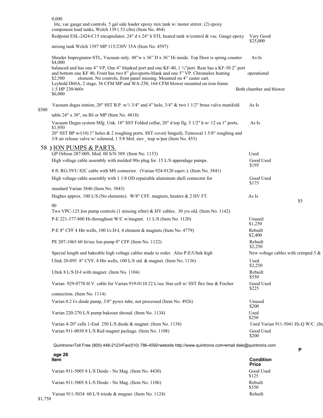|       | 0,000                                                                                                                                                                                                                                                                                                                                                                     |                         |                                        |
|-------|---------------------------------------------------------------------------------------------------------------------------------------------------------------------------------------------------------------------------------------------------------------------------------------------------------------------------------------------------------------------------|-------------------------|----------------------------------------|
|       | lite, vac gauge and controls. 5 gal side loader epoxy mix tank w/ motor stirrer. (2) epoxy<br>component load tanks, Welch 139 (53 cfm) (Item No. 464)                                                                                                                                                                                                                     |                         |                                        |
|       | Redpoint ESL-2424-C15 encapsulator, 24" d x 24" h STL heated tank w/control & vac. Gauge epoxy                                                                                                                                                                                                                                                                            | Very Good<br>\$25,000   |                                        |
|       | mixing tank Welch 1397 MP 115/230V 35A (Item No. 4597)                                                                                                                                                                                                                                                                                                                    |                         |                                        |
|       | Shrader Impregnator-STL, Vacuum only. 48"w x 36" D x 36" Hi inside. Top Door is spring counter<br>\$4,000                                                                                                                                                                                                                                                                 | $As-Is$                 |                                        |
|       | balanced and has one 4" VP, One 4" blanked port and one KF-40, 1 1/2" port. Rear has a KF-50 2" port<br>and bottom one KF 40, Front has two 8" gloveports-blank and one 5" VP. Chromalox heating<br>element. No controls, front panel missing. Mounted on 4" caster cart.<br>\$2,500<br>Leybold D60A, 2 stage, 36 CFM MP and WA-250, 164 CFM blower mounted on iron frame | operational             |                                        |
|       | 1.5 HP 230/460v<br>\$6,000                                                                                                                                                                                                                                                                                                                                                | Both chamber and blower |                                        |
| \$500 | Vacuum degas station, 20" SST B.P. w/1 3/4" and 4" hole, 3/4" & two 1 1/2" brass valve manifold                                                                                                                                                                                                                                                                           | As Is                   |                                        |
|       | table $24"$ x $38"$ , no BJ or MP (Item No. 4818)                                                                                                                                                                                                                                                                                                                         |                         |                                        |
|       | Vacuum Degas system Mfg. Unk. 18" SST Folded collar, 20" d top flg, 5 1/2" h w/ 12 ea 1" ports,<br>\$1,950                                                                                                                                                                                                                                                                | As Is                   |                                        |
|       | 20" SST BP w/(10) 1" holes & 2 roughing ports. SST cover( hinged), Temescal 1 5/8" roughing and<br>3/8 air release valve w/ solenoid, 1 5/8 Mol. siev trap w/pur (Item No. 455)                                                                                                                                                                                           |                         |                                        |
|       | 58 ) ION PUMPS & PARTS.                                                                                                                                                                                                                                                                                                                                                   |                         |                                        |
|       | GP Orbion 287-009, Mod. 00 S/N 389. (Item No. 1153)                                                                                                                                                                                                                                                                                                                       | Used                    |                                        |
|       | High voltage cable assembly with molded 90o plug for .15 L/S appendage pumps.                                                                                                                                                                                                                                                                                             | Good Used<br>\$195      |                                        |
|       | 8 ft. RG-59/U 82C cable with MS connector. (Varian 924-0120 equiv.). (Item No. 3841)                                                                                                                                                                                                                                                                                      |                         |                                        |
|       | High voltage cable assembly with 1 1/8 OD repairable aluminum shell connector for                                                                                                                                                                                                                                                                                         | Good Used<br>\$175      |                                        |
|       | standard Varian 3846 (Item No. 3843)                                                                                                                                                                                                                                                                                                                                      |                         |                                        |
|       | Hughes approx. 100 L/S (No elements). W/8" CFF, magnets, heaters & 2 HV FT.                                                                                                                                                                                                                                                                                               | As Is                   | \$5                                    |
|       | $00\,$<br>Two VPC-125. Ion pump controls (1 missing xfmr) & HV cables. 30 yrs old. (Item No. 1142)                                                                                                                                                                                                                                                                        |                         |                                        |
|       | P-E 221-377-800 Hi-throughout W/C w/magnet. 11 L/S (Item No. 1120)                                                                                                                                                                                                                                                                                                        | Unused<br>\$1,250       |                                        |
|       | P-E 8" CFF 4 Htr wells, 100 l/s D-I, 4 element & magnets (Item No. 4779)                                                                                                                                                                                                                                                                                                  | Rebuilt<br>\$2,400      |                                        |
|       | PE 207-1065 60 lit/sec Ion pump 8" CFF (Item No. 1122)                                                                                                                                                                                                                                                                                                                    | Rebuilt<br>\$2,250      |                                        |
|       | Special length and bakeable high voltage cables made to order. Also P-E/Ultek high                                                                                                                                                                                                                                                                                        |                         | New voltage cables with crimped 5 $\&$ |
|       | Ultek 20-095 8" CVF, 4 Htr wells, 100 L/S std. & magnet. (Item No. 1136)                                                                                                                                                                                                                                                                                                  | Used<br>\$2,250         |                                        |
|       | Ultek 8 L/S D-I with magnet. (Item No. 1104)                                                                                                                                                                                                                                                                                                                              | Rebuilt<br>\$550        |                                        |
|       | Varian 929-0770 H.V. cable for Varian 919-0110 22 L/sec Star cell w/ SST flex line & Fischer                                                                                                                                                                                                                                                                              | Good Used<br>\$225      |                                        |
|       | connection. (Item No. 1114)                                                                                                                                                                                                                                                                                                                                               |                         |                                        |
|       | Varian 0.2 l/s diode pump, 3/8" pyrex tube, not processed (Item No. 4926)                                                                                                                                                                                                                                                                                                 | Unused<br>\$200         |                                        |
|       | Varian 220-270 L/S pump bakeout shroud. (Item No. 1134)                                                                                                                                                                                                                                                                                                                   | Used<br>\$250           |                                        |
|       | Varian 4-20" cells 1-End 250 L/S diode & magnet. (Item No. 1138)                                                                                                                                                                                                                                                                                                          |                         | Used Varian 911-5041 Hi-Q W/C. (Ite    |
|       | Varian 911-0030 8 L/S Red magnet package. (Item No. 1108)                                                                                                                                                                                                                                                                                                                 | Good Used<br>\$200      |                                        |
|       | Quintronix•Toll Free (800) 448-2123•Fax(510) 786-4592•website http://www.quintronix.com•email dale@quintronix.com                                                                                                                                                                                                                                                         |                         |                                        |

| age 26<br><b>Item</b>                                              | <b>Condition</b><br><b>Price</b> |
|--------------------------------------------------------------------|----------------------------------|
| Varian 911-5005 8 L/S Diode - No Mag. (Item No. 4430)              | Good Used<br>\$125               |
| Varian 911-5005 8 L/S Diode - No Mag. (Item No. 1106)              | Rebuilt<br>\$350                 |
| Varian 911-5034 60 L/S triode & magnet. (Item No. 1124)<br>\$1,750 | Rebuilt                          |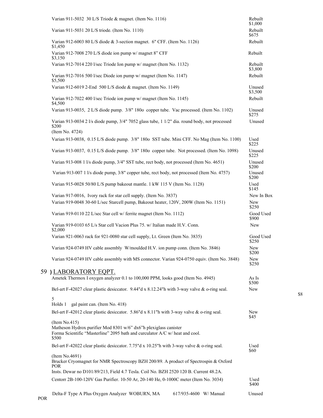| Varian 911-5032 30 L/S Triode & magnet. (Item No. 1116)                                                                                                                    | Rebuilt<br>\$1,000       |
|----------------------------------------------------------------------------------------------------------------------------------------------------------------------------|--------------------------|
| Varian 911-5031 20 L/S triode. (Item No. 1110)                                                                                                                             | Rebuilt<br>\$675         |
| Varian 912-6003 80 L/S diode & 3-section magnet. 6" CFF. (Item No. 1126)<br>\$1,450                                                                                        | Rebuilt                  |
| Varian 912-7008 270 L/S diode ion pump w/ magnet 8" CFF<br>\$3,150                                                                                                         | Rebuilt                  |
| Varian 912-7014 220 l/sec Triode Ion pump w/ magnet (Item No. 1132)                                                                                                        | Rebuilt<br>\$3,800       |
| Varian 912-7016 500 l/sec Diode ion pump w/ magnet (Item No. 1147)<br>\$5,500                                                                                              | Rebuilt                  |
| Varian 912-6019 2-End 500 L/S diode & magnet. (Item No. 1149)                                                                                                              | Unused<br>\$3,500        |
| Varian 912-7022 400 l/sec Triode ion pump w/ magnet (Item No. 1145)<br>\$4,500                                                                                             | Rebuilt                  |
| Varian 913-0035, 2 L/S diode pump. 3/8" 1800 copper tube. Vac processed. (Item No. 1102)                                                                                   | Unused<br>\$275          |
| Varian 913-0034 2 l/s diode pump, 3/4" 7052 glass tube, 1 1/2" dia. round body, not processed<br>\$200<br>(Item No. 4724)                                                  | Unused                   |
| Varian 913-0038, 0.15 L/S diode pump. 3/8" 1800 SST tube. Mini CFF. No Mag (Item No. 1100)                                                                                 | Used                     |
| Varian 913-0037, 0.15 L/S diode pump. 3/8" 1800 copper tube. Not processed. (Item No. 1098)                                                                                | \$225<br>Unused<br>\$225 |
| Varian 913-008 1 l/s diode pump, 3/4" SST tube, rect body, not processed (Item No. 4651)                                                                                   | Unused<br>\$200          |
| Varian 913-007 1 l/s diode pump, 3/8" copper tube, rect body, not processed (Item No. 4757)                                                                                | Unused<br>\$200          |
| Varian 915-0028 50/80 L/S pump bakeout mantle. 1 kW 115 V (Item No. 1128)                                                                                                  | Used<br>\$145            |
| Varian 917-0016, Ivory rack for star cell supply. (Item No. 3837)<br>Varian 919-0048 30-60 L/sec Starcell pump, Bakeout heater, 120V, 200W (Item No. 1151)                 | New In Box<br>New        |
| Varian 919-0110 22 L/sec Star cell w/ ferrite magnet (Item No. 1112)                                                                                                       | \$250<br>Good Used       |
| Varian 919-0103 65 L/s Star cell Vacion Plus 75. w/ Italian made H.V. Conn.                                                                                                | \$900<br>New             |
| \$2,000<br>Varian 921-0063 rack for 921-0080 star cell supply, Lt. Green (Item No. 3835)                                                                                   | Good Used                |
| Varian 924-0749 HV cable assembly W/moulded H.V. ion pump conn. (Item No. 3846)                                                                                            | \$250<br>New             |
| Varian 924-0749 HV cable assembly with MS connector. Varian 924-0750 equiv. (Item No. 3848)                                                                                | \$200<br>New<br>\$250    |
| 59 ) LABORATORY EQPT.                                                                                                                                                      |                          |
| Ametek Thermox I oxygen analyzer 0.1 to 100,000 PPM, looks good (Item No. 4945)                                                                                            | As Is<br>\$500           |
| Bel-art F-42027 clear plastic desiccator. $9.44$ "d x 8.12.24"h with 3-way valve & o-ring seal.                                                                            | <b>New</b>               |
| 5<br>gal paint can. (Item No. 418)<br>Holds 1                                                                                                                              |                          |
| Bel-art F-42012 clear plastic desiccator. 5.86"d x 8.11"h with 3-way valve & o-ring seal.                                                                                  | <b>New</b><br>\$45       |
| (Item No.415)<br>Matheson Hydrox purifier Mod 8301 w/6" dx6"h plexiglass canister<br>Forma Scientific "Masterline" 2095 bath and curculator A/C w/ heat and cool.<br>\$500 |                          |
| Bel-art F-42022 clear plastic desiccator. 7.75"d x 10.25"h with 3-way valve & o-ring seal.                                                                                 | Used<br>\$60             |
| (Item No.4691)<br>Brucker Cryomagnet for NMR Spectroscopy BZH 200/89. A product of Spectrospin & Oxford<br>POR.                                                            |                          |
| Insts. Dewar no D101/89/213, Field 4.7 Tesla. Coil No. BZH 2520 120 B. Current 48.2A.                                                                                      |                          |
| Centorr 2B-100-120V Gas Purifier. 10-50 Ar, 20-140 He, 0-1000C meter (Item No. 3034)                                                                                       | Used<br>\$400            |
| Delta-F Type A Plus Oxygen Analyzer WOBURN, MA<br>617/935-4600 W/ Manual                                                                                                   | Unused                   |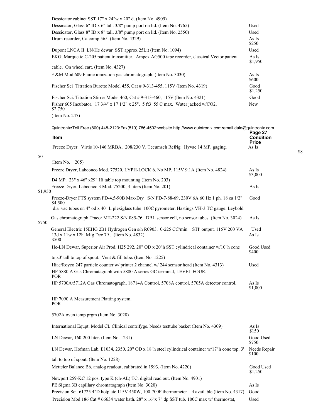| Dessicator cabinet SST 17" x 24"w x 20" d. (Item No. 4909)                                    |                  |
|-----------------------------------------------------------------------------------------------|------------------|
| Dessicator, Glass 6" ID x 6" tall. $3/8$ " pump port on lid. (Item No. 4765)                  | Used             |
| Dessicator, Glass 8" ID x 8" tall, 3/8" pump port on lid. (Item No. 2550)                     | Used             |
| Drum recorder, Calcomp 565. (Item No. 4329)                                                   | As Is<br>\$250   |
| Dupont LNCA II LN/He dewar SST approx 25Lit (Item No. 1094)                                   | Used             |
| EKG, Marquette C-205 patient transmitter. Ampex AG500 tape recorder, classical Vector patient | As Is<br>\$1,950 |
| cable. On wheel cart. (Item No. 4327)                                                         |                  |
| F &M Mod 609 Flame ionization gas chromatograph. (Item No. 3030)                              | As Is<br>\$600   |
| Fischer Sci Titration Burette Model 455, Cat #9-313-455, 115V (Item No. 4319)                 | Good<br>\$1,250  |
| Fischer Sci. Titration Stirrer Model 460, Cat $\#$ 9-313-460, 115V (Item No. 4321)            | Good             |
| Fisher 605 Incubator. 17 3/4" x 17 1/2" x 25". 5 ft3 55 C max. Water jacked w/CO2.<br>\$2,750 | <b>New</b>       |
| (Item No. 247)                                                                                |                  |

50

Quintronix•Toll Free (800) 448-2123•Fax(510) 786-4592•website http://www.quintronix.com•email dale@quintronix.com **Page 27 Item Condition Price** Freeze Dryer. Virtis 10-146 MRBA. 208/230 V, Tecumseh Refrig. Hyvac 14 MP, gaging. As Is (Item No. 205) Freeze Dryer, Labconco Mod. 77520, LYPH-LOCK 6. No MP, 115V 9.1A (Item No. 4824) As Is \$3,000 D4 MP. 23" x 46" x29" Hi table top mounting (Item No. 203) Freeze Dryer, Labconco 3 Mod. 75200, 3 liters (Item No. 201) As Is \$1,950 Freeze-Dryer FTS system FD-4.5-90B Max-Dry S/N FD-7-88-69, 230V 6A 60 Hz 1 ph. 18 ea 1/2" Good \$4,500 dia vac tubes on 4" od x 40" L plexiglass tube 100C pyrometer. Hastings VH-3 TC gauge. Leybold Gas chromatograph Tracor MT-222 S/N 085-76. DBL sensor cell, no sensor tubes. (Item No. 3024) As Is \$750 General Electric 15EHG 2B1 Hydrogen Gen s/n R0903. 0-225 CC/min STP output. 115V 200 VA Used 13d x 11w x 12h. Mfg Dec 79 . (Item No. 4832) As Is \$500 He-LN Dewar, Superior Air Prod. H25 292. 20" OD x 20"h SST cylindrical container w/10"h cone Good Used \$400 top.3' tall to top of spout. Vent & fill tube. (Item No. 1225) Hiac/Royco 247 particle counter w/ printer 2 channel w/ 244 semsor head (Item No. 4313) Used HP 5880 A Gas Chromatagraph with 5880 A series GC terminal, LEVEL FOUR. POR HP 5700A/5712A Gas Chromatograph, 18714A Control, 5708A control, 5705A detector control, As Is \$1,000 HP 7090 A Measurement Platting system. POR 5702A oven temp prgm (Item No. 3028) International Equpt. Model CL Clinical centrifyge. Needs testtube basket (Item No. 4309) As Is  $$150$ LN Dewar, 160-200 liter. (Item No. 1231) Good Used

|                                                                                                     | 91 J V                |
|-----------------------------------------------------------------------------------------------------|-----------------------|
| LN Dewar, Hofman Lab. E1034, 2350. 20" OD x 18"h steel cylindrical container $w/17$ "h cone top. 3' | Needs Repair<br>\$100 |
| tall to top of spout. (Item No. 1228)                                                               |                       |
| Metteler Balance B6, analog readout, calibrated in 1993, (Item No. 4220)                            | Good Used<br>\$1,250  |
| Newport 259-KC 12 pos. type K (ch-AL) TC. digital read out. (Item No. 4901)                         |                       |
| PE Sigma 3B capillary chromatograph (Item No. 3020)                                                 | As Is                 |
| Precision Sci. 61725 4"D hotplate 115V 450W, 100-700F thermometer 4 available (Item No. 4317)       | Good                  |
| Precision Mod 186 Cat # 66634 water bath. $28''$ x 16"x 7" dp SST tub. 100C max w/ thermostat,      | Used                  |

 $1750$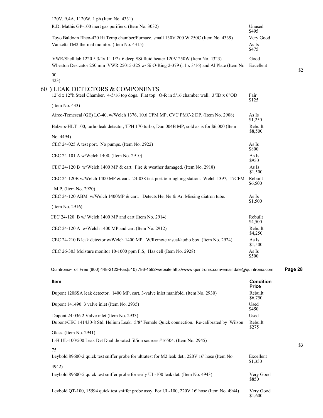| 120V, 9.4A, 1120W, 1 ph (Item No. 4331)                                                                                                                                                         |                                  |         |
|-------------------------------------------------------------------------------------------------------------------------------------------------------------------------------------------------|----------------------------------|---------|
| R.D. Mathis GP-100 inert gas purifiers. (Item No. 3032)                                                                                                                                         | Unused<br>\$495                  |         |
| Toyo Baldwin Rheo-420 Hi Temp chamber/Furnace, small 130V 200 W 250C (Item No. 4339)<br>Vanzetti TM2 thermal monitor. (Item No. 4315)                                                           | Very Good<br>As Is<br>\$475      |         |
| VWR/Shell lab 1220 5 3/4x 11 1/2x 6 deep SSt fluid heater 120V 250W (Item No. 4323)<br>Wheaton Desicator 250 mm VWR 25015-325 w/Si O-Ring 2-379 (11 x $3/16$ ) and Al Plate (Item No. Excellent | Good                             | \$2     |
| 00<br>423)                                                                                                                                                                                      |                                  |         |
| 60) LEAK DETECTORS & COMPONENTS.<br>12"d x 12"h Steel Chamber. 4-5/16 top dogs. Flat top. O-R in 5/16 chamber wall. 3"ID x 6"OD                                                                 | Fair<br>\$125                    |         |
| (Item No. 433)                                                                                                                                                                                  |                                  |         |
| Airco-Temescal (GE) LC-40, w/Welch 1376, 10.6 CFM MP, CVC PMC-2 DP. (Item No. 2908)                                                                                                             | As Is<br>\$1,250                 |         |
| Balzers-HLT 100, turbo leak detector, TPH 170 turbo, Duo 004B MP, sold as is for \$6,000 (Item                                                                                                  | Rebuilt<br>\$8,500               |         |
| No. 4494)                                                                                                                                                                                       |                                  |         |
| CEC 24-025 A test port. No pumps. (Item No. 2922)                                                                                                                                               | As Is<br>\$800                   |         |
| CEC 24-101 A w/Welch 1400. (Item No. 2910)                                                                                                                                                      | As Is<br>\$950                   |         |
| CEC 24-120 B w/Welch 1400 MP & cart. Fire & weather damaged. (Item No. 2918)                                                                                                                    | As Is<br>\$1,500                 |         |
| CEC 24-120B w/Welch 1400 MP & cart. 24-038 test port & roughing station. Welch 1397, 17CFM                                                                                                      | Rebuilt<br>\$6,500               |         |
| M.P. (Item No. 2920)                                                                                                                                                                            |                                  |         |
| CEC 24-120 ABM w/Welch 1400MP & cart. Detects He, Ne & Ar. Missing diatron tube.                                                                                                                | As Is<br>\$1,500                 |         |
| (Item No. 2916)                                                                                                                                                                                 |                                  |         |
| CEC 24-120 B w/ Welch 1400 MP and cart (Item No. 2914)                                                                                                                                          | Rebuilt<br>\$4,500               |         |
| CEC 24-120 A w/Welch 1400 MP and cart (Item No. 2912)                                                                                                                                           | Rebuilt<br>\$4,250               |         |
| CEC 24-210 B leak detector w/Welch 1400 MP. W/Remote visual/audio box. (Item No. 2924)                                                                                                          | As Is<br>\$1,500                 |         |
| CEC 26-303 Moisture monitor 10-1000 ppm F,S, Has cell (Item No. 2928)                                                                                                                           | As Is<br>\$500                   |         |
| Quintronix•Toll Free (800) 448-2123•Fax(510) 786-4592•website http://www.quintronix.com•email dale@quintronix.com                                                                               |                                  | Page 28 |
| Item                                                                                                                                                                                            | <b>Condition</b><br><b>Price</b> |         |
| Dupont 120SSA leak detector. 1400 MP, cart, 3-valve inlet manifold. (Item No. 2930)                                                                                                             | Rebuilt<br>\$6,750               |         |
| Dupont 141490 3 valve inlet (Item No. 2935)                                                                                                                                                     | Used<br>\$450                    |         |
| Dupont 24 036 2 Valve inlet (Item No. 2933)                                                                                                                                                     | Used                             |         |

| Glass. (Item No. 2941)                                                        |  |  |
|-------------------------------------------------------------------------------|--|--|
| L-H UL-100/500 Leak Det Dual thorated fil/ion sources #16504. (Item No. 2945) |  |  |

75 Leybold 89600-2 quick test sniffer probe for ultratest for M2 leak det., 220V 16' hose (Item No. Excellent \$1,350 4942) Leybold 89600-5 quick test sniffer probe for early UL-100 leak det. (Item No. 4943) Very Good<br>\$850

Dupont/CEC 141430-8 Std. Helium Leak. 5/8" Female Quick connection. Re-calibrated by Wilson Rebuilt

Leybold QT-100, 15594 quick test sniffer probe assy. For UL-100, 220V 16' hose (Item No. 4944) Very Good \$1,600

\$3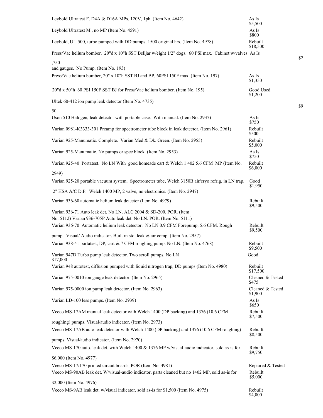| Leybold Ultratest F. D4A & D16A MPs. 120V, 1ph. (Item No. 4642)                                                          | As Is<br>\$5,500            |
|--------------------------------------------------------------------------------------------------------------------------|-----------------------------|
| Leybold Ultratest M., no MP (Item No. 4591)                                                                              | As Is<br>\$800              |
| Leybold, UL-500, turbo pumped with DD pumps, 1500 original hrs. (Item No. 4978)                                          | Rebuilt<br>\$18,500         |
| Press/Vac helium bomber. 20"d x 10"h SST Belljar w/eight 1/2" dogs. 60 PSI max. Cabinet w/valves As Is                   |                             |
| ,750                                                                                                                     |                             |
| and gauges. No Pump. (Item No. 193)<br>Press/Vac helium bomber, 20" x 10"h SST BJ and BP, 60PSI 150F max. (Item No. 197) | As Is                       |
|                                                                                                                          | \$1,350                     |
| 20"d x 50"h 60 PSI 150F SST BJ for Press/Vac helium bomber. (Item No. 195)                                               | Good Used<br>\$1,200        |
| Ultek 60-412 ion pump leak detector (Item No. 4735)                                                                      |                             |
| 50                                                                                                                       |                             |
| Uson 510 Halogen, leak detector with portable case. With manual. (Item No. 2937)                                         | As Is<br>\$750              |
| Varian 0981-K3333-301 Preamp for spectrometer tube block in leak detector. (Item No. 2961)                               | Rebuilt<br>\$500            |
| Varian 925-Manumatic. Complete. Varian Med & Dk. Green. (Item No. 2955)                                                  | Rebuilt<br>\$5,000          |
| Varian 925-Manumatic. No pumps or spec block. (Item No. 2953)                                                            | As Is<br>\$750              |
| Varian 925-40 Portatest. No LN With good homeade cart & Welch 1 402 5.6 CFM MP (Item No.                                 | Rebuilt<br>\$6,000          |
| 2949)                                                                                                                    |                             |
| Varian 925-20 portable vacuum system. Spectrometer tube, Welch 3150B air/cryo refrig. in LN trap.                        | Good<br>\$1,950             |
| 2" HSA A/C D.P. Welch 1400 MP, 2 valve, no electronics. (Item No. 2947)                                                  |                             |
| Varian 936-60 automatic helium leak detector (Item No. 4979)                                                             | Rebuilt<br>\$9,500          |
| Varian 936-71 Auto leak det. No LN. ALC 2004 & SD-200. POR. (Item                                                        |                             |
| No. 5112) Varian 936-705P Auto leak det. No LN. POR. (Item No. 5111)                                                     |                             |
| Varian 936-70 Automatic helium leak detector. No LN 0.9 CFM Forepump, 5.6 CFM. Rough                                     | Rebuilt<br>\$9,500          |
| pump. Visual/Audio indicator. Built in std. leak & air comp. (Item No. 2957)                                             |                             |
| Varian 938-41 portatest, DP, cart & 7 CFM roughing pump. No LN. (Item No. 4768)                                          | Rebuilt<br>\$9,500          |
| Varian 947D Turbo pump leak detector. Two scroll pumps. No LN<br>\$17,000                                                | Good                        |
| Varian 948 autotest, diffusion pumped with liquid nitrogen trap, DD pumps (Item No. 4980)                                | Rebuilt<br>\$17,500         |
| Varian 975-0010 ion gauge leak detector. (Item No. 2965)                                                                 | Cleaned & Tested<br>\$475   |
| Varian 975-0000 ion pump leak detector. (Item No. 2963)                                                                  | Cleaned & Tested<br>\$1,900 |
| Varian LD-100 less pumps. (Item No. 2939)                                                                                | As Is<br>\$650              |
| Veeco MS-17AM manual leak detector with Welch 1400 (DP backing) and 1376 (10.6 CFM                                       | Rebuilt<br>\$7,500          |
| roughing) pumps. Visual/audio indicator. (Item No. 2973)                                                                 |                             |
| Veeco MS-17AB auto leak detector with Welch 1400 (DP backing) and 1376 (10.6 CFM roughing)                               | Rebuilt<br>\$8,500          |
| pumps. Visual/audio indicator. (Item No. 2970)                                                                           |                             |
| Veeco MS-170 auto. leak det. with Welch 1400 & 1376 MP w/visual-audio indicator, sold as-is for                          | Rebuilt<br>\$9,750          |
| \$6,000 (Item No. 4977)                                                                                                  |                             |
| Veeco MS-17/170 printed circuit boards, POR (Item No. 4981)                                                              | Repaired & Tested           |
| Veeco MS-90AB leak det. W/visual-audio indicator, parts cleaned but no 1402 MP, sold as-is for                           | Rebuilt<br>\$5,000          |
| \$2,000 (Item No. 4976)                                                                                                  |                             |
| Veeco MS-9AB leak det. w/visual indicator, sold as-is for \$1,500 (Item No. 4975)                                        | Rebuilt<br>\$4,000          |

\$2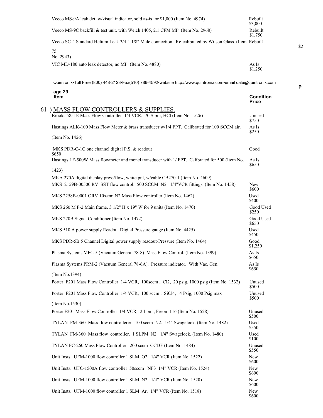| Veeco MS-9A leak det. w/visual indicator, sold as-is for \$1,000 (Item No. 4974)                         | Rebuilt<br>\$3,000 |
|----------------------------------------------------------------------------------------------------------|--------------------|
| Veeco MS-9C backfill & test unit. with Welch 1405, 2.1 CFM MP. (Item No. 2968)                           | Rebuilt<br>\$1,750 |
| Veeco SC-4 Standard Helium Leak 3/4-1 1/8" Male connection. Re-calibrated by Wilson Glass. (Item Rebuilt |                    |
| 75<br>No. 2943)                                                                                          |                    |
| VIC MD-180 auto leak detector, no MP. (Item No. 4880)                                                    | As Is<br>\$1,250   |

| age 29<br>Item                                                                                                                                                         | <b>Condition</b><br>Price |
|------------------------------------------------------------------------------------------------------------------------------------------------------------------------|---------------------------|
| 61 ) MASS FLOW CONTROLLERS & SUPPLIES.                                                                                                                                 |                           |
| Brooks 5851E Mass Flow Controller 1/4 VCR, 70 Slpm, HCl (Item No. 1526)                                                                                                | Unused<br>\$750           |
| Hastings ALK-100 Mass Flow Meter & brass transducer w/1/4 FPT. Calibrated for 100 SCCM air.                                                                            | As Is<br>\$250            |
| (Item No. 1426)                                                                                                                                                        |                           |
| MKS PDR-C-1C one channel digital P.S. & readout<br>\$650                                                                                                               | Good                      |
| Hastings LF-500W Mass flowmeter and monel transducer with 1/ FPT. Calibrated for 500 (Item No.                                                                         | As Is<br>\$650            |
| 1423)                                                                                                                                                                  |                           |
| MKA 270A digital display press/flow, white pnl, w/cable CB270-1 (Item No. 4609)<br>MKS 2159B-00500 RV SST flow control. 500 SCCM N2. 1/4"VCR fittings. (Item No. 1458) | New<br>\$600              |
| MKS 2258B-0001 ORV 10sscm N2 Mass Flow controller (Item No. 1462)                                                                                                      | Used<br>\$400             |
| MKS 260 M F-2 Main frame. 3 1/2" H x 19" W for 9 units (Item No. 1470)                                                                                                 | Good Used<br>\$250        |
| MKS 270B Signal Conditioner (Item No. 1472)                                                                                                                            | Good Used<br>\$650        |
| MKS 510 A power supply Readout Digital Pressure gauge (Item No. 4425)                                                                                                  | Used<br>\$450             |
| MKS PDR-5B 5 Channel Digital power supply readout-Pressure (Item No. 1464)                                                                                             | Good<br>\$1,250           |
| Plasma Systems MFC-5 (Vacuum General 78-8) Mass Flow Control. (Item No. 1399)                                                                                          | As Is<br>\$650            |
| Plasma Systems PRM-2 (Vacuum General 78-6A). Pressure indicator. With Vac. Gen.                                                                                        | As Is<br>\$650            |
| (Item No.1394)                                                                                                                                                         |                           |
| Porter F201 Mass Flow Controller 1/4 VCR, 100sccm, Cl2, 20 psig, 1000 psig (Item No. 1532)                                                                             | Unused<br>\$500           |
| Porter F201 Mass Flow Controller 1/4 VCR, 100 sccm, SiCl4, 4 Psig, 1000 Psig max                                                                                       | Unused<br>\$500           |
| (Item No.1530)                                                                                                                                                         |                           |
| Porter F201 Mass Flow Controller 1/4 VCR, 2 Lpm, Freon 116 (Item No. 1528)                                                                                             | Unused<br>\$500           |
| TYLAN FM-360 Mass flow controllerer. 100 sccm N2. 1/4" Swagelock. (Item No. 1482)                                                                                      | Used<br>\$550             |
| TYLAN FM-360 Mass flow controller. 1 SLPM N2. 1/4" Swagelock. (Item No. 1480)                                                                                          | Used<br>\$100             |
| TYLAN FC-260 Mass Flow Controller 200 sccm CCl3F (Item No. 1484)                                                                                                       | Unused<br>\$550           |
| Unit Insts. UFM-1000 flow controller 1 SLM O2. 1/4" VCR (Item No. 1522)                                                                                                | New<br>\$600              |
| Unit Insts. UFC-1500A flow controller 50sccm NF3 1/4" VCR (Item No. 1524)                                                                                              | <b>New</b><br>\$600       |
| Unit Insts. UFM-1000 flow controller 1 SLM N2. 1/4" VCR (Item No. 1520)                                                                                                | New<br>\$600              |
| Unit Insts. UFM-1000 flow controller 1 SLM Ar. 1/4" VCR (Item No. 1518)                                                                                                | New<br>\$600              |

\$2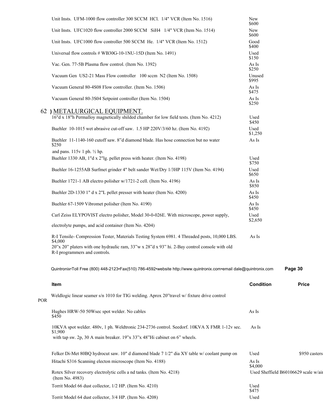|            | Unit Insts. UFM-1000 flow controller 300 SCCM HCl. 1/4" VCR (Item No. 1516)                                                    | New<br>\$600     |                                      |
|------------|--------------------------------------------------------------------------------------------------------------------------------|------------------|--------------------------------------|
|            | Unit Insts. UFC1020 flow controller 2000 SCCM SiH4 1/4" VCR (Item No. 1514)                                                    | New<br>\$600     |                                      |
|            | Unit Insts. UFC1000 flow controller 500 SCCM He. 1/4" VCR (Item No. 1512)                                                      | Good<br>\$400    |                                      |
|            | Universal flow controls # WB30G-10-1NU-15D (Item No. 1491)                                                                     | Used<br>\$150    |                                      |
|            | Vac. Gen. 77-5B Plasma flow control. (Item No. 1392)                                                                           | As Is<br>\$250   |                                      |
|            | Vacuum Gen US2-21 Mass Flow controller 100 sccm N2 (Item No. 1508)                                                             | Unused<br>\$995  |                                      |
|            | Vacuum General 80-4S08 Flow controller. (Item No. 1506)                                                                        | As Is            |                                      |
|            | Vacuum General 80-3S04 Setpoint controller (Item No. 1504)                                                                     | \$475<br>As Is   |                                      |
|            | 62 ) METALURGICAL EQUIPMENT.                                                                                                   | \$250            |                                      |
|            | 16"d x 18"h Permalloy magnetically shilded chamber for low field tests. (Item No. 4212)                                        | Used<br>\$450    |                                      |
|            | Buehler 10-1015 wet abrasive cut-off saw. 1.5 HP 220V/3/60 hz. (Item No. 4192)                                                 | Used<br>\$1,250  |                                      |
|            | Buehler 11-1140-160 cutoff saw. 8"d diamond blade. Has hose connection but no water<br>\$250                                   | As Is            |                                      |
|            | and pans. 115v 1 ph. 1/2 hp.                                                                                                   |                  |                                      |
|            | Buehler 1330 AB, 1"d x 2"lg. pellet press with heater. (Item No. 4198)                                                         | Used<br>\$750    |                                      |
|            | Buehler 16-1255AB Surfmet grinder 4" belt sander Wet/Dry 1/3HP 115V (Item No. 4194)                                            | Used<br>\$650    |                                      |
|            | Buehler 1721-1 AB electro polisher w/1721-2 cell. (Item No. 4196)                                                              | As Is<br>\$850   |                                      |
|            | Buehler 2D-1330 1" d x 2"L pellet presser with heater (Item No. 4200)                                                          | As Is<br>\$450   |                                      |
|            | Buehler 67-1509 Vibromet polisher (Item No. 4190)                                                                              | As Is<br>\$450   |                                      |
|            | Carl Zeiss ELYPOVIST electro polisher, Model 30-0-026E. With microscope, power supply,                                         | Used<br>\$2,650  |                                      |
|            | electrolyte pumps, and acid container (Item No. 4204)                                                                          |                  |                                      |
|            | R-I Tensile- Compression Tester, Materials Testing System 6981. 4 Threaded posts, 10,000 LBS.<br>\$4,000                       | As Is            |                                      |
|            | 20"x 20" platers with one hydraulic ram, 33"w x 28"d x 93" hi. 2-Bay control console with old<br>R-I programmers and controls. |                  |                                      |
|            | Quintronix•Toll Free (800) 448-2123•Fax(510) 786-4592•website http://www.quintronix.com•email dale@quintronix.com              |                  | Page 30                              |
|            | <b>Item</b>                                                                                                                    | <b>Condition</b> | <b>Price</b>                         |
| <b>POR</b> | Weldlogic linear seamer s/n 1010 for TIG welding. Aprox 20"travel w/ fixture drive control                                     |                  |                                      |
|            | Hughes HRW-50 50Wsec spot welder. No cables<br>\$450                                                                           | As Is            |                                      |
|            | 10KVA spot welder. 480v, 1 ph. Weldtronic 234-2736 control. Seedorf. 10KVA X FMR 1-12v sec.<br>\$1,900                         | As Is            |                                      |
|            | with tap sw. 2p, 30 A main breaker. 19"x 33"x 48"Hi cabinet on 6" wheels.                                                      |                  |                                      |
|            | Felker Di-Met 80BQ hydrocut saw. 10" d diamond blade 7 1/2" dia XY table w/coolant pump on                                     | Used             | \$950 casters                        |
|            | Hitachi S316 Scanning electon microscope (Item No. 4188)                                                                       | As Is<br>\$4,000 |                                      |
|            | Rotex Silver recovery electrolytic cells a nd tanks. (Item No. 4218)                                                           |                  | Used Sheffield B60106629 scale w/air |
|            | (Item No. 4983)<br>Torrit Model 66 dust collector, 1/2 HP. (Item No. 4210)                                                     | Used             |                                      |
|            | Torrit Model 64 dust collector, 3/4 HP. (Item No. 4208)                                                                        | \$475<br>Used    |                                      |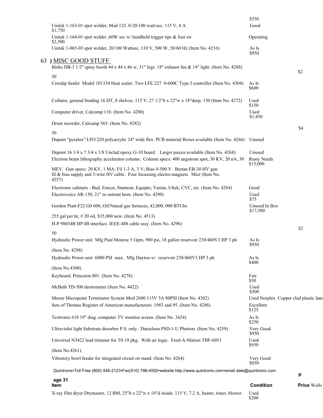| X-ray film dryer Drymaster, 12 BM, 25"h x 22"w x 18"d inside. 115 V, 7.2 A, heater, timer, blower.                                                                                             | Used<br>\$200                            |                                      |
|------------------------------------------------------------------------------------------------------------------------------------------------------------------------------------------------|------------------------------------------|--------------------------------------|
| age 31<br>Item                                                                                                                                                                                 | <b>Condition</b>                         | <b>Price Wells</b>                   |
| Quintronix•Toll Free (800) 448-2123•Fax(510) 786-4592•website http://www.quintronix.com•email dale@quintronix.com                                                                              |                                          | P                                    |
| (Item No.4261)<br>Vibratory bowl feeder for integrated circuit on stand. (Item No. 4264)                                                                                                       | Very Good<br>\$850                       |                                      |
| Universal N3422 lead trimmer for T0-18 pkg. With air logic. Feed-A-Mation TBF-6051                                                                                                             | Used<br>\$950                            |                                      |
| Ultraviolet light Substrate desorber P.S. only. Danielson PSD-1-U Photron. (Item No. 4259)                                                                                                     | Very Good<br>\$950                       |                                      |
| Textronix 618 19" diag. computer TV monitor screen. (Item No. 3424)                                                                                                                            | As Is<br>\$250                           |                                      |
| Moore Micropoint Terminator System Mod 2600 115V 5A 80PSI (Item No. 4302)<br>Sets of Thomas Register of American manufacturers. 1983 and 95. (Item No. 4286)                                   | Excellent<br>\$125                       | Used Norplex Copper clad plastic lam |
| McBeth TD-500 desitometer (Item No. 4422)                                                                                                                                                      | Used<br>\$500                            |                                      |
| Keyboard, Princeton 801. (Item No. 4278)                                                                                                                                                       | Fair<br>\$50                             |                                      |
| Hydraulic Power unit 6000 PSI max. Mfg Dayton w/ reservoir 230/460V3 HP 3 ph<br>(Item No.4300)                                                                                                 | As Is<br>\$400                           |                                      |
| Hydraulic Power unit Mfg Paul Monroe 5 Gpm, 900 psi, 18 gallon reservoir 230/460V3 HP 3 ph<br>(Item No. 4298)                                                                                  | As Is<br>\$950                           |                                      |
| 50                                                                                                                                                                                             |                                          | \$2                                  |
| 255 gal per hr, # 20 oil, \$35,000 new. (Item No. 4513)<br>H-P 98034B HP-IB interface. IEEE-488 cable assy. (Item No. 4296)                                                                    |                                          |                                      |
| Gordon Piatt-F22 G0 600, Oil/Natual gas furnaces, 42,000, 000 BTUhr.                                                                                                                           | Unused In Box<br>\$17,500                |                                      |
| Electronic cabinets - Bud, Emcor, Stantron, Equipto, Varian, Ultek, CVC, etc. (Item No. 4284)<br>Electrovoice AR-150, 21" re-entrant horn. (Item No. 4290)                                     | Good<br>Used<br>\$75                     |                                      |
| MEV. Gun specs: 20 KV, 1 MA: Fil 1-3 A, 3 V; Bias 0-500 V. Bertan EB-30 HV gun<br>fil & bias supply and 3-wire HV cable. Four focussing electro-magnets. Micr (Item No.<br>4257)               |                                          |                                      |
| Dupont 16 1/4 x 7 3/4 x 1/8 Unclad epoxy G-10 board Larger pieces available (Item No. 4268)<br>Electron beam lithography accelerator column. Column specs: 400 angstrom spot, 30 KV, 20 nA, 30 | Unused<br><b>Rusty Needs</b><br>\$15,000 |                                      |
| 50<br>Dupont "pyralux" LFO 220 polyacrylic 24" wide flex. PCB material Boxes available (Item No. 4266)                                                                                         | Unused                                   |                                      |
| Drum recorder, Calcomp 565. (Item No. 4282)                                                                                                                                                    |                                          | \$4                                  |
| Computer driver, Calcomp 110. (Item No. 4280)                                                                                                                                                  | \$150<br>Used<br>\$1,450                 |                                      |
| Collator, general binding 16 DT, 8 shelves. 115 V, 27 1/2"h x 22"w x 18"deep. 150 (Item No. 4272)                                                                                              | Used                                     |                                      |
| 50<br>Ceredip Sealer Model 101334 Heat sealer. Two LFE 227 0-600C Type J controller (Item No. 4304)                                                                                            | As Is<br>\$600                           |                                      |
| 63) MISC GOOD STUFF.<br>Binks DB-3 1/2" spray booth 44 x 44 x 46 w, 31" legs. 18" exhaust fan & 14" light. (Item No. 4288)                                                                     |                                          | \$2                                  |
| Unitek 1-065-03 spot welder, 20/100 Wattsec, 110 V, 500 W, 50/60 Hz (Item No. 4216)                                                                                                            | As Is<br>\$950                           |                                      |
| \$1,750<br>Unitek 1-164-01 spot welder ,60W sec w/ handheld trigger tips & foot sw<br>\$2,500                                                                                                  | Operating                                |                                      |
| Unitek 1-163-01 spot welder, Mod 125. 0-20/100 watt/sec. 115 V, 4 A                                                                                                                            | \$550<br>Good                            |                                      |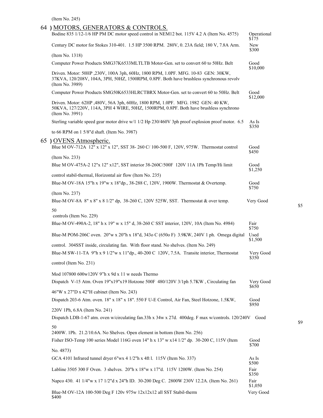(Item No. 245)

| 64 ) MOTORS, GENERATORS & CONTROLS.<br>Bodine 835 1/12-1/6 HP PM DC motor speed control in NEM12 bot. 115V 4.2 A (Item No. 4575)                                                                 | Operational                  |
|--------------------------------------------------------------------------------------------------------------------------------------------------------------------------------------------------|------------------------------|
| Century DC motor for Stokes 310-401. 1.5 HP 3500 RPM. 280V, 0. 23A field; 180 V, 7.8A Arm.                                                                                                       | \$175<br><b>New</b><br>\$300 |
| (Item No. 1318)                                                                                                                                                                                  |                              |
| Computer Power Products SMG37K6533MLTLTB Motor-Gen. set to convert 60 to 50Hz. Belt                                                                                                              | Good<br>\$10,000             |
| Driven. Motor: 50HP ,230V, 100A 3ph, 60Hz, 1800 RPM, 1.0PF. MFG. 10-83 GEN: 30KW,<br>37KVA, 120/208V, 104A, 3PH, 50HZ, 1500RPM, 0.8PF. Both have brushless synchronous revolv<br>(Item No. 3989) |                              |
| Computer Power Products SMG50K6533HLRCTBRX Motor-Gen. set to convert 60 to 50Hz. Belt                                                                                                            | Good<br>\$12,000             |
| Driven. Motor: 62HP ,480V, 56A 3ph, 60Hz, 1800 RPM, 1.0PF. MFG. 1982 GEN: 40 KW,<br>50KVA, 127/220V, 114A, 3PH 4 WIRE, 50HZ, 1500RPM, 0.8PF. Both have brushless synchrono<br>(Item No. 3991)    |                              |
| Sterling variable speed gear motor drive w/1 1/2 Hp 230/460V 3ph proof explosion proof motor. 6.5                                                                                                | As Is<br>\$350               |
| to 66 RPM on 1 5/8"d shaft. (Item No. 3987)                                                                                                                                                      |                              |
| 65 ) OVENS Atmospheric.<br>Blue M OV-712A 12" x 12" x 12", SST 38-260 C/ 100-500 F, 120V, 975W. Thermostat control                                                                               | Good<br>\$450                |
| (Item No. 233)                                                                                                                                                                                   |                              |
| Blue M OV-475A-2 12"x 12" x12", SST interior 38-260C/500F 120V 11A 1Ph Temp/Hi limit                                                                                                             | Good<br>\$1,250              |
| control stabil-thermal, Horizontal air flow (Item No. 235)<br>Blue-M OV-18A 15"h x 19"w x 18"dp., 38-288 C, 120V, 1900W. Thermostat & Overtemp.                                                  | Good                         |
| (Item No. 237)<br>Blue-M OV-8A $8''$ x $8''$ x $81/2''$ dp, 38-260 C, 120V 525W, SST. Thermostat & over temp.                                                                                    | \$750<br>Very Good           |
| 50<br>controls (Item No. 229)                                                                                                                                                                    |                              |
| Blue-M OV-490A-2, 18" h x 19" w x 15" d, 38-260 C SST interior, 120V, 10A (Item No. 4984)                                                                                                        | Fair<br>\$750                |
| Blue-M POM-206C oven. 20"w x 20"h x 18"d, 343o C (650o F) 3.9KW, 240V 1 ph. Omega digital                                                                                                        | Used<br>\$1,500              |
| control. 304SST inside, circulating fan. With floor stand. No shelves. (Item No. 249)                                                                                                            |                              |
| Blue-M SW-11-TA 9"h x 9 1/2"w x 11"dp., 40-200 C 120V, 7.5A. Transite interior, Thermostat                                                                                                       | Very Good<br>\$350           |
| control (Item No. 231)                                                                                                                                                                           |                              |
| Mod 107800 600w120V 9"h x 9d x 11 w needs Thermo                                                                                                                                                 |                              |
| Dispatch V-15 Atm. Oven 19"x19"x19 Hotzone 500F 480/120V 3/1ph 5.7KW, Circulating fan                                                                                                            | Very Good<br>\$650           |
| 46"W x 27"D x 42"H cabinet (Item No. 243)<br>Dispatch 203-6 Atm. oven. 18" x 18" x 18". 550 F U-E Control, Air Fan, Steel Hotzone, 1.5KW,                                                        | Good<br>\$950                |
| 220V 1Ph, 6.8A (Item No. 241)<br>Dispatch LDB-1-67 atm. oven w/circulating fan.33h x 34w x 27d. 400deg. F max w/controls. 120/240V                                                               | Good                         |
| 50                                                                                                                                                                                               |                              |
| 2400W. 1Ph. 21.2/10.6A. No Shelves. Open element in bottom (Item No. 256)                                                                                                                        |                              |
| Fisher ISO-Temp 100 series Model 116G oven 14" h x 13" w x 14 1/2" dp. 30-200 C, 115V (Item                                                                                                      | Good<br>\$700                |
| No. 4873)                                                                                                                                                                                        |                              |
| GCA 4101 Infrared tunnel dryer 6"wx 4 1/2"h x 4ft l. 115V (Item No. 337)                                                                                                                         | As Is<br>\$500               |
| Labline 3505 300 F Oven. 3 shelves. 20"h x 18"w x 17"d. 115V 1200W. (Item No. 254)                                                                                                               | Fair<br>\$350                |
| Napco 430. 41 1/4"w x 17 1/2"d x 24"h ID. 30-200 Deg C. 2800W 230V 12.2A. (Item No. 261)                                                                                                         | Fair<br>\$1,050              |

Blue-M OV-12A 100-500 Deg F 120v 975w 12x12x12 all SST Stabil-therm Very Good \$400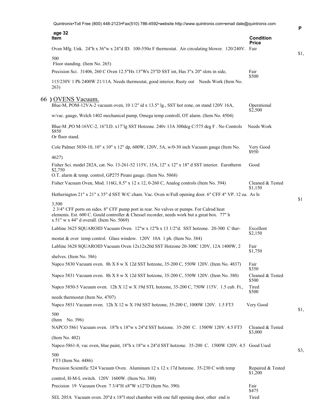| Quintronix•Toll Free (800) 448-2123•Fax(510) 786-4592•website http://www.quintronix.com•email dale@quintronix.com                                                                                                                                 |                             |
|---------------------------------------------------------------------------------------------------------------------------------------------------------------------------------------------------------------------------------------------------|-----------------------------|
| age 32<br>Item                                                                                                                                                                                                                                    | <b>Condition</b>            |
| Oven Mfg. Unk. 24"h x 36"w x 24"d ID. 100-550o F thermostat. Air circulating blower. 120/240V. Fair                                                                                                                                               | <b>Price</b>                |
|                                                                                                                                                                                                                                                   |                             |
| 500<br>Floor standing. (Item No. 265)                                                                                                                                                                                                             |                             |
| Precision Sci. 31406, 260 C Oven 12.5"Hx 13"Wx 25"D SST int, Has 3"x 20" slots in side,                                                                                                                                                           | Fair                        |
| 115/230V 1 Ph 2400W 21/11A. Needs thermostat, good interior, Rusty out Needs Work (Item No.<br>263)                                                                                                                                               | \$500                       |
| 66 ) OVENS Vacuum.<br>Blue-M, POM-12VA-2 vacuum oven, 10 1/2" id x 13.5" lg., SST hot zone, on stand 120V 16A,                                                                                                                                    | Operational                 |
| w/vac. gauge, Welch 1402 mechanical pump, Omega temp controll, OT alarm. (Item No. 4504)                                                                                                                                                          | \$2,500                     |
| Blue-M, PO M-16VC-2, 16"I.D. x17'lg SST Hotzone. 240v 13A 300deg C/575 deg F. No Controls<br>\$850<br>Or floor stand.                                                                                                                             | Needs Work                  |
| Cole Palmer 5030-10, 10" x 10" x 12" dp, 600W, 120V, 5A, w/0-30 inch Vacuum gauge (Item No.                                                                                                                                                       | Very Good<br>\$950          |
| 4627)<br>Fisher Sci. model 282A, cat. No. 13-261-52 115V, 15A, 12" x 12" x 18" d SST interior. Eurotherm                                                                                                                                          | Good                        |
| \$2,750                                                                                                                                                                                                                                           |                             |
| O.T. alarm & temp. control, GP275 Pirani gauge. (Item No. 5068)                                                                                                                                                                                   |                             |
| Fisher Vacuum Oven, Mod. 116G, 8.5" x 12 x 12, 0-260 C, Analog controls (Item No. 394)                                                                                                                                                            | Cleaned & Tested<br>\$1,150 |
| Hetherington 21" x 21" x 35" d SST W/C cham. Vac. Oven w/Full opening door. 6" CFF 4" VP. 12 ea. As Is                                                                                                                                            |                             |
| 3,500<br>2 3/4" CFF ports on sides. 8" CFF pump port in rear. No valves or pumps. For Calrod heat<br>elements. Est. 600 C. Gould controller & Chessel recorder, needs work but a great box. 77" h<br>$x 51"$ w $x 44"$ d overall. (Item No. 5069) |                             |
| Labline 3625 SQUAROID Vacuum Oven. 12"w x 12"h x 13 1/2"d. SST hotzone. 20-300 C ther-                                                                                                                                                            | Excellent<br>\$2,150        |
| mostat & over temp control. Glass window. 120V 10A 1 ph. (Item No. 384)                                                                                                                                                                           |                             |
| Labline 3628 SQUAROID Vacuum Oven 12x12x20d SST Hotzone 20-300C 120V, 12A 1400W, 2                                                                                                                                                                | Fair                        |
| shelves. (Item No. 386)                                                                                                                                                                                                                           | \$1,750                     |
| Napco 5830 Vacuum oven. 8h X 8 w X 12d SST hotzone, 35-200 C, 550W 120V. (Item No. 4837)                                                                                                                                                          | Fair<br>\$350               |
| Napco 5831 Vacuum oven. 8h X 8 w X 12d SST hotzone, 35-200 C, 550W 120V. (Item No. 380)                                                                                                                                                           | Cleaned & Tested<br>\$500   |
| Napco 5850-5 Vacuum oven. 12h X 12 w X 19d STL hotzone, 35-200 C, 750W 115V. 1.5 cub. Ft.,                                                                                                                                                        | Tired<br>\$500              |
| needs thermostat (Item No. 4707)                                                                                                                                                                                                                  |                             |
| Napco 5851 Vacuum oven. 12h X 12 w X 19d SST hotzone, 35-200 C, 1000W 120V. 1.5 FT3                                                                                                                                                               | Very Good                   |
| 500                                                                                                                                                                                                                                               |                             |
| (Item No. 396)                                                                                                                                                                                                                                    |                             |
| NAPCO 5861 Vacuum oven. 18"h x 18"w x 24"d SST hotzone. 35-200 C. 1500W 120V. 4.5 FT3                                                                                                                                                             | Cleaned & Tested<br>\$3,000 |
| (Item No. 402)<br>Napco-5861-8, vac oven, blue paint, 18"h x 18"w x 24"d SST hotzone. 35-200 C. 1500W 120V. 4.5 Good Used                                                                                                                         |                             |
| 500                                                                                                                                                                                                                                               |                             |
| FT3 (Item No. 4486)<br>Precision Scientific 524 Vacuum Oven. Aluminum 12 x 12 x 17d hotzone. 35-230 C with temp                                                                                                                                   | Repaired & Tested           |
| control, H-M-L switch. 120V 1600W. (Item No. 388)                                                                                                                                                                                                 | \$1,200                     |
| Precision 19 Vacuum Oven 7 3/4"H x8"W x12"D (Item No. 390)                                                                                                                                                                                        | Fair<br>\$475               |
| SEL 205A Vacuum oven. 20"d x 18"l steel chamber with one full opening door, other end is                                                                                                                                                          | Tired                       |

**P**

\$1,

\$1

\$1,

\$3,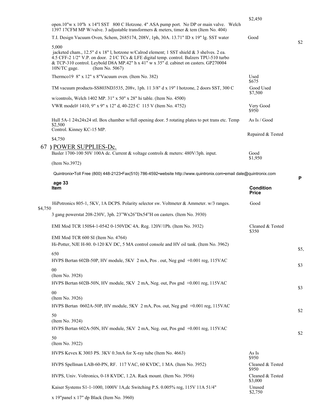|         |                                                                                                                                                                                                                                                                                                                                 | \$2,450                          |      |
|---------|---------------------------------------------------------------------------------------------------------------------------------------------------------------------------------------------------------------------------------------------------------------------------------------------------------------------------------|----------------------------------|------|
|         | open.10"w x 10"h x 14"l SST 800 C Hotzone. 4" ASA pump port. No DP or main valve. Welch<br>1397 17CFM MP W/valve. 3 adjustable transformers & meters, timer & tem (Item No. 404)                                                                                                                                                |                                  |      |
|         | T.I. Design Vacuum Oven, Schem, 2685174, 208V, 1ph, 30A. 13.71" ID x 19" lg. SST water                                                                                                                                                                                                                                          | Good                             | \$2  |
|         | 5,000<br>jacketed cham., 12.5" d x 18" l, hotzone w/Calrod element; 1 SST shield $\&$ 3 shelves. 2 ea.<br>4.5 CFF-2 1/2" V.P. on door. 2 I/C TCs & LFE digital temp. control. Balzers TPU-510 turbo<br>& TCP-310 control. Leybold D8A MP.42" h x 41" w x 35" d. cabinet on casters. GP270004<br>10N/TC gage.<br>(Item No. 5067) |                                  |      |
|         | Thermco19 8" x 12" x 8"Vacuum oven. (Item No. 382)                                                                                                                                                                                                                                                                              | Used<br>\$675                    |      |
|         | TM vacuum products-SS803ND3535, 208v, 1ph. 11 3/8" d x 19" l hotzone, 2 doors SST, 300 C                                                                                                                                                                                                                                        | Good Used<br>\$7,500             |      |
|         | w/controls, Welch 1402 MP. 31" x 50" x 28" hi table. (Item No. 4500)                                                                                                                                                                                                                                                            |                                  |      |
|         | VWR model# 1410, 9" x 9" x 12" d, 40-225 C 115 V (Item No. 4752)                                                                                                                                                                                                                                                                | Very Good<br>\$950               |      |
|         | Hull 5A-1 24x24x24 stl. Box chamber w/full opening door. 5 rotating plates to pot trans etc. Temp<br>\$2,500                                                                                                                                                                                                                    | As Is / Good                     |      |
|         | Control. Kinney KC-15 MP.                                                                                                                                                                                                                                                                                                       | Repaired & Tested                |      |
|         | \$4,750                                                                                                                                                                                                                                                                                                                         |                                  |      |
|         | 67) POWER SUPPLIES-Dc.<br>Basler 1700-100 50V 100A dc. Current & voltage controls & meters: 480V/3ph. input.                                                                                                                                                                                                                    | Good<br>\$1,950                  |      |
|         | (Item No.3972)                                                                                                                                                                                                                                                                                                                  |                                  |      |
|         | Quintronix•Toll Free (800) 448-2123•Fax(510) 786-4592•website http://www.quintronix.com•email dale@quintronix.com                                                                                                                                                                                                               |                                  | P    |
|         | age 33<br>Item                                                                                                                                                                                                                                                                                                                  | <b>Condition</b><br><b>Price</b> |      |
| \$4,750 | HiPotronics 805-1, 5KV, 1A DCPS. Polarity selector sw. Voltmeter & Ammeter. w/3 ranges.                                                                                                                                                                                                                                         | Good                             |      |
|         | 3 gang powerstat 208-230V, 3ph. 23"Wx26"Dx54"H on casters. (Item No. 3930)                                                                                                                                                                                                                                                      |                                  |      |
|         | EMI Mod TCR 150S4-1-0542 0-150VDC 4A. Reg. 120V/1Ph. (Item No. 3932)                                                                                                                                                                                                                                                            | Cleaned & Tested<br>\$350        |      |
|         | EMI Mod TCR 600 SI (Item No. 4764)<br>Hi-Potter, NJE H-80. 0-120 KV DC, 5 MA control console and HV oil tank. (Item No. 3962)                                                                                                                                                                                                   |                                  | \$5, |
|         | 650<br>HVPS Bertan 602B-50P, HV module, 5KV 2 mA, Pos. out, Neg gnd +0.001 reg, 115VAC                                                                                                                                                                                                                                          |                                  |      |
|         | 00<br>(Item No. 3928)                                                                                                                                                                                                                                                                                                           |                                  | \$3  |
|         | HVPS Bertan 602B-50N, HV module, 5KV 2 mA, Neg. out, Pos gnd +0.001 reg, 115VAC                                                                                                                                                                                                                                                 |                                  | \$3  |
|         | 00<br>(Item No. 3926)                                                                                                                                                                                                                                                                                                           |                                  |      |
|         | HVPS Bertan 0602A-50P, HV module, 5KV 2 mA, Pos. out, Neg gnd +0.001 reg, 115VAC<br>50                                                                                                                                                                                                                                          |                                  | \$2  |
|         | (Item No. 3924)<br>HVPS Bertan 602A-50N, HV module, 5KV 2 mA, Neg. out, Pos gnd +0.001 reg, 115VAC                                                                                                                                                                                                                              |                                  |      |
|         | 50<br>(Item No. 3922)                                                                                                                                                                                                                                                                                                           |                                  | \$2  |
|         | HVPS Kevex K 3003 PS. 3KV 0.3mA for X-ray tube (Item No. 4663)                                                                                                                                                                                                                                                                  | As Is<br>\$950                   |      |
|         | HVPS Spellman LAB-60-PN, RF. 117 VAC, 60 KVDC, 1 MA. (Item No. 3952)                                                                                                                                                                                                                                                            | Cleaned & Tested<br>\$950        |      |
|         | HVPS, Univ. Voltronics, 0-18 KVDC, 1.2A. Rack mount. (Item No. 3956)                                                                                                                                                                                                                                                            | Cleaned & Tested<br>\$3,000      |      |
|         | Kaiser Systems S1-1-1000, 1000V 1A, dc Switching P.S. 0.005% reg, 115V 11A 51/4"                                                                                                                                                                                                                                                | Unused<br>\$2,750                |      |
|         | x 19"panel x 17" dp Black (Item No. 3960)                                                                                                                                                                                                                                                                                       |                                  |      |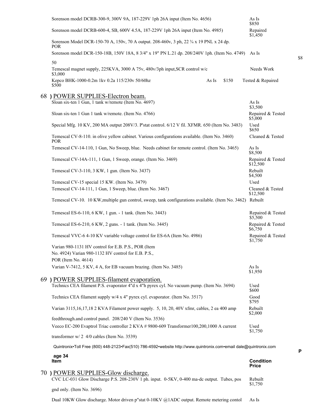|    | Sorenson model DCRB-300-9, 300V 9A, 187-229V 1ph 26A input (Item No. 4656)                                        | As Is<br>\$850                   |
|----|-------------------------------------------------------------------------------------------------------------------|----------------------------------|
|    | Sorenson model DCRB-600-4, SB, 600V 4.5A, 187-229V 1ph 26A input (Item No. 4985)                                  | Repaired<br>\$1,450              |
|    | Sorenson Model DCR-150-70 A, 150v, 70 A output. 208-460v, 3 ph, 22 3/4 x 19 PNL x 24 dp.<br>POR.                  |                                  |
|    | Sorenson model DCR-150-18B, 150V 18A, 8 3/4" x 19" PN L.21 dp. 208/240V 1ph. (Item No. 4749)                      | As Is                            |
|    | 50<br>Temescal magnet supply, 225KVA, 3000 A 75v, 480v/3ph input, SCR control w/c                                 | Needs Work                       |
|    | \$3,000<br>Kepco BHK-1000-0.2m 1kv 0.2a 115/230v 50/60hz<br>As Is<br>\$150<br>\$500                               | Tested & Repaired                |
|    | 68) POWER SUPPLIES-Electron beam.                                                                                 |                                  |
|    | Sloan six-ten 1 Gun, 1 tank w/remote (Item No. 4697)                                                              | As Is<br>\$3,500                 |
|    | Sloan six-ten 1 Gun 1 tank w/remote. (Item No. 4766)                                                              | Repaired & Tested<br>\$5,000     |
|    | Special Mfg. 10 KV, 200 MA output 208V/3. P'stat control. 6/12 V fil. XFMR. 650 (Item No. 3483)                   | Used<br>\$650                    |
|    | Temescal CV-8-110. in olive yellow cabinet. Various configurations available. (Item No. 3460)<br>POR.             | Cleaned & Tested                 |
|    | Temescal CV-14-110, 1 Gun, No Sweep, blue. Needs cabinet for remote control. (Item No. 3465)                      | As Is<br>\$8,500                 |
|    | Temescal CV-14A-111, 1 Gun, 1 Sweep, orange. (Item No. 3469)                                                      | Repaired & Tested<br>\$12,500    |
|    | Temescal CV-3-110, 3 KW, 1 gun. (Item No. 3437)                                                                   | Rebuilt<br>\$4,500               |
|    | Temescal CV-15 special 15 KW. (Item No. 3479)                                                                     | Used                             |
|    | Temescal CV-14-111, 1 Gun, 1 Sweep, blue. (Item No. 3467)                                                         | Cleaned & Tested<br>\$12,500     |
|    | Temescal CV-10. 10 KW, multiple gun control, sweep, tank configurations available. (Item No. 3462) Rebuilt        |                                  |
|    | Temescal ES-6-110, 6 KW, 1 gun. - 1 tank. (Item No. 3443)                                                         | Repaired & Tested<br>\$5,500     |
|    | Temescal ES-6-210, 6 KW, 2 guns. - 1 tank. (Item No. 3445)                                                        | Repaired & Tested<br>\$6,750     |
|    | Temescal VVC-6 4-10 KV variable voltage control for ES-6A (Item No. 4986)                                         | Repaired & Tested<br>\$1,750     |
|    | Varian 980-1131 HV control for E.B. P.S., POR (Item                                                               |                                  |
|    | No. 4924) Varian 980-1132 HV control for E.B. P.S.,                                                               |                                  |
|    | POR (Item No. 4614)                                                                                               |                                  |
|    | Varian V-7412, 5 KV, 4 A, for EB vacuum brazing. (Item No. 3485)                                                  | As Is<br>\$1,950                 |
|    | 69 ) POWER SUPPLIES-filament evaporation.                                                                         |                                  |
|    | Technics CEA filament P.S. evaporator 4"d x 4"h pyrex cyl. No vacuum pump. (Item No. 3694)                        | Used<br>\$600                    |
|    | Technics CEA filament supply w/4 x 4" pyrex cyl. evaporator. (Item No. 3517)                                      | Good<br>\$795                    |
|    | Varian 3115,16,17,18 2 KVA Filament power supply. 5, 10, 20, 40V xfmr, cables, 2 ea 400 amp                       | Rebuilt<br>\$2,000               |
|    | feedthrough.and control panel. 208/240 V (Item No. 3536)                                                          |                                  |
|    | Veeco EC-200 Evaptrol Triac controller 2 KVA # 9800-609 Transformer100,200,1000 A current                         | Used<br>\$1,750                  |
|    | transformer $w/2$ 4/0 cables (Item No. 3539)                                                                      |                                  |
|    | Quintronix•Toll Free (800) 448-2123•Fax(510) 786-4592•website http://www.quintronix.com•email dale@quintronix.com |                                  |
|    | age 34<br>Item                                                                                                    | <b>Condition</b><br><b>Price</b> |
| 70 | ) POWER SUPPLIES-Glow discharge.                                                                                  |                                  |
|    | CVC LC-031 Glow Discharge P.S. 208-230V 1 ph. input. 0-5KV, 0-400 ma-dc output. Tubes, pos                        | Rebuilt<br>\$1,750               |
|    | gnd only. (Item No. 3696)                                                                                         |                                  |

\$8

**P**

Dual 10KW Glow discharge. Motor driven p"stat 0-10KV @1ADC output. Remote metering contol As Is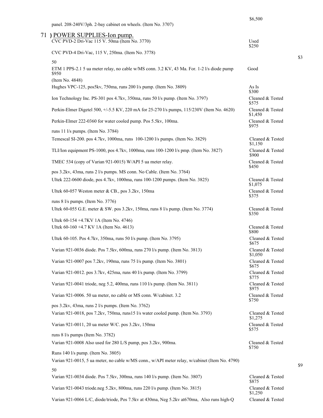\$6,500

\$3

| panel. 208-240V/3ph. 2-bay cabinet on wheels. (Item No. 3707) |  |  |
|---------------------------------------------------------------|--|--|
|                                                               |  |  |

| 71 ) POWER SUPPLIES-Ion pump.<br>CVC PVD-2 Dri-Vac 115 V. 50ma (Item No. 3770)                      | Used                        |
|-----------------------------------------------------------------------------------------------------|-----------------------------|
| CVC PVD-4 Dri-Vac, 115 V, 250ma. (Item No. 3778)                                                    | \$250                       |
| 50                                                                                                  |                             |
| ETM 1 PPS-2.1 5 ua meter relay, no cable w/MS conn. 3.2 KV, 43 Ma. For. 1-2 l/s diode pump<br>\$950 | Good                        |
| (Item No. 4848)<br>Hughes VPC-125, pos5kv, 750ma, runs 200 l/s pump. (Item No. 3809)                | As Is<br>\$300              |
| Ion Technology Inc. PS-301 pos 4.7kv, 350ma, runs 50 l/s pump. (Item No. 3797)                      | Cleaned & Tested<br>\$575   |
| Perkin-Elmer Digetel 500, +/-5.5 KV, 220 mA for 25-270 l/s pumps, 115/230V (Item No. 4620)          | Cleaned & Tested<br>\$1,450 |
| Perkin-Elmer 222-0360 for water cooled pump. Pos 5.5kv, 100ma.                                      | Cleaned & Tested<br>\$975   |
| runs 11 l/s pumps. (Item No. 3784)                                                                  |                             |
| Temescal SI-200. pos 4.7kv, 1000ma, runs 100-1200 l/s pumps. (Item No. 3829)                        | Cleaned & Tested<br>\$1,150 |
| TLI/Ion equipment PS-1000, pos 4.7kv, 1000ma, runs 100-1200 l/s pmp. (Item No. 3827)                | Cleaned & Tested<br>\$900   |
| TMEC 534 (copy of Varian 921-0015) W/API 5 ua meter relay.                                          | Cleaned & Tested<br>\$450   |
| pos 3.2kv, 43ma, runs 2 l/s pumps. MS conn. No Cable. (Item No. 3764)                               |                             |
| Ultek 222-0600 diode, pos 4.7kv, 1000ma, runs 100-1200 pumps. (Item No. 3825)                       | Cleaned & Tested<br>\$1,075 |
| Ultek 60-057 Weston meter & CB., pos 3.2kv, 150ma                                                   | Cleaned & Tested<br>\$375   |
| runs 8 l/s pumps. (Item No. 3776)                                                                   |                             |
| Ultek 60-055 G.E. meter & SW. pos 3.2kv, 150ma, runs 8 l/s pump. (Item No. 3774)                    | Cleaned & Tested<br>\$350   |
| Ultek 60-154 +4.7KV 1A (Item No. 4746)<br>Ultek 60-160 +4.7 KV 1A (Item No. 4613)                   | Cleaned & Tested            |
|                                                                                                     | \$800                       |
| Ultek 60-105. Pos 4.7kv, 350ma, runs 50 l/s pump. (Item No. 3795)                                   | Cleaned & Tested<br>\$675   |
| Varian 921-0036 diode. Pos 7.5kv, 600ma, runs 270 l/s pump. (Item No. 3813)                         | Cleaned & Tested<br>\$1,050 |
| Varian 921-0007 pos 7.2kv, 190ma, runs 75 l/s pump. (Item No. 3801)                                 | Cleaned & Tested<br>\$675   |
| Varian 921-0012. pos 3.7kv, 425ma, runs 40 l/s pump. (Item No. 3799)                                | Cleaned & Tested<br>\$775   |
| Varian 921-0041 triode, neg 5.2, 400ma, runs 110 l/s pump. (Item No. 3811)                          | Cleaned & Tested<br>\$975   |
| Varian 921-0006. 50 ua meter, no cable or MS conn. W/cabinet. 3.2                                   | Cleaned & Tested<br>\$750   |
| pos 3.2kv, 43ma, runs 2 l/s pumps. (Item No. 3762)                                                  |                             |
| Varian 921-0018, pos 7.2kv, 750ma, runs15 l/s water cooled pump. (Item No. 3793)                    | Cleaned & Tested<br>\$1,275 |
| Varian 921-0011, 20 ua meter W/C. pos 3.2kv, 150ma                                                  | Cleaned & Tested<br>\$575   |
| runs 8 l/s pumps (Item No. 3782)<br>Varian 921-0008 Also used for 280 L/S pump, pos 3.2kv, 900ma.   | Cleaned & Tested            |
| Runs 140 l/s pump. (Item No. 3805)                                                                  | \$750                       |
| Varian 921-0015, 5 ua meter, no cable w/MS conn., w/API meter relay, w/cabinet (Item No. 4790)      |                             |
| 50                                                                                                  |                             |
| Varian 921-0034 diode. Pos 7.5kv, 300ma, runs 140 l/s pump. (Item No. 3807)                         | Cleaned & Tested<br>\$875   |
| Varian 921-0043 triode.neg 5.2kv, 800ma, runs 220 l/s pump. (Item No. 3815)                         | Cleaned & Tested<br>\$1,250 |
| Varian 921-0066 L/C, diode/triode, Pos 7.5kv at 430ma, Neg 5.2kv at 670ma, Also runs high-Q         | Cleaned & Tested            |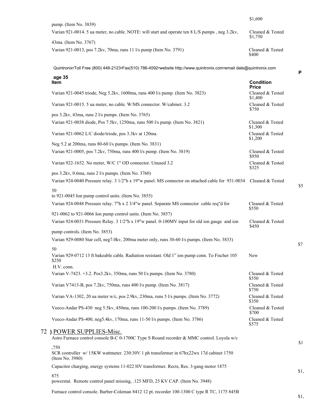|                                                                                                 | \$1,600                     |
|-------------------------------------------------------------------------------------------------|-----------------------------|
| pump. (Item No. $3839$ )                                                                        |                             |
| Varian 921-0014. 5 ua meter, no cable. NOTE: will start and operate ten 8 L/S pumps, neg 3.2kv, | Cleaned & Tested<br>\$1,750 |
| 43ma. (Item No. 3767)                                                                           |                             |
| Varian 921-0013, pos 7.2kv, 70ma, runs 11 l/s pump (Item No. 3791)                              | Cleaned & Tested<br>\$400   |

| age 35<br>Item                                                                                                     | <b>Condition</b><br><b>Price</b> |
|--------------------------------------------------------------------------------------------------------------------|----------------------------------|
| Varian 921-0045 triode, Neg 5.2kv, 1600ma, runs 400 l/s pump. (Item No. 3823)                                      | Cleaned & Tested<br>\$1,400      |
| Varian 921-0015. 5 ua meter, no cable. W/MS connector. W/cabinet. 3.2                                              | Cleaned & Tested<br>\$750        |
| pos 3.2kv, 43ma, runs 2 l/s pumps. (Item No. 3765)                                                                 |                                  |
| Varian 921-0038 diode, Pos 7.5kv, 1250ma, runs 500 l/s pump. (Item No. 3821)                                       | Cleaned & Tested<br>\$1,300      |
| Varian 921-0062 L/C diode/triode, pos 3.3kv at 120ma.                                                              | Cleaned & Tested<br>\$1,200      |
| Neg 5.2 at 200ma, runs 80-60 l/s pumps. (Item No. 3831)                                                            |                                  |
| Varian 921-0005, pos 7.2kv, 750ma, runs 400 l/s pump. (Item No. 3819)                                              | Cleaned & Tested<br>\$950        |
| Varian 922-1652. No meter, W/C 1" OD connector. Unused 3.2                                                         | Cleaned & Tested<br>\$325        |
| pos 3.2kv, 0.6ma, runs 2 l/s pumps. (Item No. 3760)                                                                |                                  |
| Varian 924-0040 Pressure relay. 3 1/2"h x 19"w panel. MS connector on attached cable for 931-0034                  | Cleaned & Tested                 |
| 50<br>to 921-0045 Ion pump control units. (Item No. 3855)                                                          |                                  |
| Varian 924-0048 Pressure relay. 7"h x 2 3/4"w panel. Separate MS connector cable req"d for                         | Cleaned & Tested<br>\$550        |
| 921-0062 to 921-0066 Ion pump control units. (Item No. 3857)                                                       |                                  |
| Varian 924-0031 Pressure Relay. 3 1/2"h x 19"w panel. 0-100MV input for old ion gauge and ion                      | Cleaned & Tested<br>\$450        |
| pump controls. (Item No. 3853)                                                                                     |                                  |
| Varian 929-0080 Star cell, neg7.0kv, 200ma meter only, runs 30-60 l/s pumps. (Item No. 3833)                       |                                  |
| 50                                                                                                                 |                                  |
| Varian 929-0712 13 ft bakeable cable. Radiation resistant. Old 1" ion pump conn. To Fischer 105<br>\$250           | New                              |
| H.V. conn.                                                                                                         |                                  |
| Varian V-7423. +3.2. Pos3.2kv, 350ma, runs 50 l/s pumps. (Item No. 3780)                                           | Cleaned & Tested<br>\$550        |
| Varian V7413-B, pos 7.2kv, 750ma, runs 400 l/s pump. (Item No. 3817)                                               | Cleaned & Tested<br>\$750        |
| Varian VA-1302, 20 ua meter w/c, pos 2.9kv, 230ma, runs 5 l/s pumps. (Item No. 3772)                               | Cleaned & Tested<br>\$350        |
| Veeco-Andar PS-430 neg 5.5kv, 450ma, runs 100-200 l/s pumps. (Item No. 3789)                                       | Cleaned & Tested<br>\$700        |
| Veeco-Andar PS-400, neg5.4kv, 170ma, runs 11-50 l/s pumps. (Item No. 3786)                                         | Cleaned & Tested<br>\$575        |
| 72) POWER SUPPLIES-Misc.                                                                                           |                                  |
| Astro Furnace control console B-C 0-1700C Type S Round recorder & MMC control. Loyola w/c                          |                                  |
| ,750<br>SCR controller w/ 15KW wattmeter. 230:30V 1 ph transformer in 67hx22wx 17d cabinet 1750<br>(Item No. 3980) |                                  |
| Capacitor charging, energy systems 11-022 HV transformer. Rects, Res. 3-gang motor 1875                            |                                  |
| 875<br>powerstat. Remote control panel missing, .125 MFD, 25 KV CAP. (Item No. 3948)                               |                                  |
| Furnace control console. Barber-Coleman 8412 12 pt. recorder 100-1300 C type R TC, 1175 845B                       |                                  |

\$1,

\$1

\$1,

**P**

\$5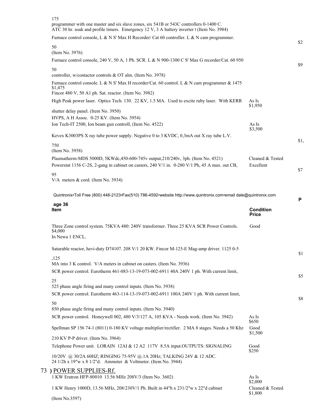| 175<br>programmer with one master and six slave zones, six 541B or 543C controllers 0-1400 C.<br>ATC 30 hr. soak and profile timers. Emergency 12 V, 3 A battery inverter t (Item No. 3984) |                                        |      |
|---------------------------------------------------------------------------------------------------------------------------------------------------------------------------------------------|----------------------------------------|------|
| Furnace control console, L & N S' Max H Recorder/ Cat 60 controller. L & N cam programmer.                                                                                                  |                                        |      |
| 50<br>(Item No. 3976)                                                                                                                                                                       |                                        | \$2  |
| Furnace control console, 240 V, 50 A, 1 Ph. SCR. L & N 900-1300 C S' Max G recorder/Cat. 60 950                                                                                             |                                        |      |
| 50<br>controller, w/contactor controls & OT alm. (Item No. 3978)                                                                                                                            |                                        | \$9  |
| Furnace control console. L & N S' Max H recorder/Cat. 60 control. L & N cam programmer & 1475<br>\$1,475<br>Fincor 480 V, 50 A1 ph. Sat. reactor. (Item No. 3982)                           |                                        |      |
| High Peak power laser. Optics Tech. 130. 22 KV, 1.5 MA. Used to excite ruby laser. With KERR                                                                                                | As Is                                  |      |
| shutter delay panel. (Item No. 3950)                                                                                                                                                        | \$1,950                                |      |
| HVPS, A H Assoc. 0-25 KV. (Item No. 3954)                                                                                                                                                   |                                        |      |
| Ion Tech-IT 2500, Ion beam gun controll, (Item No. 4522)                                                                                                                                    | As Is<br>\$3,500                       |      |
| Kevex K3003PS X ray tube power supply. Negative 0 to 3 KVDC, 0,3mA out X ray tube L.V.                                                                                                      |                                        | \$1, |
| 750<br>(Item No. 3958)                                                                                                                                                                      |                                        |      |
| Plasmatherm-MDS 5000D, 5KWdc, 450-600-745v output, 210/240v, 3ph. (Item No. 4521)<br>Powerstat 1156 C-2S, 2-gang in cabinet on casters, 240 V/1 in. 0-280 V/1 Ph, 45 A max. out CB,         | Cleaned & Tested<br>Excellent          |      |
| 95                                                                                                                                                                                          |                                        | \$7  |
| V/A meters & cord. (Item No. 3934)                                                                                                                                                          |                                        |      |
| Quintronix•Toll Free (800) 448-2123•Fax(510) 786-4592•website http://www.quintronix.com•email dale@quintronix.com                                                                           |                                        | P    |
| age 36<br>Item                                                                                                                                                                              | <b>Condition</b><br><b>Price</b>       |      |
| Three Zone control system. 75KVA 480: 240V transformer. Three 25 KVA SCR Power Controls.<br>\$4,000<br>In Newa 1 ENCL.                                                                      | Good                                   |      |
| Saturable reactor, hevi-duty D74107. 208 V/1 20 KW. Fincor M-125-E Mag-amp driver. 1125 0-5                                                                                                 |                                        | \$1  |
| ,125<br>MA into 3 K control. V/A meters in cabinet on casters. (Item No. 3936)                                                                                                              |                                        |      |
| SCR power control. Eurotherm 461-083-13-19-073-002-6911 40A 240V 1 ph. With current limit,                                                                                                  |                                        |      |
| 25                                                                                                                                                                                          |                                        | \$5  |
| 525 phase angle firing and many control inputs. (Item No. 3938)                                                                                                                             |                                        |      |
| SCR power control. Eurotherm 463-114-13-19-073-002-6911 100A 240V 1 ph. With current limit,                                                                                                 |                                        | \$8  |
| 50                                                                                                                                                                                          |                                        |      |
| 850 phase angle firing and many control inputs. (Item No. 3940)<br>SCR power control. Honeywell 002, 480 V/3/127 A, 105 KVA - Needs work. (Item No. 3942)                                   | As Is                                  |      |
|                                                                                                                                                                                             |                                        |      |
|                                                                                                                                                                                             | \$650                                  |      |
| Spellman SP 156 74-1 (8011) 0-180 KV voltage multiplier/rectifier. 2 MA 8 stages. Needs a 50 Khz                                                                                            | Good<br>\$1,500                        |      |
| 210 KV P-P driver. (Item No. 3964)                                                                                                                                                          |                                        |      |
| Telephone Power unit. LORAIN 12AI & 12 A2 117V 8.5A input.OUTPUTS: SIGNALING                                                                                                                | Good                                   |      |
| 10/20V @ 30/2A 60HZ; RINGING 75-95V @ 1A 20Hz; TALKING 24V & 12 ADC.<br>24 1/2h x 19"w x 8 1/2"d. Ammeter & Voltmeter. (Item No. 3944)                                                      | \$250                                  |      |
| 73) POWER SUPPLIES-Rf.                                                                                                                                                                      |                                        |      |
| 1 KW Eratron HFP-80010 13.56 MHz 208V/3 (Item No. 3602)                                                                                                                                     | As Is                                  |      |
| 1 KW Henry 1000D, 13.56 MHz, 208/230V/1 Ph. Built in 44"h x 231/2"w x 22"d cabinet<br>(Item No.3597)                                                                                        | \$2,000<br>Cleaned & Tested<br>\$1,800 |      |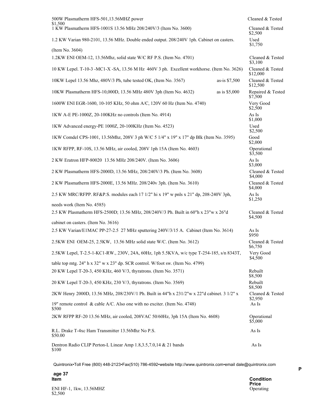| 500W Plasmatherm HFS-501,13.56MHZ power                                                     |               | Cleaned & Tested             |
|---------------------------------------------------------------------------------------------|---------------|------------------------------|
| \$1,500<br>1 KW Plasmatherm HFS-1001S 13.56 MHz 208/240V/3 (Item No. 3600)                  |               | Cleaned & Tested<br>\$2,500  |
| 1.2 KW Varian 980-2101, 13.56 MHz. Double ended output. 208/240V 1ph. Cabinet on casters.   |               | Used<br>\$1,750              |
| (Item No. 3604)                                                                             |               |                              |
| 1.2KW ENI OEM-12, 13.56Mhz, solid state W/C RF P.S. (Item No. 4701)                         |               | Cleaned & Tested<br>\$3,100  |
| 10 KW Lepel. T-10-3 -MC1-X -SA, 13.56 M Hz 460V 3 ph. Excellent workhorse. (Item No. 3626)  |               | Cleaned & Tested<br>\$12,000 |
| 10KW Lepel 13.56 Mhz, 480V/3 Ph, tube tested OK, (Item No. 3567)                            | as-is \$7,500 | Cleaned & Tested<br>\$12,500 |
| 10KW Plasmatherm HFS-10,000D, 13.56 MHz 480V 3ph (Item No. 4632)                            | as is \$5,000 | Repaired & Tested<br>\$7,500 |
| 1600W ENI EGR-1600, 10-105 KHz, 50 ohm A/C, 120V 60 Hz (Item No. 4740)                      |               | Very Good<br>\$2,500         |
| 1KW A-E PE-1000Z, 20-100KHz no controls (Item No. 4914)                                     |               | As Is<br>\$1,000             |
| 1KW Advanced energy-PE 1000Z, 20-100KHz (Item No. 4523)                                     |               | Used<br>\$2,500              |
| 1KW Comdel CPS-1001, 13.56Mhz, 208V 3 ph W/C 5 1/4" x 19" x 17" dp Blk (Item No. 3595)      |               | Good<br>\$2,000              |
| 1KW RFPP, RF-10S, 13.56 MHz, air cooled, 208V 1ph 15A (Item No. 4603)                       |               | Operational<br>\$3,500       |
| 2 KW Eratron HFP-80020 13.56 MHz 208/240V. (Item No. 3606)                                  |               | As Is<br>\$3,000             |
| 2 KW Plasmatherm HFS-2000D, 13.56 MHz, 208/240V/3 Ph. (Item No. 3608)                       |               | Cleaned & Tested<br>\$4,000  |
| 2 KW Plasmatherm HFS-2000E, 13.56 MHz. 208/240v 3ph. (Item No. 3610)                        |               | Cleaned & Tested<br>\$4,000  |
| 2.5 KW MRC/RFPP. RF&P.S. modules each 17 1/2" hi x 19" w pnls x 21" dp, 208-240V 3ph,       |               | As Is<br>\$1,250             |
| needs work (Item No. 4585)                                                                  |               |                              |
| 2.5 KW Plasmatherm HFS-2500D; 13.56 MHz, 208/240V/3 Ph. Built in 60"h x 23"w x 26"d         |               | Cleaned & Tested<br>\$4,500  |
| cabinet on casters. (Item No. 3616)                                                         |               |                              |
| 2.5 KW Varian/E1MAC PP-27-2.5 27 MHz sputtering 240V/3/15 A. Cabinet (Item No. 3614)        |               | As Is<br>\$950               |
| 2.5KW ENI OEM-25, 2.5KW, 13.56 MHz solid state W/C. (Item No. 3612)                         |               | Cleaned & Tested<br>\$6,750  |
| 2.5KW Lepel, T-2.5-1-KC1-RW., 230V, 24A, 60Hz, 1ph 5.5KVA, w/c type T-254-185, s/n 8343T,   |               | Very Good<br>\$4,500         |
| table top mtg. $24$ " h x $32$ " w x $23$ " dp. SCR control. W/foot sw. (Item No. 4799)     |               |                              |
| 20 KW Lepel T-20-3, 450 KHz, 460 V/3, thyratrons. (Item No. 3571)                           |               | Rebuilt<br>\$8,500           |
| 20 KW Lepel T-20-3, 450 KHz, 230 V/3, thyratrons. (Item No. 3569)                           |               | Rebuilt<br>\$8,500           |
| 2KW Henry 2000D, 13.56 MHz, 208/230V/1 Ph. Built in 44"h x 231/2"w x 22"d cabinet. 3 1/2" x |               | Cleaned & Tested<br>\$2,950  |
| 19" remote control & cable A/C. Also one with no exciter. (Item No. 4748)<br>\$500          |               | As Is                        |
| 2KW RFPP RF-20 13.56 MHz, air cooled, 208VAC 50/60Hz, 3ph 15A (Item No. 4608)               |               | Operational<br>\$5,000       |
| R.L. Drake T-4xc Ham Transmitter 13.56Mhz No P.S.<br>\$50.00                                |               | As Is                        |
| Dentron Radio CLIP Perton-L Linear Amp 1.8,3.5,7.0,14 & 21 bands<br>\$100                   |               | As Is                        |

| age 37                             | <b>Condition</b> |
|------------------------------------|------------------|
| Item                               | <b>Price</b>     |
| ENI HF-1, 1kw, 13.56MHZ<br>\$2.500 | Operating        |

**age 37**

\$2,500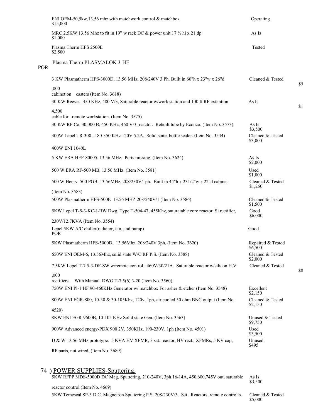|     | ENI OEM-50,5kw,13.56 mhz with matchwork control & matchbox<br>\$15,000                          | Operating                    |     |
|-----|-------------------------------------------------------------------------------------------------|------------------------------|-----|
|     | MRC 2.5KW 13.56 Mhz to fit in 19" w rack DC & power unit $17 \frac{1}{2}$ hi x 21 dp<br>\$1,000 | As Is                        |     |
|     | Plasma Therm HFS 2500E<br>\$2,500                                                               | Tested                       |     |
| POR | Plasma Therm PLASMALOK 3-HF                                                                     |                              |     |
|     | 3 KW Plasmatherm HFS-3000D, 13.56 MHz, 208/240V 3 Ph. Built in 60"h x 23"w x 26"d               | Cleaned & Tested             | \$5 |
|     | ,000<br>cabinet on casters (Item No. 3618)                                                      |                              |     |
|     | 30 KW Reeves, 450 KHz, 480 V/3, Saturable reactor w/work station and 100 ft RF extention        | As Is                        |     |
|     | 4,500<br>cable for remote workstation. (Item No. 3575)                                          |                              | \$1 |
|     | 30 KW RF Co. 30,000 B, 450 KHz, 460 V/3, reactor. Rebuilt tube by Econco. (Item No. 3573)       | As Is<br>\$3,500             |     |
|     | 300W Lepel TR-300. 180-350 KHz 120V 5.2A. Solid state, bottle sealer. (Item No. 3544)           | Cleaned & Tested<br>\$3,000  |     |
|     | 400W ENI 1040L                                                                                  |                              |     |
|     | 5 KW ERA HFP-80005, 13.56 MHz. Parts missing. (Item No. 3624)                                   | As Is<br>\$2,000             |     |
|     | 500 W ERA RF-500 MB, 13.56 MHz. (Item No. 3581)                                                 | Used<br>\$1,000              |     |
|     | 500 W Henry 500 PGB, 13.56MHz, 208/230V/1ph. Built in 44"h x 231/2"w x 22"d cabinet             | Cleaned & Tested<br>\$1,250  |     |
|     | (Item No. 3583)                                                                                 |                              |     |
|     | 500W Plasmatherm HFS-500E 13.56 MHZ 208/240V/1 (Item No. 3586)                                  | Cleaned & Tested<br>\$1,500  |     |
|     | 5KW Lepel T-5-3-KC-J-BW Dwg. Type T-504-47, 455Khz, saturatable core reactor. Si rectifier,     | Good<br>\$6,000              |     |
|     | 230V/12.7KVA (Item No. 3554)                                                                    |                              |     |
|     | Lepel 5KW A/C chiller(radiator, fan, and pump)<br><b>POR</b>                                    | Good                         |     |
|     | 5KW Plasmatherm HFS-5000D, 13.56Mhz, 208/240V 3ph. (Item No. 3620)                              | Repaired & Tested<br>\$6,500 |     |
|     | 650W ENI OEM-6, 13.56Mhz, solid state W/C RF P.S. (Item No. 3588)                               | Cleaned & Tested<br>\$2,000  |     |
|     | 7.5KW Lepel T-7.5-3-DF-SW w/remote control. 460V/30/21A. Saturable reactor w/silicon H.V.       | Cleaned & Tested             | \$8 |
|     | ,000<br>rectifiers.<br>With Manual. DWG T-7.5(6) 3-20 (Item No. 3560)                           |                              |     |
|     | 750W ENI Pl-1 HF 90-460KHz Generator w/ matchbox For asher & etcher (Item No. 3548)             | Excellent<br>\$2,150         |     |
|     | 800W ENI EGR-800, 10-30 & 30-105Khz, 120v, 1ph, air cooled 50 ohm BNC output (Item No.          | Cleaned & Tested<br>\$2,150  |     |
|     | 4520)<br>8KW ENI EGR-9600B, 10-105 KHz Solid state Gen. (Item No. 3563)                         | Unused & Tested              |     |
|     | 900W Advanced energy-PDX 900 2V, 350KHz, 190-230V, 1ph (Item No. 4501)                          | \$9,750<br>Used<br>\$3,500   |     |
|     | D & W 13.56 MHz prototype. 5 KVA HV XFMR, 3 sat. reactor, HV rect., XFMRs, 5 KV cap,            | Unused<br>\$495              |     |
|     | RF parts, not wired, (Item No. 3689)                                                            |                              |     |
|     |                                                                                                 |                              |     |

## 74 **)** POWER SUPPLIES-Sputtering.

5KW RFPP MDS-5000D DC Mag. Sputtering, 210-240V, 3ph 16-14A, 450,600,745V out, saturable As Is<br>\$3,500 reactor control (Item No. 4669)

5KW Temescal SP-5 D.C. Magnetron Sputtering P.S. 208/230V/3. Sat. Reactors, remote controlls.

Cleaned & Tested<br>\$5,000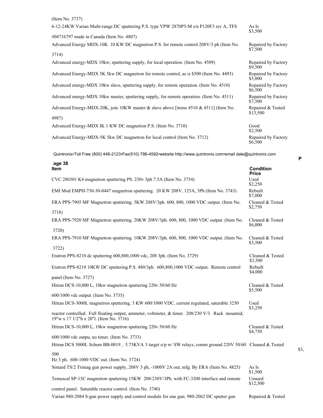| (Item No. 3737)                                                                           |                                |
|-------------------------------------------------------------------------------------------|--------------------------------|
| 6-12-24KW Varian Multi-range DC sputtering P.S. type VPW 2870P5-M s/n P120F3 rev A, TFS   | As Is<br>\$3,500               |
| #04716797 made in Canada (Item No. 4807)                                                  |                                |
| Advanced Energy MDX-10K 10 KW DC magnetron P.S. for remote control 208V/3 ph (Item No.    | Repaired by Factory<br>\$7,500 |
| 3714)                                                                                     |                                |
| Advanced energy-MDX 10kw, sputtering supply, for local operation. (Item No. 4509)         | Repaired by Factory<br>\$9,500 |
| Advanced Energy-MDX 5K 5kw DC magnetron for remote control, as is \$500 (Item No. 4493)   | Repaired by Factory<br>\$5,000 |
| Advanced energy-MDX 10kw slave, sputtering supply, for remote operation. (Item No. 4510)  | Repaired by Factory<br>\$6,500 |
| Advanced energy-MDX 10kw master, sputtering supply, for remote operation. (Item No. 4511) | Repaired by Factory<br>\$7,500 |
| Advanced Energy-MDX-20K, join 10KW master & slave above [items $4510 \& 4511$ ] (Item No. | Repaired & Tested<br>\$13,500  |
| 4987)                                                                                     |                                |
| Advanced Energy-MDX IK 1 KW DC magnetion P.S. (Item No. 3710)                             | Good<br>\$2,500                |
| Advanced Energy-MDX-5K 5kw DC magnetron for local control (Item No. 3712)                 | Repaired by Factory<br>\$6,500 |

| age 38                                                                                                                                       |                             |
|----------------------------------------------------------------------------------------------------------------------------------------------|-----------------------------|
| Item                                                                                                                                         | <b>Condition</b><br>Price   |
| CVC 280301 K4 magnetron sputtering PS. 230v 3ph 7.5A (Item No. 3754)                                                                         | Used<br>\$2,250             |
| EMI Mod EMPH-730-30-0447 magnetron sputtering. 20 KW 208V, 125A, 3Ph (Item No. 3743)                                                         | Rebuilt<br>\$7,000          |
| ERA PPS-7905 MF Magnetron sputtering. 5KW 208V/3ph. 600, 800, 1000 VDC output. (Item No.                                                     | Cleaned & Tested<br>\$2,750 |
| 3718)                                                                                                                                        |                             |
| ERA PPS-7920 MF Magnetron sputtering. 20KW 208V/3ph. 600, 800, 1000 VDC output. (Item No.                                                    | Cleaned & Tested<br>\$6,000 |
| 3720)                                                                                                                                        |                             |
| ERA PPS-7910 MF Magnetron sputtering. 10KW 208V/3ph. 600, 800, 1000 VDC output. (Item No.                                                    | Cleaned & Tested<br>\$3,500 |
| 3722)                                                                                                                                        |                             |
| Eratron PPS-8210 dc sputtering 600,800,1000 vdc, 208 3ph. (Item No. 3729)                                                                    | Cleaned & Tested<br>\$3,500 |
| Eratron PPS-8210 10KW DC sputtering P.S. 480/3ph. 600,800,1000 VDC output. Remote control                                                    | Rebuilt<br>\$4,000          |
| panel (Item No. 3727)                                                                                                                        |                             |
| Hitran DCS-10,000 L, 10kw magnetron sputtering 220v 50/60 Hz                                                                                 | Cleaned & Tested<br>\$5,500 |
| 600/1000 vdc output. (Item No. 3735)                                                                                                         |                             |
| Hitran DCS-3000L magnetron sputtering. 3 KW 600/1000 VDC, current regulated, saturable 3250                                                  | Used<br>\$3,250             |
| reactor controlled. Full floating output, ammeter, voltmeter, & timer. 208/230 V/3. Rack mounted,<br>19"w x 17 1/2"h x 20"l. (Item No. 3716) |                             |
| Hitran DCS-10,000 L, 10kw magnetron sputtering 220v 50/60 Hz                                                                                 | Cleaned & Tested<br>\$4,750 |
| 600/1000 vdc outpu, no timer. (Item No. 3733)                                                                                                |                             |
| Hitran DCS 5000L Schem BB-0019, 5.75KVA 3 target o/p w/ SW relays, comm ground 220V 50/60 Cleaned & Tested                                   |                             |
| 500                                                                                                                                          |                             |
| Hz 3 ph. 600-1000 VDC out. (Item No. 3724)                                                                                                   |                             |
| Simard TS/2 Trimag gun power supply, 208V 3 ph, -1000V 2A out, mfg. By ERA (Item No. 4825)                                                   | As Is<br>\$1,500            |
| Temescal SP-15C magnetron sputtering 15KW 208/230V/3Ph. with FC-3200 interface and remote                                                    | Unused<br>\$12,500          |
| control panel. Saturable reactor control. (Item No. 3740)                                                                                    |                             |
| Varian 980-2084 S-gun power supply and control module for one gun. 980-2062 DC sputter gun                                                   | Repaired & Tested           |

**P**

\$3,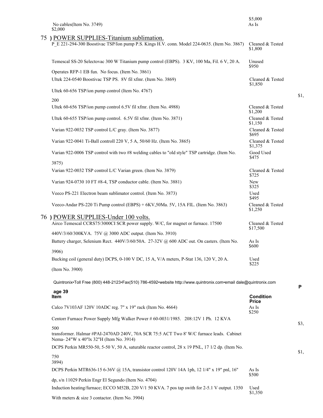| \$2,000<br>75 ) POWER SUPPLIES-Titanium sublimation.<br>P E 221-294-300 Boostivac TSP/Ion pump P.S. Kings H.V. conn. Model 224-0635. (Item No. 3867)   |                              |
|--------------------------------------------------------------------------------------------------------------------------------------------------------|------------------------------|
|                                                                                                                                                        |                              |
|                                                                                                                                                        | Cleaned & Tested<br>\$1,800  |
| Temescal SS-20 Selectovac 300 W Titanium pump control (EBPS). 3 KV, 100 Ma, Fil. 6 V, 20 A.                                                            | Unused<br>\$950              |
| Operates RFP-1 EB fun. No focus. (Item No. 3861)                                                                                                       |                              |
| Ultek 224-0540 Boostivac TSP PS. 8V fil xfmr. (Item No. 3869)                                                                                          | Cleaned & Tested<br>\$1,850  |
| Ultek 60-656 TSP/ion pump control (Item No. 4767)                                                                                                      |                              |
| 200                                                                                                                                                    |                              |
| Ultek 60-656 TSP/ion pump control 6.5V fil xfmr. (Item No. 4988)                                                                                       | Cleaned & Tested<br>\$1,200  |
| Ultek 60-655 TSP/ion pump control. 6.5V fil xfmr. (Item No. 3871)                                                                                      | Cleaned & Tested<br>\$1,150  |
| Varian 922-0032 TSP control L/C gray. (Item No. 3877)                                                                                                  | Cleaned & Tested<br>\$695    |
| Varian 922-0041 Ti-Ball controll 220 V, 5 A, 50/60 Hz. (Item No. 3865)                                                                                 | Cleaned & Tested<br>\$1,375  |
| Varian 922-0006 TSP control with two #8 welding cables to "old style" TSP cartridge. (Item No.                                                         | Good Used<br>\$475           |
| 3875)                                                                                                                                                  |                              |
| Varian 922-0032 TSP control L/C Varian green. (Item No. 3879)                                                                                          | Cleaned & Tested<br>\$725    |
| Varian 924-0730 10 FT #8-4, TSP conductor cable. (Item No. 3881)                                                                                       | <b>New</b><br>\$325          |
| Veeco PS-221 Electron beam sublimator control. (Item No. 3873)                                                                                         | Used<br>\$495                |
| Veeco-Andar PS-220 Ti Pump control (EBPS) + 6KV, 50Ma. 5V, 15A FIL. (Item No. 3863)                                                                    | Cleaned & Tested             |
| 76 ) POWER SUPPLIES-Under 100 volts.<br>Airco Temescal CCRS75/3000CI SCR power supply. W/C, for magnet or furnace. 17500                               | Cleaned & Tested<br>\$17,500 |
| 440V/3/60/300KVA. 75V @ 3000 ADC output. (Item No. 3910)<br>Battery charger, Selenium Rect. 440V/3/60/50A. 27-32V @ 600 ADC out. On casters. (Item No. | As Is                        |
|                                                                                                                                                        | \$600                        |
| 3906)                                                                                                                                                  |                              |
| Bucking coil (general duty) DCPS, 0-100 V DC, 15 A, V/A meters, P-Stat 136, 120 V, 20 A.                                                               | Used<br>\$225                |
| (Item No. 3900)                                                                                                                                        |                              |
| Quintronix•Toll Free (800) 448-2123•Fax(510) 786-4592•website http://www.quintronix.com•email dale@quintronix.com                                      |                              |
| age 39<br>Item                                                                                                                                         | <b>Condition</b>             |
|                                                                                                                                                        | <b>Price</b>                 |
| Calco 7V103AF 120V 10ADC reg. 7" x 19" rack (Item No. 4664)                                                                                            | As Is<br>\$250               |
| Centorr Furnace Power Supply Mfg Walker Power # 60-0031/1985. 208:12V 1 Ph. 12 KVA                                                                     |                              |
| 500<br>transformer. Halmar #PAI-2470AD 240V, 70A SCR 75:5 ACT Two 8' W/C furnace leads. Cabinet<br>Nema- 24"W x 40"lx 32"H (Item No. 3914)             |                              |
| DCPS Perkin MR550-50, 5-50 V, 50 A, saturable reactor control, 28 x 19 PNL, 17 1/2 dp. (Item No.                                                       |                              |
| 750                                                                                                                                                    |                              |
|                                                                                                                                                        |                              |
| 3894)                                                                                                                                                  |                              |
| DCPS Perkin MTR636-15 6-36V @ 15A, transistor control 120V 14A 1ph, 12 1/4" x 19" pnl, 16"                                                             | As Is<br>\$500               |
| dp, s/n 11029 Perkin Engr El Segundo (Item No. 4704)<br>Induction heating/furnace; ECCO M52B, 220 V/1 50 KVA. 7 pos tap swith for 2-5.1 V output. 1350 | Used<br>\$1,350              |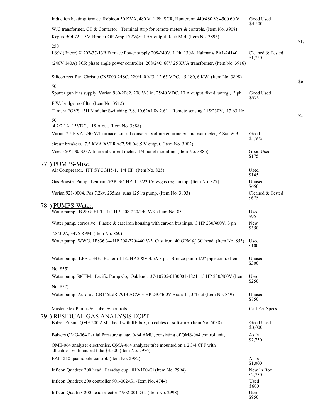| Induction heating/furnace. Robicon 50 KVA, 480 V, 1 Ph. SCR, Hunterdon 440/480 V: 4500 60 V                                             | Good Used                   |      |
|-----------------------------------------------------------------------------------------------------------------------------------------|-----------------------------|------|
| W/C transformer, CT & Contactor. Terminal strip for remote meters & controls. (Item No. 3908)                                           | \$4,500                     |      |
| Kepco BOP72-1.5M Bipolar OP Amp +72V $@+1.5A$ output Rack Mtd. (Item No. 3896)                                                          |                             | \$1, |
| 250                                                                                                                                     |                             |      |
| L&N (fincor) #1202-37-13B Furnace Power supply 208-240V, 1 Ph, 130A. Halmar # PA1-24140                                                 | Cleaned & Tested<br>\$1,750 |      |
| (240V 140A) SCR phase angle power controller. 208/240: 60V 25 KVA transformer. (Item No. 3916)                                          |                             |      |
| Silicon rectifier. Christie CX5000-24SC, 220/440 V/3, 12-65 VDC, 45-180, 6 KW. (Item No. 3898)                                          |                             | \$6  |
| 50<br>Sputter gun bias supply, Varian 980-2082, 208 V/3 in. 25/40 VDC, 10 A output, fixed, unreg., 3 ph                                 | Good Used<br>\$575          |      |
| F.W. bridge, no filter (Item No. 3912)                                                                                                  |                             |      |
| Tamura #OVS-15H Modular Switching P.S. 10.62x4.8x 2.6". Remote sensing 115/230V, 47-63 Hz,                                              |                             | \$2  |
| 50<br>4.2/2.1A, 15VDC, 18 A out. (Item No. 3888)                                                                                        |                             |      |
| Varian 7.5 KVA, 240 V/1 furnace control console. Voltmeter, armeter, and wattmeter, P-Stat & 3                                          | Good                        |      |
| circuit breakers. 7.5 KVA XVFR w/7.5/8.0/8.5 V output. (Item No. 3902)                                                                  | \$1,975                     |      |
| Veeco 50/100/500 A filament current meter. 1/4 panel mounting. (Item No. 3886)                                                          | Good Used<br>\$175          |      |
| 77 ) PUMPS-Misc.                                                                                                                        |                             |      |
| Air Compressor. ITT SYCGH5-1. 1/4 HP. (Item No. 825)                                                                                    | Used<br>\$145               |      |
| Gas Booster Pump. Leiman 263P 3/4 HP 115/230 V w/gas reg. on top. (Item No. 827)                                                        | Unused<br>\$650             |      |
| Varian 921-0004. Pos 7.2kv, 235ma, runs 125 l/s pump. (Item No. 3803)                                                                   | Cleaned & Tested<br>\$675   |      |
| 78 ) PUMPS-Water.                                                                                                                       |                             |      |
| Water pump. B & G 81-T. 1/2 HP 208-220/440 V/3. (Item No. 851)                                                                          | Used<br>\$95                |      |
| Water pump, corrosive. Plastic & cast iron housing with carbon bushings. 3 HP 230/460V, 3 ph                                            | New<br>\$350                |      |
| 7.8/3.9A, 3475 RPM. (Item No. 860)                                                                                                      |                             |      |
| Water pump. WWG. 1P836 3/4 HP 208-220/440 V/3. Cast iron. 40 GPM @ 30' head. (Item No. 853)                                             | Used<br>\$100               |      |
| Water pump. LFE 2J34F. Eastern 1 1/2 HP 208V 4.6A 3 ph. Bronze pump 1/2" pipe conn. (Item                                               | Unused<br>\$300             |      |
| No. 855)<br>Water pump 50CFM. Pacific Pump Co, Oakland. 37-10705-0130001-1821 15 HP 230/460V (Item                                      | Used                        |      |
|                                                                                                                                         | \$250                       |      |
| No. 857)<br>Water pump Aurora # CB145ttdR 7913 ACW 3 HP 230/460V Brass 1", 3/4 out (Item No. 849)                                       | Unused<br>\$750             |      |
| Master Flex Pumps & Tube. & controls                                                                                                    | Call For Specs              |      |
| 79) RESIDUAL GAS ANALYSIS EQPT.                                                                                                         |                             |      |
| Balzer Prisma QME 200 AMU head with RF box, no cables or software. (Item No. 5038)                                                      | Good Used<br>\$3,000        |      |
| Balzers QMG-064 Partial Pressure gauge, 0-64 AMU, consisting of QMS-064 control unit,                                                   | As Is<br>\$2,750            |      |
| QME-064 analyzer electronics, QMA-064 analyzer tube mounted on a 2 3/4 CFF with<br>all cables, with unused tube \$3,500 (Item No. 2976) |                             |      |
| EAI 1210 quadrapole control. (Item No. 2982)                                                                                            | As Is<br>\$1,000            |      |
| Inficon Quadrex 200 head. Faraday cup. 019-100-Gi (Item No. 2994)                                                                       | New In Box<br>\$2,750       |      |
| Inficon Quadrex 200 controller 901-002-G1 (Item No. 4744)                                                                               | Used<br>\$600               |      |
| Inficon Quadrex 200 head selector #902-001-G1. (Item No. 2998)                                                                          | Used<br>\$950               |      |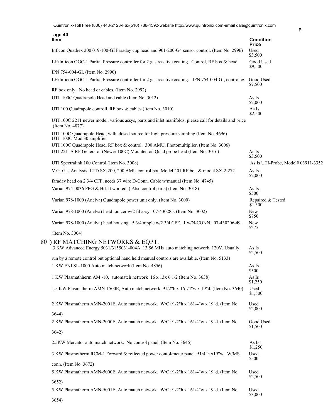| age 40<br>Item                                                                                                            | <b>Condition</b>                   |
|---------------------------------------------------------------------------------------------------------------------------|------------------------------------|
| Inficon Quadrex 200 019-100-GI Faraday cup head and 901-200-G4 sensor control. (Item No. 2996)                            | <b>Price</b><br>Used<br>\$3,500    |
| LH/Inficon OGC-1 Partial Pressure controller for 2 gas reactive coating. Control, RF box & head.                          | Good Used<br>\$9,500               |
| IPN 754-004-GI. (Item No. 2990)                                                                                           |                                    |
| LH/Inficon OGC-1 Partial Pressure controller for 2 gas reactive coating. IPN 754-004-GI, control &                        | Good Used<br>\$7,500               |
| RF box only. No head or cables. (Item No. 2992)                                                                           |                                    |
| UTI 100C Quadrapole Head and cable (Item No. 3012)                                                                        | As Is<br>\$2,000                   |
| UTI 100 Quadrapole controll, RF box & cables (Item No. 3010)                                                              | As Is<br>\$2,500                   |
| UTI 100C 2211 newer model, various assys, parts and inlet manifolds, please call for details and price<br>(Item No. 4877) |                                    |
| UTI 100C Quadrapole Head, with closed source for high pressure sampling (Item No. 4696)<br>UTI 100C Mod 30 amplifier      |                                    |
| UTI 100C Quadrapole Head, RF box & control. 300 AMU, Photomultiplier. (Item No. 3006)                                     |                                    |
| UTI 2211A RF Generator (Newer 100C) Mounted on Quad probe head (Item No. 3016)                                            | As Is<br>\$3,500                   |
| UTI Spectralink 100 Control (Item No. 3008)                                                                               | As Is UTI-Probe, Model# 03911-3352 |
| V.G. Gas Analysis, LTD SX-200, 200 AMU control bot. Model 401 RF bot. & model SX-2-272                                    | As Is<br>\$2,000                   |
| faraday head on 2 3/4 CFF, needs 37 wire D-Conn. Cable w/manual (Item No. 4745)                                           |                                    |
| Varian 974-0036 PPG & Hd. It worked. (Also control parts) (Item No. 3018)                                                 | As Is<br>\$500                     |
| Varian 978-1000 (Anelva) Quadrapole power unit only. (Item No. 3000)                                                      | Repaired & Tested<br>\$1,500       |
| Varian 978-1000 (Anelva) head ionizer w/2 fil assy. 07-430285. (Item No. 3002)                                            | New<br>\$750                       |
| Varian 978-1000 (Anelva) head housing. 5 3/4 nipple w/2 3/4 CFF. 1 w/N-CONN. 07-430206-49.                                | New<br>\$275                       |
| (Item No. 3004)                                                                                                           |                                    |
| 80) RF MATCHING NETWORKS & EQPT.                                                                                          |                                    |
| 3 KW Advanced Energy 5031/3155031-004A. 13.56 MHz auto matching network, 120V. Usually                                    | As Is<br>\$2,500                   |
| run by a remote control but optional hand held manual controls are available. (Item No. 5133)                             |                                    |
| 1 KW ENI SL-1000 Auto match network (Item No. 4856)                                                                       | As Is<br>\$500                     |
| 1 KW Plasmathherm AM -10, automatch network 16 x 13x 6 1/2 (Item No. 3638)                                                | As Is<br>\$1,250                   |
| 1.5 KW Plasmatherm AMN-1500E, Auto match network. 91/2"h x 161/4"w x 19"d. (Item No. 3640)                                | Used<br>\$1,500                    |
| 2 KW Plasmatherm AMN-2001E, Auto match network. W/C 91/2"h x 161/4"w x 19"d. (Item No.                                    | Used<br>\$2,000                    |
| 3644)                                                                                                                     |                                    |
| 2 KW Plasmatherm AMN-2000E, Auto match network. W/C 91/2"h x 161/4"w x 19"d. (Item No.                                    | Good Used<br>\$1,500               |
| 3642)                                                                                                                     |                                    |
| 2.5KW Mercator auto match network. No control panel. (Item No. 3646)                                                      | As Is<br>\$1,250                   |
| 3 KW Plasmotherm RCM-1 Forward & reflected power contol/meter panel. 51/4"h x19"w. W/MS                                   | Used<br>\$500                      |
| conn. (Item No. 3672)                                                                                                     |                                    |
| 5 KW Plasmatherm AMN-5000E, Auto match network. W/C 91/2"h x 161/4"w x 19"d. (Item No.                                    | Used<br>\$2,500                    |
| 3652)                                                                                                                     |                                    |
| 5 KW Plasmatherm AMN-5001E, Auto match network. W/C 91/2"h x 161/4"w x 19"d. (Item No.<br>3654)                           | Used<br>\$3,000                    |
|                                                                                                                           |                                    |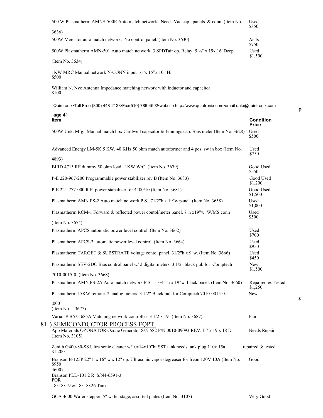| 500 W Plasmatherm AMNS-500E Auto match network. Needs Vac cap., panels & conn. (Item No.                                               | Used<br>\$350                    |
|----------------------------------------------------------------------------------------------------------------------------------------|----------------------------------|
| 3636)                                                                                                                                  |                                  |
| 500W Mercator auto match network. No control panel. (Item No. 3630)                                                                    | As Is<br>\$750                   |
| 500W Plasmatherm AMN-501 Auto match network. 3 SPDTair op. Relay. 5 1/4" x 19x 16"Deep                                                 | Used<br>\$1,500                  |
| (Item No. 3634)                                                                                                                        |                                  |
| 1KW MRC Manual network N-CONN input 16"x 15"x 10" Hi<br>\$500                                                                          |                                  |
| William N. Nye Antenna Impedance matching network with inductor and capacitor<br>\$100                                                 |                                  |
| Quintronix•Toll Free (800) 448-2123•Fax(510) 786-4592•website http://www.quintronix.com•email dale@quintronix.com                      |                                  |
| age 41<br>Item                                                                                                                         | <b>Condition</b><br><b>Price</b> |
| 500W Unk. Mfg. Manual match box Cardwell capacitor & Jennings cap. Bias meter (Item No. 3628)                                          | Used<br>\$500                    |
| Advanced Energy LM-5K 5 KW, 40 KHz 50 ohm match autoformer and 4 pos. sw in box (Item No.<br>4893)                                     | Used<br>\$750                    |
| BIRD 4715 RF dummy 50 ohm load. 1KW W/C. (Item No. 3679)                                                                               | Good Used<br>\$550               |
| P-E 220-967-200 Programmable power stabilizer rev B (Item No. 3683)                                                                    | Good Used<br>\$1,200             |
| P-E 221-777-000 R.F. power stabalizer for 4400/10 (Item No. 3681)                                                                      | Good Used<br>\$1,500             |
| Plasmatherm AMN PS-2 Auto match network P.S. 71/2"h x 19"w panel. (Item No. 3658)                                                      | Used<br>\$1,000                  |
| Plasmatherm RCM-1 Forward & reflected power contol/meter panel. 7"h x19"w. W/MS conn<br>(Item No. 3674)                                | Used<br>\$500                    |
| Plasmatherm APCS automatic power level control. (Item No. 3662)                                                                        | Used                             |
| Plasmatherm APCS-3 automatic power level control. (Item No. 3664)                                                                      | \$700<br>Used                    |
| Plasmatherm TARGET & SUBSTRATE voltage contol panel. 31/2"h x 9"w. (Item No. 3666)                                                     | \$950<br>Used<br>\$450           |
| Plasmatherm SEV-2DC Bias control panel w/ 2 digital meters. 3 1/2" black pul. for Comptech                                             | New<br>\$1,500                   |
| 7010-0015-0. (Item No. 3668)<br>Plasmatherm AMN PS-2A Auto match network P.S. 1 3/4""h x 19"w black panel. (Item No. 3660)             | Repaired & Tested<br>\$1,250     |
| Plasmatherm 15KW remote. 2 analog meters. 3 1/2" Black pul. for Comptech 7010-0015-0.                                                  | New                              |
| ,000<br>(Item No. $3677$ )                                                                                                             |                                  |
| Varian # B675 685A Matching network controller 3 1/2 x 19" (Item No. 3687)                                                             | Fair                             |
| ) SEMICONDUCTOR PROCESS EQPT.<br>App Materials OZONATOR Ozone Generator S/N 582 P/N 0010-09093 REV. J 7 x 19 x 18 D<br>(Item No. 3105) | Needs Repair                     |
| Zenith G400-80-SS Ultra sonic cleaner w/10x14x10"hi SST tank needs tank plug 110v 15a<br>\$1,200                                       | repaired & tested                |
| Branson B-125P 22" h x 16" w x 12" dp. Ultrasonic vapor degreaser for freon 120V 10A (Item No.<br>\$950<br>4600)                       | Good                             |
| Branson PLD-101 2 R S/N4-6591-3<br><b>POR</b>                                                                                          |                                  |
| 18x18x19 & 18x18x26 Tanks                                                                                                              |                                  |

GCA 4600 Wafer stepper. 5" wafer stage, assorted plates (Item No. 3107) Very Good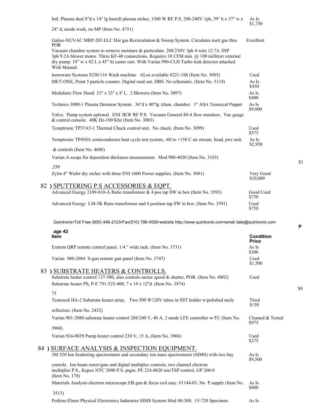| Intl. Plasma dual 8"d x 14" lg barrell plasma etcher, 1500 W RF P.S. 208-240V 1ph, 39" h x 37" w x                                                                                                                                                                                                       | As Is<br>\$1,750      |
|----------------------------------------------------------------------------------------------------------------------------------------------------------------------------------------------------------------------------------------------------------------------------------------------------------|-----------------------|
| 24" d, needs work, no MP (Item No. 4751)                                                                                                                                                                                                                                                                 |                       |
| Galiso-NUVAC MRP-203 ELC Hot gas Recirculation & Sweep System. Circulates inert gas thru<br><b>POR</b>                                                                                                                                                                                                   | Excellent             |
| Vacuum chamber system to remove moisture & particulate. 208/230V 3ph 4 wire 12.7A 3HP<br>3ph 9.2A blower motor. Three KF-40 connections. Requires 18 CFM min. @ 100 millitorr external<br>dry pump. 19" w x 42 L x 45" hi caster cart. With Varian 990-CLD Turbo leak detector attached.<br>With Manual. |                       |
| luoroware Systems 8230/116 Wash machine ALso available 8221-188 (Item No. 3085)                                                                                                                                                                                                                          | Used                  |
| MET-ONE, Point 5 particle counter. Digital read out. DBS. No schematic. (Item No. 5114)                                                                                                                                                                                                                  | As Is<br>\$450        |
| Modulaire Flow Hood 33" x 33" x 8' L. 2 Blowers (Item No. 3097)                                                                                                                                                                                                                                          | As Is<br>\$400        |
| Technics 3000-1 Plasma Desmear System. 36"d x 40"lg Alum. chamber. 3" ASA Temescal Poppet                                                                                                                                                                                                                | As Is<br>\$9,000      |
| Valve. Pump system optional. ENI 3KW RF P.S. Vacuum General 80-4 flow monitors. Vac gauge<br>& control console. 40K Hz-100 Khz (Item No. 3083)                                                                                                                                                           |                       |
| Temptronic TP37A5-1 Thermal Chuck control unit. No chuck. (Item No. 3099)                                                                                                                                                                                                                                | Used<br>\$575         |
| Temptronic TP450A semiconductor heat cycle test system, -60 to +150 C air stream. head, pwr unit,                                                                                                                                                                                                        | As Is<br>\$2,950      |
| & controls (Item No. 4688)                                                                                                                                                                                                                                                                               |                       |
| Varian A-scope for deposition thickness measurement. Mod 980-4020 (Item No. 3103)                                                                                                                                                                                                                        |                       |
| ,250<br>Zylin 4" Wafer dry etcher with three ENI 1600 Power supplies. (Item No. 3081)                                                                                                                                                                                                                    | Very Good<br>\$10,000 |
| 82) SPUTTERING P.S ACCESSORIES & EQPT.                                                                                                                                                                                                                                                                   |                       |
| Advanced Energy 2189-010-A Ratio transformer & 4 pos tap SW in box (Item No. 3593)                                                                                                                                                                                                                       | Good Used<br>\$750    |
| Advanced Energy LM-5K Ratio transformer and 4 position tap SW in box. (Item No. 3591)                                                                                                                                                                                                                    | Used<br>\$750         |
| Quintronix•Toll Free (800) 448-2123•Fax(510) 786-4592•website http://www.quintronix.com•email dale@quintronix.com                                                                                                                                                                                        |                       |

**age 42 Item Condition Price** Eratron QRP remote control panel. 1/4 " wide rack. (Item No. 3731) As Is \$500 Varian 980-2084 S-gun remote gun panel (Item No. 3747) Used \$1,500 83 **)** SUBSTRATE HEATERS & CONTROLLS. Substrate heater control 137-500, also controls motor speed & shutter, POR. (Item No. 4802) Used Substrate heater PS, P-E 791-525-400, 7 x 19 x 12"d. (Item No. 3974) 75 Temescal HA-2 Substrate heater array. Two 500 W120V tubes in SST holder w/polished moly Tired \$150 reflectors. (Item No. 2432) Varian 901-2080 substrate heater control 208/240 V, 40 A. 2 mode LFE controller w/TC (Item No. Cleaned & Tested \$975 3968) Varian 924-0029 Pump heater control 230 V, 15 A, (Item No. 3966) Used \$275 84 **)** SURFACE ANALYSIS & INSPECTION EQUIPMENT. 3M 520 Ion Scattering spectrometer and secondary ion mass spectrometer (SIMS) with two bay As Is \$9,500 console. Ion beam raster/gate and digital multiplex controls, two channel electron multiplier P.S., Kepco NTC 2000 P.S. prgm. PE 224-0620 ion/TSP control, GP 260-0 (Item No. 178) Materials Analysis electron microscope EB gun & focus coil assy. #1144-03. No P.supply (Item No. As Is \$600 3513)

Perkins-Elmer Physical Electronics Industries SIMS System Mod 40-300. 15-720 Specimen As Is

**P**

\$3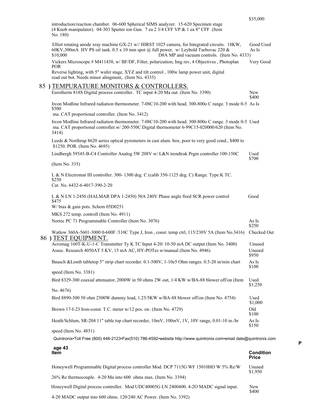|                                                                                                                                                                                                                                                  | \$35,000                         |
|--------------------------------------------------------------------------------------------------------------------------------------------------------------------------------------------------------------------------------------------------|----------------------------------|
| introduction/reaction chamber. 06-600 Spherical SIMS analyzer. 15-620 Specimen stage<br>(4 Knob manipulator). 04-303 Sputter ion Gun. 7 ea 2 3/4 CFF VP & 1 ea 8" CFF (Item<br>No. 180)                                                          |                                  |
| Elliot rotating anode xray machine GX-21 w// HIRST 1025 camera, for Integrated circuits. 18KW,<br>60KV,300mA HV PS oil tank. 0.5 x 10 mm spot @ full power, w/ Leybold Turbovac 220 &<br>\$10,000<br>D8A MP and vacuum controls. (Item No. 4333) | Good Used<br>As Is               |
| Vickers Microscope # M411438, w/ BF/DF, Filter, polarization, Img rev, 4 Objectives, Photoplan                                                                                                                                                   | Very Good                        |
| POR.<br>Reverse lighting, with 5" wafer stage, XYZ and tilt control, 100w lamp power unit, digital<br>read out bot. Needs minor alingment,. (Item No. 4335)                                                                                      |                                  |
| 85) TEMPURATURE MONITORS & CONTROLLERS.                                                                                                                                                                                                          |                                  |
| Eurotherm 818S Digital process controller. TC input 4-20 Ma out. (Item No. 3390)                                                                                                                                                                 | New<br>\$400                     |
| Ircon Modline Infrared radiation thermometer. 7-08C10-200 with head. 300-800o C range. 3 mode 0-5 As Is<br>\$500                                                                                                                                 |                                  |
| ma. CAT proportional controller. (Item No. 3412)                                                                                                                                                                                                 |                                  |
| Ircon Modline Infrared radiation thermometer. 7-08C10-200 with head. 300-800o C range. 3 mode 0-5 Used<br>ma. CAT proportional controller.w/ 200-550C Digital thermometer 6-99C15-020000/620 (Item No.<br>3414)                                  |                                  |
| Leeds & Northrup 8620 series optical pyrometers in cast alum. box, poor to very good cond., \$400 to<br>\$1250. POR. (Item No. 4695)                                                                                                             |                                  |
| Lindbergh 59545-B-C4 Controller Analog 5W 208V w/ L&N trendtrak Prgm controller 100-150C                                                                                                                                                         | Used<br>\$700                    |
| (Item No. 335)                                                                                                                                                                                                                                   |                                  |
| L & N Electromat III controller. 300-1300 deg. C (calib 350-1125 deg. C) Range. Type K TC.<br>\$250<br>Cat. No. 6432-6-4017-390-2-20                                                                                                             |                                  |
| L & N LN 1-2450 (HALMAR DPA 1-2450) 50A 240V Phase angle fired SCR power control<br>\$475<br>W/ bias $\&$ gain pots. Schem 05D0251                                                                                                               | Good                             |
| MKS 272 temp. controll (Item No. 4911)                                                                                                                                                                                                           |                                  |
| Nortec PC 71 Programmable Controller (Item No. 3076)                                                                                                                                                                                             | As Is                            |
|                                                                                                                                                                                                                                                  | \$250                            |
| Watlow 360A-5601-3000 0-600F /310C Type J, Iron, const. temp ctrl, 115/230V 5A (Item No.3416)<br>86) TEST EQUIPMENT.                                                                                                                             | Checked Out                      |
| Acromag 160T-K-U-1-C Transmitter Ty K TC Input 4-20/10-50 mA DC output (Item No. 3400)                                                                                                                                                           | Unused                           |
| Assoc. Research 4050AT 5 KV, 15 mA AC, HY-POTes w/manual (Item No. 4946)                                                                                                                                                                         | Unused<br>\$950                  |
| Bausch &Lomb tabletop 5" strip chart recorder. 0.1-500V, 1-10e5 Ohm ranges. 0.5-20 in/min chart                                                                                                                                                  | As Is<br>\$100                   |
| speed (Item No. 3381)                                                                                                                                                                                                                            |                                  |
| Bird 8329-300 coaxial attenuator, 2000W in 50 ohms 2W out, 1/4 KW w/BA-88 blower off/on (Item                                                                                                                                                    | Used<br>\$1,250                  |
| No. 4676)                                                                                                                                                                                                                                        |                                  |
| Bird 8890-300 50 ohm 2500W dummy load, 1.25/5KW w/BA-88 blower off/on (Item No. 4754)                                                                                                                                                            | Used<br>\$1,000                  |
| Brown 17-I-23 Iron-const. T.C. meter w/12 pos. sw. (Item No. 4729)                                                                                                                                                                               | Old<br>\$100                     |
| Heath/Schlum, SR-204 11" table top chart recorder, 10mV, 100mV, 1V, 10V range, 0.01-10 in./hr                                                                                                                                                    | As Is<br>\$150                   |
| speed (Item No. 4851)                                                                                                                                                                                                                            |                                  |
| Quintronix•Toll Free (800) 448-2123•Fax(510) 786-4592•website http://www.quintronix.com•email dale@quintronix.com                                                                                                                                |                                  |
| age 43<br>Item                                                                                                                                                                                                                                   | <b>Condition</b><br><b>Price</b> |
|                                                                                                                                                                                                                                                  |                                  |

Honeywell Programmable Digital process controller Mod. DCP 7115G WF 15010HO W 5% Re/W Unused<br>\$1,950 26% Re thermocouple. 4-20 Ma into 600 ohms max. (Item No. 3394) Honeywell Digital process controller. Mod UDC40005G LN 2400400. 4-2O MADC signal input. New<br>\$400 4-20 MADC output into 600 ohms. 120/240 AC Power. (Item No. 3392)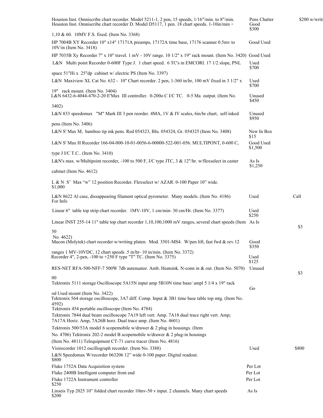| Houston Inst. Omniscribe chart recorder. Model 5211-1, 2 pen, 15 speeds, 1/16"/min. to 8"/min.<br>Houston Inst. Omniscribe chart recorder D. Model D5117, 1 pen. 18 chart speeds. 1-10in/min ÷ | Pens Chatter<br>Good<br>\$300 | \$200 w/writi |
|------------------------------------------------------------------------------------------------------------------------------------------------------------------------------------------------|-------------------------------|---------------|
| 1,10 & 60. 10MV F.S. fixed. (Item No. 3368)                                                                                                                                                    |                               |               |
| HP 7004B XY Recorder 10" x14" 17171A preamps, 17172A time base, 17176 scanner 0.5mv to<br>$10V/in$ (Item No. 3418)                                                                             | Good Used                     |               |
| HP 7035B Xy Recorder 7" x 10" travel. 1 mV - 10V range. 10 1/2" x 19" rack mount. (Item No. 3420) Good Used                                                                                    |                               |               |
| L&N Multi point Recorder 0-600F Type J. 1 chart speed. 6 TC's in EMCORI. 17 1/2 slope, PNL                                                                                                     | Used<br>\$700                 |               |
| space 51"Hi x 25"dp cabinet w/ electric PS (Item No. 3397)                                                                                                                                     |                               |               |
| L&N Maxiview XL Cat No. 632 - 10" Chart recorder. 2 pen, 1-360 in/hr, 100 mV fixed in 3 1/2" x<br>19" rack mount. (Item No. 3404)                                                              | Used<br>\$700                 |               |
| L&N 6432-6-4044-470-2-20 E'Max III controller. 0-200 C I/C TC. 0-5 Ma output. (Item No.                                                                                                        | Unused<br>\$450               |               |
| 3402)                                                                                                                                                                                          |                               |               |
| L&N 833 speedomax "M" Mark III 3 pen reorder. 4MA, 1V & IV scales, 6in/hr chart, self inked                                                                                                    | Unused<br>\$950               |               |
| pens (Item No. 3406)                                                                                                                                                                           |                               |               |
| L&N S' Max M, bamboo tip ink pens. Red 054323, Blu. 054324, Gr. 054325 (Item No. 3408)                                                                                                         | New In Box<br>\$15            |               |
| L&N S' Max H Recorder 166-04-000-10-01-0056-6-00000-522-001-056. MULTIPONT, 0-600 C,<br>type J I/C T.C (Item No. $3410$ )                                                                      | Good Used<br>\$1,500          |               |
| L&N's max. w/Multipoint recorder, -100 to 500 F, I/C type JTC, 3 & 12"/hr. w/flexselect in caster                                                                                              | As Is                         |               |
| cabinet (Item No. 4612)                                                                                                                                                                        | \$1,250                       |               |
|                                                                                                                                                                                                |                               |               |
| L & N S' Max "w" 12 position Recorder. Flexselect w/ AZAR. 0-100 Paper 10" wide.<br>\$1,000                                                                                                    |                               |               |
| L&N 8622 Al case, dissappearing filament optical pyrometer. Many models. (Item No. 4186)<br>For Info                                                                                           | Used                          | Call          |
| Linear 6" table top strip chart recorder. 1MV-10V, 1 cm/min-30 cm/Hr. (Item No. 3377)                                                                                                          | Used<br>\$250                 |               |
| Linear INST 255-14 11" table top chart recorder 1,10,100,1000 mV ranges, several chart speeds (Item As Is                                                                                      |                               | \$3           |
| 50                                                                                                                                                                                             |                               |               |
| No. 4622)<br>Macon (Molytek) chart recorder w/writing platen. Mod. 3501-MS4. W/pen lift, fast fwd & rev.12                                                                                     | Good<br>\$350                 |               |
| ranges 1 MV-10VDC, 12 chart speeds .5 in/hr- 10 in/min. (Item No. 3372)<br>Recorder 4", 2-pen, -100 to +250 F type "T" TC. (Item No. 3375)                                                     | Used<br>\$125                 |               |
| RES-NET RFA-500-NFF-7 500W 7db autenuator. Amb. Heatsink. N-conn in & out. (Item No. 5070)                                                                                                     | Unused                        |               |
| 00                                                                                                                                                                                             |                               | \$3           |
| Tektronix 5111 storage Oscilloscope 5A15N input amp 5B10N time base/ ampl 5 1/4 x 19" rack                                                                                                     |                               |               |
| od Used mount (Item No. 3422)<br>Tektronix 564 storage oscilloscope, 3A7 diff. Comp. Input & 3B1 time base table top mtg. (Item No.                                                            | Go                            |               |
| 4592)<br>Tektronix 454 portable oscilloscope (Item No. 4784)                                                                                                                                   |                               |               |
| Tektronix 7844 dual beam oscilloscope 7A19 left vert. Amp. 7A18 dual trace right vert. Amp;<br>7A17A Horiz. Amp, 7A26B horz. Dual trace amp. (Item No. 4601)                                   |                               |               |
| Tektronix 500/53A model 6 scopemobile w/drawer & 2 plug in housings. (Item                                                                                                                     |                               |               |
| No. 4706) Tektronix 202-2 model B scopemobile w/drawer & 2 plug-in housings                                                                                                                    |                               |               |
| (Item No. 4811) Telequipment CT-71 curve tracer (Item No. 4816)                                                                                                                                |                               |               |
| Visirecorder 1012 oscillograph recorder. (Item No. 3388)<br>L&N Speedomax W/recorder 063206 12" wide 0-100 paper. Digital readout.<br>\$800                                                    | Used                          | \$800         |
| Fluke 1752A Data Acquisition system                                                                                                                                                            | Per Lot                       |               |
| Fluke 2400B Intelligent computer front end                                                                                                                                                     | Per Lot                       |               |
| Fluke 1722A Instrument controller<br>\$250                                                                                                                                                     | Per Lot                       |               |
| Linseis Typ 2025 10" folded chart recorder 10mv-50 v input. 2 channels. Many chart speeds<br>\$200                                                                                             | As Is                         |               |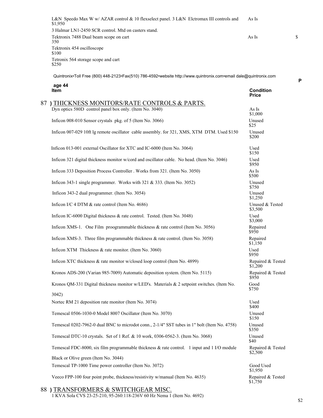L&N Speedo Max W w/ AZAR control & 10 flexselect panel. 3 L&N Elctromax III controls and As Is \$1,950 3 Halmar LN1-2450 SCR control. Mtd on casters stand. Tektronix 7488 Dual beam scope on cart Services of the As Is As Is As Is Services of As Is 350 Tektronix 454 oscilloscope \$100 Tetronix 564 storage scope and cart \$250

Quintronix•Toll Free (800) 448-2123•Fax(510) 786-4592•website http://www.quintronix.com•email dale@quintronix.com

| age 44<br><b>Item</b>                                                                                | <b>Condition</b><br><b>Price</b> |
|------------------------------------------------------------------------------------------------------|----------------------------------|
| 87) THICKNESS MONITORS/RATE CONTROLS & PARTS.                                                        |                                  |
| Dyn optics 580D control panel box only. (Item No. 3040)                                              | As Is<br>\$1,000                 |
| Inficon 008-010 Sensor crystals pkg. of 5 (Item No. 3066)                                            | Unused<br>\$25                   |
| Inficon 007-029 10ft lg remote oscillator cable assembly. for 321, XMS, XTM DTM. Used \$150          | Unused<br>\$200                  |
| Inficon 013-001 external Oscillator for XTC and IC-6000 (Item No. 3064)                              | Used<br>\$150                    |
| Inficon 321 digital thickness monitor w/cord and oscillator cable. No head. (Item No. 3046)          | Used<br>\$950                    |
| Inficon 333 Deposition Process Controller . Works from 321. (Item No. 3050)                          | As Is<br>\$500                   |
| Inficon 343-1 single programmer. Works with 321 & 333. (Item No. 3052)                               | Unused<br>\$750                  |
| Inficon 343-2 dual programmer. (Item No. 3054)                                                       | Unused<br>\$1,250                |
| Inficon I/C 4 DTM & rate control (Item No. 4686)                                                     | Unused & Tested<br>\$3,500       |
| Inficon IC-6000 Digital thickness & rate control. Tested. (Item No. 3048)                            | Used<br>\$3,000                  |
| Inficon XMS-1. One Film proogrammable thickness & rate control (Item No. 3056)                       | Repaired<br>\$950                |
| Inficon XMS-3. Three film programmable thickness $\&$ rate control. (Item No. 3058)                  | Repaired<br>\$1,150              |
| Inficon XTM Thickness & rate monitor. (Item No. 3060)                                                | Used<br>\$950                    |
| Inficon XTC thickness & rate monitor w/closed loop control (Item No. 4899)                           | Repaired & Tested<br>\$1,200     |
| Kronos ADS-200 (Varian 985-7009) Automatic deposition system. (Item No. 5115)                        | Repaired & Tested<br>\$950       |
| Kronos QM-331 Digital thickness monitor w/LED's. Materials & 2 setpoint switches. (Item No.<br>3042) | Good<br>\$750                    |
| Nortec RM 21 deposition rate monitor (Item No. 3074)                                                 | Used<br>\$400                    |
| Temescal 0506-1030-0 Model 8007 Oscillator (Item No. 3070)                                           | Unused<br>\$150                  |
| Temescal 0202-7962-0 dual BNC to microdot conn., 2-1/4" SST tubes in 1" bolt (Item No. 4758)         | Unused<br>\$350                  |
| Temescal DTC-10 crystals. Set of 1 Ref. & 10 work, 0306-0562-3. (Item No. 3068)                      | Unused<br>\$40                   |
| Temescal FDC-8000, six film programmable thickness & rate control. 1 input and 1 I/O module          | Repaired & Tested<br>\$2,500     |
| Black or Olive green (Item No. 3044)                                                                 |                                  |
| Temescal TP-1000 Time power controller (Item No. 3072)                                               | Good Used<br>\$1,950             |
| Veeco FPP-100 four point probe, thickness/resistivity w/manual (Item No. 4635)                       | Repaired & Tested<br>\$1,750     |

## 88 **)** TRANSFORMERS & SWITCHGEAR MISC.

1 KVA Sola CVS 23-25-210, 95-260:118-236V 60 Hz Nema 1 (Item No. 4692)

\$2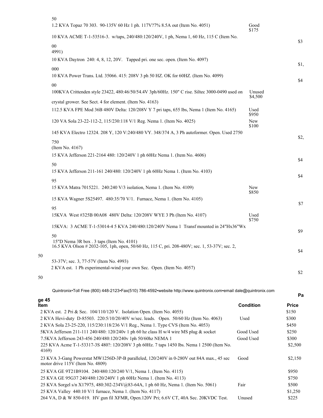|    | 50<br>1.2 KVA Topaz 70 303. 90-135V 60 Hz 1 ph. 117V?7% 8.5A out (Item No. 4051)                                                                     | Good<br>\$175     |      |
|----|------------------------------------------------------------------------------------------------------------------------------------------------------|-------------------|------|
|    | 10 KVA ACME T-1-53516-3. w/taps, 240/480:120/240V, 1 ph, Nema 1, 60 Hz, 115 C (Item No.                                                              |                   |      |
|    | $00\,$<br>4991)                                                                                                                                      |                   | \$3  |
|    | 10 KVA Daytron 240: 4, 8, 12, 20V. Tapped pri. one sec. open. (Item No. 4097)                                                                        |                   | \$1, |
|    | 000<br>10 KVA Power Trans. Ltd. 35066. 415: 208V 3 ph 50 HZ. OK for 60HZ. (Item No. 4099)                                                            |                   | \$4  |
|    | $00\,$                                                                                                                                               |                   |      |
|    | 100KVA Crittenden style 23422, 480:46/50/54.4V 3ph/60Hz. 150" C rise. Siltec 3000-0490 used on                                                       | Unused<br>\$4,500 |      |
|    | crystal grower. See Sect. 4 for element. (Item No. 4163)<br>112.5 KVA FPE Mod 36B 480V Delta: 120/208V Y 7 pri taps, 655 lbs, Nema 1 (Item No. 4165) | Used<br>\$950     |      |
|    | 120 VA Sola 23-22-112-2, 115/230:118 V/1 Reg. Nema 1. (Item No. 4025)                                                                                | New<br>\$100      |      |
|    | 145 KVA Electro 12324. 208 Y, 120 V:240/480 VY. 348/374 A, 3 Ph autoformer. Open. Used 2750                                                          |                   |      |
|    | 750<br>(Item No. 4167)                                                                                                                               |                   | \$2, |
|    | 15 KVA Jefferson 221-2164 480: 120/240V 1 ph 60Hz Nema 1. (Item No. 4606)                                                                            |                   | \$4  |
|    | 50<br>15 KVA Jefferson 211-161 240/480: 120/240V 1 ph 60Hz Nema 1. (Item No. 4103)                                                                   |                   |      |
|    | 95                                                                                                                                                   |                   | \$4  |
|    | 15 KVA Matra 7015221. 240:240 V/3 isolation, Nema 1. (Item No. 4109)                                                                                 | New<br>\$850      |      |
|    | 15 KVA Wagner 5S25497. 480:35/70 V/1. Furnace, Nema 1. (Item No. 4105)                                                                               |                   | \$7  |
|    | 95<br>15KVA West #325B 00A08 480V Delta: 120/208V WYE 3 Ph (Item No. 4107)                                                                           | Used<br>\$750     |      |
|    | 15KVA: 3 ACME T-1-53014-4 5 KVA 240/480:120/240V Nema 1 Transf mounted in 24"Hx36"Wx                                                                 |                   |      |
|    | 50<br>15"D Nema 3R box . 3 taps (Item No. 4101)<br>16.5 KVA Olson # 2032-105, 1ph, open, 50/60 Hz, 115 C, pri. 208-480V; sec. 1, 53-37V; sec. 2,     |                   | \$9  |
|    |                                                                                                                                                      |                   | \$4  |
| 50 | 53-37V; sec. 3, 77-57V (Item No. 4993)                                                                                                               |                   |      |
|    | 2 KVA est. 1 Ph experimental-wind your own Sec. Open. (Item No. 4057)                                                                                |                   | \$2  |
| 50 |                                                                                                                                                      |                   |      |
|    |                                                                                                                                                      |                   |      |

**Pa**

50

50

|                                                                                                                              |                  | ٢            |
|------------------------------------------------------------------------------------------------------------------------------|------------------|--------------|
| ge 45<br>ltem                                                                                                                | <b>Condition</b> | <b>Price</b> |
| 2 KVA est. 2 Pri & Sec. 104/110/120 V. Isolation Open. (Item No. 4055)                                                       |                  | \$150        |
| 2 KVA Hevi-duty D-85503. 220:5/10/20/40V w/sec. leads. Open. 50/60 Hz (Item No. 4063)                                        | Used             | \$300        |
| 2 KVA Sola 23-25-220, 115/230:118/236 V/1 Reg., Nema 1. Type CVS (Item No. 4053)                                             |                  | \$450        |
| 5KVA Jefferson 211-111 240/480: 120/240v 1 ph 60 hz class H w/4 wire MS plug & socket                                        | Good Used        | \$250        |
| 7.5KVA Jefferson 243-456 240/480:120/240v 1ph 50/60hz NEMA 1                                                                 | Good Used        | \$300        |
| 225 KVA Acme T-1-53317-3S 480?: 120/208V 3 ph 60Hz. 7 taps 1450 lbs. Nema 1 2500 (Item No.<br>4169)                          |                  | \$2,500      |
| 23 KVA 3-Gang Powerstat MW1256D-3P-B paralleled, 120/240V in 0-280V out 84A max., 45 sec<br>motor drive 115V (Item No. 4809) | Good             | \$2,150      |
| 25 KVA GE 9T21B9104. 240/480:120/240 V/1, Nema 1. (Item No. 4115)                                                            |                  | \$950        |
| 25 KVA GE 95G37 240/480:120/240V 1 ph 60Hz Nema 1. (Item No. 4113)                                                           |                  | \$750        |
| 25 KVA Sorgel s/n X17975, 480:302-234V@83-64A, 1 ph 60 Hz, Nema 1. (Item No. 5061)                                           | Fair             | \$500        |
| 25 KVA Valley 440:10 V/1 furnace, Nema 1. (Item No. 4117)                                                                    |                  | \$1,250      |
| 264 VA, D & W 850-019. HV gun fil XFMR, Open.120V Pri; 6.6V CT, 40A Sec. 20KVDC Test.                                        | Unused           | \$225        |
|                                                                                                                              |                  |              |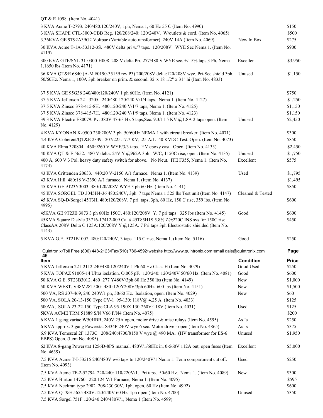| QT & E 1098. (Item No. 4041)                                                                                                                                                                 |                  |              |
|----------------------------------------------------------------------------------------------------------------------------------------------------------------------------------------------|------------------|--------------|
| 3 KVA Acme T-2793. 240/480:120/240V, 1ph, Nema 1, 60 Hz 55 C (Item No. 4990)                                                                                                                 |                  | \$150        |
| 3 KVA SHAPE CTL-3000-CBB Reg. 120/208/240: 120/240V. W/outlets & cord. (Item No. 4065)                                                                                                       |                  | \$500        |
| 3.36KVA GE 9T92A39G2 Voltpac (Variable autotransformer) 240V 14A (Item No. 4069)                                                                                                             | New In Box       | \$275        |
| 30 KVA Acme T-1A-53312-3S. 480V delta pri w/7 taps. 120/208V. WYE Sec Nema 1. (Item No.                                                                                                      |                  | \$900        |
| 4119)                                                                                                                                                                                        |                  |              |
| 300 KVA GTE/SYL 31-0300-H008 208 V delta Pri, 277/480 V WYE sec. +/- 5% taps, 3 Ph, Nema<br>1.1650 lbs (Item No. 4171)                                                                       | Excellent        | \$3,950      |
| 36 KVA QT&E 6840 (A-M #0190-35159 rev P3) 200/208V delta:120/208V wye, Pri-Sec shield 3ph,<br>50/60Hz. Nema 1, 100A 3ph breaker on prim. & second. 32"x 18 1/2" x 31" hi (Item No. 4833)     | Unused           | \$1,150      |
| 37.5 KVA GE 95G38 240/480:120/240V 1 ph 60Hz. (Item No. 4121)                                                                                                                                |                  | \$750        |
| 37.5 KVA Jefferson 221-3205. 240/480:120/240 V/1/4 taps. Nema 1. (Item No. 4127)                                                                                                             |                  | \$1,250      |
| 37.5 KVA Zinsco 378-415-8H. 480:120/240 V/1/7 taps, Nema 1. (Item No. 4125)                                                                                                                  |                  | \$1,150      |
| 37.5 KVA Zinsco 378-415-7H. 480:120/240 V/1/9 taps, Nema 1. (Item No. 4123)                                                                                                                  |                  | \$1,150      |
| 39.3 KVA Electro E80079. Pv. 380V 47-63 Hz 5 taps, Sec. 9.3/11.5 KV @1.8A 2 taps open. (Item<br>No. 4129)                                                                                    | Unused           | \$2,450      |
| 4 KVA KYONAN K-0500 230:200V 3 ph. 50/60Hz NEMA 1 with circuit breaker. (Item No. 4071)                                                                                                      |                  | \$300        |
| 4.4 KVA Coherent/QT&E 2349. 207/225:17.7 KV, .25 A/1. 40 KVDC Test. Open. (Item No. 4073)                                                                                                    |                  | \$850        |
| 40 KVA Elma 320804. 460:9260 V WYE/3/3 taps. HV epoxy cast. Open. (Item No. 4133)                                                                                                            |                  | \$2,450      |
| 40 KVA QT & E 5652. 480 V delta: 24V Y @962A 3ph. W/C, 1150C rise, open. (Item No. 4135)                                                                                                     | Unused           | \$1,750      |
| 400 A, 600 V 3 Pol. heavy duty safety switch for above. No Neut. ITE F355, Nema 1. (Item No.                                                                                                 | Excellent        | \$575        |
| 4174)                                                                                                                                                                                        |                  |              |
| 43 KVA Crittenden 20633. 440:20 V-2150 A/1 furnace. Nema 1. (Item No. 4139)                                                                                                                  | Used             | \$1,795      |
| 43 KVA Hill 480:18 V-2390 A/1 furnace. Nema 1. (Item No. 4137)                                                                                                                               |                  | \$1,495      |
| 45 KVA GE 9T23Y3003 480:120/208V WYE 3 ph 60 Hz. (Item No. 4141)                                                                                                                             |                  | \$850        |
| 45 KVA SORGEL TD 3045H4-36 480:240V, 3ph. 7 taps Nema 1 525 lbs Test unit (Item No. 4147)                                                                                                    | Cleaned & Tested |              |
| 45 KVA SQ-D/Sorgel 45T3H, 480:120/208V, 7 pri. taps, 3ph, 60 Hz, 150 C rise, 359 lbs. (Item No.<br>4995)                                                                                     |                  | \$600        |
| 45KVA GE 9T23B 3873 3 ph 60Hz 150C, 480:120/208V Y. 7 pri taps 325 lbs (Item No. 4145)                                                                                                       | Good             | \$600        |
|                                                                                                                                                                                              |                  |              |
| 45KVA Square D style 33716-17412-009 Cat #45T85H1S 5.8% Z@220C INS sys for 150C rise<br>ClassAA 208V Delta C 125A:120/208V Y @125A. 7 Pri taps 3ph Electrostatic shielded (Item No.<br>4143) |                  | \$450        |
| 5 KVA G.E. 9T21B1007. 480:120/240V, 3 taps. 115 C rise, Nema 1. (Item No. 5116)                                                                                                              | Good             | \$250        |
| Quintronix•Toll Free (800) 448-2123•Fax(510) 786-4592•website http://www.quintronix.com•email dale@quintronix.com<br>46                                                                      |                  | Page         |
| Item                                                                                                                                                                                         | <b>Condition</b> | <b>Price</b> |
| 5 KVA Jefferson 221-2112 240/480:120/240V 1 Ph 60 Hz Class H (Item No. 4079)                                                                                                                 | Good Used        | \$250        |
| 5 KVA TOPAZ 91005-14 Ultra ioslation. O.005 pF. 120/240: 120/240V 50/60 Hz. (Item No. 4081)                                                                                                  | Good             | \$600        |
| 50 KVA G.E. 9T23B3012. 480:277 Y480V/3ph 60 Hz 350 lbs (Item No. 4149)                                                                                                                       | New              | \$1,000      |
| 50 KVA WEST. V48M28T50G 480 :120Y208V/3ph 60Hz 600 lbs (Item No. 4151)                                                                                                                       | New              | \$1,500      |
| 500 VA, RS 207-469, 240:240V/1 ph, 50/60 Hz. Isolation, open. (Item No. 4029)                                                                                                                | New              | \$60         |
| 500 VA, SOLA 20-13-150 Type CV-1 95-130: 118V@ 4.25 A. (Item No. 4033)                                                                                                                       |                  | \$125        |
| 500VA, SOLA 23-22-150 Type CLA 95-190X 130-260V:118V (Item No. 4031)                                                                                                                         | Used             | \$125        |
| 5KVA ACME TRM 51889 S/N V66 P/N4 (Item No. 4075)                                                                                                                                             |                  | \$200        |
| 6 KVA 1 gang variac W50HBB, 240V 25A open, motor drive & misc relays (Item No. 4595)                                                                                                         | As Is            | \$250        |
| 6 KVA approx. 3 gang Powerstat S334P 240V wye 6 sec. Motor drive - open (Item No. 4865)                                                                                                      | As Is            | \$375        |
| 6.9 KVA Temescal 2F 1373C. 208/240:4700/8150 V wye @ 490 MA. (HV transformer for ES-6<br>EBPS) Open. (Item No. 4085)                                                                         | Unused           | \$1,950      |
| 62 KVA 8-gang Powerstat 1256D-8PS manual, 480V/1/60Hz in, 0-560V 112A out, open fuses (Item<br>No. 4639)                                                                                     | Excellent        | \$5,000      |
| 7.5 KVA Acme T-I-53515 240/480V w/6 taps to 120/240V/1 Nema 1. Term compartment cut off.<br>(Item No. 4093)                                                                                  | Used             | \$250        |
| 7.5 KVA Acme TF-2-52794 220/440: 110/220V/1. Pri taps. 50/60 Hz. Nema 1. (Item No. 4089)                                                                                                     | New              | \$300        |
| 7.5 KVA Burton 14760. 220:124 V/1 Furnace, Nema 1. (Item No. 4095)                                                                                                                           |                  | \$595        |
| 7.5 KVA Neeltran type 2902. 208/230:30V, 1ph, open, 60 Hz (Item No. 4992)                                                                                                                    |                  | \$600        |
| 7.5 KVA QT&E 5655 480V:120/240V 60 Hz, 1ph open (Item No. 4700)<br>7.5 KVA Sorgel 751F 120/240:240/480V/1, Nema 1 (Item No. 4599)                                                            | Unused           | \$350        |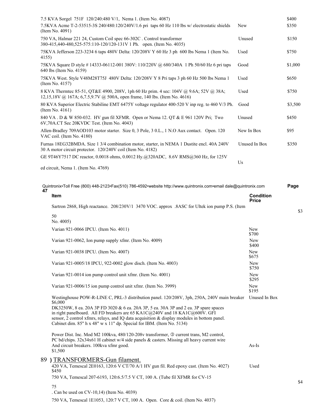|       | 7.5 KVA Sorgel 751F 120/240:480 V/1, Nema 1. (Item No. 4087)                                                                                                       |                                  | \$400   |
|-------|--------------------------------------------------------------------------------------------------------------------------------------------------------------------|----------------------------------|---------|
|       | 7.5KVA Acme T-2-53515-3S 240/480:120/240V/1.6 pri taps 60 Hz 110 lbs w/ electrostatic shields<br>(Item No. 4091)                                                   | New                              | \$350   |
|       | 750 VA, Halmar 221 24, Custom Coil spec 66-302C . Control transformer<br>380-415,440-480,525-575:110-120/120-131V 1 Ph. open. (Item No. 4035)                      | Unused                           | \$150   |
| 4155) | 75KVA Jefferson 223-3234 6 taps 480V Delta: 120/208V Y 60 Hz 3 ph 600 lbs Nema 1 (Item No.                                                                         | Used                             | \$750   |
|       | 75KVA Square D style #14333-06112-001 380V: 110/220V @ 680/340A 1 Ph 50/60 Hz 6 pri taps<br>640 lbs (Item No. 4159)                                                | Good                             | \$1,000 |
|       | 75KVA West. Style V48M28T75J 480V Delta: 120/208V Y 8 Pri taps 3 ph 60 Hz 500 lbs Nema 1<br>(Item No. 4157)                                                        | Used                             | \$650   |
|       | 8 KVA Thermtec 85-51, QT&E 4900, 208V, 1ph 60 Hz prim. 4 sec: 104V @ 9.6A; 52V @ 38A;<br>12,15,18V @ 167A; 6,7.5,9.7V @ 500A, open frame, 140 lbs. (Item No. 4616) | Used                             | \$750   |
|       | 80 KVA Superior Electric Stabiline EMT 6475Y voltage regulator 400-520 V inp reg. to 460 V/3 Ph.<br>(Item No. 4161)                                                | Good                             | \$3,500 |
|       | 840 VA. D & W 850-032. HV gun fil XFMR. Open or Nema 12. QT & E 961 120V Pri; Two<br>6V,70A.CT Sec 20KVDC Test. (Item No. 4043)                                    | Unused                           | \$450   |
|       | Allen-Bradley 709AOD103 motor starter. Size 0, 3 Pole, 3 0.L., 1 N.O Aux contact. Open. 120<br>VAC coil. (Item No. 4180)                                           | New In Box                       | \$95    |
|       | Furnas 18EG32BMDA. Size 1 3/4 combination motor, starter, in NEMA 1 Dustite encl. 40A 240V<br>30 A motor circuit protector. 120/240V coil (Item No. 4182)          | Unused In Box                    | \$350   |
|       | GE 9T46Y7517 DC reactor, 0.0018 ohms, 0.0012 Hy.@320ADC, 8.6V RMS@360 Hz, for 125V                                                                                 | Us                               |         |
|       | ed circuit, Nema 1. (Item No. 4769)                                                                                                                                |                                  |         |
| 47    | Quintronix•Toll Free (800) 448-2123•Fax(510) 786-4592•website http://www.quintronix.com•email dale@quintronix.com                                                  |                                  | Page    |
|       | Item                                                                                                                                                               | <b>Condition</b><br><b>Price</b> |         |
|       | Sartron 2868, High reactance. 208/230V/1 3470 VOC. approx. 8ASC for Ultek ion pump P.S. (Item                                                                      |                                  | \$3     |
|       | 50<br>No. 4005)                                                                                                                                                    |                                  |         |
|       | Varian 921-0066 IPCU. (Item No. 4011)                                                                                                                              | New<br>\$700                     |         |
|       | Varian 921-0062, Ion pump supply xfmr. (Item No. 4009)                                                                                                             | New<br>\$400                     |         |
|       | Varian 921-0038 IPCU. (Item No. 4007)                                                                                                                              | New                              |         |

Varian 921-0005/18 IPCU, 922-0002 glow disch. (Item No. 4003) New

Varian 921-0006/15 ion pump control unit xfmr. (Item No. 3999) New \$195 Westinghouse POW-R-LINE C, PRL-3 distribution panel. 120/208V, 3ph, 250A, 240V main breaker Unused In Box \$6,000 DK3250W, 8 ea. 20A 3P FD 3020 & 6 ea. 20A 3P, 5 ea. 30A 3P and 2 ea. 3P spare spaces in right panelboard. All FD breakers are 65 KA1C@240V and 18 KA1C@600V. GFI sensor, 2 control xfmrs, relays, and IQ data acquisition & display modules in bottom panel. Cabinet dim. 85" h x 48" w x 11" dp. Special for IBM. (Item No. 5134) Power Dist. Inc. Mod M2 100kva, 480/120-208v transformer, <sup>3</sup> current trans, M2 control,

Varian 921-0014 ion pump control unit xfmr. (Item No. 4001) New

PC bd/chips. 32x34x61 H cabinet w/4 side panels & casters. Missing all heavy current wire And circuit breakers. 100kva xfmr good. As-Is \$1,500

## 89 **)** TRANSFORMERS-Gun filament. 420 VA, Temescal 2E0163, 120:6 V CT/70 A/1 HV gun fil. Red epoxy cast. (Item No. 4027) Used \$450 750 VA, Temescal 207-6193, 120:6.5/7.5 V CT, 100 A. (Tube fil XFMR for CV-15 75

. Can be used on CV-10,14) (Item No. 4039)

750 VA, Temescal 1E1053, 120:7 V CT, 100 A. Open. Core & coil. (Item No. 4037)

\$4

\$675

\$750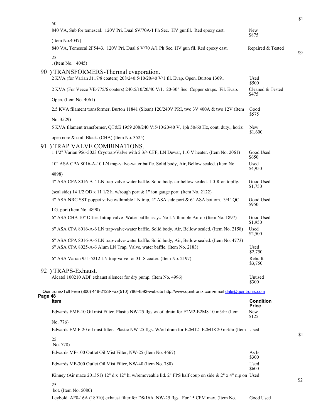|         |                                                                                                                                  |                              | \$1 |
|---------|----------------------------------------------------------------------------------------------------------------------------------|------------------------------|-----|
|         | 50<br>840 VA, Sub for temescal. 120V Pri. Dual 6V/70A/1 Ph Sec. HV gunfil. Red epoxy cast.                                       | <b>New</b><br>\$875          |     |
|         | (Item No.4047)                                                                                                                   |                              |     |
|         | 840 VA, Temescal 2F5443. 120V Pri. Dual 6 V/70 A/1 Ph Sec. HV gun fil. Red epoxy cast.                                           | Repaired & Tested            | \$9 |
|         | 25<br>. (Item No. 4045)                                                                                                          |                              |     |
|         | 90 ) TRANSFORMERS-Thermal evaporation.<br>2 KVA (for Varian 3117/8 coaters) 208/240:5/10/20/40 V/1 fil. Evap. Open. Burton 13091 | Used<br>\$500                |     |
|         | 2 KVA (For Veeco VE-775/6 coaters) 240:5/10/20/40 V/1. 20-30" Sec. Copper straps. Fil. Evap.                                     | Cleaned & Tested<br>\$475    |     |
|         | Open. (Item No. 4061)                                                                                                            |                              |     |
|         | 2.5 KVA filament transformer, Burton 11841 (Sloan) 120/240V PRI, two 3V 400A & two 12V (Item                                     | Good<br>\$575                |     |
|         | No. 3529)<br>5 KVA filament transformer, QT&E 1959 208/240 V:5/10/20/40 V, 1ph 50/60 Hz, cont. duty., horiz.                     | New<br>\$1,600               |     |
|         | open core & coil. Black. (CHA) (Item No. 3525)                                                                                   |                              |     |
|         | 91 ) TRAP VALVE COMBINATIONS.<br>1 1/2" Varian 956-5023 Cryotrap/Valve with 2 3/4 CFF, LN Dewar, 110 V heater. (Item No. 2061)   | Good Used                    |     |
|         | 10" ASA CPA 8016-A-10 LN trap-valve-water baffle. Solid body, Air, Bellow sealed. (Item No.                                      | \$650<br>Used<br>\$4,950     |     |
|         | 4898)                                                                                                                            |                              |     |
|         | 4" ASA CPA 8016-A-4 LN trap-valve-water baffle. Solid body, air bellow sealed. 1 0-R on topflg.                                  | Good Used<br>\$1,750         |     |
|         | (seal side) 14 1/2 OD x 11 1/2 h. w/rough port & 1" ion gauge port. (Item No. 2122)                                              |                              |     |
|         | 4" ASA NRC SST poppet valve w/thimble LN trap, 4" ASA side port & 6" ASA bottom. 3/4" QC                                         | Good Used<br>\$950           |     |
|         | I.G. port (Item No. 4890)                                                                                                        |                              |     |
|         | 6" ASA CHA 10" Offset Intrap valve-Water baffle assy No LN thimble Air op (Item No. 1897)                                        | Good Used<br>\$1,950         |     |
|         | 6" ASA CPA 8016-A-6 LN trap-valve-water baffle. Solid body, Air, Bellow sealed. (Item No. 2158)                                  | Used<br>\$2,500              |     |
|         | 6" ASA CPA 8016-A-6 LN trap-valve-water baffle. Solid body, Air, Bellow sealed. (Item No. 4773)                                  |                              |     |
|         | 6" ASA CPA 8025-A-6 Alum LN Trap, Valve, water baffle. (Item No. 2183)                                                           | Used<br>\$2,750              |     |
|         | 6" ASA Varian 951-5212 LN trap-valve for 3118 coater. (Item No. 2197)                                                            | Rebuilt<br>\$3,750           |     |
|         | 92 ) TRAPS-Exhaust.                                                                                                              |                              |     |
|         | Alcatel 100210 ADP exhaust silencer for dry pump. (Item No. 4996)                                                                | Unused<br>\$300              |     |
|         | Quintronix•Toll Free (800) 448-2123•Fax(510) 786-4592•website http://www.quintronix.com•email dale@quintronix.com                |                              |     |
| Page 48 | Item                                                                                                                             | <b>Condition</b>             |     |
|         | Edwards EMF-10 Oil mist Filter. Plastic NW-25 flgs w/ oil drain for E2M2-E2M8 10 m3/hr (Item                                     | <b>Price</b><br>New<br>\$125 |     |
|         | No. 776)                                                                                                                         |                              |     |
|         | Edwards EM F-20 oil mist filter. Plastic NW-25 flgs. W/oil drain for E2M12 -E2M18 20 m3/hr (Item Used                            |                              | \$1 |
|         | 25<br>No. 778)                                                                                                                   |                              |     |
|         | Edwards MF-100 Outlet Oil Mist Filter, NW-25 (Item No. 4667)                                                                     | As Is                        |     |
|         | Edwards MF-300 Outlet Oil Mist Filter, NW-40 (Item No. 780)                                                                      | \$300<br>Used<br>\$600       |     |
|         | Kinney (Air maze 201351) 12" d x 12" hi w/removeable lid. 2" FPS half coup on side & 2" x 4" nip on Used                         |                              | \$2 |
|         | 25                                                                                                                               |                              |     |
|         | bot. (Item No. 5080)<br>Leybold AF8-16A (18910) exhaust filter for D8/16A. NW-25 flgs. For 15 CFM max. (Item No.                 | Good Used                    |     |
|         |                                                                                                                                  |                              |     |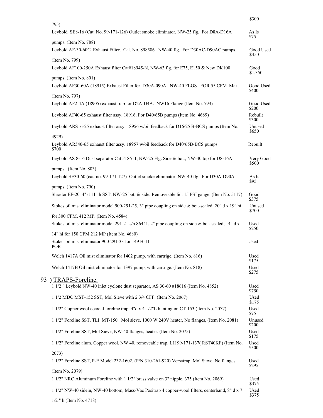|                                                                                                                          | \$300                |
|--------------------------------------------------------------------------------------------------------------------------|----------------------|
| 795)<br>Leybold SE8-16 (Cat. No. 99-171-126) Outlet smoke eliminator. NW-25 flg. For D8A-D16A                            | As Is<br>\$75        |
| pumps. (Item No. 788)<br>Leybold AF-30-60C Exhaust Filter. Cat. No. 898586. NW-40 flg. For D30AC-D90AC pumps.            | Good Used<br>\$450   |
| (Item No. 799)<br>Leybold AF100-250A Exhaust filter Cat#18945-N, NW-63 flg. for E75, E150 & New DK100                    | Good                 |
| pumps. (Item No. 801)<br>Leybold AF30-60A (18915) Exhaust Filter for D30A-090A. NW-40 FLGS. FOR 55 CFM Max.              | \$1,350<br>Good Used |
| (Item No. 797)<br>Leybold AF2-4A (18905) exhaust trap for D2A-D4A. NW16 Flange (Item No. 793)                            | \$400<br>Good Used   |
|                                                                                                                          | \$200                |
| Leybold AF40-65 exhaust filter assy. 18916. For D40/65B pumps (Item No. 4689)                                            | Rebuilt<br>\$300     |
| Leybold ARS16-25 exhaust filter assy. 18956 w/oil feedback for D16/25 B-BCS pumps (Item No.<br>4929)                     | Unused<br>\$650      |
| Leybold AR540-65 exhaust filter assy. 18957 w/oil feedback for D40/65B-BCS pumps.<br>\$700                               | Rebuilt              |
| Leybold AS 8-16 Dust separator Cat #18611, NW-25 Flg. Side & bot., NW-40 top for D8-16A                                  | Very Good<br>\$500   |
| pumps . (Item No. 803)<br>Leybold SE30-60 (cat. no. 99-171-127) Outlet smoke eliminator. NW-40 flg. For D30A-D90A        | As Is<br>\$95        |
| pumps. (Item No. 790)<br>Shrader EF-20. 4" d 11" h SST, NW-25 bot. & side. Removeable lid. 15 PSI gauge. (Item No. 5117) | Good<br>\$375        |
| Stokes oil mist eliminator model 900-291-25, 3" pipe coupling on side & bot.-sealed, 20" d x 19" hi,                     | Unused<br>\$700      |
| for 300 CFM, 412 MP. (Item No. 4584)                                                                                     |                      |
| Stokes oil mist eliminator model 291-21 s/n 86441, 2" pipe coupling on side & bot.-sealed, 14" d x                       | Used<br>\$250        |
| 14" hi for 150 CFM 212 MP (Item No. 4680)<br>Stokes oil mist eliminator 900-291-33 for 149 H-11<br><b>POR</b>            | Used                 |
| Welch 1417A Oil mist eliminator for 1402 pump, with cartrige. (Item No. 816)                                             | Used                 |
| Welch 1417B Oil mist eliminator for 1397 pump, with cartrige. (Item No. 818)                                             | \$175<br>Used        |
|                                                                                                                          | \$275                |
| ) TRAPS-Foreline.<br>1 1/2 " Leybold NW-40 inlet cyclone dust separator, AS 30-60 #18616 (Item No. 4852)                 | Used<br>\$750        |
| 1 1/2 MDC MST-152 SST, Mol Sieve with 2 3/4 CFF. (Item No. 2067)                                                         | Used<br>\$175        |
| 1 1/2" Copper wool coaxial foreline trap. 4"d x 4 1/2"L huntington CT-153 (Item No. 2077)                                | Used<br>\$75         |
| 1 1/2" Foreline SST, TLI MT-150. Mol sieve. 1000 W 240V heater, No flanges, (Item No. 2081)                              | Unused<br>\$200      |
| 1 1/2" Foreline SST, Mol Sieve, NW-40 flanges, heater. (Item No. 2075)                                                   | Used<br>\$175        |
| 1 1/2" Foreline alum. Copper wool, NW 40. removeable trap. LH 99-171-137( RST40KF) (Item No.                             | Used<br>\$500        |
| 2073)<br>1 1/2" Foreline SST, P-E Model 232-1602, (P/N 310-261-920) Versatrap, Mol Sieve, No flanges.                    | Used                 |
| (Item No. 2079)                                                                                                          | \$295                |
| 1 1/2" NRC Aluminum Foreline with 1 1/2" brass valve on 3" nipple. 375 (Item No. 2069)                                   | Used<br>\$375        |
| 1 1/2" NW-40 sidein, NW-40 bottom, Mass-Vac Positrap 4 copper-wool filters, centerband, 8" d x 7                         | Used<br>\$375        |
| 1/2 " h (Item No. 4718)                                                                                                  |                      |

93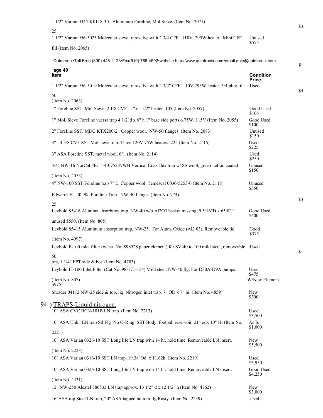| 1 1/2" Varian 0345-K0118-301 Aluminum Foreline, Mol Sieve. (Item No. 2071)                                        |                                  |
|-------------------------------------------------------------------------------------------------------------------|----------------------------------|
| 25                                                                                                                |                                  |
| 1 1/2" Varian 956-5025 Molecular sieve trap/valve with 2 3/4 CFF. 110V 295W heater. Mini CFF                      | Unused<br>\$575                  |
| fill (Item No. 2065)                                                                                              |                                  |
| Quintronix•Toll Free (800) 448-2123•Fax(510) 786-4592•website http://www.quintronix.com•email dale@quintronix.com |                                  |
| age 49<br>Item                                                                                                    | <b>Condition</b><br><b>Price</b> |
| 1 1/2" Varian 956-5019 Molecular sieve trap/valve with 2 3/4" CFF. 110V 295W heater. 3/4 plug fill.               | Used                             |
| 50                                                                                                                |                                  |
| (Item No. 2063)<br>1" Foreline SST, Mol Sieve, 2 1/8 CVF - 1" el. 1/2" heater. 105 (Item No. 2057)                | Good Used                        |
| 1" Mol. Sieve Foreline vaersa trap 4 1/2"d x 6" h 1" base side ports o.75W, 115V (Item No. 2055)                  | \$105<br>Good Used<br>\$100      |
| 2" Foreline SST, MDC KTX200-2. Copper wool. NW-50 flanges. (Item No. 2083)                                        | Unused                           |
| 3" - 4 5/8 CVF SST Mol sieve trap. Three 120V 75W heaters. 225 (Item No. 2116)                                    | \$150<br>Used<br>\$225           |
| 3" ASA Foreline SST, metal wool, 6"l. (Item No. 2114)                                                             | Used                             |
| 3/4" NW-16 NorCal #FCT-4-0752-NWB Vertical Coax flex trap w/ SS wool, green teflon coated                         | \$250<br>Unused                  |
| (Item No. 2053)                                                                                                   | \$150                            |
| 4" NW-100 SST Foreline trap 7" L. Copper wool. Temescal 0030-5253-0 (Item No. 2118)                               | Unused<br>\$350                  |
| Edwards FL-40 90o Foreline Trap. NW-40 flanges (Item No. 774)                                                     |                                  |
| 25<br>Leybold 85416 Alumina absorbtion trap, NW-40 w/o Al2O3 basket missing. 9 5/16"D x 65/8"H.                   | Good Used                        |
| unused \$550. (Item No. 805)                                                                                      | \$400                            |
| Leybold 85415 Aluminum absorption trap, NW-25. For Alum. Oxide (Al2 03). Removeable lid.                          | Good<br>\$375                    |
| (Item No. 4997)                                                                                                   |                                  |
| Leybold F-100 inlet filter (w/cat. No. 898528 paper element) for SV-40 to 100 mild steel, removeable Used         |                                  |
| 50<br>top, 1 1/4" FPT side & bot. (Item No. 4703)                                                                 |                                  |
| Leybold IF-100 Inlet Filter (Cat No. 98-171-154) Mild steel. NW-40 flg. For D30A-D9A pumps.                       | Used<br>\$475                    |
| (Item No. 807)                                                                                                    | W/New Element                    |
| \$975<br>Shrader 04112 NW-25 side & top, liq. Nitrogen inlet trap, 7" OD x 7" hi. (Item No. 4859)                 | New<br>\$300                     |
| 94) TRAPS-Liquid nitrogen.                                                                                        |                                  |
| 10" ASA CVC BCN-101B LN trap. (Item No. 2213)                                                                     | Used<br>\$3,500                  |
| 10" ASA Unk. LN trap Stl Flg No O-Ring SST Body, football reservoir 21" odx 10" Hi (Item No.                      | As Is<br>\$1,000                 |
| 2221)                                                                                                             |                                  |
| 10" ASA Varian 0326-10 SST Long life LN trap with 14 hr. hold time. Removeable LN insert.                         | New<br>\$5,500                   |
| (Item No. 2223)                                                                                                   | Used                             |
| 10" ASA Varian 0316-10 SST LN trap. 19.38"Od. x 11.62h. (Item No. 2219)                                           | \$3,950                          |
| 10" ASA Varian 0326-10 SST Long life LN trap with 14 hr. hold time. Removeable LN insert.                         | Good Used<br>\$4,250             |
| (Item No. 4431)<br>12" NW-250 Alcatel 786533 LN trap approx. 13 1/2" d x 12 1/2" h (Item No. 4762)                | New<br>\$3,000                   |
| 16"ASA top Steel LN trap, 20" ASA tapped bottom flg Rusty. (Item No. 2239)                                        | Used                             |

\$3

\$1

\$4

\$3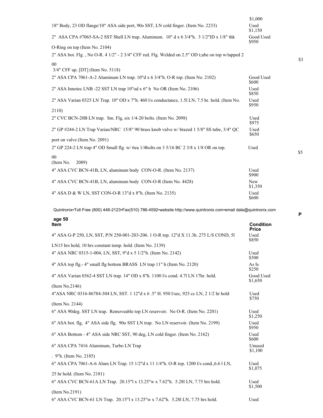|                                                                                                   | \$1,000               |
|---------------------------------------------------------------------------------------------------|-----------------------|
| 18" Body, 23 OD flange/10" ASA side port, 900 SST, LN cold finger. (Item No. 2233)                | Used<br>\$1,150       |
| 2" ASA CPA #7065-SA-2 SST Shell LN trap. Aluminum. $10'' dx$ 6 3/4"h. 3 1/2"ID x 1/8" thk         | Good Used<br>\$950    |
| O-Ring on top (Item No. 2104)                                                                     |                       |
| 2" ASA bot. Flg., No O-R. 4 1/2" - 2 3/4" CFF red. Flg. Welded on 2.5" OD t;ube on top w/tapped 2 |                       |
| 00<br>3/4" CFF up. [DT] (Item No. 5118)                                                           |                       |
| 2" ASA CPA 7061-A-2 Aluminum LN trap. 10"d x 6 3/4"h. O-R top. (Item No. 2102)                    | Good Used<br>\$600    |
| 2" ASA Innotec LNB -22 SST LN trap 10"od x 6" h No OR (Item No. 2106)                             | Used<br>\$850         |
| 2" ASA Varian 0325 LN Trap. 10" OD x 7"h. 460 l/s conductance, 1.51 LN, 7.5 hr. hold. (Item No.   | Used<br>\$950         |
| 2110)                                                                                             |                       |
| 2" CVC BCN-20B LN trap. Sm. Flg, six 1/4-20 bolts. (Item No. 2098)                                | Used<br>\$975         |
| 2" GP #244-2 LN Trap Varian/NRC 15/8" 90 brass knob valve w/ brazed 1 5/8" SS tube, 3/4" QC       | Used<br>\$650         |
| port on valve (Item No. 2091)                                                                     |                       |
| 2" GP 224-2 LN trap 4" OD Small flg. w/ 6ea 1/4bolts on 3 5/16 BC 2 3/8 x 1/8 OR on top.          | Used                  |
| 00<br>(Item No.<br>2089)                                                                          |                       |
| 4" ASA CVC BCN-41B, LN, aluminum body CON-O-R. (Item No. 2137)                                    | Used<br>\$900         |
| 4" ASA CVC BCN-41B, LN, aluminum body CON-O-R (Item No. 4428)                                     | <b>New</b><br>\$1,350 |
| 4" ASA D & W LN, SST CON-O-R 13"d x 8"h. (Item No. 2135)                                          | Used<br>\$600         |

| age 50                                                                                    |                           |
|-------------------------------------------------------------------------------------------|---------------------------|
| Item                                                                                      | Condition<br><b>Price</b> |
| 4" ASA G-P 250, LN, SST, P/N 250-001-203-206. 1 O-R top. 12"d X 11.3h. 275 L/S COND, 51   | Used<br>\$850             |
| LN15 hrs hold, 10 hrs constant temp. hold. (Item No. 2139)                                |                           |
| 4" ASA NRC 0315-1-004, LN, SST, 9"d x 5 1/2"h. (Item No. 2142)                            | Used<br>\$500             |
| 4" ASA top flg.- 4" small flg bottom BRASS LN trap 11" h (Item No. 2120)                  | As Is<br>\$250            |
| 4" ASA Varian 0362-4 SST LN trap. 14" OD x 8"h. 1100 l/s cond. 4.71 LN 17hr. hold.        | Good Used<br>\$1,650      |
| (Item No.2146)                                                                            |                           |
| 4"ASA NRC 0316-86784-304 LN, SST. 1 12"d x 6.5" H. 950 l/sec, 925 cc LN, 2 1/2 hr hold    | Used<br>\$750             |
| (Item No. 2144)                                                                           |                           |
| 6" ASA 90deg. SST LN trap. Removeable top LN reservoir. No O-R. (Item No. 2201)           | Used<br>\$1,250           |
| 6" ASA bot. flg. 4" ASA side flg. 900 SST LN trap. No LN reservoir. (Item No. 2199)       | Used<br>\$950             |
| 6" ASA Bottom - 4" ASA side NRC SST, 90 deg, LN cold finger. (Item No. 2162)              | Used<br>\$600             |
| 6" ASA CPA 7416 Aluminum, Turbo LN Trap                                                   | Unused<br>\$1,100         |
| . 9"h. (Item No. 2185)                                                                    |                           |
| 6" ASA CPA 7061-A-6 Alum LN Trap. 15 1/2"d x 11 1/4"h. O-R top. 1200 l/s cond., 6.6 1 LN, | Used<br>\$1,075           |
| 25 hr hold. (Item No. 2181)                                                               |                           |
| 6" ASA CVC BCN-61A LN Trap. 20.15"l x 13.25"w x 7.62"h. 5.281 LN, 7.75 hrs hold.          | Used<br>\$1,500           |
| (Item No.2191)                                                                            |                           |
| 6" ASA CVC BCN-61 LN Trap. 20.15"l x 13.25"w x 7.62"h. 5.281 LN, 7.75 hrs hold.           | Used                      |

**P**

\$5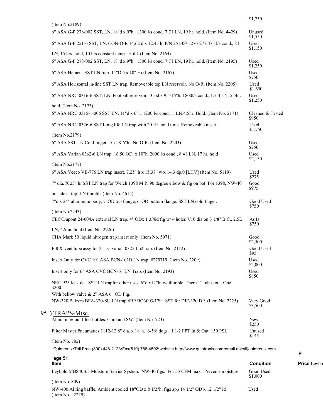|                                                                                                                                     | \$1,250                   |                    |
|-------------------------------------------------------------------------------------------------------------------------------------|---------------------------|--------------------|
| (Item No.2189)<br>6" ASA G-P 278-002 SST, LN, 18"d x 9"h. 1300 l/s cond. 7.7 l LN, 19 hr. hold. (Item No. 4429)                     | Unused                    |                    |
| 6" ASA G-P 251-6 SST, LN, CON-O-R 14.62 d x 12.45 h. P/N 251-001-276-277.475 l/s cond., 81                                          | \$1,550<br>Used           |                    |
| LN, 15 hrs. hold, 10 hrs constant temp. Hold. (Item No. 2164)                                                                       | \$1,150                   |                    |
| 6" ASA G-P 278-002 SST, LN, 18"d x 9"h. 1300 l/s cond. 7.71 LN, 19 hr. hold. (Item No. 2195)                                        | Used<br>\$1,250           |                    |
| 6" ASA Heraeus SST LN trap 14"OD x 10" Hi (Item No. 2167)                                                                           | Used<br>\$750             |                    |
| 6" ASA Horizontal in-line SST LN trap. Removeable top LN reservoir. No O-R. (Item No. 2205)                                         | Used<br>\$1,650           |                    |
| 6" ASA NRC 0316-6 SST, LN. Football reservoir 13"od x 9 5/16"h. 1800l/s cond., 1.75l LN, 5.5hr.                                     | Used<br>\$1,250           |                    |
| hold. (Item No. 2173)<br>6" ASA NRC 0315-1-006 SST LN. 11"d x 6"h. 1200 l/s cond. 11 LN.4.5hr. Hold. (Item No. 2171)                | Cleaned & Tested<br>\$950 |                    |
| 6" ASA NRC 0326-6 SST Long life LN trap with 20 Hr. hold time. Removeable insert.                                                   | Used<br>\$1,750           |                    |
| (Item No.2179)<br>6" ASA SST LN Cold finger. 5"d X 6"h. No O-R. (Item No. 2203)                                                     | Used<br>\$250             |                    |
| 6" ASA Varian 0362-6 LN trap. 16.50 OD. x 10"h. 2000 l/s cond., 8.4 l LN, 17 hr. hold                                               | Used<br>\$2,150           |                    |
| (Item No.2177)<br>6" ASA Veeco VE-776 LN trap insert. 7.25" h x 15.37" w x 14.3 dp.0 [LHV] (Item No. 5119)                          | Used<br>\$275             |                    |
| 7" dia. X 23" hi SST LN trap for Welch 1398 M.P. 90 degree elbow & flg on bot. For 1398, NW-40                                      | Good<br>\$975             |                    |
| on side at top, LN thimble (Item No. 4615)<br>7"d x 24" aluminum body, 7"OD top flange, 6"OD bottom flange. SST LN cold finger.     | Good Used<br>\$750        |                    |
| (Item No.2243)<br>CEC/Dupont 24-004A external LN trap. 4" ODx 1 3/4id flg w/ 4 holes 7/10 dia on 3 1/8" B.C 2.5L                    | As Is                     |                    |
| LN, 42min hold (Item No. 2926)                                                                                                      | \$750                     |                    |
| CHA Mark 50 liquid nitrogen trap insert only. (Item No. 5071)                                                                       | Good<br>\$2,500           |                    |
| Fill & vent tube assy for 2" asa varian 0325 Ln2 trap. (Item No. 2112)                                                              | Good Used<br>395          |                    |
| Insert Only for CVC 10" ASA BCN-101B LN trap. #270719. (Item No. 2209)                                                              | Used<br>\$2,000           |                    |
| Insert only for 6" ASA CVC BCN-61 LN Trap. (Item No. 2193)                                                                          | Used<br>\$850             |                    |
| NRC 925 leak det. SST LN trapfor other uses. 6"d x12"hi w/ thimble. There 1" tubes out. One<br>\$200                                |                           |                    |
| With bellow valve $& 2$ " ASA 6" OD Flg.<br>NW-320 Balzers BFA-320-SU LN trap #BP BO3003/179. SST for DIF-320 DP. (Item No. 2225)   | Very Good<br>\$3,500      |                    |
| ) TRAPS-Misc.<br>Alum. in & out filter bottles. Cord and SW. (Item No. 723)                                                         | New<br>\$250              |                    |
| Filter Master Pneumatics 1112-12 8" dia. x 18"h. 6-5/8 dogs. 1 1/2 FPT In & Out. 150 PSI.                                           | Unused                    |                    |
| (Item No. 782)<br>Quintronix•Toll Free (800) 448-2123•Fax(510) 786-4592•website http://www.quintronix.com•email dale@quintronix.com | \$145                     |                    |
| age 51                                                                                                                              |                           | P                  |
| Item                                                                                                                                | <b>Condition</b>          | <b>Price</b> Leybo |
| Leybold MBS40-65 Moisture Barrier System. NW-40 flgs. For 53 CFM max. Prevents moisture                                             | Good Used<br>\$1,000      |                    |
| (Item No. 809)<br>NW-400 Al ring baffle, Ambient cooled 18"OD x 8 1/2"h, flgs app 14 1/2" OD x 12 1/2" id<br>(Item No. 2229)        | Used                      |                    |

95 **)** TRAPS-Misc.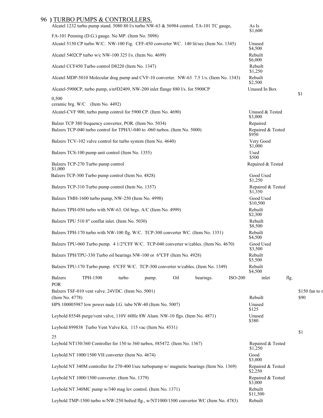## 96 **)** TURBO PUMPS & CONTROLLERS.

| Alcatel 1232 turbo pump stand. 5080 80 l/s turbo NW-63 & 56984 control. TA-101 TC gauge,                                                |       |       |     |           |                | As Is<br>\$1,600                       |      |                |
|-----------------------------------------------------------------------------------------------------------------------------------------|-------|-------|-----|-----------|----------------|----------------------------------------|------|----------------|
| FA-101 Penning (D.G.) gauge. No MP. (Item No. 5098)                                                                                     |       |       |     |           |                |                                        |      |                |
| Alcatel 5150 CP turbo W/C. NW-100 Fig. CFF-450 converter WC. 140 lit/sec (Item No. 1345)                                                |       |       |     |           |                | Unused<br>\$4,500                      |      |                |
| Alcatel 5402CP turbo w/c NW-100 325 l/s. (Item No. 4699)                                                                                |       |       |     |           |                | Rebuilt<br>\$6,000                     |      |                |
| Alcatel CCF450 Turbo control D8220 (Item No. 1347)                                                                                      |       |       |     |           |                | Rebuilt<br>\$1,250                     |      |                |
| Alcatel MDP-5010 Molecular drag pump and CVF-10 converter. NW-63 7.5 1/s. (Item No. 1343)                                               |       |       |     |           |                | Rebuilt<br>\$2,500                     |      |                |
| Alcatel-5900CP, turbo pump, $s/n#D2409$ , NW-200 inlet flange 880 l/s. for 5900CP                                                       |       |       |     |           |                | Unused In Box                          |      | \$1            |
| 0,500                                                                                                                                   |       |       |     |           |                |                                        |      |                |
| ceramic brg. W/C (Item No. 4492)<br>Alcatel-CVF 900, turbo pump control for 5900 CP. (Item No. 4690)                                    |       |       |     |           |                | Unused & Tested                        |      |                |
|                                                                                                                                         |       |       |     |           |                | \$3,000                                |      |                |
| Balzer TCP 380 frequency converter, POR. (Item No. 5034)<br>Balzers TCP-040 turbo control for TPH/U-040 to -060 turbos. (Item No. 5000) |       |       |     |           |                | Repaired<br>Repaired & Tested<br>\$950 |      |                |
| Balzers TCV-102 valve control for turbo system (Item No. 4640)                                                                          |       |       |     |           |                | Very Good<br>\$1,000                   |      |                |
| Balzers TCS-100 pump unit control (Item No. 1355)                                                                                       |       |       |     |           |                | Used<br>\$500                          |      |                |
| Balzers TCP-270 Turbo pump control<br>\$1,000                                                                                           |       |       |     |           |                | Repaired & Tested                      |      |                |
| Balzers TCP-300 Turbo pump control (Item No. 4828)                                                                                      |       |       |     |           |                | Good Used<br>\$1,250                   |      |                |
| Balzers TCP-310 Turbo pump control (Item No. 1357)                                                                                      |       |       |     |           |                | Repaired & Tested<br>\$1,350           |      |                |
| Balzers TMH-1600 turbo pump, NW-250 (Item No. 4998)                                                                                     |       |       |     |           |                | Good Used<br>\$10,500                  |      |                |
| Balzers TPH-050 turbo with NW-63. Oil brgs. A/C (Item No. 4999)                                                                         |       |       |     |           |                | Rebuilt<br>\$2,300                     |      |                |
| Balzers TPU 510 8" conflat inlet. (Item No. 5030)                                                                                       |       |       |     |           |                | Rebuilt<br>\$8,500                     |      |                |
| Balzers TPH-170 turbo with NW-100 flg. W/C. TCP-300 converter WC. (Item No. 1351)                                                       |       |       |     |           |                | Rebuilt<br>\$4,500                     |      |                |
| Balzers TPU-060 Turbo pump. 4 1/2"CFF W/C. TCP-040 converter w/cables. (Item No. 4670)                                                  |       |       |     |           |                | Good Used<br>\$3,500                   |      |                |
| Balzers TPH/TPU-330 Turbo oil bearings NW-100 or 6"CFF (Item No. 4928)                                                                  |       |       |     |           |                | Rebuilt<br>\$5,500                     |      |                |
| Balzers TPU-170 Turbo pump. 6"CFF W/C. TCP-300 converter w/cables. (Item No. 1349)                                                      |       |       |     |           |                | Rebuilt<br>\$4,500                     |      |                |
| <b>Balzers</b><br>TPH-1500<br>POR                                                                                                       | turbo | pump. | Oil | bearings. | <b>ISO-200</b> | inlet                                  | flg. |                |
| Balzers TSF-010 vent valve. 24VDC. (Item No. 5001)                                                                                      |       |       |     |           |                |                                        |      | \$150 fan to c |
| (Item No. 4778)                                                                                                                         |       |       |     |           |                | Rebuilt                                |      | \$90           |
| HPS 100005987 low power nude I.G. tube NW-40 (Item No. 5007)                                                                            |       |       |     |           |                | Unused<br>\$125                        |      |                |
| Leybold 85548 purge/vent valve, 110V 60Hz 8W Alum. NW-10 flgs. (Item No. 4871)                                                          |       |       |     |           |                | Unused<br>\$380                        |      |                |
| Leybold 899838 Turbo Vent Valve Kit, 115 vac (Item No. 4531)                                                                            |       |       |     |           |                |                                        |      | \$1            |
| 25<br>Leybold NT150/360 Controller for 150 to 360 turbos, #85472. (Item No. 1367)                                                       |       |       |     |           |                | Repaired & Tested                      |      |                |
| Leybold NT 1000/1500 VH converter (Item No. 4674)                                                                                       |       |       |     |           |                | \$1,250<br>Good                        |      |                |
| Leybold NT 340M controller for 270-400 l/sec turbopump w/ magnetic bearings (Item No. 1369)                                             |       |       |     |           |                | \$3,000<br>Repaired & Tested           |      |                |
| Leybold NT 1000/1500 converter. (Item No. 1379)                                                                                         |       |       |     |           |                | \$2,250<br>Repaired & Tested           |      |                |
| Leybold NT 340MC pump w/340 mag lev control. (Item No. 1371)                                                                            |       |       |     |           |                | \$3,000<br>Rebuilt<br>\$11,500         |      |                |
| Leybold TMP-1500 turbo w/NW-250 bolted flg., w/NT1000/1500 convertor WC (Item No. 4783)                                                 |       |       |     |           |                | Rebuilt                                |      |                |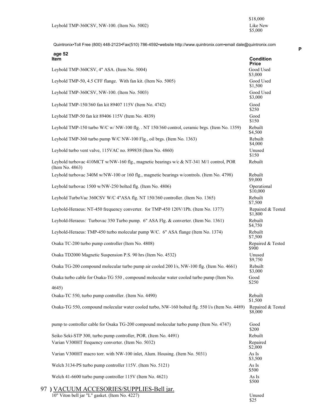|    | age 52<br><b>Item</b>                                                                                     | <b>Condition</b><br>Price               |
|----|-----------------------------------------------------------------------------------------------------------|-----------------------------------------|
|    | Leybold TMP-360CSV, 4" ASA. (Item No. 5004)                                                               | Good Used<br>\$3,000                    |
|    | Leybold TMP-50, 4.5 CFF flange. With fan kit. (Item No. 5005)                                             | Good Used<br>\$1,500                    |
|    | Leybold TMP-360CSV, NW-100. (Item No. 5003)                                                               | Good Used<br>\$3,000                    |
|    | Leybold TMP-150/360 fan kit 89407 115V (Item No. 4742)                                                    | Good<br>\$250                           |
|    | Leybold TMP-50 fan kit 89406 115V (Item No. 4839)                                                         | Good<br>\$150                           |
|    | Leybold TMP-150 turbo W/C w/ NW-100 flg. . NT 150/360 control, ceramic brgs. (Item No. 1359)              | Rebuilt<br>\$4,500                      |
|    | Leybold TMP-360 turbo pump W/C NW-100 Flg., oil brgs. (Item No. 1363)                                     | Rebuilt<br>\$4,000                      |
|    | Leybold turbo vent valve, 115VAC no. 899838 (Item No. 4860)                                               | Unused<br>\$150                         |
|    | Leybold turbovac 410MCT w/NW-160 flg., magnetic bearings w/c & NT-341 M/1 control, POR<br>(Item No. 4863) | Rebuilt                                 |
|    | Leybold turbovac 340M w/NW-100 or 160 flg., magnetic bearings w/controls. (Item No. 4798)                 | Rebuilt<br>\$9,000                      |
|    | Leybold turbovac 1500 w/NW-250 bolted flg. (Item No. 4806)                                                | Operational<br>\$10,000                 |
|    | Leybold TurboVac 360CSV W/C 4"ASA flg. NT 150/360 controller. (Item No. 1365)                             | Rebuilt<br>\$7,500                      |
|    | Leybold-Heraeus: NT-450 frequency converter. for TMP-450 120V/1Ph. (Item No. 1377)                        | Repaired & Tested<br>\$1,800            |
|    | Leybold-Heraeus: Turbovac 350 Turbo pump. 6" ASA Flg. & converter. (Item No. 1361)                        | Rebuilt<br>\$4,750                      |
|    | Leybold-Heraeus: TMP-450 turbo molecular pump W/C. 6" ASA flange (Item No. 1374)                          | Rebuilt<br>\$7,500                      |
|    | Osaka TC-200 turbo pump controller (Item No. 4808)                                                        | Repaired & Tested<br><b>\$900</b>       |
|    | Osaka TD2000 Magnetic Suspension P.S. 90 hrs (Item No. 4532)                                              | Unused<br>\$9,750                       |
|    | Osaka TG-200 compound molecular turbo pump air cooled 200 l/s, NW-100 flg. (Item No. 4661)                | Rebuilt<br>\$3,000                      |
|    | Osaka turbo cable for Osaka-TG 550, compound molecular water cooled turbo pump (Item No.<br>4645          | Good<br>\$250                           |
|    | Osaka-TC 550, turbo pump controller. (Item No. 4490)                                                      | Rebuilt                                 |
|    | Osaka-TG 550, compound molecular water cooled turbo, NW-160 bolted flg. 550 l/s (Item No. 4489)           | \$1,500<br>Repaired & Tested<br>\$8,000 |
|    | pump to controller cable for Osaka TG-200 compound molecular turbo pump (Item No. 4747)                   | Good<br>\$200                           |
|    | Seiko Seki-STP 300, turbo pump controller, POR. (Item No. 4491)                                           | Rebuilt                                 |
|    | Varian V300HT frequency converter. (Item No. 5032)                                                        | Repaired<br>\$2,000                     |
|    | Varian V300HT macro torr. with NW-100 inlet, Alum. Housing. (Item No. 5031)                               | As Is<br>\$3,500                        |
|    | Welch 3134-PS turbo pump controller 115V. (Item No. 5121)                                                 | As Is<br>\$500                          |
|    | Welch 41-6600 turbo pump controller 115V (Item No. 4621)                                                  | As Is<br>\$500                          |
| 97 | ) VACUUM ACCESORIES/SUPPLIES-Bell jar.                                                                    |                                         |
|    | 10" Viton bell jar "L" gasket. (Item No. 4227)                                                            | Unused<br>\$25                          |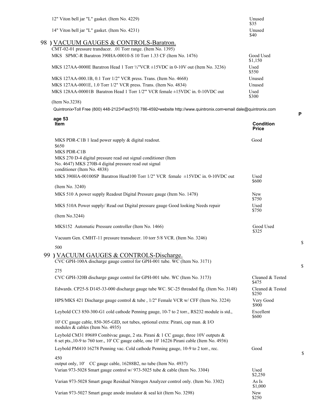| 12" Viton bell jar "L" gasket. (Item No. 4229)                                                                                                                                      | Unused<br>\$35            |
|-------------------------------------------------------------------------------------------------------------------------------------------------------------------------------------|---------------------------|
| 14" Viton bell jar "L" gasket. (Item No. 4231)                                                                                                                                      | Unused<br>\$40            |
| 98 ) VACUUM GAUGES & CONTROLS-Baratron.                                                                                                                                             |                           |
| CMT-02-01 pressure tranducer. .01 Torr range. (Item No. 1395)<br>MKS SPMC-R Baratron 390HA-00010-S 10 Torr 1.33 CF (Item No. 1476)                                                  |                           |
|                                                                                                                                                                                     | Good Used<br>\$1,150      |
| MKS 127AA-0000E Baratron Head 1 Torr $\frac{1}{2}$ VCR $\pm$ 15VDC in 0-10V out (Item No. 3236)                                                                                     | Used<br>\$550             |
| MKS 127AA-000.1B, 0.1 Torr 1/2" VCR press. Trans. (Item No. 4668)                                                                                                                   | Unused                    |
| MKS 127AA-0001E, 1.0 Torr 1/2" VCR press. Trans. (Item No. 4834)                                                                                                                    | Unused                    |
| MKS 128AA-00001B Baratron Head 1 Torr 1/2" VCR female ±15VDC in. 0-10VDC out                                                                                                        | Used<br>\$300             |
| (Item No.3238)                                                                                                                                                                      |                           |
| Quintronix•Toll Free (800) 448-2123•Fax(510) 786-4592•website http://www.quintronix.com•email dale@quintronix.com                                                                   |                           |
| age 53<br>Item                                                                                                                                                                      | <b>Condition</b>          |
|                                                                                                                                                                                     | <b>Price</b>              |
| MKS PDR-C1B 1 lead power supply & digital readout.                                                                                                                                  | Good                      |
| \$650                                                                                                                                                                               |                           |
| MKS PDR-C1B                                                                                                                                                                         |                           |
| MKS 270 D-4 digital pressure read out signal conditioner (Item<br>No. 4647) MKS 270B-4 digital pressure read out signal                                                             |                           |
| conditioner (Item No. 4838)                                                                                                                                                         |                           |
| MKS 390HA-00100SP Baratron Head100 Torr 1/2" VCR female ±15VDC in. 0-10VDC out                                                                                                      | Used                      |
|                                                                                                                                                                                     | \$600                     |
| (Item No. 3240)                                                                                                                                                                     |                           |
| MKS 510 A power supply Readout Digital Pressure gauge (Item No. 1478)                                                                                                               | New<br>\$750              |
| MKS 510A Power supply/ Read out Digital pressure gauge Good looking Needs repair                                                                                                    | Used<br>\$750             |
| (Item No.3244)                                                                                                                                                                      |                           |
| MKS152 Automatic Pressure controller (Item No. 1466)                                                                                                                                | Good Used<br>\$325        |
| Vacuum Gen. CMHT-11 pressure transducer. 10 torr 5/8 VCR. (Item No. 3246)                                                                                                           |                           |
| 500                                                                                                                                                                                 |                           |
| 99 ) VACUUM GAUGES & CONTROLS-Discharge.<br>CVC GPH-100A discharge gauge control for GPH-001 tube. WC (Item No. 3171)                                                               |                           |
| 275                                                                                                                                                                                 |                           |
| CVC GPH-320B discharge gauge control for GPH-001 tube. WC (Item No. 3173)                                                                                                           | Cleaned & Tested<br>\$475 |
| Edwards. CP25-S D145-33-000 discharge gauge tube WC. SC-25 threaded flg. (Item No. 3148)                                                                                            | Cleaned & Tested<br>\$250 |
| HPS/MKS 421 Discharge gauge control & tube, 1/2" Female VCR w/ CFF (Item No. 3224)                                                                                                  | Very Good<br>\$900        |
| Leybold CC3 850-300-G1 cold cathode Penning gauge, 10-7 to 2 torr., RS232 module is std.,                                                                                           | Excellent<br>\$600        |
| 10' CC gauge cable, 850-305-GID, not tubes, optional extra: Pirani, cap man. & I/O<br>modules & cables (Item No. 4935)                                                              |                           |
| Leybold CM31 89689 Combivac gauge, 2 sta. Pirani & 1 CC gauge, three 10V outputs &<br>6 set pts., 10-9 to 760 torr., 10' CC gauge cable, one 10' 16226 Pirani cable (Item No. 4936) |                           |
| Leybold PM410 16278 Penning vac. Cold cathode Penning gauge, 10-9 to 2 torr., rec.                                                                                                  | Good                      |
| 450                                                                                                                                                                                 |                           |
| output only, 10' CC gauge cable, 16288B2, no tube (Item No. 4937)                                                                                                                   |                           |
| Varian 973-5028 Smart gauge control w/ 973-5025 tube & cable (Item No. 3304)                                                                                                        | Used<br>\$2,250           |
| Varian 973-5028 Smart gauge Residual Nitrogen Analyzer control only. (Item No. 3302)                                                                                                | As Is<br>\$1,000          |
| Varian 973-5027 Smart gauge anode insulator & seal kit (Item No. 3298)                                                                                                              | New<br>\$250              |

**P**

\$

\$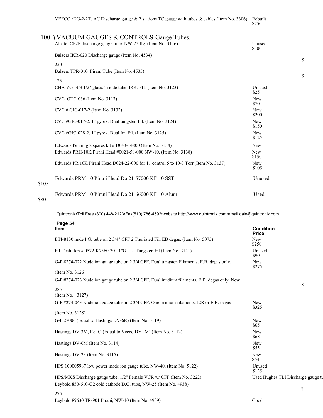| VEECO /DG-2-2T. AC Discharge gauge $& 2$ stations TC gauge with tubes $& 2$ cables (Item No. 3306)          | Rebuilt<br>\$750    |
|-------------------------------------------------------------------------------------------------------------|---------------------|
| 100) VACUUM GAUGES & CONTROLS-Gauge Tubes.<br>Alcatel CF2P discharge gauge tube. NW-25 flg. (Item No. 3146) | Unused<br>\$300     |
| Balzers IKR-020 Discharge gauge (Item No. 4534)                                                             |                     |
| 250                                                                                                         |                     |
| Balzers TPR-010 Pirani Tube (Item No. 4535)                                                                 |                     |
| 125                                                                                                         |                     |
| CHA VG1B/3 1/2" glass. Triode tube. IRR. FIL (Item No. 3123)                                                | Unused<br>\$25      |
| CVC GTC-036 (Item No. 3117)                                                                                 | <b>New</b><br>\$70  |
| $CVC \# GIC-017-2$ (Item No. 3132)                                                                          | <b>New</b><br>\$200 |
| $CVC$ #GIC-017-2. 1" pyrex. Dual tungsten Fil. (Item No. 3124)                                              | <b>New</b><br>\$150 |
| CVC #GIC-028-2. 1" pyrex. Dual Irr. Fil. (Item No. 3125)                                                    | <b>New</b><br>\$125 |
| Edwards Penning 8 spares kit $#D043-14800$ (Item No. 3134)                                                  | <b>New</b>          |
| Edwards PRH-10K Pirani Head #0021-59-000 NW-10. (Item No. 3138)                                             | <b>New</b><br>\$150 |
| Edwards PR 10K Pirani Head D024-22-000 for 11 control 5 to 10-3 Torr (Item No. $3137$ )                     | <b>New</b><br>\$105 |
|                                                                                                             |                     |

\$105 Edwards PRM-10 Pirani Head Do 21-66000 KF-10 Alum Used \$80

Quintronix•Toll Free (800) 448-2123•Fax(510) 786-4592•website http://www.quintronix.com•email dale@quintronix.com

Edwards PRM-10 Pirani Head Do 21-57000 KF-10 SST Unused

| Page 54                                                                                      | <b>Condition</b>                   |
|----------------------------------------------------------------------------------------------|------------------------------------|
| <b>Item</b>                                                                                  | <b>Price</b>                       |
| ETI-8130 nude I.G. tube on 2 3/4" CFF 2 Thoriated Fil. EB degas. (Item No. 5075)             | <b>New</b><br>\$250                |
| Fil-Tech, Ion # 0572-K7360-301 1"Glass, Tungsten Fil (Item No. 3141)                         | Unused<br>\$90                     |
| G-P #274-022 Nude ion gauge tube on 2 3/4 CFF. Dual tungsten Filaments. E.B. degas only.     | New<br>\$275                       |
| (Item No. 3126)                                                                              |                                    |
| G-P #274-023 Nude ion gauge tube on 2 3/4 CFF. Dual irridium filaments. E.B. degas only. New | \$                                 |
| 285<br>(Item No. $3127$ )                                                                    |                                    |
| G-P #274-043 Nude ion gauge tube on 2 3/4 CFF. One irridium filaments. I2R or E.B. degas.    | <b>New</b><br>\$325                |
| (Item No. 3128)                                                                              |                                    |
| G-P 27006 (Equal to Hastings DV-6R) (Item No. 3119)                                          | New<br>\$65                        |
| Hastings DV-3M, Ref O (Equal to Veeco DV-IM) (Item No. 3112)                                 | New<br>\$68                        |
| Hastings DV-6M (Item No. 3114)                                                               | New<br>\$55                        |
| Hastings DV-23 (Item No. 3115)                                                               | New<br>\$64                        |
| HPS 100005987 low power made ion gauge tube. NW-40. (Item No. 5122)                          | Unused<br>\$125                    |
| HPS/MKS Discharge gauge tube, 1/2" Female VCR w/ CFF (Item No. 3222)                         | Used Hughes TLI Discharge gauge tu |
| Leybold 850-610-G2 cold cathode D.G. tube, NW-25 (Item No. 4938)                             |                                    |
| 275                                                                                          | \$                                 |
| Leybold 89630 TR-901 Pirani, NW-10 (Item No. 4939)                                           | Good                               |

eybold 89630 TR-901 Pirani, NW-10 (Item No. 4939)

 $\mathbb S$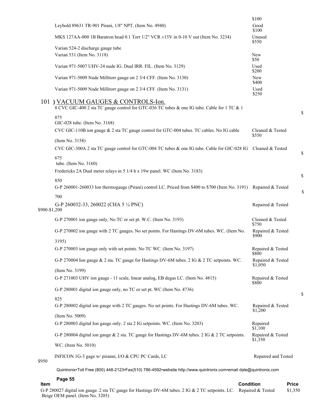| Item          | Page 55                                                                                                                           | <b>Condition</b><br><b>Price</b> |    |
|---------------|-----------------------------------------------------------------------------------------------------------------------------------|----------------------------------|----|
|               | Quintronix•Toll Free (800) 448-2123•Fax(510) 786-4592•website http://www.quintronix.com•email dale@quintronix.com                 |                                  |    |
| \$950         | INFICON 1G-3 gage w/ piranni, I/O & CPU PC Cards, LC                                                                              | Repaired and Tested              |    |
|               | WC. (Item No. 5010)                                                                                                               |                                  |    |
|               | G-P 280004 digital ion gauge & 2 sta. TC gauge for Hastings DV-6M tubes. 2 IG & 2 TC setpoints.                                   | Repaired & Tested<br>\$1,350     |    |
|               | (Item No. 5009)<br>G-P 280003 digital Ion gauge only. 2 sta 2 IG setpoints. WC. (Item No. 3203)                                   | Repaired<br>\$1,100              |    |
|               | 825<br>G-P 280002 digital ion gauge with 2 TC gauges. No set points. For Hastings DV-6M tubes. WC.                                | Repaired & Tested<br>\$1,200     |    |
|               | G-P 280001 digital ion gauge only, no TC or set pt. WC (Item No. 4736)                                                            |                                  | \$ |
|               | (Item No. 3199)<br>G-P 271003 UHV ion gauge - 11 scale, linear analog, EB degas LC. (Item No. 4815)                               | Repaired & Tested<br>\$800       |    |
|               | G-P 270004 Ion gauge & 2 sta. TC gauge for Hastings DV-6M tubes. 2 IG & 2 TC setpoints. WC.                                       | Repaired & Tested<br>\$1,050     |    |
|               | 3195)<br>G-P 270003 ion gauge only with set points. No TC WC. (Item No. 3197)                                                     | Repaired & Tested<br>\$800       |    |
|               | G-P 270002 ion gauge with 2 TC gauges. No set points. For Hastings DV-6M tubes. WC. (Item No.                                     | Repaired & Tested<br>\$900       |    |
|               | G-P 270001 ion gauge only, No TC or set pt. W.C. (Item No. 3193)                                                                  | Cleaned & Tested<br>\$750        |    |
| \$900-\$1,200 | G-P 260032-33, 260022 (CHA 5 1/4 PNC)                                                                                             | Repaired & Tested                |    |
|               | G-P 260001-260033 Ion thermogauge (Pirani) control LC. Priced from \$400 to \$700 (Item No. 3191) Repaired & Tested<br>700        |                                  | \$ |
|               | 850                                                                                                                               |                                  | \$ |
|               | 675<br>tube. (Item No. 3160)<br>Fredericks 2A Dual meter relays in 5 1/4 h x 19w panel. WC (Item No. 3183)                        |                                  |    |
|               | (Item No. 3158)<br>CVC GIC-300A 2 sta TC gauge control for GTC-004 TC tubes & one IG tube. Cable for GIC-028 IG                   | Cleaned & Tested                 | \$ |
|               | GIC-028 tube. (Item No. 3168)<br>CVC GIC-110B ion gauge & 2 sta TC gauge control for GTC-004 tubes. TC cables. No IG cable        | Cleaned & Tested<br>\$550        |    |
|               | 875                                                                                                                               |                                  | \$ |
|               | 101) VACUUM GAUGES & CONTROLS-Ion.<br>8 CVC GIC-400 2 sta TC gauge control for GTC-036 TC tubes & one IG tube. Cable for 1 TC & 1 |                                  |    |
|               | Varian 971-5009 Nude Millitorr gauge on 2 3/4 CFF. (Item No. 3131)                                                                | Used<br>\$250                    |    |
|               | Varian 971-5009 Nude Millitorr gauge on 2 3/4 CFF. (Item No. 3130)                                                                | <b>New</b><br>\$400              |    |
|               | Varian 971-5007 UHV-24 nude IG. Dual IRR. FIL. (Item No. 3129)                                                                    | Used<br>\$200                    |    |
|               | Varian 524-2 discharge gauge tube<br>Varian 531 (Item No. 3118)                                                                   | New<br>\$50                      |    |
|               | MKS 127AA-000 1B Baratron head 0.1 Torr $1/2$ " VCR $\pm$ 15V in 0-10 V out (Item No. 3234)                                       | Unused<br>\$550                  |    |
|               | Leybold 89631 TR-901 Pirani, 1/8" NPT. (Item No. 4940)                                                                            | Good<br>\$100                    |    |
|               |                                                                                                                                   | \$100                            |    |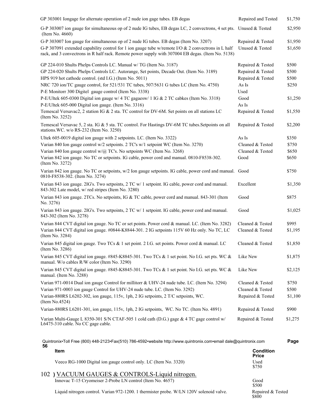| GP 303001 Iongage for alternate operation of 2 nude ion gage tubes. EB degas                                                                                                                            | Repaired and Tested | \$1,750 |
|---------------------------------------------------------------------------------------------------------------------------------------------------------------------------------------------------------|---------------------|---------|
| G-P 303007 ion gauge for simultaneous op of 2 nude IG tubes, EB degas LC, 2 convectrons, 4 set pts. Unused & Tested<br>(Item No. 4660)                                                                  |                     | \$2,950 |
| G-P 303007 Ion gauge for simultaneous op of 2 nude IG tubes. EB degas (Item No. 3207)                                                                                                                   | Repaired & Tested   | \$1,950 |
| G-P 307091 extended capability control for 1 ion gauge tube w/remote I/O & 2 convectrons in L half<br>rack, and 3 convectrons in R half rack. Remote power supply with 307004 EB degas. (Item No. 5138) | Unused & Tested     | \$1,650 |
| GP 224-010 Shults Phelps Controls LC. Manual w/ TG (Item No. 3187)                                                                                                                                      | Repaired & Tested   | \$500   |
| GP 224-020 Shults Phelps Controls LC. Autorange, Set points, Decade Out. (Item No. 3189)                                                                                                                | Repaired & Tested   | \$500   |
| HPS 919 hot cathode control. (std I.G.) (Item No. 5011)                                                                                                                                                 | Repaired & Tested   | \$500   |
| NRC 720 ion/TC gauge control, for 521/531 TC tubes, 507/5631 G tubes LC (Item No. 4750)                                                                                                                 | As Is               | \$250   |
| P-E Monitorr 300 Digitel gauge control (Item No. 3338)                                                                                                                                                  | Used                |         |
| P-E/Ultek 605-0300 Digital ion gauge w/ 4 TC gagaesw/ 1 IG & 2 TC cabkes (Item No. 3318)                                                                                                                | Good                | \$1,250 |
| P-E/Ultek 605-000 Digital ion gauge. (Item No. 3316)                                                                                                                                                    | As Is               |         |
| Temescal Versavac2, 2 station IG & 2 sta. TC control for DV-6M. Set points on all stations LC<br>(Item No. 3252)                                                                                        | Repaired & Tested   | \$1,550 |
| Temescal Versavac 5, 2 sta. IG & 5 sta. TC control. For Hastings DV-6M TC tubes. Setpoints on all<br>stations. WC. w/o RS-232 (Item No. 3250)                                                           | Repaired & Tested   | \$2,200 |
| Ultek 605-0019 digital ion gauge with 2 setpoints. LC. (Item No. 3322)                                                                                                                                  | As Is               | \$350   |
| Varian 840 Ion gauge control w/2 setpoints. 2 TC's w/1 setpoint WC (Item No. 3270)                                                                                                                      | Cleaned & Tested    | \$750   |
| Varian 840 Ion gauge control w/@ TC's. No setpoints WC (Item No. 3268)                                                                                                                                  | Cleaned & Tested    | \$650   |
| Varian 842 ion gauge. No TC or setpoints. IG cable, power cord and manual. 0810-F8538-302.<br>(Item No. 3272)                                                                                           | Good                | \$650   |
| Varian 842 ion gauge. No TC or setpoints, w/2 Ion gauge setpoints. IG cable, power cord and manual. Good<br>0810-F8538-302. (Item No. 3274)                                                             |                     | \$750   |
| Varian 843 ion gauge. 2IG's. Two setpoints, 2 TC w/ 1 setpoint. IG cable, power cord and manual.<br>843-302 Late model, w/ red stripes (Item No. 3280)                                                  | Excellent           | \$1,350 |
| Varian 843 ion gauge. 2TCs. No setpoints, IG & TC cable, power cord and manual. 843-301 (Item<br>No. 3276)                                                                                              | Good                | \$875   |
| Varian 843 ion gauge. 2IG's. Two setpoints, 2 TC w/ 1 setpoint. IG cable, power cord and manual.<br>843-302 (Item No. 3278)                                                                             | Good                | \$1,025 |
| Varian 844 CVT digital ion gauge. No TC or set points. Power cord & manual. LC. (Item No. 3282)                                                                                                         | Cleaned & Tested    | \$995   |
| Varian 844 CVT digital ion gauge. #0844-K8844-301. 2 IG setpoints 115V 60 Hz only. No TC, LC<br>(Item No. 3284)                                                                                         | Cleaned & Tested    | \$1,195 |
| Varian 845 digital ion gauge. Two TCs & 1 set point. 2 I.G. set points. Power cord & manual. LC<br>(Item No. 3286)                                                                                      | Cleaned & Tested    | \$1,850 |
| Varian 845 CVT digital ion gauge. #845-K8845-301. Two TCs & 1 set point. No I.G. set pts. WC &<br>manual. W/o cables R/W color (Item No. 3290)                                                          | Like New            | \$1,875 |
| Varian 845 CVT digital ion gauge. #845-K8845-301. Two TCs & 1 set point. No I.G. set pts. WC &<br>manual. (Item No. 3288)                                                                               | Like New            | \$2,125 |
| Varian 971-0014 Dual ion gauge Control for millitorr & UHV-24 nude tube. LC. (Item No. 3294)                                                                                                            | Cleaned & Tested    | \$750   |
| Varian 971-0003 ion gauge Control for UHV-24 nude tube. LC. (Item No. 3292)                                                                                                                             | Cleaned & Tested    | \$500   |
| Varian-880RS L6202-302, ion gauge, 115v, 1ph, 2 IG setpoints, 2 T/C setpoints, WC.<br>(Item No.4524)                                                                                                    | Repaired & Tested   | \$1,100 |
| Varian-880RS L6201-301, ion gauge, 115v, 1ph, 2 IG setpoints, WC. No TC. (Item No. 4891)                                                                                                                | Repaired & Tested   | \$900   |
| Varian Multi-Gauge L 8350-301 S/N CTAF-505 1 cold cath (D.G.) gage & 4 TC gage control w/<br>L6475-310 cable. No CC gage cable.                                                                         | Repaired & Tested   | \$1,275 |
| Quintronix•Toll Free (800) 448-2123•Fax(510) 786-4592•website http://www.quintronix.com•email dale@quintronix.com                                                                                       |                     | Page    |

| 56 | ltem                                                                                    | <b>Condition</b><br><b>Price</b> |
|----|-----------------------------------------------------------------------------------------|----------------------------------|
|    | Veeco RG-1000 Digital ion gauge control only. LC (Item No. 3320)                        | Used<br>\$750                    |
|    | 102) VACUUM GAUGES & CONTROLS-Liquid nitrogen.                                          |                                  |
|    | Innovac T-15 Cryomeiser 2-Probe LN control (Item No. 4657)                              | Good<br>\$500                    |
|    | Liquid nitrogen control. Varian 972-1200. 1 thermister probe. W/LN 120V solenoid valve. | Repaired & Tested<br>\$800       |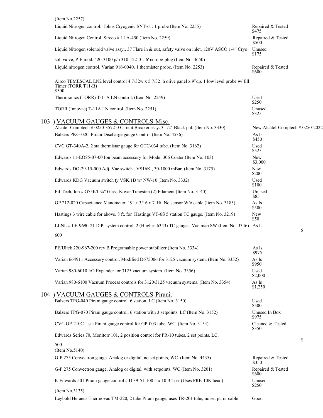| (Item No.2257)                                                                                                                   |                                  |
|----------------------------------------------------------------------------------------------------------------------------------|----------------------------------|
| Liquid Nitrogen control. Johns Cryogenic SNT-61. 1 probe (Item No. 2255)                                                         | Repaired & Tested<br>\$475       |
| Liquid Nitrogen Control, Streco # LLA-450 (Item No. 2259)                                                                        | Repaired & Tested<br>\$500       |
| Liquid Nitrogen solenoid valve assy., 37 Flare in & out, safety valve on inlet, 120V ASCO 1/4" Cryo                              | Unused<br>\$175                  |
| sol. valve, P-E mod. 420-3100 p/n 310-122-0, 6' cord & plug (Item No. 4650)                                                      |                                  |
| Liquid nitrogen control. Varian 916-0040. 1 thermister probe. (Item No. 2253)                                                    | Repaired & Tested<br>\$600       |
| Airco TEMESCAL LN2 level control 4 7/32w x 5 7/32 h olive panel x 9"dp. 1 low level probe w/ fill<br>Timer (TORR T11-B)<br>\$500 |                                  |
| Thermionics (TORR) T-11A LN control. (Item No. 2249)                                                                             | Used<br>\$250                    |
| TORR (Innovac) T-11A LN control. (Item No. 2251)                                                                                 | Unused<br>\$325                  |
| 103 ) VACUUM GAUGES & CONTROLS-Misc.                                                                                             |                                  |
| Alcatel-Comptech # 0250-3572-0 Circuit Breaker assy. 3 1/2" Black pul. (Item No. 3330)                                           | New Alcatel-Comptech # 0250-2022 |
| Balzers PKG-020 Pirani Discharge gauge Control (Item No. 4536)                                                                   | As Is<br>\$450                   |
| CVC GT-340A-2, 2 sta thermistar gauge for GTC-034 tube. (Item No. 3162)                                                          | Used<br>\$525                    |
| Edwards 11-EO85-07-00 Ion beam accessory for Model 306 Coater (Item No. 103)                                                     | New<br>\$3,000                   |
| Edwards DO-29-15-000 Adj. Vac switch . VS16K, 30-1000 mBar. (Item No. 3175)                                                      | New<br>\$200                     |
| Edwards KDG Vacuum switch ty VSK.1B w/ NW-10 (Item No. 3332)                                                                     | Used<br>\$100                    |
| Fil-Tech, Ion # G75KT 34" Glass-Kovar Tungsten (2) Filament (Item No. 3140)                                                      | Unused<br>\$85                   |
| GP 212-020 Capacitance Manometer. 19" x 3/16 x 7"Hi. No sensor W/o cable (Item No. 3185)                                         | As Is<br>\$300                   |
| Hastings 3 wire cable for above. 8 ft. for Hastings VT-6S 5 station TC gauge. (Item No. 3219)                                    | New<br>\$50                      |
| LLNL # LE-9690-21 D.P. system control. 2 (Hughes 6343) TC gauges, Vac map SW (Item No. 3346) As Is                               | \$                               |
| 600                                                                                                                              |                                  |
| PE/Ultek 220-967-200 rev B Programable power stabilizer (Item No. 3334)                                                          | As Is<br>\$975                   |
| Varian 664911 Accessory control. Modified D675006 for 3125 vacuum system. (Item No. 3352)                                        | As Is<br>\$950                   |
| Varian 980-6010 I/O Expander for 3125 vacuum system. (Item No. 3356)                                                             | Used<br>\$2,000                  |
| Varian 980-6100 Vacuum Process controls for 3120/3125 vacuum systems. (Item No. 3354)                                            | As Is<br>\$1,250                 |
| 104 ) VACUUM GAUGES & CONTROLS-Pirani.                                                                                           |                                  |
| Balzers TPG-040 Pirani gauge control. 6 station. LC (Item No. 3150)                                                              | Used<br>\$500                    |
| Balzers TPG-070 Pirani gauge control. 6 station with 3 setpoints. LC (Item No. 3152)                                             | Unused In Box<br>\$975           |
| CVC GP-210C 1 sta Pirani gauge control for GP-003 tube. WC. (Item No. 3154)                                                      | Cleaned & Tested<br>\$350        |
| Edwards Series 70, Monitorr 101, 2 position control for PR-10 tubes. 2 set points. LC.                                           | \$                               |
| 500<br>(Item No.5140)                                                                                                            |                                  |
| G-P 275 Convectron gauge. Analog or digital, no set points, WC. (Item No. 4435)                                                  | Repaired & Tested<br>\$350       |
| G-P 275 Convectron gauge. Analog or digital, with setpoints. WC (Item No. 3201)                                                  | Repaired & Tested<br>\$600       |
| K Edwards 501 Pirani gauge control # D 39-51-100 5 x 10-3 Torr (Uses PRE-10K head)                                               | Unused<br>\$250                  |
| (Item No.3135)                                                                                                                   |                                  |
| Leybold Heraeus Thermovac TM-220, 2 tube Pirani gauge, uses TR-201 tube, no set pt. or cable                                     | Good                             |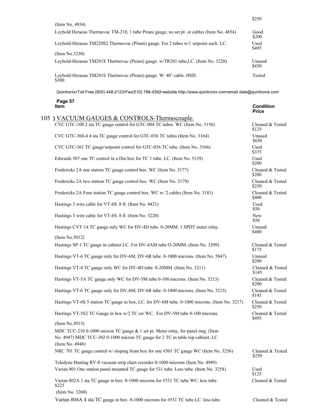|                                                                                             | \$250           |
|---------------------------------------------------------------------------------------------|-----------------|
| (Item No. 4934)                                                                             |                 |
| Leybold Heraeus Thermovac TM-210, 1 tube Pirani gauge, no set pt. or cables (Item No. 4854) | Good<br>\$200   |
| Leybold-Heraeus TM220S2 Thermovac (Pirani) gauge. For 2 tubes w/1 setpoint each. LC.        | Used<br>\$495   |
| (Item No.3230)                                                                              |                 |
| Leybold-Heraeus TM201S Thermovac (Pirani) gauge. w/TR201 tube, LC. (Item No. 3228)          | Unused<br>\$450 |
| Leybold-Heraeus TM201S Thermovac (Pirani) gauge. W/40' cable. HSD.<br>\$300                 | Tested          |

| Page 57<br><b>Item</b>                                                                        | <b>Condition</b><br><b>Price</b> |
|-----------------------------------------------------------------------------------------------|----------------------------------|
| 105) VACUUM GAUGES & CONTROLS-Thermocouple.                                                   |                                  |
| CVC GTC-100 2 sta TC gauge control for GTC-004 TC tubes. WC (Item No. 3156)                   | Cleaned & Tested<br>\$125        |
| CVC GTC-360-4 4 sta TC gauge control for GTC-036 TC tubes (Item No. 3164)                     | Unused<br>\$650                  |
| CVC GTC-361 TC gauge/setpoint control for GTC-036 TC tube. (Item No. 3166)                    | Used<br>\$375                    |
| Edwards 507 one TC control in a Din box for TC 1 tube. LC. (Item No. 5139)                    | Used<br>\$200                    |
| Fredericks 2A one station TC gauge control box. WC (Item No. 3177)                            | Cleaned & Tested<br>\$200        |
| Fredericks 2A two station TC gauge control box. WC (Item No. 3179)                            | Cleaned & Tested<br>\$250        |
| Fredericks 2A Four station TC gauge control box. WC w/2 cables (Item No. 3181)                | Cleaned & Tested<br>\$400        |
| Hastings 3 wire cable for VT-6S. 8 ft. (Item No. 4421)                                        | Used<br>\$50                     |
| Hastings 3 wire cable for VT-6S. 8 ft. (Item No. 3220)                                        | New<br>\$50                      |
| Hastings CVT-14 TC gauge only WC for DV-4D tube. 0-20MM. 1 SPDT meter relay.                  | Unused<br>\$400                  |
| (Item No.5012)                                                                                |                                  |
| Hastings SP-1 TC gauge in cabinet LC. For DV-4AM tube O-20MM. (Item No. 3209)                 | Cleaned & Tested<br>\$175        |
| Hastings VT-6 TC gauge only for DV-6M, DV-6R tube. 0-1000 microns. (Item No. 5047)            | Unused<br>\$200                  |
| Hastings VT-4 TC gauge only WC for DV-4D tube. 0-20MM. (Item No. 3211)                        | Cleaned & Tested<br>\$145        |
| Hastings VT-5A TC gauge only WC for DV-5M tube 0-100 microns. (Item No. 3213)                 | Cleaned & Tested<br>\$200        |
| Hastings VT-6 TC gauge only for DV-6M, DV-6R tube. 0-1000 microns. (Item No. 3215)            | Cleaned & Tested<br>\$145        |
| Hastings VT-6S 5 station TC gauge in box, LC. for DV-6M tube. 0-1000 microns. (Item No. 3217) | Cleaned & Tested<br>\$250        |
| Hastings VT-5S2 TC Gauge in box w/2 TC sw WC. For DV-5M tube 0-100 microns.                   | Cleaned & Tested<br>\$495        |
| (Item No.5013)                                                                                |                                  |
| MDC TCC-210 0-1000 micron TC gauge & 1 set pt. Meter relay, for panel mtg. (Item              |                                  |
| No. 4947) MDC TCC-302 0-1000 micron TC gauge for 2 TC in table top cabinet, LC                |                                  |
| (Item No. 4948)                                                                               |                                  |
| NRC 701 TC gauge control w/ sloping front box for one #501 TC gauge WC (Item No. 3256)        | Cleaned & Tested<br>\$250        |
| Teledyne Hasting RV-8 vacuum strip chart recorder 0-1000 microns (Item No. 4949)              |                                  |
| Varian 801 One station panel mounted TC gauge for 531 tube. Less tube. (Item No. 3258)        | Used<br>\$125                    |
| Varian 802A 1 sta TC gauge in box. 0-1000 microns for #531 TC tube WC. less tube.<br>\$225    | Cleaned & Tested                 |
| (Item No. 3260)                                                                               |                                  |
| Varian 804A 4 sta TC gauge in box. 0-1000 microns for #531 TC tube LC. less tube.             | Cleaned & Tested                 |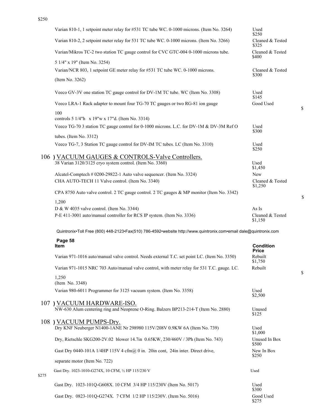|       | Varian 810-1, 1 setpoint meter relay for #531 TC tube WC. 0-1000 microns. (Item No. 3264)                         | Used<br>\$250               |
|-------|-------------------------------------------------------------------------------------------------------------------|-----------------------------|
|       | Varian 810-2, 2 setpoint meter relay for 531 TC tube WC. 0-1000 microns. (Item No. 3266)                          | Cleaned & Tested<br>\$325   |
|       | Varian/Mikros TC-2 two station TC gauge control for CVC GTC-004 0-1000 microns tube.                              | Cleaned & Tested<br>\$400   |
|       | 5 1/4" x 19" (Item No. 3254)                                                                                      |                             |
|       | Varian/NCR 803, 1 setpoint GE meter relay for #531 TC tube WC. 0-1000 microns.                                    | Cleaned & Tested<br>\$300   |
|       | (Item No. 3262)                                                                                                   |                             |
|       | Veeco GV-3V one station TC gauge control for DV-1M TC tube. WC (Item No. 3308)                                    | Used<br>\$145               |
|       | Veeco LRA-1 Rack adapter to mount four TG-70 TC gauges or two RG-81 ion gauge                                     | Good Used                   |
|       |                                                                                                                   |                             |
|       | 100<br>controls 5 1/4"h x 19"w x 17"d. (Item No. 3314)                                                            |                             |
|       |                                                                                                                   |                             |
|       | Veeco TG-70 3 station TC gauge control for 0-1000 microns. L.C. for DV-1M & DV-3M Ref O                           | Used<br>\$300               |
|       | tubes. (Item No. 3312)                                                                                            |                             |
|       | Veeco TG-7, 3 Station TC gauge control for DV-IM TC tubes. LC (Item No. 3310)                                     | Used                        |
|       |                                                                                                                   | \$250                       |
|       | 106) VACUUM GAUGES & CONTROLS-Valve Controllers.                                                                  |                             |
|       | 38 Varian 3120/3125 cryo system control. (Item No. 3360)                                                          | Used                        |
|       |                                                                                                                   | \$1,450                     |
|       | Alcatel-Comptech # 0200-29822-1 Auto valve sequencer. (Item No. 3324)                                             | <b>New</b>                  |
|       | CHA AUTO-TECH 11 Valve control. (Item No. 3340)                                                                   | Cleaned & Tested<br>\$1,250 |
|       | CPA 8750 Auto valve control. 2 TC gauge control. 2 TC gauges & MP monitor (Item No. 3342)                         |                             |
|       |                                                                                                                   |                             |
|       | 1,200                                                                                                             |                             |
|       | D & W 4035 valve control. (Item No. 3344)                                                                         | As Is                       |
|       | P-E 411-3001 auto/manual controller for RCS IP system. (Item No. 3336)                                            | Cleaned & Tested<br>\$1,150 |
|       | Quintronix•Toll Free (800) 448-2123•Fax(510) 786-4592•website http://www.quintronix.com•email dale@quintronix.com |                             |
|       | Page 58                                                                                                           |                             |
|       | Item                                                                                                              | <b>Condition</b>            |
|       |                                                                                                                   | <b>Price</b>                |
|       | Varian 971-1016 auto/manual valve control. Needs external T.C. set point LC. (Item No. 3350)                      | Rebuilt<br>\$1,750          |
|       | Varian 971-1015 NRC 703 Auto/manual valve control, with meter relay for 531 T.C. gauge. LC.                       | Rebuilt                     |
|       | 1,250                                                                                                             |                             |
|       | (Item No. 3348)                                                                                                   |                             |
|       | Varian 980-6011 Programmer for 3125 vacuum system. (Item No. 3358)                                                | Used<br>\$2,500             |
|       |                                                                                                                   |                             |
|       | 107) VACUUM HARDWARE-ISO.                                                                                         |                             |
|       | NW-630 Alum centering ring and Neoprene O-Ring. Balzers BP213-214-T (Item No. 2880)                               | Unused<br>\$125             |
|       | 108 ) VACUUM PUMPS-Dry.                                                                                           |                             |
|       | Dry KNF Neuberger N1400-1ANE Nr 298980 115V/208V 0.9KW 6A (Item No. 739)                                          | Used                        |
|       |                                                                                                                   | \$1,000                     |
|       | Dry, Rietschle SKG200-2V.02 blower 14.7in 0.65KW, 230/460V / 3Ph (Item No. 743)                                   | Unused In Box<br>\$500      |
|       | Gast Dry 0440-101A 1/4HP 115V 4 cfm@ 0 in. 20in cont, 24in inter. Direct drive,                                   | New In Box<br>\$250         |
|       | separate motor (Item No. 722)                                                                                     |                             |
|       | Gast Dry. 1023-1010-G274X, 10 CFM, 1/2 HP 115/230 V                                                               | Used                        |
| \$275 |                                                                                                                   |                             |
|       | Gast Dry. 1023-101Q-G608X. 10 CFM 3/4 HP 115/230V (Item No. 5017)                                                 | Used<br>\$300               |
|       | Gast Dry. 0823-101Q-G274X. 7 CFM 1/2 HP 115/230V. (Item No. 5016)                                                 | Good Used<br>\$275          |

\$

\$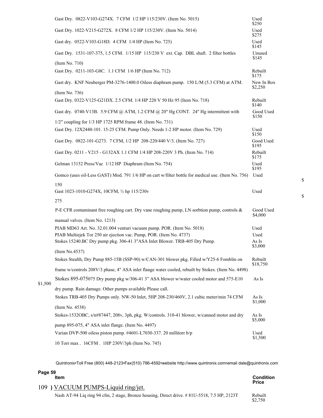|         | Gast Dry. 0822-V103-G274X. 7 CFM 1/2 HP 115/230V. (Item No. 5015)                                                                             | Used<br>\$250         |
|---------|-----------------------------------------------------------------------------------------------------------------------------------------------|-----------------------|
|         | Gast Dry. 1022-V215-G272X. 8 CFM 1/2 HP 115/230V. (Item No. 5014)                                                                             | Used<br>\$275         |
|         | Gast dry. 0522-V103-G18D. 4 CFM 1/4 HP (Item No. 725)                                                                                         | Used<br>\$145         |
|         | Gast Dry. 1531-107-375, 1.5 CFM. 1/15 HP 115/230 V ext. Cap. DBL shaft. 2 filter bottles                                                      | Unused<br>\$145       |
|         | (Item No. 710)<br>Gast Dry. 0211-103-G8C. 1.1 CFM 1/6 HP (Item No. 712)                                                                       | Rebuilt<br>\$175      |
|         | Gast dry. KNF Neuberger PM-3276-1400.0 Oiless diaphram pump. 150 L/M (5.3 CFM) at ATM.                                                        | New In Box<br>\$2,250 |
|         | (Item No. 736)                                                                                                                                |                       |
|         | Gast Dry. 0322-V125-G21DX. 2.5 CFM. 1/4 HP 220 V 50 Hz 95 (Item No. 718)                                                                      | Rebuilt<br>\$140      |
|         | Gast dry. 0740-V13B. 5.9 CFM @ ATM, 1.2 CFM @ 20" Hg CONT. 24" Hg intermittent with                                                           | Good Used<br>\$150    |
|         | $1/2$ " coupling for $1/3$ HP 1725 RPM frame 48. (Item No. 731)                                                                               |                       |
|         | Gast Dry. 12X2440-101. 15-25 CFM. Pump Only. Needs 1-2 HP motor. (Item No. 729)                                                               | Used<br>\$150         |
|         | Gast Dry. 0822-101-G273. 7 CFM, 1/2 HP 208-220/440 V/3. (Item No. 727)                                                                        | Good Used<br>\$195    |
|         | Gast Dry. 0211 - V215 - G132AX 1.1 CFM 1/4 HP 208-220V 3 Ph. (Item No. 714)                                                                   | Rebuilt<br>\$175      |
|         | Gelman 13152 Press/Vac 1/12 HP Diaphram (Item No. 754)                                                                                        | Used<br>\$195         |
|         | Gomco (uses oil-Less GAST) Mod. 791 1/6 HP on cart w/filter bottle for medical use. (Item No. 756)                                            | Used                  |
|         | 150<br>Gast 1023-1010-G274X, 10CFM, 1/2 hp 115/230v                                                                                           | Used                  |
|         | 275                                                                                                                                           |                       |
|         | P-E CFR contaminant free roughing cart. Dry vane roughing pump, LN sorbtion pump, controls &                                                  | Good Used<br>\$4,000  |
|         | manual valves. (Item No. 1213)                                                                                                                |                       |
|         | PIAB MD63 Art. No. 32.01.004 venturi vacuum pump. POR. (Item No. 5018)<br>PIAB Multiejek Tor 250 air ejection vac. Pump, POR. (Item No. 4737) | Used<br>Used          |
|         | Stokes 15240.BC Dry pump pkg. 306-41 3"ASA Inlet Blower. TRB-405 Dry Pump.                                                                    | As Is                 |
|         | (Item No.4537)                                                                                                                                | \$3,000               |
|         | Stokes Stealth, Dry Pump 885-15B (SSP-90) w/CAN-301 blower pkg. Filled w/Y25-6 Fomblin on                                                     | Rebuilt               |
|         | frame w/controls 208V/3 phase, 4" ASA inlet flange water cooled, rebuilt by Stokes. (Item No. 4498)                                           | \$18,750              |
|         | Stokes 895-075075 Dry pump pkg w/306-41 3" ASA blower w/water cooled motor and 575-E10                                                        | As Is                 |
| \$1,500 | dry pump. Rain damage. Other pumps available Please call.                                                                                     |                       |
|         | Stokes TRB-405 Dry Pumps only. NW-50 Inlet, 5HP 208-230/460V, 2.1 cubic meter/min 74 CFM                                                      | As Is<br>\$1,000      |
|         | (Item No. 4538)                                                                                                                               |                       |
|         | Stokes-1532OBC, s/n#87447, 208v, 3ph, pkg. W/controls. 310-41 blower, w/canned motor and dry                                                  | As Is<br>\$5,000      |
|         | pump 895-075, 4" ASA inlet flange. (Item No. 4497)                                                                                            |                       |
|         | Varian DVP-500 oiless piston pump. #4601-L7030-337. 20 millitorr b/p                                                                          | Used<br>\$1,500       |
|         | 10 Torr max . 16CFM . 1HP 230V/3ph (Item No. 745)                                                                                             |                       |

| Page 59<br><b>Item</b>             | Condition    |
|------------------------------------|--------------|
|                                    | <b>Price</b> |
| 109) VACUUM PUMPS-Liquid ring/jet. |              |

Nash AT-94 Liq ring 94 cfm, 2 stage, Bronze housing, Direct drive. #81U-5518, 7.5 HP, 2123T

Rebuilt<br>\$2,750

\$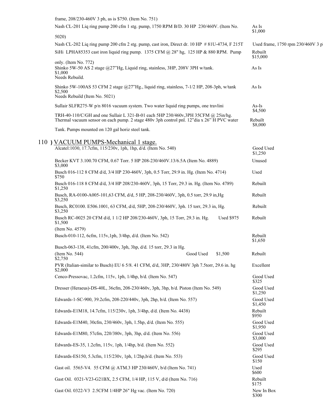| frame, 208/230-460V 3 ph, as is \$750. (Item No. 751)                                                                                                                           |                                   |
|---------------------------------------------------------------------------------------------------------------------------------------------------------------------------------|-----------------------------------|
| Nash CL-201 Liq ring pump 200 cfm 1 stg. pump, 1750 RPM B/D. 30 HP 230/460V. (Item No.                                                                                          | As Is<br>\$1,000                  |
| 5020)                                                                                                                                                                           |                                   |
| Nash CL-202 Liq ring pump 200 cfm 2 stg. pump, cast iron, Direct dr. 10 HP #81U-4734, F 215T                                                                                    | Used frame, 1750 rpm 230/460V 3 p |
| SiHi LPHA85353 cast iron liquid ring pump. 1375 CFM @ 28" hg, 125 HP & 880 RPM. Pump                                                                                            | Rebuilt<br>\$15,000               |
| only. (Item No. 772)<br>Shinko 5W-50 AS 2 stage @27"Hg, Liquid ring, stainless, 3HP, 208V 3PH w/tank.<br>\$1,000<br>Needs Rebuild.                                              | As Is                             |
| Shinko 5W-100AS 53 CFM 2 stage @27"Hg., liquid ring, stainless, 7-1/2 HP, 208-3ph, w/tank<br>\$2,500<br>Needs Rebuild (Item No. 5021)                                           | As Is                             |
| Sullair SLFR275-W p/n 8016 vacuum system. Two water liquid ring pumps, one travlini                                                                                             | $As-Is$                           |
| TRH-40-110/C/GH and one Sullair L 321-B-01 each 5HP 230/460v,3PH 35CFM @ 25in/hg.<br>Thermal vacuum sensor on each pump. 2 stage 480v 3ph control pnl. 12"dia x 26" H PVC water | \$4,500<br>Rebuilt                |
| Tank. Pumps mounted on 120 gal horiz steel tank.                                                                                                                                | \$8,000                           |
| 110) VACUUM PUMPS-Mechanical 1 stage.                                                                                                                                           |                                   |
| Alcatel:1030, 17.7cfm, 115/230v, 1ph, 1hp, d/d. (Item No. 540)                                                                                                                  | Good Used<br>\$1,250              |
| Becker KVT 3.100.70 CFM, 0.67 Torr. 5 HP 208-230/460V.13/6.5A (Item No. 4889)<br>\$3,000                                                                                        | Unused                            |
| Busch 016-112 8 CFM d/d, 3/4 HP 230-460V, 3ph, 0.5 Torr, 29.9 in. Hg. (Item No. 4714)<br>\$750                                                                                  | Used                              |
| Busch 016-118 8 CFM d/d, 3/4 HP 208/230-460V, 3ph, 15 Torr, 29.3 in. Hg. (Item No. 4789)<br>\$1,250                                                                             | Rebuilt                           |
| Busch, RA-0100-A005-101,63 CFM, d/d, 5 HP, 208-230/460V, 3ph, 0.5 torr, 29.9 in, Hg<br>\$3,250                                                                                  | Rebuilt                           |
| Busch, RC0100. E506.1001, 63 CFM, d/d, 5HP, 208-230/460V, 3ph. 15 torr, 29.3 in, Hg.<br>\$3,250                                                                                 | Rebuilt                           |
| Busch RC-0025 20 CFM d/d, 1 1/2 HP 208/230-460V, 3ph, 15 Torr, 29.3 in. Hg.<br><b>Used \$975</b><br>\$1,500                                                                     | Rebuilt                           |
| (Item No. 4579)                                                                                                                                                                 |                                   |
| Busch-010-112, 6cfm, 115v, 1ph, 3/4hp, d/d. (Item No. 542)                                                                                                                      | Rebuilt<br>\$1,650                |
| Busch-063-138, 41cfm, 200/400v, 3ph, 3hp, d/d. 15 torr, 29.3 in Hg.                                                                                                             |                                   |
| (Item No. 544)<br>Good Used<br>\$1,500<br>\$2,750                                                                                                                               | Rebuilt                           |
| PVR (Italian-similar to Busch) EU 6 5/8. 41 CFM, d/d, 3HP, 230/480V 3ph 7.5torr, 29.6 in. hg<br>\$2,000                                                                         | Excellent                         |
| Cenco-Pressovac, 1.2cfm, 115v, 1ph, 1/4hp, b/d. (Item No. 547)                                                                                                                  | Good Used<br>\$325                |
| Dresser (Heraeus)-DS-40L, 36cfm, 208-230/460v, 3ph, 3hp, b/d. Piston (Item No. 549)                                                                                             | Good Used<br>\$1,250              |
| Edwards-1-SC-900, 39.2cfm, 208-220/440v, 3ph, 2hp, b/d. (Item No. 557)                                                                                                          | Good Used<br>\$1,450              |
| Edwards-E1M18, 14.7cfm, 115/230v, 1ph, 3/4hp, d/d. (Item No. 4438)                                                                                                              | Rebuilt<br>\$950                  |
| Edwards-E1M40, 30cfm, 230/460v, 3ph, 1.5hp, d/d. (Item No. 555)                                                                                                                 | Good Used<br>\$1,950              |
| Edwards-E1M80, 57cfm, 220/380v, 3ph, 3hp, d/d. (Item No. 556)                                                                                                                   | Good Used<br>\$3,000              |
| Edwards-ES-35, 1.2cfm, 115v, 1ph, 1/4hp, b/d. (Item No. 552)                                                                                                                    | Good Used<br>\$295                |
| Edwards-ES150, 5.3cfm, 115/230v, 1ph, 1/2hp, b/d. (Item No. 553)                                                                                                                | Good Used<br>\$150                |
| Gast oil. 5565-V4. 55 CFM @ ATM.3 HP 230/460V, b/d (Item No. 741)                                                                                                               | Used<br>\$600                     |
| Gast Oil. 0321-V23-G21BX, 2.5 CFM, 1/4 HP, 115 V, d/d (Item No. 716)                                                                                                            | Rebuilt<br>\$175                  |
| Gast Oil. 0322-V3 2.5CFM 1/4HP 26" Hg vac. (Item No. 720)                                                                                                                       | New In Box<br>\$300               |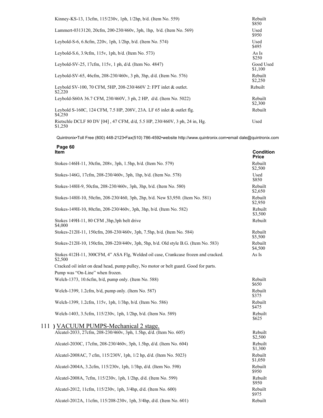| Kinney-KS-13, 13cfm, 115/230v, 1ph, 1/2hp, b/d. (Item No. 559)                        | Rebuilt<br>\$850     |
|---------------------------------------------------------------------------------------|----------------------|
| Lammert-0313120, 20cfm, 200-230/460v, 3ph, 1hp, b/d. (Item No. 569)                   | Used<br>\$950        |
| Leybold-S-6, 6.8cfm, 220v, 1ph, 1/2hp, b/d. (Item No. 574)                            | Used<br>\$495        |
| Leybold-S.6, 3.9cfm, 115v, 1ph, b/d. (Item No. 573)                                   | As Is<br>\$250       |
| Leybold-SV-25, 17cfm, 115v, 1 ph, d/d. (Item No. 4847)                                | Good Used<br>\$1,100 |
| Leybold-SV-65, 46cfm, 208-230/460v, 3 ph, 3hp, d/d. (Item No. 576)                    | Rebuilt<br>\$2,250   |
| Leybold SV-100, 70 CFM, 5HP, 208-230/460V 2: FPT inlet & outlet.<br>\$2,220           | Rebuilt              |
| Leybold-S60A 36.7 CFM, 230/460V, 3 ph, 2 HP, d/d. (Item No. 5022)                     | Rebuilt<br>\$2,300   |
| Leybold S-160C, 124 CFM, 7.5 HP, 208V, 23A. LF 65 inlet & outlet flg.<br>\$4,250      | Rebuilt              |
| Rietschle DCLF 80 DV [04], 47 CFM, d/d, 5.5 HP, 230/460V, 3 ph, 24 in, Hg.<br>\$1,250 | Used                 |

| Page 60<br><b>Item</b>                                                                        | Condition<br><b>Price</b> |
|-----------------------------------------------------------------------------------------------|---------------------------|
| Stokes-146H-11, 30cfm, 208v, 3ph, 1.5hp, b/d. (Item No. 579)                                  | Rebuilt<br>\$2,500        |
| Stokes-146G, 17cfm, 208-230/460v, 3ph, 1hp, b/d. (Item No. 578)                               | Used<br>\$850             |
| Stokes-148H-9, 50cfm, 208-230/460v, 3ph, 3hp, b/d. (Item No. 580)                             | Rebuilt<br>\$2,650        |
| Stokes-148H-10, 50cfm, 208-230/460, 3ph, 2hp, b/d. New \$3,950. (Item No. 581)                | Rebuilt<br>\$2,950        |
| Stokes-149H-10, 80cfm, 208-230/460v, 3ph, 3hp, b/d. (Item No. 582)                            | Rebuilt<br>\$3,500        |
| Stokes 149H-11, 80 CFM ,3hp,3ph belt drive<br>\$4,000                                         | Rebuilt                   |
| Stokes-212H-11, 150cfm, 208-230/460v, 3ph, 7.5hp, b/d. (Item No. 584)                         | Rebuilt<br>\$5,500        |
| Stokes-212H-10, 150cfm, 208-220/440v, 3ph, 5hp, b/d. Old style B.G. (Item No. 583)            | Rebuilt<br>\$4,500        |
| Stokes 412H-11, 300CFM, 4" ASA Flg, Welded oil case, Crankcase frozen and cracked.<br>\$2,500 | As Is                     |
| Cracked oil inlet on dead head, pump pulley, No motor or belt guard. Good for parts.          |                           |
| Pump was "On-Line" when frozen.                                                               |                           |
| Welch-1373, 10.6cfm, b/d, pump only. (Item No. 588)                                           | Rebuilt<br>\$650          |
| Welch-1399, 1.2cfm, b/d, pump only. (Item No. 587)                                            | Rebuilt<br>\$375          |
| Welch-1399, 1.2cfm, 115v, 1ph, 1/3hp, b/d. (Item No. 586)                                     | Rebuilt<br>\$475          |
| Welch-1403, 3.5cfm, 115/230v, 1ph, 1/2hp, b/d. (Item No. 589)                                 | Rebuilt<br>\$625          |
| 111) VACUUM PUMPS-Mechanical 2 stage.                                                         |                           |
| Alcatel-2033, 27cfm, 208-230/460v, 3ph, 1.5hp, d/d. (Item No. 605)                            | Rebuilt<br>\$2,500        |
| Alcatel-2030C, 17cfm, 208-230/460v, 3ph, 1.5hp, d/d. (Item No. 604)                           | Rebuilt<br>\$1,300        |
| Alcatel-2008AC, 7 cfm, 115/230V, 1ph, 1/2 hp, d/d. (Item No. 5023)                            | Rebuilt<br>\$1,050        |
| Alcatel-2004A, 3.2cfm, 115/230v, 1ph, 1/3hp, d/d. (Item No. 598)                              | Rebuilt<br>\$950          |
| Alcatel-2008A, 7cfm, 115/230v, 1ph, 1/2hp, d/d. (Item No. 599)                                | Rebuilt<br>\$950          |
| Alcatel-2012, 11cfm, 115/230v, 1ph, 3/4hp, d/d. (Item No. 600)                                | Rebuilt<br>\$975          |
| Alcatel-2012A, 11cfm, 115/208-230v, 1ph, 3/4hp, d/d. (Item No. 601)                           | Rebuilt                   |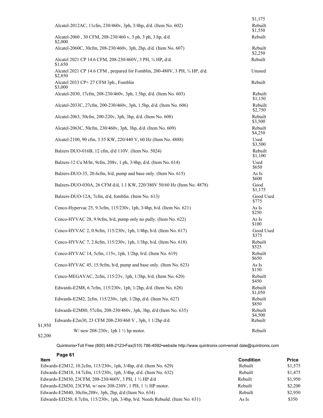|         |                                                                                         | \$1,175            |
|---------|-----------------------------------------------------------------------------------------|--------------------|
|         | Alcatel-2012AC, 11cfm, 230/460v, 3ph, 3/4hp, d/d. (Item No. 602)                        | Rebuilt<br>\$1,550 |
|         | Alcatel-2060, 30 CFM, 208-230/460 v, 3 ph, 3 ph, 3 hp, d/d<br>\$2,000                   | Rebuilt            |
|         | Alcatel-2060C, 30cfm, 208-230/460v, 3ph, 2hp, d/d. (Item No. 607)                       | Rebuilt<br>\$2,250 |
|         | Alcatel 2021 CP 14.6 CFM, 208-230/460V, 3 PH, 3/4 HP, d/d.<br>\$1,650                   | Rebuilt            |
|         | Alcatel 2021 CP 14.6 CFM, prepared for Fomblin, 200-480V, 3 PH, 3/4 HP, d/d.<br>\$2,850 | Unused             |
|         | Alcatel 2033 CP+ 27 CFM 3ph., Fomblin<br>\$3,000                                        | Rebuilt            |
|         | Alcatel-2030, 17cfm, 208-230/460v, 3ph, 1.5hp, d/d. (Item No. 603)                      | Rebuilt<br>\$1,150 |
|         | Alcatel-2033C, 27cfm, 200-230/460v, 3ph, 1.5hp, d/d. (Item No. 606)                     | Rebuilt<br>\$2,750 |
|         | Alcatel-2063, 50cfm, 200-220v, 3ph, 3hp, d/d. (Item No. 608)                            | Rebuilt<br>\$3,500 |
|         | Alcatel-2063C, 50cfm, 230/460v, 3ph, 3hp, d/d. (Item No. 609)                           | Rebuilt<br>\$4,250 |
|         | Alcatel-2100, 90 cfm, 3.55 KW, 220/440 V, 60 Hz (Item No. 4888)                         | Used<br>\$3,500    |
|         | Balzers DUO-016B, 12 cfm, d/d 110V. (Item No. 5024)                                     | Rebuilt<br>\$1,100 |
|         | Balzers-12 Cu M/hr, 9cfm, 208v, 1 ph, 3/4hp, d/d. (Item No. 614)                        | Used<br>\$650      |
|         | Balzers-DUO-35, 20.6cfm, b/d, pump and base only. (Item No. 615)                        | As Is<br>\$600     |
|         | Balzers-DUO-030A, 26 CFM d/d, 1.1 KW, 220/380V 50/60 Hz (Item No. 4878)                 | Good<br>\$1,175    |
|         | Balzers-DUO-12A, 7cfm, d/d, fomblin. (Item No. 613)                                     | Good Used<br>\$775 |
|         | Cenco-Hypervac 25, 9.3cfm, 115/230v, 1ph, 3/4hp, b/d. (Item No. 621)                    | As Is<br>\$250     |
|         | Cenco-HYVAC 28, 9.9cfm, b/d, pump only no pully. (Item No. 622)                         | As Is<br>\$100     |
|         | Cenco-HYVAC 2, 0.9cfm, 115/230v, 1ph, 1/4hp, b/d. (Item No. 617)                        | Good Used<br>\$375 |
|         | Cenco-HYVAC 7, 2.8cfm, 115/230v, 1ph, 1/3hp, b/d. (Item No. 618)                        | Rebuilt<br>\$525   |
|         | Cenco-HYVAC 14, 5cfm, 115v, 1ph, 1/2hp, b/d. (Item No. 619)                             | Rebuilt<br>\$650   |
|         | Cenco-HYVAC 45, 15.9cfm, b/d, pump and base only. (Item No. 623)                        | As Is<br>\$150     |
|         | Cenco-MEGAVAC, 2cfm, 115/23v, 1ph, 1/3hp, b/d. (Item No. 620)                           | Rebuilt<br>\$450   |
|         | Edwards-E2M8, 6.7cfm, 115/230v, 1ph, 1/2hp, d/d. (Item No. 628)                         | Rebuilt<br>\$1,050 |
|         | Edwards-E2M2, 2cfm, 115/230v, 1ph, 1/2hp, d/d. (Item No. 627)                           | Rebuilt<br>\$850   |
|         | Edwards-E2M80, 57cfm, 208-230/460v, 3ph, 3hp, d/d (Item No. 635)                        | Rebuilt<br>\$4,500 |
| \$1,950 | Edwards-E2m30, 23 CFM 208-230/460 V, 3ph, 1 1/2hp d/d                                   | Rebuilt            |
|         | W/new 208-230v, 1ph 1 $\frac{1}{2}$ hp motor.                                           | Rebuilt            |

#### \$2,200

| Page 61                                                                                  |           |              |
|------------------------------------------------------------------------------------------|-----------|--------------|
| <b>Item</b>                                                                              | Condition | <b>Price</b> |
| Edwards-E2M12, 10.2cfm, $115/230v$ , 1ph, $3/4hp$ , $d/d$ . (Item No. 629)               | Rebuilt   | \$1,575      |
| Edwards-E2M18, 14.7cfm, 115/230v, 1ph, 3/4hp, d/d. (Item No. 632)                        | Rebuilt   | \$1,475      |
| Edwards-E2M30, 23CFM, 208-230/460V, 3 PH, 1 1/2 HP d/d                                   | Rebuilt   | \$1,950      |
| Edwards-E2M30, 23CFM, w/ new 208-230V, 1 PH, 1 1/2 HP motor.                             | Rebuilt   | \$2,200      |
| Edwards-E2M40, $30cfm, 208v, 3ph, 2hp, d/d$ (Item No. 634)                               | Rebuilt   | \$2,950      |
| Edwards-ED250, 8.7cfm, $115/230v$ , 1ph, $3/4$ hp, $b/d$ . Needs Rebuild. (Item No. 631) | As Is     | \$350        |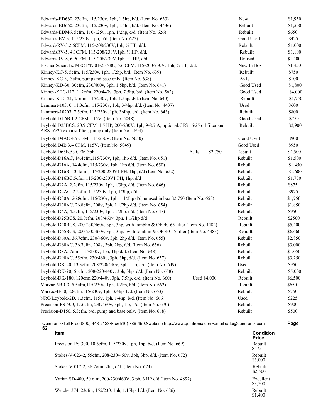| Edwards-ED660, 23cfm, 115/230v, 1ph, 1.5hp, b/d. (Item No. 633)                                                                                    | New        | \$1,950 |
|----------------------------------------------------------------------------------------------------------------------------------------------------|------------|---------|
| Edwards-ED660, 23cfm, 115/230v, 1ph, 1.5hp, b/d. (Item No. 4436)                                                                                   | Rebuilt    | \$1,500 |
| Edwards-EDM6, 5cfm, 110-125v, 1ph, 1/2hp, d/d. (Item No. 626)                                                                                      | Rebuilt    | \$650   |
| Edwards-EV-3, 115/230v, 1ph, b/d. (Item No. 625)                                                                                                   | Good Used  | \$425   |
| EdwardsRV-3,2.6CFM, 115-208/230V, 1ph, 1/2 HP, d/d.                                                                                                | Rebuilt    | \$1,000 |
| EdwardsRV-5, 4.1CFM, 115-208/230V, 1ph, 1/2 HP, d/d.                                                                                               | Rebuilt    | \$1,100 |
| EdwardsRV-8, 6.9CFM, 115-208/230V, 1ph, 3/4 HP, d/d.                                                                                               | Unused     | \$1,400 |
| Fischer Scientific M8C P/N 01-257-8C, 5.6 CFM, 115-200/230V, 1ph, 1/2 HP, d/d.                                                                     | New In Box | \$1,450 |
| Kinney-KC-5, 5cfm, 115/230v, 1ph, 1/2hp, b/d. (Item No. 639)                                                                                       | Rebuilt    | \$750   |
| Kinney-KC-3, 3cfm, pump and base only. (Item No. 638)                                                                                              | As Is      | \$100   |
| Kinney-KD-30, 30cfm, 230/460v, 3ph, 1.5hp, b/d. (Item No. 641)                                                                                     | Good Used  | \$1,800 |
| Kinney-KTC-112, 112cfm, 220/440v, 3ph, 7.5hp, b/d. (Item No. 562)                                                                                  | Good Used  | \$4,000 |
| Kinney-KTC-21, 21cfm, 115/230v, 1ph, 1.5hp, d/d. (Item No. 640)                                                                                    | Rebuilt    | \$1,750 |
| Lammert-10310, 11.3cfm, 115/230v, 1ph, 3/4hp, d/d. (Item No. 4437)                                                                                 | Used       | \$600   |
| Lammert-10207, 7.5cfm, 115/230v, 1ph, 3/4hp, d/d. (Item No. 643)                                                                                   | Rebuilt    | \$800   |
| Leybold D1.6B 1.2 CFM, 115V. (Item No. 5048)                                                                                                       | Good Used  | \$750   |
| Leybold D25BCS, 20.9 CFM, 1.5 HP, 200-230V, 1ph, 9-8.7 A, optional:CFS 16/25 oil filter and<br>ARS 16/25 exhaust filter, pump only (Item No. 4694) | Rebuilt    | \$2,900 |
| Leybold D4AC 4.5 CFM, 115/230V. (Item No. 5050)                                                                                                    | Good Used  | \$900   |
| Leybold D4B 3.4 CFM, 115V. (Item No. 5049)                                                                                                         | Good Used  | \$950   |
| Leybold D65B,53 CFM 3ph<br>As Is<br>\$2,750                                                                                                        | Rebuilt    | \$4,500 |
| Leybold-D16AC, 14.4cfm, 115/230v, 1ph, 1hp d/d. (Item No. 651)                                                                                     | Rebuilt    | \$1,500 |
| Leybold-D16A, 14.4cfm, 115/230v, 1ph, 1hp d/d. (Item No. 650)                                                                                      | Rebuilt    | \$1,450 |
| Leybold-D16B, 13.4cfm, 115/200-230V1 PH, 1hp, d/d (Item No. 652)                                                                                   | Rebuilt    | \$1,600 |
| Leybold-D16BC,5cfm, 115/200-230V1 PH, 1hp, d/d                                                                                                     | Rebuilt    | \$1,750 |
| Leybold-D2A, 2.2cfm, 115/230v, 1ph, 1/3hp, d/d. (Item No. 646)                                                                                     | Rebuilt    | \$875   |
| Leybold-D2AC, 2.2cfm, 115/230v, 1ph, 1/3hp, d/d.                                                                                                   | Rebuilt    | \$975   |
| Leybold-D30A, 26.8cfm, 115/230v, 1ph, 1 1/2hp d/d, unused in box \$2,750 (Item No. 653)                                                            | Rebuilt    | \$1,750 |
| Leybold-D30AC, 26.8cfm, 208v, 3ph, 1 1/2hp d/d. (Item No. 654)                                                                                     | Rebuilt    | \$1,850 |
| Leybold-D4A, 4.5cfm, 115/230v, 1ph, 1/2hp, d/d. (Item No. 647)                                                                                     | Rebuilt    | \$950   |
| Leybold-D25BCS, 20.9cfm, 208/460v, 3ph, 1 1/2hp d/d                                                                                                | Rebuilt    | \$2500  |
| Leybold-D40BCS, 200-230/460v, 3ph, 3hp, with fomblin & OF-40-65 filter (Item No. 4482)                                                             | Rebuilt    | \$5,400 |
| Leybold-D65BCS, 200-230/460v, 3ph, 3hp, with fomblin & OF-40-65 filter (Item No. 4483)                                                             | Rebuilt    | \$6,660 |
| Leybold-D60A, 36.7cfm, 230/460v, 3ph, 2hp d/d. (Item No. 655)                                                                                      | Rebuilt    | \$2,850 |
| Leybold-D60AC, 36.7cfm, 208v, 3ph, 2hp, d/d. (Item No. 656)                                                                                        | Rebuilt    | \$3,000 |
| Leybold-D8A, 7cfm, 115/230v, 1ph, 1hp,d/d. (Item No. 648)                                                                                          | Rebuilt    | \$1,050 |
| Leybold-D90AC, 55cfm, 230/460v, 3ph, 3hp, d/d. (Item No. 657)                                                                                      | Rebuilt    | \$3,250 |
| Leybold-DK-20, 13.3cfm, 208/220/440v, 3ph, 1hp, d/d. (Item No. 649)                                                                                | Used       | \$950   |
| Leybold-DK-90, 61cfm, 208-220/440v, 3ph, 3hp, d/d. (Item No. 658)                                                                                  | Rebuilt    | \$5,000 |
| Leybold-DK-180, 120cfm, 220/440v, 3ph, 7.5hp, d/d. (Item No. 660)<br><b>Used \$4,000</b>                                                           | Rebuilt    | \$6,500 |
| Marvac-5BR-3, 5.5cfm, 115/230v, 1ph, 1/2hp, b/d. (Item No. 662)                                                                                    | Rebuilt    | \$650   |
| Marvac-B-30, 8.8cfm, 115/230v, 1ph, 3/4hp, b/d. (Item No. 663)                                                                                     | Rebuilt    | \$750   |
| NRC(Leybold-2D, 1.3cfm, 115v, 1ph, 1/4hp, b/d. (Item No. 666)                                                                                      | Used       | \$225   |
| Precision-PS-500, 17.6cfm, 230/460v, 3ph, 1hp, b/d. (Item No. 670)                                                                                 | Rebuilt    | \$900   |
| Precision-D150, 5.3cfm, b/d, pump and base only. (Item No. 668)                                                                                    | Rebuilt    | \$500   |
|                                                                                                                                                    |            |         |

| <b>Item</b>                                                         | <b>Condition</b><br><b>Price</b> |
|---------------------------------------------------------------------|----------------------------------|
| Precision-PS-300, 10.6cfm, 115/230v, 1ph, 1hp, b/d. (Item No. 669)  | Rebuilt<br>\$575                 |
| Stokes-V-023-2, 55cfm, 208-230/460v, 3ph, 3hp, d/d. (Item No. 672)  | Rebuilt<br>\$3,000               |
| Stokes-V-017-2, 36.7cfm, 2hp, d/d. (Item No. 674)                   | Rebuilt<br>\$2,500               |
| Varian SD-400, 50 cfm, 200-230/460V, 3 ph, 3 HP d/d (Item No. 4892) | Excellent<br>\$3,500             |
| Welch-1374, 23cfm, 155/230, 1ph, 1.15hp, b/d. (Item No. 686)        | Rebuilt<br>\$1,400               |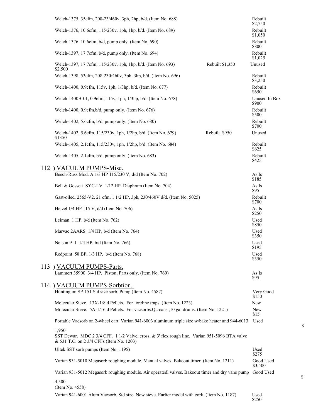| Welch-1375, 35cfm, 208-23/460v, 3ph, 2hp, b/d. (Item No. 688)                                                                                      |                 | Rebuilt<br>\$2,750     |
|----------------------------------------------------------------------------------------------------------------------------------------------------|-----------------|------------------------|
| Welch-1376, 10.6cfm, 115/230v, 1ph, 1hp, b/d. (Item No. 689)                                                                                       |                 | Rebuilt<br>\$1,050     |
| Welch-1376, 10.6cfm, b/d, pump only. (Item No. 690)                                                                                                |                 | Rebuilt<br>\$800       |
| Welch-1397, 17.7cfm, b/d, pump only. (Item No. 694)                                                                                                |                 | Rebuilt<br>\$1,025     |
| Welch-1397, 17.7cfm, 115/230v, 1ph, 1hp, b/d. (Item No. 693)<br>\$2,500                                                                            | Rebuilt \$1,350 | Unused                 |
| Welch-1398, 53cfm, 208-230/460v, 3ph, 3hp, b/d. (Item No. 696)                                                                                     |                 | Rebuilt<br>\$3,250     |
| Welch-1400, 0.9cfm, 115v, 1ph, 1/3hp, b/d. (Item No. 677)                                                                                          |                 | Rebuilt<br>\$650       |
| Welch-1400B-01, 0.9cfm, 115v, 1ph, 1/3hp, b/d. (Item No. 678)                                                                                      |                 | Unused In Box<br>\$900 |
| Welch-1400, 0.9cfm, b/d, pump only. (Item No. 676)                                                                                                 |                 | Rebuilt<br>\$500       |
| Welch-1402, 5.6cfm, b/d, pump only. (Item No. 680)                                                                                                 |                 | Rebuilt<br>\$700       |
| Welch-1402, 5.6cfm, 115/230v, 1ph, 1/2hp, b/d. (Item No. 679)<br>\$1350                                                                            | Rebuilt \$950   | Unused                 |
| Welch-1405, 2.1cfm, 115/230v, 1ph, 1/2hp, b/d. (Item No. 684)                                                                                      |                 | Rebuilt<br>\$625       |
| Welch-1405, 2.1 $cfm$ , b/d, pump only. (Item No. 683)                                                                                             |                 | Rebuilt<br>\$425       |
| 112) VACUUM PUMPS-Misc.                                                                                                                            |                 |                        |
| Beech-Russ Mod. A 1/3 HP 115/230 V, d/d (Item No. 702)                                                                                             |                 | As Is<br>\$185         |
| Bell & Gossett SYC-LV 1/12 HP Diaphram (Item No. 704)                                                                                              |                 | As Is<br>\$95          |
| Gast-oiled. 2565-V2. 21 cfm, 1 1/2 HP, 3ph, 230/460V d/d. (Item No. 5025)                                                                          |                 | Rebuilt<br>\$700       |
| Hetzel 1/4 HP 115 V, d/d (Item No. 706)                                                                                                            |                 | As Is<br>\$250         |
| Leiman 1 HP. b/d (Item No. 762)                                                                                                                    |                 | Used<br>\$850          |
| Marvac 2AARS 1/4 HP, b/d (Item No. 764)                                                                                                            |                 | Used<br>\$350          |
| Nelson 911 1/4 HP, b/d (Item No. 766)                                                                                                              |                 | Used<br>\$195          |
| Redpoint 58 BF, 1/3 HP, b/d (Item No. 768)                                                                                                         |                 | Used<br>\$350          |
| 113 ) VACUUM PUMPS-Parts.                                                                                                                          |                 |                        |
| Lammert 35900 3/4 HP. Piston, Parts only. (Item No. 760)                                                                                           |                 | As Is<br>\$95          |
| 114) VACUUM PUMPS-Sorbtion                                                                                                                         |                 |                        |
| Huntington SP-151 Std size sorb. Pump (Item No. 4587)                                                                                              |                 | Very Good<br>\$150     |
| Molecular Sieve. 13X-1/8 d Pellets. For foreline traps. (Item No. 1223)                                                                            |                 | New                    |
| Molecular Sieve. 5A-1/16 d Pellets. For vacsorbs. Qt. cans , 10 gal drums. (Item No. 1221)                                                         |                 | New<br>\$15            |
| Portable Vacsorb on 2-wheel cart. Varian 941-6003 aluminum triple size w/bake heater and 944-6013                                                  |                 | Used                   |
| 1,950<br>SST Dewar. MDC 2 3/4 CFF. 1 1/2 Valve, cross, & 3' flex rough line. Varian 951-5096 BTA valve<br>& 531 T.C. on 2 3/4 CFFs (Item No. 1203) |                 |                        |
| Ultek SST sorb pumps (Item No. 1195)                                                                                                               |                 | Used<br>\$275          |
| Varian 931-5010 Megasorb roughing module. Manual valves. Bakeout timer. (Item No. 1211)                                                            |                 | Good Used<br>\$3,500   |
| Varian 931-5012 Megasorb roughing module. Air operatedl valves. Bakeout timer and dry vane pump                                                    |                 | Good Used              |
| 4,500<br>(Item No. 4558)                                                                                                                           |                 |                        |
| Varian 941-6001 Alum Vacsorb, Std size. New sieve. Earlier model with cork. (Item No. 1187)                                                        |                 | Used                   |

Used<br>\$250

 $\mathbb S$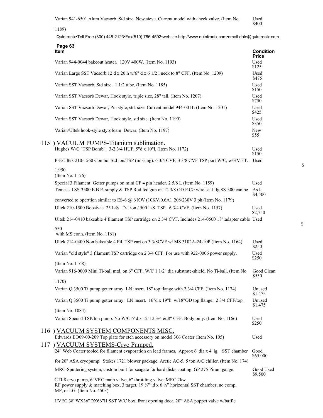Varian 941-6501 Alum Vacsorb, Std size. New sieve. Current model with check valve. (Item No. Used<br>\$400

1189)

Quintronix•Toll Free (800) 448-2123•Fax(510) 786-4592•website http://www.quintronix.com•email dale@quintronix.com

| Page 63<br>ltem                                                                                                                                                                                                    | <b>Condition</b>     |
|--------------------------------------------------------------------------------------------------------------------------------------------------------------------------------------------------------------------|----------------------|
| Varian 944-0044 bakeout heater. 120V 400W. (Item No. 1193)                                                                                                                                                         | <b>Price</b><br>Used |
| Varian Large SST Vacsorb 12 d x 20 h w/6" d x 6 1/2 l neck to 8" CFF. (Item No. 1209)                                                                                                                              | \$125<br>Used        |
| Varian SST Vacsorb, Std size. 1 1/2 tube. (Item No. 1185)                                                                                                                                                          | \$475<br>Used        |
| Varian SST Vacsorb Dewar, Hook style, triple size, 28" tall. (Item No. 1207)                                                                                                                                       | \$150<br>Used        |
| Varian SST Vacsorb Dewar, Pin style, std. size. Current model 944-0011. (Item No. 1201)                                                                                                                            | \$750<br>Used        |
| Varian SST Vacsorb Dewar, Hook style, std size. (Item No. 1199)                                                                                                                                                    | \$425<br>Used        |
| Varian/Ultek hook-style styrofoam Dewar. (Item No. 1197)                                                                                                                                                           | \$350<br>New<br>\$55 |
| 115 ) VACUUM PUMPS-Titanium sublimation.                                                                                                                                                                           |                      |
| Hughes W/C "TSP Bomb". 3-2 3/4 HUF, 5"d x 10"l. (Item No. 1172)                                                                                                                                                    | Used<br>\$150        |
| P-E/Ultek 210-1560 Combo. Std ion/TSP (missing). 6 3/4 CVF, 3 3/8 CVF TSP port W/C, w/HV FT.                                                                                                                       | Used                 |
| 1,950<br>(Item No. 1176)                                                                                                                                                                                           |                      |
| Special 3 Filament. Getter pumps on mini CF 4 pin header. 2 5/8 L (Item No. 1159)                                                                                                                                  | Used                 |
| Temescal SS-3500 E.B P. supply & TSP Rod fed gun on 12 3/8 OD P.C> wire seal flg.SS-300 can be                                                                                                                     | As Is<br>\$4,500     |
| converted to operttion similar to ES-6 $@$ 6 KW (10KV,0.6A), 208/230V 3 ph (Item No. 1179)                                                                                                                         |                      |
| Ultek 210-1500 Boostvac 25 L/S D-I ion / 500 L/S TSP. 6 3/4 CVF. (Item No. 1157)                                                                                                                                   | Used<br>\$2,750      |
| Ultek 214-0410 bakeable 4 filament TSP cartridge on 2 3/4 CVF. Includes 214-0500 18" adapter cable Used                                                                                                            |                      |
| 550<br>with MS conn. (Item No. 1161)                                                                                                                                                                               |                      |
| Ultek 214-0400 Non bakeable 4 Fil. TSP cart on 3 3/8CVF w/ MS 3102A-24-10P (Item No. 1164)                                                                                                                         | Used                 |
|                                                                                                                                                                                                                    | \$250<br>Used        |
| Varian "old style" 3 filament TSP cartridge on 2 3/4 CFF. For use with 922-0006 power supply.                                                                                                                      | \$250                |
| (Item No. 1168)<br>Varian 916-0009 Mini Ti-ball mtd. on 6" CFF, W/C 1 1/2" dia substrate-shield. No Ti-ball. (Item No.                                                                                             | Good Clean           |
|                                                                                                                                                                                                                    | \$550                |
| 1170)<br>Varian Q 3500 Ti pump getter array LN insert. 18" top flange with 2 3/4 CFF. (Item No. 1174)                                                                                                              | Unused               |
|                                                                                                                                                                                                                    | \$1,475              |
| Varian Q 3500 Ti pump getter array. LN insert. 16"d x 19"h w/18"OD top flange. 2 3/4 CFF/top.                                                                                                                      | Unused<br>\$1,475    |
| (Item No. 1084)                                                                                                                                                                                                    |                      |
| Varian Special TSP/Ion pump. No W/C 6"d x 12"l 2 3/4 & 8" CFF. Body only. (Item No. 1166)                                                                                                                          | Used<br>\$250        |
| 116) VACUUM SYSTEM COMPONENTS MISC.                                                                                                                                                                                |                      |
| Edwards EO69-00-209 Top plate for etch accessory on model 306 Coater (Item No. 105)<br>117) VACUUM SYSTEMS-Cryo Pumped.                                                                                            | Used                 |
| 24" Web Coater tooled for filament evaporation on lead frames. Approx 6' dia x 4' lg. SST chamber                                                                                                                  | Good                 |
| for 20" ASA cryopump. Stokes 1721 blower package. Arctic AC-5, 5 ton A/C chiller. (Item No. 174)                                                                                                                   | \$65,000             |
| MRC-Sputtering system, custom built for seagate for hard disks coating. GP 275 Pirani gauge.                                                                                                                       | Good Used            |
| CTI-8 cryo pump, 6"VRC main valve, 6" throttling valve, MRC 2kw<br>RF power supply & matching box, 3 target, 19 $\frac{1}{4}$ id x 6 $\frac{1}{2}$ horizontal SST chamber, no comp,<br>MP, or I.G. (Item No. 4503) | \$9,500              |

HVEC 38"WX36"DX66"H SST W/C box, front opening door. 20" ASA poppet valve w/baffle

\$

 $\mathbb S$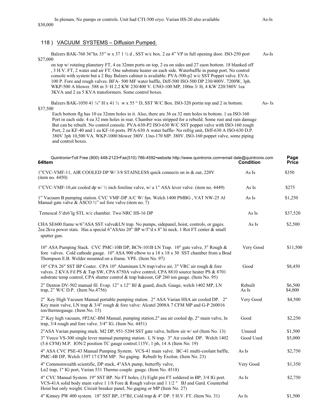#### 118 ) VACUUM SYSTEMS – Diffusion Pumped.

Balzers BAK-760 36"hx 35" w x 37 1 ½ d, SST w/c box. 2 ea 4" VP in full opening door. ISO-250 port As-Is \$27,000

 on top w/ rotating planetary FT, 4 ea 32mm ports on top, 2 ea on sides and 27 eaon bottom. 18 blanked off , 3 H.V. FT, 2 water and air FT. One substrate heater on each side. Waterbaffle in pump port. No control console with system but a 2 Bay Balzers cabinet is available. PVA-500-p2 w/c SST Poppet valve. EVA- 100 P. Fore and rough valves. BFA- 500 MF water baffle, Diff-500 ISO-500 DP 230/400V. 7200W, 3ph. WKP-500 A blower. 588 m 3/ H 2.2 KW 230/400 V. UNO-100 MP, 100m 3/ H, 4 KW 220/380V 1ea 3KVA and 2 ea 5 KVA transformers. Some control boxes.

Balzers BAK-1050 41  $\frac{1}{4}$ " H x 41  $\frac{1}{2}$  w x 55 " D, SST W/C Box. ISO-320 portin top and 2 in bottom. As- Is \$37,500

Each bottom flg has 10 ea 32mm holes in it. Also, there are 36 ea 32 mm holes in bottom. 1 ea ISO-160 Port in each side. 4 ea 32 mm holes in rear. Chamber was stripped for a rebuild. Some rust and rain damage But can be rebuilt. No control console. PVA-630-P2 ISO-630 W/C SST poppet valve with ISO-160 rough Port, 2 ea KF-40 and 1 ea KF-16 ports. PFA-630 A water baffle- No refrig unit, Diff-630 A ISO-630 D.P. 380V 3ph 10,500 VA. WKP-1000 blower 380V. Uno-170 MP. 380V. ISO-160 poppet valve, some piping and control boxes.

| Quintronix•Toll Free (800) 448-2123•Fax(510) 786-4592•website http://www.quintronix.com•email dale@quintronix.com<br>64Item                                                                                                                                                       | <b>Condition</b> | Page<br><b>Price</b> |
|-----------------------------------------------------------------------------------------------------------------------------------------------------------------------------------------------------------------------------------------------------------------------------------|------------------|----------------------|
| 1"CVC-VMF-11, AIR COOLED DP W/3/8 STAINLESS quick connects on in & out, 220V<br>(item no. 4450)                                                                                                                                                                                   | As Is            | \$350                |
| 1"CVC-VMF-10,air cooled dp w/ 1/2 inch foreline valve, w/ a 1" ASA lever valve. (item no. 4449)                                                                                                                                                                                   | As Is            | \$275                |
| 1" Vacuum B pumping station. CVC VMF-DP A/C W/ fan. Welch 1400 PMBG, VAT NW-25 Al<br>Manual gate valve & ASCO $\frac{1}{2}$ " sol fore valve (item no. 7)                                                                                                                         | As Is            | \$1,250              |
| Temescal 5'dx6'lg STL w/c chamber. Two NRC HS-16 DP                                                                                                                                                                                                                               | As Is            | \$37,520             |
| CHA SE600 frame w/6"ASA SST valve&LN trap. No pumps, sidepanel, hoist, controls, or gages.<br>2ea 2kva power stats. Has a special 6"ASAto 20" BP w/5"d x 8" hi neck. 1 Rot FT center & small<br>sputter gun.                                                                      | As Is            | \$2,500              |
| 10" ASA Pumping Stack. CVC PMC-10B DP, BCN-101B LN Trap. 10" gate valve, 3" Rough &<br>fore valves. Cold cathode gauge. 10" ASA 900 elbow to a 18 x 18 x 30 SST chamber from a Brad<br>Thompson E.B. Welder mounted on a frame. VPE. (Item No. 97)                                | Very Good        | \$11,500             |
| 10" CPA 26" SST BP Coater. CPA 10" Aluminum LN trap/valve air, 3" VRC air rough & fore<br>valves. 2 KVA Fil PS & Tap SW, CPA 8750A valve control, CPA 8810 source heater PS & 8701<br>substrate temp control, CPA shutter control & trap bakeout, GP 260 ion gauge. (Item No. 95) | Good             | \$8,450              |
| 2" Denton DV-502 manual fil. Evap. 12" x 12" BJ & guard, disch. Gauge, welch 1402 MP, LN<br>trap, $2''$ W/C D.P. (Item No.4756)                                                                                                                                                   | Rebuilt<br>As Is | \$6,500<br>\$4,000   |
| 2" Key High Vacuum Manual portable pumping station. 2" ASA Varian HSA air cooled DP. 2"<br>Key main valve, LN trap & 3/4" rough & fore valve: Alcatel 2008A 7 CFM MP and G-P 260016<br>ion/thermogauge. (Item No. 15)                                                             | Very Good        | \$4,500              |
| 2" Key high vacuum, #P2AC-BM Manual, pumping station.2" asa air cooled dp, 2" main valve, ln<br>trap, 3/4 rough and fore valve. 3/4" IG. (Item No. 4451)                                                                                                                          | Good             | \$2,250              |
| 2"ASA Varian pumping stack. M2 DP, 951-5204 SST gate valve, bellow air w/sol (Item No. 13)                                                                                                                                                                                        | Unused           | \$1,500              |
| 3" Veeco VS-300 single lever manual pumping station. L N trap. 3" Air cooled DP. Welch 1402<br>$(5.6$ CFM) M.P. ION/2 position TC gauge control.115V, 1 ph, 14 A (Item No. 19)                                                                                                    | Good Used        | \$5,000              |
| 4" ASA CVC PSE-43 Manual Pumping System. VCS-41 main valve. BC-41 multi-coolant baffle,<br>PMC-4B DP, Welch 1397 17 CFM MP. No gaging. Rebuilt by Exolon. (Item No. 23)                                                                                                           | As Is            | \$2,750              |
| 4" Commonwealth scientific, DP stack, 4"ASA pump, butterfly valve,<br>Ln2 trap, 1" IG port, Varian 531 Thermo couple gauge. (Item No. 4518)                                                                                                                                       | Very Good        | \$1,350              |
| 4" CVC Manual System. 19" SST BP. No FT holes, (3) Eight pin FT soldered in BP; 3/4 IG port.<br>VCS-41A solid body main valve 1 1/8 Fore & Rough valves and 1 1/2 " BJ and Gard. Counterbal<br>Hoist but only weight. Circuit breaker panel, No gaging or MP (Item No. 27)        | As Is            | \$2,750              |
| 4" Kinney PW 400 system. 18" SST BP, 15"BJ, Cold trap & 4" DP. 5 H.V. FT. (Item No. 31)                                                                                                                                                                                           | As Is            | \$1,500              |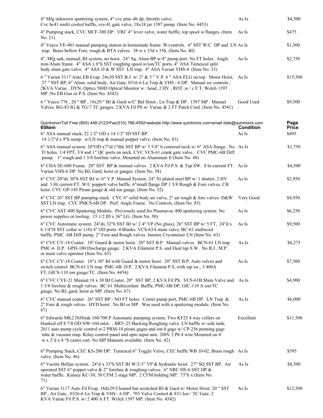| 4" Mfg unknown sputtering system, 4" cvc pmc-4b dp, throttle valve,<br>Cvc bc41 multi cooled baffle, vcs-41 gate valve, 18x18 jar 1397 pump. (Item No. 4453)                                                                                                                                                                                                                                                                                          | As Is            | \$4,500              |
|-------------------------------------------------------------------------------------------------------------------------------------------------------------------------------------------------------------------------------------------------------------------------------------------------------------------------------------------------------------------------------------------------------------------------------------------------------|------------------|----------------------|
| 4" Pumping stack, CVC MCF-300 DP. VRC 4" lever valve, water baffle, top spool w/flanges. (Item<br>No. 21)                                                                                                                                                                                                                                                                                                                                             | As Is            | \$475                |
| 4" Veeco VE-401 manual pumping station in homemade frame. W/controls. 4" SST W/C DP and LN As Is<br>trap. Brass bellow Fore, rough & BTA valves. 38 w x 33d x 35h. (Item No. 40)                                                                                                                                                                                                                                                                      |                  | \$1,500              |
| 4", Mfg unk, manual, BJ system, no hoist. 24" Sq. Alum BP w/4" pump port. No FT holes. Angle<br>iron/Alum frame. 4" ASA x 8"h SST roughing spool w/ion/TC ports, 4" ASA Temescal split<br>body alum gate valve. 4" ASA D & W SST LN trap. 4" ASA Varian VHS-4 (Item No. 33)                                                                                                                                                                           | As Is            | \$2,750              |
| 6 " Varian 3117 Auto EB Evap. 24x30 SST B.J. w/ 2" & 5 " V.P. 6 " ASA FLG on top . Motor Hoist,<br>27 " SST BP, 6" Alum. solid body, Air Gate, 0316-6 Ln Trap & VHS - 6 DP. Manual sw controls,<br>2KVA Variac . DYN. Optics 580D Optical Monitor w / head, 2 HV, ROT, w / c F.T. Welch 1397<br>MP .No EB Gun or P.S. (Item No. 4543)                                                                                                                 | As Is            | \$15,500             |
| 6 " Veeco 776, 20 " BP, 18x29 " BJ & Gard w/C' Bal Hoist, Ln Trap & DP. 1397 MP. Manual<br>Valves. RG-83 IG & TG-7 TC gauges. 2 KVA Fil PS w/ Variac & 2 FT Patch Cord. (Item No. 4541)                                                                                                                                                                                                                                                               | Good Used        | \$9,500              |
| Quintronix•Toll Free (800) 448-2123•Fax(510) 786-4592•website http://www.quintronix.com•email dale@quintronix.com<br>65Item                                                                                                                                                                                                                                                                                                                           | <b>Condition</b> | Page<br><b>Price</b> |
| 6" ASA manual stack, 22 1/2" OD x 14 1/2" ID SST BP.<br>14 1/2"d x 9"h sump. w/LN trap & manual poppet valve. (Item No. 83)                                                                                                                                                                                                                                                                                                                           | As Is            | \$495                |
| 6" ASA manual system. 20"OD x7"id 1"thk SST BP w/ 5 5/8" h centered neck w/ 6" ASA flange. No As Is<br>Ft holes. 1/4 FPT, 3/4 and 1" QC ports on neck. CVC VCS-61 crank gate valve. CVC PMC-6B Diff<br>pump. 1" rough and 1 5/8 foreline valve. Mounted on Aluminum fr (Item No. 48)                                                                                                                                                                  |                  | \$1,750              |
| 6" CHA SE-600 Frame. 20" SST BP & manual valves. 2 KVA Fil P.S. & Tap SW. 8 hi-current FT. As Is<br>Varian VHS-6 DP. No BJ, Gard, hoist or gauges. (Item No. 58)                                                                                                                                                                                                                                                                                      |                  | \$4,500              |
| 6" CVC 20"dx 30"h SST BJ w/ 6" V.P. Manual System. 24" Ni plated steel BP w/ 1 shutter, 2 HV<br>and 3 Hi current FT. W/C poppett valve baffle. 6"small flange DP 1 5/8 Rough & Fore valves, CB<br>hoist. CVC GP-145 Pirani gauge & old ion gauge. (Item No. 52)                                                                                                                                                                                       | As Is            | \$2,950              |
| 6" CVC 26" SST BP pumping stack. CVC 6" solid body air valve, 2" air rough & fore valves. D&W<br>SST LN trap. CVC PMCS-6B DP. Perf. Angle Frame. No Controls. (Item No. 85)                                                                                                                                                                                                                                                                           | Very Good        | \$4,950              |
| 6" CVC AST-400 Sputtering Module. Previously used for Plasmavac 400 sputtering system. No<br>power supplies or tooling. 15 1/2 ID x 36" LG. (Item No. 50)                                                                                                                                                                                                                                                                                             | As Is            | \$6,250              |
| 6" CVC Automatic system. 24"dx 32"h SST BJ w/ 2 4" VP (No glass), 26" SST BP w/ 5 FT, 24"d x<br>6 1/4"H SST collar w/ (10) 4" OD ports. 4 Blanks. VCS-63A main valve, BC-61 multicool<br>baffle. PMC -6B Diff pump. 2" Fore and Rough valves. Innotec Cryomeiser LN (Item No. 63)                                                                                                                                                                     | As Is            | \$9,500              |
| 6" CVC CV-18 Coater. 18" Guard & motor hoist. 20" SST B.P. Manual valves. BCN-61 LN trap.<br>PMC-6 D.P. GPH-100 Discharge gauge. 2 KVA Filament P.S. and Dual tap S.W. No B.J., M.P.<br>or main valve operator (Item No. 65)                                                                                                                                                                                                                          | As Is            | \$6,275              |
| 6" CVC CV-18 Coater. 18"x 30" BJ with Guard & motor hoist. 20" SST B.P. Auto valves and<br>switch control BCN-61 LN trap. PMC-6B D.P, 2 KVA Filament P.S, with tap sw., 3 400A<br>FT, GICS-110 ion gauge/TC. (Item No. 4454)                                                                                                                                                                                                                          | As Is            | \$7,500              |
| 6" CVC CVE-21 Manual 18 x 30 BJ Coater, 20" SST BP, 2 KVA Fil PS. VCS-61B Main Valve and<br>15/8 foreline & rough valves. BC-61 Multicoolant Baffle, PMC-6B DP, GIC-110 A ion/TC<br>gauge. No BJ, gard, hoist or MP. (Item No. 67)                                                                                                                                                                                                                    | As Is            | \$4,900              |
| 6" CVC manual coater. 26" SST BP - NO FT holes. Center pump port, PMC-6B DP. LN Trap &<br>2" Fore & rough valves. HYD hoist. No BJ or MP. Was used with a sputtering module. (Item No.<br>87)                                                                                                                                                                                                                                                         | As Is            | \$6,000              |
| 6" Edwards MK2 Diffstak 160/700 P Automatic pumping system. Two KF25 4 way collars on<br>blanked off 8 7/8 OD NW-160 inlet., BRV-25 Backing/Roughing valve. LN baffle w/ side tank,<br>2011 auto pump cycle control w/2 PRM-10 pirani gages and ion 8 gage w/ CP-256 penning gage<br>tube & vacuum map. Relay control panel and opto input unit. 208V 3 Ph 4 wire Mounted on 4'<br>w x 2'd x 4 "h caster cart. No MP Manuals available. (Item No. 42) | Excellent        | \$11,500             |
| 6" Pumping Stack, CEC KS-200 DP. Temescal 6" Toggle Valve, CEC baffle WB 10-02, Brass rough As Is<br>valve. (Item No. 46)                                                                                                                                                                                                                                                                                                                             |                  | \$595                |
| 6" Vactite Belljar system. 24"d x 33"h SST BJ W/2-5" VP & hydraulic hoist. 27" SQ SST BP. Air<br>operated SST 6" poppet valve & 2" foreline & roughing valves. 6" NRC HS-6 SST DP &<br>water baffle. Kinney KC-30, 30 CFM 2 stage MP. 2 CFM holding MP. 73"h x (Item No.<br>71)                                                                                                                                                                       | As Is            | \$8,500              |
| 6" Varian 3117 Auto Fil Evap. 18dx29 Cleaned but scratched BJ & Gard w/ Motor Hoist. 20 " SST<br>BP, Air Gate, 0326-6 Ln Trap & VHS - 6 DP, 703 Valve Control & 831 Ion / TC Gate. 2<br>KVA Variac Fil P.S. $w/2$ 400 A FT. Welch 1397 MP. (Item No. 4542)                                                                                                                                                                                            | As Is            | \$12,500             |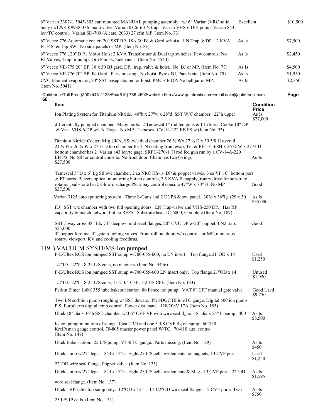|    | 6" Varian 3307-L 5045-303 cart mounted MANUAL pumping assembly. w/ 6" Varian (VRC solid<br>body) #1298-K9938-336 main valve. Varian 0326-6 LN trap. Varian VHS-6 Diff pump. Varian 843<br>ion/TC control. Varian SD-700 (Alcatel 2033) 27 cfm MP (Item No. 73) | Excellent |                                  | \$10,500 |
|----|----------------------------------------------------------------------------------------------------------------------------------------------------------------------------------------------------------------------------------------------------------------|-----------|----------------------------------|----------|
|    | 6" Veeco 776 Automatic coater, 20" SST BP, 18 x 30 BJ & Gard w/hoist. LN Trap & DP. 2 KVA<br>Fil P.S. & Tap SW. No side panels or MP. (Item No. 81)                                                                                                            | As Is     |                                  | \$7,500  |
|    | 6" Veeco 776, 20" B P, Motor Hoist 2 KVA Transformer & Dual tap switches. Few controls. No<br>BJ Valves, Trap or pumps Orn Paint w/sidepanels. (Item No. 4540)                                                                                                 | As Is     |                                  | \$2,450  |
|    | 6" Veeco VE-775 20" BP, 18 x 30 BJ gard, DP, trap, valve & hoist. No BJ or MP. (Item No. 77)                                                                                                                                                                   | As Is     |                                  | \$4,500  |
|    | 6" Veeco VE-776 20" BP, BJ Gard. Parts missing: No hoist, Pyrex BJ, Panels etc. (Item No. 79)                                                                                                                                                                  | As Is     |                                  | \$1,950  |
|    | CVC filament evaporator, 20" SST baseplate, motor hoist, PMC-6B DP. No bell jar or MP.<br>(Item No. $5041$ )                                                                                                                                                   | As Is     |                                  | \$2,350  |
| 66 | Quintronix•Toll Free (800) 448-2123•Fax(510) 786-4592•website http://www.quintronix.com•email dale@quintronix.com                                                                                                                                              |           |                                  | Page     |
|    | Item                                                                                                                                                                                                                                                           |           | <b>Condition</b><br><b>Price</b> |          |
|    | Ion Plating System for Titanium Nitride. 40"h x 27"w x 28"d SST W/C chamber. 22"h upper                                                                                                                                                                        |           | As Is<br>\$27,000                |          |
|    | differentially pumped chamber. Many ports. 2 Temescal 1" rod fed guns & fil xfmrs. Cooke 10" DP<br>& Var. VHS-6 DP w/LN Traps. No MP. Temescal CV-14-222 EB PS w (Item No. 93)                                                                                 |           |                                  |          |
|    | Titanium Nitride Coater. Mfg UKN, SSt w/c dual chamber 26 3/4 Wx 27 1/2 D x 39 5/8 H overall                                                                                                                                                                   |           |                                  |          |
|    | 21 $\frac{1}{4}$ H x 26 $\frac{3}{4}$ W x 27 $\frac{1}{2}$ D top chamber for TiN coating from evap, Tin & RF. 16 3/8H x 26 $\frac{3}{4}$ W x 27 $\frac{1}{2}$ D                                                                                                |           |                                  |          |
|    | bottom chamber has 2 Varian 843 ion/tc gage. SRFH-270-1 Ti rod fed gun run by a CV-14A-220<br>EB PS. No MP or control console. No front door. Cham has two 0-rings                                                                                             |           | $As-Is$                          |          |
|    | \$27,500                                                                                                                                                                                                                                                       |           |                                  |          |
|    | Temescal 5' D x 6' Lg Stl w/c chamber, 2 ea NRC HS-16 DP & poppet valves. 3 ea VP 10" bottom port                                                                                                                                                              |           |                                  |          |
|    | & FT ports. Balzers optical monitoring but no controls, 7.5 KVA fil supply, rotary drive for substrate                                                                                                                                                         |           |                                  |          |
|    | rotation, substrate heat. Glow discharge PS. 2 bay control console 47"W x 70" H. No MP<br>\$37,500                                                                                                                                                             |           | Good                             |          |
|    | Varian 3125 auto sputtering system. Three S-Guns and 2 DCPS & sw. panel. 30"d x 36"lg (29 x 30")                                                                                                                                                               |           | As Is<br>\$35,000                |          |
|    | ID) SST w/c chamber with two full opening doors. LN Trap-valve and VHS-250 DP. Has RF<br>capability & match network but no RFPS. Substrate heat. IC-6000, Complete (Item No. 189)                                                                              |           |                                  |          |
|    | SST 5 way cross 48" Idx 74" deep w/ mild steel flanges, 20" CVC DP w/20" poppet. LN2 trap.<br>\$25,000                                                                                                                                                         |           | Good                             |          |
|    | 4" poppet foreline, 4" gate roughing valves. Front roll out door, w/o controls or MP, numerous<br>rotary, viewport, KV and cooling feedthrus.                                                                                                                  |           |                                  |          |
|    | 119 ) VACUUM SYSTEMS-Ion pumped.<br>P-E/Ultek RCS ion pumped SST sump w/700-055-600, no LN insert. Top flange 21"OD x 14                                                                                                                                       |           | Used<br>\$1,250                  |          |
|    | $1/2$ "ID. 22"h. 8-25 L/S cells, no magnets. (Item No. 4456)                                                                                                                                                                                                   |           |                                  |          |
|    | P-E/Ultek RCS ion pumped SST sump w/700-055-600 LN insert only. Top flange 21"OD x 14                                                                                                                                                                          |           | Unused<br>\$1,950                |          |
|    | 1/2"ID. 22"h. 8-25 L/S cells, 13-2 3/4 CFF, 1-2 1/8 CFF. (Item No. 133)                                                                                                                                                                                        |           |                                  |          |
|    | Perkin Elmer 16001355 tube bakeout station. 80 lit/sec ion pump. VAT 8" CFF manual gate valve                                                                                                                                                                  |           | Good Used<br>\$9,750             |          |
|    | Two LN sorbtion pump roughing w/ SST dewars. PE #DGC III ion/TC gauge. Digital 500 ion pump<br>P.S. Eurotherm digital temp control. Power dist. panel. 120/208V 17A (Item No. 155)                                                                             |           |                                  |          |
|    | Ultek 18" dia x 36"h SST chamber w/3 6" CVF VP with wire seal flg on 18" dia x 24" hi sump. 400                                                                                                                                                                |           | As Is<br>\$8,500                 |          |
|    | $1/s$ ion pump in bottom of sump. 13ea 2 3/4 and one 3 3/8 CVF flg on sump. 60-730<br>KreiPsman gauge control, 70-805 master power panel W/TC. 70-810 aux. contro<br>(Item No. 147)                                                                            |           |                                  |          |
|    | Ultek Bake station. 25 L/S pump, VT-6 TC gauge. Parts missing. (Item No. 129)                                                                                                                                                                                  |           | As Is<br>\$450                   |          |
|    | Ultek sump w/27" legs. 18"d x 17"h. Eight 25 L/S cells w/elements no magnets, 13 CVF ports.                                                                                                                                                                    |           | Used<br>\$1,250                  |          |
|    | 22"OD wire seal flange, Poppet valve. (Item No. 135)                                                                                                                                                                                                           |           |                                  |          |
|    | Ultek sump w/27" legs. 18"d x 17"h. Eight 25 L/S cells w/elements & Mag. 13 CVF ports. 22"OD                                                                                                                                                                   |           | As Is<br>\$1,595                 |          |
|    | wire seal flange. (Item No. 137)                                                                                                                                                                                                                               |           |                                  |          |
|    | Ultek TBK table top sump only. 12"OD x 15"h. 14 1/2"OD wire seal flange. 12 CVF ports. Two                                                                                                                                                                     |           | As Is<br>\$750                   |          |
|    | 25 L/S IP cells. (Item No. 131)                                                                                                                                                                                                                                |           |                                  |          |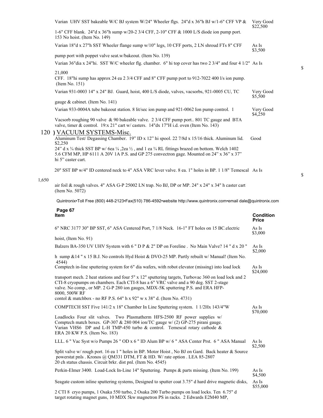|       |                                                                                                                                                                                                                                                                                                     | \$22,500                         |
|-------|-----------------------------------------------------------------------------------------------------------------------------------------------------------------------------------------------------------------------------------------------------------------------------------------------------|----------------------------------|
|       | 1-6" CFF blank. 24"d x 36"h sump w/20-2 3/4 CFF, 2-10" CFF & 1000 L/S diode ion pump port.<br>153 No hoist. (Item No. 149)                                                                                                                                                                          |                                  |
|       | Varian 18"d x 27"h SST Wheeler flange sump w/10" legs, 10 CFF ports, 2 LN shroud FTs 8" CFF                                                                                                                                                                                                         | As Is<br>\$3,500                 |
|       | pump port with poppet valve seat.w/bakeout. (Item No. 139)                                                                                                                                                                                                                                          |                                  |
|       | Varian 36"dia x 24"hi. SST W/C wheeler flg. chamber. 6" hi top cover has two 2 3/4" and four 4 1/2" As Is                                                                                                                                                                                           |                                  |
|       | 21,000<br>CFF. 18"hi sump has approx 24 ea 2 3/4 CFF and 8" CFF pump port to 912-7022 400 l/s ion pump.<br>(Item No. 151)                                                                                                                                                                           |                                  |
|       | Varian 931-0003 14" x 24" BJ. Guard, hoist, 400 L/S diode, valves, vacsorbs, 921-0005 CU, TC                                                                                                                                                                                                        | Very Good<br>\$5,500             |
|       | gauge & cabinet. (Item No. 141)                                                                                                                                                                                                                                                                     |                                  |
|       | Varian 933-0004A tube bakeout station. 8 lit/sec ion pump and 921-0062 Ion pump control. 1                                                                                                                                                                                                          | Very Good<br>\$4,250             |
|       | Vacsorb roughing 90 valve & 90 bakeable valve. 2 3/4 CFF pump port 801 TC gauge and BTA<br>valve, timer & control. 19:x 21" cart w/ casters. 14"dx 17"H i.d. oven (Item No. 143)<br>120 ) VACUUM SYSTEMS-Misc.                                                                                      |                                  |
|       | Aluminum Test/ Degassing Chamber. 19" ID x 12" hi spool. 22 7/8d x 15/16 thick. Aluminum lid.<br>\$2,250                                                                                                                                                                                            | Good                             |
|       | 24" d x 3/4 thick SST BP w/ 6ea 1/4 ,2ea 1/2 , and 1 ea 3/4 RL fittings brazed on bottom. Welch 1402<br>5.6 CFM MP, HP 6111 A 20V 1A P.S. and GP 275 convectron gage. Mounted on 24" x 36" x 37"<br>hi 5" caster cart.                                                                              |                                  |
|       | 20" SST BP w/4" ID centered neck to 4" ASA VRC lever valve. 8 ea. 1" holes in BP. 1 1/8" Temescal As Is                                                                                                                                                                                             |                                  |
| 1,650 | air foil & rough valves. 4" ASA G-P 25002 LN trap. No BJ, DP or MP. 24" x 24" x 34" h caster cart<br>(Item No. 5072)                                                                                                                                                                                |                                  |
|       | Quintronix•Toll Free (800) 448-2123•Fax(510) 786-4592•website http://www.quintronix.com•email dale@quintronix.com                                                                                                                                                                                   |                                  |
|       | Page 67                                                                                                                                                                                                                                                                                             |                                  |
|       | Item                                                                                                                                                                                                                                                                                                | <b>Condition</b><br><b>Price</b> |
|       |                                                                                                                                                                                                                                                                                                     |                                  |
|       | 6" NRC 3177 30" BP SST, 6" ASA Centered Port, 7 1/8 Neck. 16-1" FT holes on 15 BC electric                                                                                                                                                                                                          | As Is<br>\$3,000                 |
|       | hoist, (Item No. 91)                                                                                                                                                                                                                                                                                |                                  |
|       | Balzers BA-350 UV UHV System with 6 " D P & 2" DP on Foreline . No Main Valve? 14 " d x 20 "                                                                                                                                                                                                        | As Is<br>\$2,000                 |
|       | h sump &14 " x 15 B.J. No controls Hyd Hoist & DVO-25 MP. Partly rebuilt w/ Manual! (Item No.                                                                                                                                                                                                       |                                  |
|       | 4544)<br>Comptech in-line sputtering system for 6" dia wafers, with robot elevator (missing) into load lock                                                                                                                                                                                         | As Is                            |
|       | transport mech. 2 heat stations and four 5" x 12" sputtering targets, Turbovac 360 on load lock and 2<br>CTI-8 cryopumps on chambers. Each CTI-8 has a 6" VRC valve and a 90 deg. SST 2-stage<br>valve. No comp., or MP. 2 G-P 280 ion gauges, MDX-5K sputtering P.S. and ERA HFP-<br>8000, 500W RF | \$24,000                         |
|       | contol & matchbox - no RF P.S. 64" h x 92" w x 38" d. (Item No. 4731)                                                                                                                                                                                                                               |                                  |
|       | COMPTECH SST Five 141/2 x 18" Chamber In Line Sputtering system. 1 1/2Hx 143/4"W                                                                                                                                                                                                                    | As Is                            |
|       | Loadlocks Four slit valves. Two Plasmatherm HFS-2500 RF power supplies w/<br>Comptech match boxes. GP-307 & 280 004 ion/TC gauge w/ (2) GP-275 pirani gauge.<br>Varian VHS6 DP and L-H TMP-450 turbo & control. Temescal rotary cathode &<br>ERA 20 KW P.S. (Item No. 183)                          | \$70,000                         |
|       | LLL. 6" Vac Syst w/o Pumps 26" OD x 6" ID Alum BP w/ 6" ASA Center Prst. 6" ASA Manual                                                                                                                                                                                                              | As Is                            |
|       | Split valve w/ rough port. 16 ea 1 " holes in BP. Motor Hoist, No BJ on Gard. Back heater & Source<br>powerstat pnls . Kronos @ QM331 DTM, FT & HD. W/ rate option . LEA 85-2807<br>20 ch status chassis. Circuit brkr. dist pnl. (Item No. 4545)                                                   | \$2,500                          |
|       | Perkin-Elmer 3400. Load-Lock In-Line 14" Sputtering. Pumps & parts missing. (Item No. 199)                                                                                                                                                                                                          | As Is                            |
|       | Seagate custom inline sputtering systems, Designed to sputter coat 3.75" d hard drive magnetic disks,                                                                                                                                                                                               | \$4,500<br>As Is<br>\$55,000     |

Varian UHV SST bakeable W/C BJ system W/24" Wheeler flgs. 24"d x 36"h BJ w/1-6" CFF VP & Very Good

\$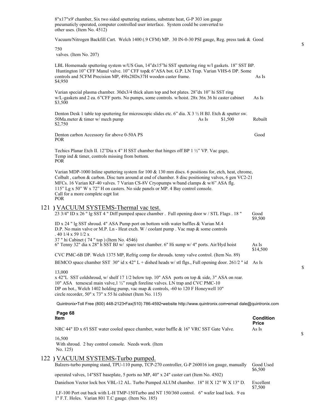| 8"x17"x9' chamber, Six two sided sputtering stations, substrate heat, G-P 303 ion gauge<br>pneumaticly operated, computer controlled user interface. System could be converted to<br>other uses. (Item No. 4512)                                                                                                                                                                                                                               |                                  |
|------------------------------------------------------------------------------------------------------------------------------------------------------------------------------------------------------------------------------------------------------------------------------------------------------------------------------------------------------------------------------------------------------------------------------------------------|----------------------------------|
| Vacuum/Nitrogen Backfill Cart. Welch 1400 (.9 CFM) MP. 30 IN-0-30 PSI gauge, Reg. press tank & Good                                                                                                                                                                                                                                                                                                                                            |                                  |
| 750<br>valves. (Item No. 207)                                                                                                                                                                                                                                                                                                                                                                                                                  |                                  |
| LBL Homemade sputtering system w/US Gun, 14"dx15"hi SST sputtering ring w/l gaskets. 18" SST BP.<br>Huntington 10" CFF Manul valve. 10" CFF top& 6"ASA bot. G.P. LN Trap. Varian VHS-6 DP. Some<br>controls and 5CFM Precision MP, 49lx28Dx37H wooden caster frame.<br>\$4,950                                                                                                                                                                 | As Is                            |
| Varian special plasma chamber. 30dx3/4 thick alum top and bot plates. 28"dx 10" hi SST ring<br>w/L-gaskets and 2 ea. 6"CFF ports. No pumps, some controls. w/hoist. 28x 36x 36 hi caster cabinet<br>\$3,500                                                                                                                                                                                                                                    | As Is                            |
| Denton Desk 1 table top sputtering for microscopic slides etc. 6" dia. X 3 $\frac{1}{2}$ H BJ. Etch & sputter sw.<br>50Ma.meter & timer w/ mech pump<br>As Is<br>\$1,500<br>\$2,750                                                                                                                                                                                                                                                            | Rebuilt                          |
| Denton carbon Accessory for above 0-50A PS<br><b>POR</b>                                                                                                                                                                                                                                                                                                                                                                                       | Good                             |
| Techics Planar Etch II. 12"Dia x 4" H SST chamber that hinges off BP 1 1/2" VP. Vac gage,<br>Temp ind & timer, controls missing from bottom.<br><b>POR</b>                                                                                                                                                                                                                                                                                     |                                  |
| Varian MDP-1000 Inline sputtering system for 100 & 130 mm discs. 6 positions for, etch, heat, chrome,<br>Colbalt, carbon & carbon. Disc turn around at end of chamber. 8 disc positioning valves, 6 gen VC2-21<br>MFCs. 16 Varian KF-40 valves. 7 Varian CS-8V Cryopumps w/band clamps & w/6" ASA flg.<br>115" Lg x 50" W x 72" H on casters. No side panels or MP. 4 Bay control console.<br>Call for a more complete eqpt list<br><b>POR</b> |                                  |
| 121 ) VACUUM SYSTEMS-Thermal vac test.<br>23 3/4" ID x 26 " lg SST 4 " Diff pumped space chamber . Full opening door w / STL Flags . 18 "                                                                                                                                                                                                                                                                                                      | Good                             |
| ID x 24 " lg SST shroud. 4" ASA Pump port on bottom with water baffles & Varian M.4<br>D.P. No main valve or M.P. Ln - Heat exch. W / coolant pump . Vac map & some controls<br>$.401/4 \times 591/2 \times$<br>37 " hi Cabinet (74 " top ) (Item No. 4546)<br>6" Tenny 32" dia x 28" h SST BJ w/ spare test chamber. 6" Hi sump w/ 4" ports. Air/Hyd hoist                                                                                    | \$9,500<br>As Is                 |
| CVC PMC-6B DP. Welch 1375 MP, Refrig comp for shrouds, tenny valve control. (Item No. 89)                                                                                                                                                                                                                                                                                                                                                      | \$14,500                         |
| BEMCO space chamber SST 30" id x 42" L + dished heads w/ stl flgs., Full opening door. 261/2 " id As Is                                                                                                                                                                                                                                                                                                                                        |                                  |
| 13,000<br>x 42"L SST coldshroud, w/ shelf 17 1/2 below top. 10" ASA ports on top & side, 3" ASA on rear.<br>10" ASA temescal main valve, 1 1/2" rough foreline valves. LN trap and CVC PMC-10<br>DP on bot., Welch 1402 holding pump, vac map & controls, -60 to 120 F Honeywell 10"<br>circle recorder, 50" x 73" x 55 hi cabinet (Item No. 115)                                                                                              |                                  |
| Quintronix•Toll Free (800) 448-2123•Fax(510) 786-4592•website http://www.quintronix.com•email dale@quintronix.com                                                                                                                                                                                                                                                                                                                              |                                  |
| Page 68<br>Item                                                                                                                                                                                                                                                                                                                                                                                                                                | <b>Condition</b><br><b>Price</b> |
| NRC 44" ID x 6'l SST water cooled space chamber, water baffle & 16" VRC SST Gate Valve.                                                                                                                                                                                                                                                                                                                                                        | As Is                            |
| 16,500<br>With shroud. 2 bay control console. Needs work. (Item<br>No. 125)                                                                                                                                                                                                                                                                                                                                                                    |                                  |
| 122) VACUUM SYSTEMS-Turbo pumped.<br>Balzers-turbo pumping stand, TPU-110 pump, TCP-270 controller, G-P 260016 ion gauge, manually                                                                                                                                                                                                                                                                                                             | Good Used                        |
| operated valves, 14"SST baseplate, 5 ports no MP, 40" x 24" caster cart (Item No. 4502)                                                                                                                                                                                                                                                                                                                                                        | \$6,500                          |
| Danielson Vector lock box VBL-12 AL. Turbo Pumped ALUM chamber. 18" H X 12" W X 13" D.                                                                                                                                                                                                                                                                                                                                                         | Excellent                        |
| LF-100 Port out back with L-H TMP-150Turbo and NT 150/360 control. 6" wafer load lock. 9 ea<br>1" F.T. Holes. Varian 801 T.C gauge. (Item No. 185)                                                                                                                                                                                                                                                                                             | \$7,500                          |

\$

 $\mathbb S$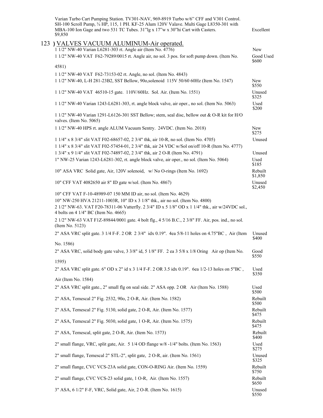| Varian Turbo Cart Pumping Station. TV301-NAV, 969-8919 Turbo w/6" CFF and V301 Control.<br>SH-100 Scroll Pump, 3/4 HP, 115, 1 PH. KF-25 Alum 120V Valave. Multi Gage L8350-301 with<br>MBA-100 Ion Gage and two 531 TC Tubes. 31"lg x 17"w x 30"hi Cart with Casters.<br>\$9,850 | Excellent           |
|----------------------------------------------------------------------------------------------------------------------------------------------------------------------------------------------------------------------------------------------------------------------------------|---------------------|
| 123 ) VALVES VACUUM ALUMINUM-Air operated.                                                                                                                                                                                                                                       |                     |
| 1 1/2" NW-40 Varian L6281-303 rt. Angle air (Item No. 4776)                                                                                                                                                                                                                      | New                 |
| 1 1/2" NW-40 VAT F62-79289/0015 rt. Angle air, no sol. 3 pos. for soft pump down. (Item No.                                                                                                                                                                                      | Good Used<br>\$600  |
| 4581)                                                                                                                                                                                                                                                                            |                     |
| 1 1/2" NW-40 VAT F62-73153-02 rt. Angle, no sol. (Item No. 4843)                                                                                                                                                                                                                 |                     |
| 1 1/2" NW-40, L-H 281-23B2, SST Bellow, 90o, solenoid 115V 50/60 60Hz (Item No. 1547)                                                                                                                                                                                            | <b>New</b><br>\$550 |
| 1 1/2" NW-40 VAT 46510-15 gate. 110V/60Hz. Sol. Air. (Item No. 1551)                                                                                                                                                                                                             | Unused<br>\$325     |
| 1 1/2" NW-40 Varian 1243-L6281-303, rt. angle block valve, air oper., no sol. (Item No. 5063)                                                                                                                                                                                    | Used<br>\$200       |
| 1 1/2" NW-40 Varian 1291-L6126-301 SST Bellow; stem, seal disc, bellow out & O-R kit for H/O<br>valves. (Item No. 5065)                                                                                                                                                          |                     |
| 1 1/2" NW-40 HPS rt. angle ALUM Vacuum Sentry. 24VDC. (Item No. 2018)                                                                                                                                                                                                            | <b>New</b><br>\$275 |
| 1 1/4" x 8 3/4" slit VAT F02-68657-02, 2 3/4" thk, air 10-R, no sol. (Item No. 4705)                                                                                                                                                                                             | Unused              |
| 1 1/4" x 8 3/4" slit VAT F02-57454-01, 2 3/4" thk, air 24 VDC w/Sol on/off 10-R (Item No. 4777)<br>1 3/4" x 9 1/4" slit VAT F02-74897-02, 2 3/4" thk, air 2 O-R (Item No. 4791)                                                                                                  | Unused              |
| 1" NW-25 Varian 1243-L6281-302, rt. angle block valve, air oper., no sol. (Item No. 5064)                                                                                                                                                                                        | Used                |
|                                                                                                                                                                                                                                                                                  | \$185               |
| 10" ASA VRC Solid gate, Air, 120V solenoid, w/No O-rings (Item No. 1692)                                                                                                                                                                                                         | Rebuilt<br>\$1,850  |
| 10" CFF VAT 4082650 air 8" ID gate w/sol. (Item No. 4867)                                                                                                                                                                                                                        | Unused<br>\$2,450   |
| 10" CFF VAT F-10-48989-07 150 MM ID air, no sol. (Item No. 4629)                                                                                                                                                                                                                 |                     |
| 10" NW-250 HVA 21211-1003R, 10" ID x 3 1/8" thk., air no sol. (Item No. 4800)<br>2 1/2" NW-63. VAT F20-78311-06 Vatterfly. 2 3/4" ID x 5 1/8" OD x 1 1/4" thk., air w/24VDC sol.,<br>4 bolts on 4 1/4" BC (Item No. 4665)                                                        |                     |
| 2 1/2" NW-63 VAT F1Z-89844/0001 gate. 4 bolt flg., 4 5/16 B.C., 2 3/8" FF. Air, pos. ind., no sol.<br>(Item No. 5123)                                                                                                                                                            |                     |
| 2" ASA VRC split gate. 3 1/4 F-F. 2 OR 2 3/4" idx 0.19". 4ea 5/8-11 holes on 4.75"BC, Air (Item                                                                                                                                                                                  | Unused<br>\$400     |
| No. 1586)                                                                                                                                                                                                                                                                        |                     |
| 2" ASA VRC, solid body gate valve, 3 3/8" id, 5 1/8" FF. 2 ea 3 5/8 x 1/8 Oring Air op (Item No.                                                                                                                                                                                 | Good<br>\$550       |
| 1595)                                                                                                                                                                                                                                                                            |                     |
| 2" ASA VRC split gate. 6" OD x 2" id x 3 1/4 F-F. 2 OR 3.5 idx 0.19". 6ea 1/2-13 holes on 5"BC,<br>Air (Item No. 1584)                                                                                                                                                           | Used<br>\$350       |
| 2" ASA VRC split gate., 2" small flg on seal side. 2" ASA opp. 2 OR Air (Item No. 1588)                                                                                                                                                                                          | Used<br>\$500       |
| 2" ASA, Temescal 2" Fig. 2532, 90o, 2 O-R, Air. (Item No. 1582)                                                                                                                                                                                                                  | Rebuilt<br>\$500    |
| 2" ASA, Temescal 2" Fig. 5130, solid gate, 2 O-R, Air. (Item No. 1577)                                                                                                                                                                                                           | Rebuilt<br>\$475    |
| 2" ASA, Temescal 2" Fig. 5030, solid gate, 1 O-R, Air. (Item No. 1575)                                                                                                                                                                                                           | Rebuilt<br>\$475    |
| 2" ASA, Temescal, split gate, 2 O-R, Air. (Item No. 1573)                                                                                                                                                                                                                        | Rebuilt<br>\$400    |
| 2" small flange, VRC, split gate, Air. 5 1/4 OD flange w/8 -1/4" bolts. (Item No. 1563)                                                                                                                                                                                          | Used<br>\$275       |
| 2" small flange, Temescal 2" STL-2", split gate, 2 O-R, air. (Item No. 1561)                                                                                                                                                                                                     | Unused<br>\$325     |
| 2" small flange, CVC VCS-23A solid gate, CON-O-RING Air. (Item No. 1559)                                                                                                                                                                                                         | Rebuilt<br>\$750    |
| 2" small flange, CVC VCS-23 solid gate, 1 O-R, Air. (Item No. 1557)                                                                                                                                                                                                              | Rebuilt<br>\$650    |
| 3" ASA, 6 1/2" F-F, VRC, Solid gate, Air, 2 O-R. (Item No. 1615)                                                                                                                                                                                                                 | Unused<br>\$550     |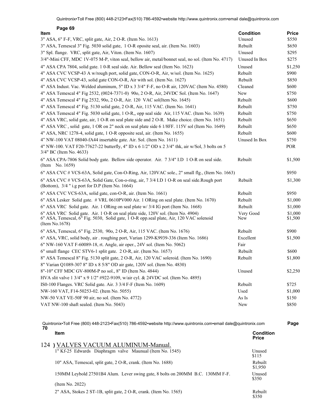| Page 69                                                                                                                                                                                      |                  |                    |
|----------------------------------------------------------------------------------------------------------------------------------------------------------------------------------------------|------------------|--------------------|
| Item                                                                                                                                                                                         | <b>Condition</b> | <b>Price</b>       |
| 3" ASA, 6" F-F, VRC, split gate, Air, 2 O-R. (Item No. 1613)                                                                                                                                 | Unused           | \$550              |
| 3" ASA, Temescal 3" Fig. 5030 solid gate, 1 O-R oposite seal, air. (Item No. 1603)                                                                                                           | Rebuilt          | \$650              |
| 3" Spl. flange. VRC, split gate, Air, Viton. (Item No. 1607)                                                                                                                                 | Unused           | \$295              |
| 3/4"-Mini CFF, MDC 1V-075 M-P, viton seal, bellow air, metal/bonnet seal, no sol. (Item No. 4717)                                                                                            | Unused In Box    | \$275              |
| 4" ASA CPA 7804, solid gate. 1 0-R seal side. Air. Bellow seal (Item No. 1623)                                                                                                               | Unused           | \$1,250            |
| 4" ASA CVC VCSP-43 A w/rough port, solid gate, CON-O-R, Air, w/sol. (Item No. 1625)                                                                                                          | Rebuilt          | \$900              |
| 4" ASA CVC VCSP-43, solid gate CON-O-R, Air with sol. (Item No. 1627)                                                                                                                        | Rebuilt          | \$850              |
| 4" ASA Indust. Vac. Welded aluminum, 5" ID x 3 3/4" F-F, no O-R air, 120VAC (Item No. 4580)                                                                                                  | Cleaned          | \$600              |
| 4" ASA Temescal 4" Fig 2532, (0024-7371-0) 90o, 2 O-R, Air, 24VDC Sol. (Item No. 1647)                                                                                                       | New              | \$750              |
| 4" ASA Temescal 4" Fig 2532, 90o, 2 O-R, Air. 120 VAC sol(Item No. 1645)                                                                                                                     | Rebuilt          | \$600              |
| 4" ASA Temescal 4" Fig. 5130 solid gate, 2 O-R, Air, 115 VAC. (Item No. 1641)                                                                                                                | Rebuilt          | \$750              |
| 4" ASA Temescal 4" Fig. 5030 solid gate, 1 O-R,, opp seal side Air, 115 VAC. (Item No. 1639)                                                                                                 | Rebuilt          | \$750              |
| 4" ASA VRC, solid gate, air, 1 O-R on seal plate side and 2 O-R. Make choice. (Item No. 1651)                                                                                                | Rebuilt          | \$650              |
| 4" ASA VRC, solid gate, 1 OR on 2" neck on seal plate side 6 1/8FF. 115V sol (Item No. 1649)                                                                                                 | Rebuilt          | \$650              |
| 4" ASA, NRC 1278-4, solid gate, 1 O-R opposite seal, air. (Item No. 1655)                                                                                                                    | Rebuilt          | \$600              |
| 4" NW-100 VAT 08040-fA44 insertable gate. Air. Sol. (Item No. 1611)                                                                                                                          | Unused In Box    | \$750              |
| 4" NW-100. VAT F20-77627-22 butterfly, 4" ID x 6 1/2" OD x 2 3/4" thk, air w/Sol, 3 bolts on 5<br>3/4" BC (Item No. 4633)                                                                    |                  | POR                |
| 6" ASA CPA-7806 Solid body gate. Bellow side operator. Air. 7 3/4" I.D 1 O-R on seal side.<br>(Item No. 1659)                                                                                | Rebuilt          | \$1,500            |
| 6" ASA CVC # VCS-63A, Solid gate, Con-O-Ring, Air, 120VAC sole., 2" small flg., (Item No. 1663)                                                                                              |                  | \$950              |
| 6" ASA CVC # VCS-63A, Solid Gate, Con-o-ring, air, 7 3/4 I.D 1 O-R on seal side.Rough port<br>(Bottom), $3/4$ " i.g port for D.P (Item No. 1664)                                             | Rebuilt          | \$1,300            |
| 6" ASA CVC VCS-63A, solid gate, con-O-R, air. (Item No. 1661)                                                                                                                                | Rebuilt          | \$950              |
| 6" ASA Lesker Solid gate. # VRL 0610PV000 Air. 1 ORing on seal plate. (Item No. 1670)                                                                                                        | Rebuilt          | \$1,000            |
| 6" ASA VRC Solid gate. Air. 1 ORing on seal plate w/ 3/4 IG port (Item No. 1668)                                                                                                             | Rebuilt          | \$1,000            |
| 6" ASA VRC Solid gate. Air. 1 O-R on seal plate side, 120V sol. (Item No. 4904)<br>6" ASA, Temescal, 6" Fig. 5030, Solid gate, 1 O-R opp.seal plate, Air, 120 VAC solenoid<br>(Item No.1678) | Very Good<br>New | \$1,000<br>\$1,500 |
| 6" ASA, Temescal, 6" Fig. 2530, 90o, 2 O-R, Air, 115 VAC. (Item No. 1676)                                                                                                                    | Rebuilt          | \$900              |
| 6" ASA, VRC, solid body, air . roughing port, Varian 1299-K9939-336 (Item No. 1686)                                                                                                          | Excellent        | \$1,500            |
| 6" NW-160 VAT F-60089-18, rt. Angle, air oper., 24V sol. (Item No. 5062)                                                                                                                     | Fair             |                    |
| 6" small flange CEC STV6-1 split gate. 2 O-R, air. (Item No. 1657)                                                                                                                           | Rebuilt          | \$600              |
| 8" ASA Temescal 8" Fig. 5130 split gate, 2 O-R, Air, 120 VAC soleroid. (Item No. 1690)                                                                                                       | Rebuilt          | \$1,800            |
| 8" Varian Q1089-307 8" ID x 8 5/8" OD air gate, 120V sol. (Item No. 4830)                                                                                                                    |                  |                    |
| 8"-10" CFF MDC GV-800M-P no sol., 8" ID (Item No. 4844)                                                                                                                                      | Unused           | \$2,250            |
| HVA slit valve 1 3/4" x 9 1/2" #922-9109, w/air cyl. & 24VDC sol. (Item No. 4895)                                                                                                            |                  |                    |
| IS0-100 Flanges. VRC Solid gate. Air. 3 3/4 F-F (Item No. 1609)                                                                                                                              | Rebuilt          | \$725              |
| NW-160 VAT, F14-50253-02. (Item No. 5055)                                                                                                                                                    | Used             | \$1,000            |
| NW-50 VAT VE-50F 90 air, no sol. (Item No. 4772)                                                                                                                                             | As Is            | \$150              |
| VAT NW-100 shaft sealed. (Item No. 5043)                                                                                                                                                     | New              | \$850              |
|                                                                                                                                                                                              |                  |                    |

| <b>Item</b>                                                                    | Condition<br><b>Price</b> |
|--------------------------------------------------------------------------------|---------------------------|
| ) VALVES VACUUM ALUMINUM-Manual.<br>124                                        |                           |
| 1" Kf-25 Edwards Diaphragm valve Maunual (Item No. 1545)                       | Unused<br>\$115           |
| 10" ASA, Temescal, split gate, 2 O-R, crank. (Item No. 1688)                   | Rebuilt<br>\$1,950        |
| 150MM Leybold 27501B4 Alum. Lever swing gate, 8 bolts on 200MM B.C. 130MM F-F. | Unused<br>\$350           |
| (Item No. 2022)                                                                |                           |
| 2" ASA, Stokes 2 ST-1B, split gate, 2 O-R, crank. (Item No. 1565)              | Rebuilt<br>\$350          |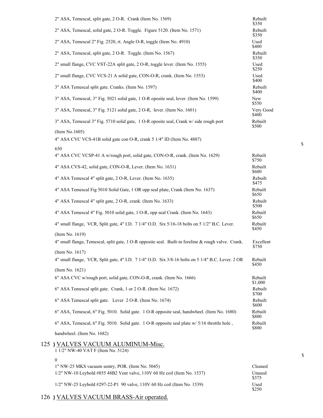| 2" ASA, Temescal, split gate, 2 O-R. Crank (Item No. 1569)                                                              | Rebuilt<br>\$350   |
|-------------------------------------------------------------------------------------------------------------------------|--------------------|
| 2" ASA, Temescal, solid gate, 2 O-R. Toggle. Figure 5120. (Item No. 1571)                                               | Rebuilt<br>\$350   |
| 2" ASA, Temescal 2" Fig. 2520, rt. Angle O-R, toggle (Item No. 4910)                                                    | Used<br>\$400      |
| 2" ASA, Temescal, split gate, 2 O-R. Toggle. (Item No. 1567)                                                            | Rebuilt<br>\$350   |
| 2" small flange, CVC VST-22A split gate, 2 O-R, toggle lever. (Item No. 1555)                                           | Used<br>\$250      |
| 2" small flange, CVC VCS-21 A solid gate, CON-O-R, crank. (Item No. 1553)                                               | Used<br>\$400      |
| 3" ASA Temescal split gate. Cranks. (Item No. 1597)                                                                     | Rebuilt<br>\$400   |
| 3" ASA, Temescal, 3" Fig. 5021 solid gate, 1 O-R oposite seal, lever. (Item No. 1599)                                   | New<br>\$550       |
| 3" ASA, Temescal, 3" Fig. 5121 solid gate, 2 O-R, lever. (Item No. 1601)                                                | Very Good<br>\$400 |
| 3" ASA, Temescal 3" Fig. 5710 solid gate, 1 O-R oposite seal, Crank w/side rough port                                   | Rebuilt<br>\$500   |
| (Item No.1605)<br>4" ASA CVC VCS-41B solid gate con O-R, crank 5 1/4" ID (Item No. 4887)                                |                    |
| 650<br>4" ASA CVC VCSP-41 A w/rough port, solid gate, CON-O-R, crank. (Item No. 1629)                                   | Rebuilt<br>\$750   |
| 4" ASA CVS-42, solid gate, CON-O-R, Lever. (Item No. 1631)                                                              | Rebuilt<br>\$600   |
| 4" ASA Temescal 4" split gate, 2 O-R, Lever. (Item No. 1635)                                                            | Rebuilt<br>\$475   |
| 4" ASA Temescal Fig 5010 Solid Gate, 1 OR opp seal plate, Crank (Item No. 1637)                                         | Rebuilt<br>\$650   |
| 4" ASA Temescal 4" split gate, 2 O-R, crank. (Item No. 1633)                                                            | Rebuilt<br>\$500   |
| 4" ASA Temescal 4" Fig. 5010 solid gate, 1 O-R, opp seal Crank. (Item No. 1643)                                         | Rebuilt<br>\$650   |
| 4" small flange, VCR, Split gate, 4" I.D. 7 1/4" O.D. Six 5/16-18 bolts on 5 1/2" B.C. Lever.                           | Rebuilt<br>\$450   |
| (Item No. 1619)                                                                                                         |                    |
| 4" small flange, Temescal, split gate, 1 O-R opposite seal. Built-in foreline & rough valve. Crank.                     | Excellent<br>\$750 |
| (Item No. $1617$ )<br>4" small flange, VCR, Split gate, 4" I.D. 7 1/4" O.D. Six 3/8-16 bolts on 5 1/4" B.C. Lever. 2 OR | Rebuilt<br>\$450   |
| (Item No. 1621)                                                                                                         |                    |
| 6" ASA CVC w/rough port, solid gate, CON-O-R, crank. (Item No. 1666)                                                    | Rebuilt<br>\$1,000 |
| 6" ASA Temescal split gate. Crank, 1 or 2 O-R. (Item No. 1672)                                                          | Rebuilt<br>\$700   |
| 6" ASA Temescal split gate. Lever 2 O-R. (Item No. 1674)                                                                | Rebuilt<br>\$600   |
| 6" ASA, Temescal, 6" Fig. 5010. Solid gate. 1 O-R opposite seal, handwheel. (Item No. 1680)                             | Rebuilt<br>\$800   |
| 6" ASA, Temescal, 6" Fig. 5010. Solid gate. 1 O-R opposite seal plate w/ 5/16 throttle hole,                            | Rebuilt<br>\$800   |
| handwheel. (Item No. 1682)                                                                                              |                    |
| 125 ) VALVES VACUUM ALUMINUM-Misc.<br>1 1/2" NW-40 VAT F (Item No. 5124)                                                |                    |

- 0 1" NW-25 MKS vacuum sentry, POR. (Item No. 5045) Cleaned 1/2" NW-10 Leybold #855 48B2 Vent valve, 110V 60 Hz coil (Item No. 1537) Unused
	- 1/2" NW-25 Leybold #297-22-P1 90 valve, 110V 60 Hz coil (Item No. 1539) Used

### 126 **)** VALVES VACUUM BRASS-Air operated.

\$

\$375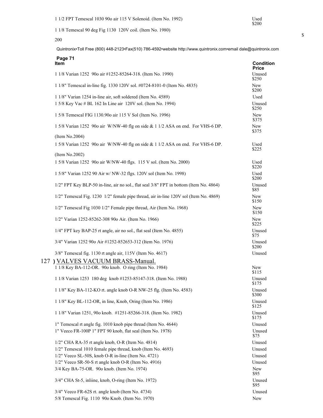Used<br>\$200

1 1/8 Temescal 90 deg Fig 1130 120V coil. (Item No. 1980)

200

Quintronix•Toll Free (800) 448-2123•Fax(510) 786-4592•website http://www.quintronix.com•email dale@quintronix.com

| Page 71<br>ltem                                                                                                                   | <b>Condition</b><br><b>Price</b> |
|-----------------------------------------------------------------------------------------------------------------------------------|----------------------------------|
| 1 1/8 Varian 1252 90o air #1252-85264-318. (Item No. 1990)                                                                        | Unused<br>\$250                  |
| 1 1/8" Temescal in-line fig. 1330 120V sol. #0724-8101-0 (Item No. 4835)                                                          | New<br>\$200                     |
| 1 1/8" Varian 1254 in-line air, soft soldered (Item No. 4589)<br>1 5/8 Key Vac # BL 162 In Line air 120V sol. (Item No. 1994)     | Used<br>Unused                   |
| 1 5/8 Temescal FIG 1130.90o air 115 V Sol (Item No. 1996)                                                                         | \$250<br>New<br>\$375            |
| 1 5/8 Varian 1252 90o air W/NW-40 flg on side & 1 1/2 ASA on end. For VHS-6 DP.                                                   | New<br>\$375                     |
| (Item No.2004)<br>1 5/8 Varian 1252 90o air W/NW-40 flg on side & 1 1/2 ASA on end. For VHS-6 DP.                                 | Used<br>\$225                    |
| (Item No.2002)<br>1 5/8 Varian 1252 90o air W/NW-40 flgs. 115 V sol. (Item No. 2000)                                              | Used                             |
| 1 5/8" Varian 1252 90 Air w/ NW-32 flgs. 120V sol (Item No. 1998)                                                                 | \$220<br>Used                    |
| 1/2" FPT Key BLP-50 in-line, air no sol., flat seal 3/8" FPT in bottom (Item No. 4864)                                            | \$200<br>Unused<br>\$85          |
| 1/2" Temescal Fig. 1230 1/2" female pipe thread, air in-line 120V sol (Item No. 4869)                                             | New<br>\$150                     |
| 1/2" Temescal Fig 1030 1/2" Female pipe thread, Air (Item No. 1968)                                                               | New<br>\$150                     |
| 1/2" Varian 1252-85262-308 90o Air. (Item No. 1966)                                                                               | New<br>\$225                     |
| 1/4" FPT key BAP-25 rt angle, air no sol., flat seal (Item No. 4855)                                                              | Unused<br>\$75                   |
| 3/4" Varian 1252 90o Air #1252-852653-312 (Item No. 1976)                                                                         | Unused<br>\$200                  |
| 3/8" Temescal fig. 1130 rt angle air, 115V (Item No. 4617)<br>127 ) VALVES VACUUM BRASS-Manual.                                   | Unused                           |
| 1 1/8 Key BA-112-OR. 90o knob. O ring (Item No. 1984)                                                                             | New<br>\$115                     |
| 1 1/8 Varian 1253 180 deg knob #1253-85147-318. (Item No. 1988)                                                                   | Unused<br>\$175                  |
| 1 1/8" Key BA-112-KO rt. angle knob O-R NW-25 flg. (Item No. 4583)                                                                | Unused<br>\$300                  |
| 1 1/8" Key BL-112-OR, in line, Knob, Oring (Item No. 1986)                                                                        | Unused<br>\$125<br>Unused        |
| 1 1/8" Varian 1251, 90o knob. #1251-85266-318. (Item No. 1982)<br>1" Temescal rt angle fig. 1010 knob pipe thread (Item No. 4644) | \$175<br>Unused                  |
| 1" Veeco FR-100P 1" FPT 90 knob, flat seal (Item No. 1978)                                                                        | Unused<br>\$75                   |
| $1/2$ " CHA RA-35 rt angle knob, O-R (Item No. 4814)<br>1/2" Temescal 1010 female pipe thread, knob (Item No. 4693)               | Unused<br>Unused                 |
| 1/2" Veeco SL-50S, knob O-R in-line (Item No. 4721)                                                                               | Unused                           |
| 1/2" Veeco SR-50-S rt angle knob O-R (Item No. 4916)                                                                              | Unused                           |
| 3/4 Key BA-75-OR. 90o knob. (Item No. 1974)                                                                                       | New<br>\$95                      |
| 3/4" CHA St-5, inliine, knob, O-ring (Item No. 1972)                                                                              | Unused<br>\$95                   |
| 3/4" Veeco FR-62S rt. angle knob (Item No. 4734)                                                                                  | Unused                           |
| 5/8 Temescal Fig. 1110 90o Knob. (Item No. 1970)                                                                                  | New                              |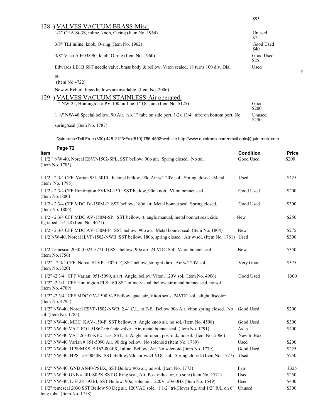|     | 128 ) VALVES VACUUM BRASS-Misc.                                                                                         |                   |
|-----|-------------------------------------------------------------------------------------------------------------------------|-------------------|
|     | $1/2$ " CHA St-3S, inline, knob, O-ring (Item No. 1964)                                                                 | Unused<br>\$75    |
|     | $3/8$ " TLI inline, knob, O-ring (Item No. 1962)                                                                        | Good Used<br>\$40 |
|     | 3/8" Vaco A FO38 90, knob, O ring (Item No. 1960)                                                                       | Good Used<br>\$25 |
|     | Edwards LB1B SST needle valve, brass body & bellow, Viton sealed, 18 turns 100 div. Dial.                               | Used              |
|     | 80<br>(Item No $4722$ )                                                                                                 |                   |
|     | New & Rebuilt brass bellows are available. (Item No. 2006)                                                              |                   |
| 129 | ) VALVES VACUUM STAINLESS-Air operated.                                                                                 |                   |
|     | 1 " NW-25, Huntington # PV-100, in-line. 1" QC, air. (Item No. 5125)                                                    | Good<br>\$200     |
|     | $1\frac{1}{2}$ NW-40 Special bellow, 90 Air, $\frac{1}{4}$ x 1" tube on side port. $1/2x$ 13/4" tube on bottom port. No | Unused<br>\$250   |
|     | spring/seal (Item No. 1787)                                                                                             |                   |

\$95

 $\mathbb S$ 

| Page 72                                                                                                                                                                                                         |                        |                       |
|-----------------------------------------------------------------------------------------------------------------------------------------------------------------------------------------------------------------|------------------------|-----------------------|
| <b>Item</b><br>1 1/2 " NW-40, Norcal ESVP-1502-SPL, SST bellow, 90o air. Spring closed. No sol.<br>(Item No. 1783)                                                                                              | Condition<br>Good Used | <b>Price</b><br>\$200 |
| 1 1/2 - 2 3/4 CFF, Varian 951-5010. Inconel bellow, 900 Air w/120V sol. Spring closed. Metal<br>(Item No. 1795)                                                                                                 | Used                   | \$425                 |
| 1 1/2 - 2 3/4 CFF Huntington EVKM-150. SST bellow, 90o knob. Viton bonnet seal.<br>(Item No.1800)                                                                                                               | Good Used              | \$200                 |
| 1 1/2 - 2 3/4 CFF MDC IV-150M-P. SST bellow, 180o air. Metal bonnet seal. Spring closed.<br>(Item No. 1806)                                                                                                     | Good Used              | \$300                 |
| 1 1/2 - 2 3/4 CFF MDC AV-150M-SP. SST bellow, rt. angle manual, metal bonnet seal, side<br>flg taped 1/4-28 (Item No. 4671)                                                                                     | New                    | \$250                 |
| 1 1/2 - 2 3/4 CFF MDC AV-150M-P. SST bellow, 90o air. Metal bonnet seal. (Item No. 1804)                                                                                                                        | <b>New</b>             | \$275                 |
| 1 1/2 NW-40, Norcal ILVP-1502-NWB, SST bellow, 1800, spring closed. Air w/sol. (Item No. 1781) Used                                                                                                             |                        | \$300                 |
| 1 1/2 Temescal 2030 (0024-5771-1) SST bellow, 90o air, 24 VDC Sol. Viton bonnet seal<br>(Item No.1756)                                                                                                          | New                    | \$350                 |
| 1 1/2" - 2 3/4 CFF, Norcal STVP-1502-CF, SST bellow, straight thru. Air w/120V sol.<br>(Item No.1820)                                                                                                           | Very Good              | \$375                 |
| 1 1/2" -2 3/4" CFF Varian 951-5090, air rt. Angle, bellow Viton, 120V sol. (Item No. 4906)<br>1 1/2" -2 3/4" CFF Huntington PLS-160 SST inline-visual, bellow air metal bonnet seal, no sol.<br>(Item No. 4709) | Good Used              | \$300                 |
| 1 1/2" -2 3/4" CFF MDC GV-1500 V-P bellow, gate, air, Viton seals, 24VDC sol., slight discolor<br>(Item No. 4795)                                                                                               |                        |                       |
| 1 1/2" NW-40, Norcal ESVP-1502-NWB, 2.4" C.L. to F-F. Bellow 90o Air, viton spring closed. No Good Used<br>sol. (Item No. 1785)                                                                                 |                        | \$200                 |
| 1 1/2" NW-40, MDC KAV-150-P, SST bellow, rt. Angle knob air, no sol. (Item No. 4598)                                                                                                                            | Good Used              | \$300                 |
| 1 1/2" NW-40 VAT FO1-51867-06 Gate valve. Air, metal bonnet seal. (Item No. 1791)                                                                                                                               | As Is                  | \$400                 |
| 1 1/2" NW-40 VAT 26332-KE21 cast SST, rt. Angle, air oper., pos. ind., no sol. (Item No. 5066)                                                                                                                  | New In Box             |                       |
| 1 1/2" NW-40 Varian # 851-5090 Air, 90 deg bellow, No solenoid (Item No. 1789)                                                                                                                                  | Used                   | \$200                 |
| 1 1/2" NW-40 HPS/MKS #162-0040K, Inline, Bellow, Air, No solenoid (Item No. 1779)                                                                                                                               | Good Used              | \$225                 |
| 1 1/2" NW-40, HPS 153-0040K, SST Bellow, 90o air w/24 VDC sol. Spring closed. (Item No. 1777)                                                                                                                   | Used                   | \$250                 |
| 1 1/2" NW-40, GNB AN40-PSBX, SST Bellow 90o air, no sol. (Item No. 1773)                                                                                                                                        | Fair                   | \$325                 |
| 1 1/2" NW-40 GNB # 401-S0PX SST O-Ring seal, Air, Pos. indicator, no sole (Item No. 1771)                                                                                                                       | Used                   | \$250                 |
| 1 1/2" NW-40, L-H 281-93BI, SST Bellow, 90o, solenoid. 220V 50/60Hz (Item No. 1549)                                                                                                                             | Used                   | \$400                 |
| 1 1/2" temescal 2030 SST Bellow 90 Deg air, 120VAC sole, 1 1/2" tri-Clover flg. and 1/2" R/L on 6"<br>long tube. (Item No. 1758)                                                                                | Unused                 | \$300                 |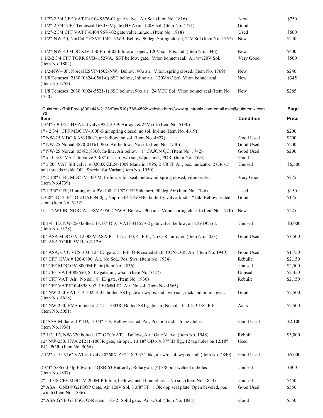| 1 1/2"-2 3/4 CFF VAT F-0104 9676-02 gate valve. Air Sol. (Item No. 1816)                                                                                     | New              | \$750        |
|--------------------------------------------------------------------------------------------------------------------------------------------------------------|------------------|--------------|
| 1 1/2"-2 3/4" CFF Temescal 1630 GV gate (HVA) air 120V sol. (Item No. 4771)                                                                                  | Good             |              |
| 1 1/2"-2 3/4 CFF VAT F-OI04 9676-02 gate valve, air, sol. (Item No. 1818)                                                                                    | Used             | \$600        |
| 1 1/2"-NW-40, NorCal # ESVP-1502-NWB. Bellow, 90deg, Spring closed, 24V Sol (Item No. 1767)                                                                  | New              | \$240        |
| 1 1/2"-NW-40 MDC KIV-150-P-opt-02 Inline, air oper., 120V sol. Pos. ind. (Item No. 5046)                                                                     | New              | \$400        |
| 1 1/2-2 3/4 CFF TORR SVB-1.52VA. SST bellow, gate. Viton bonnet seal. Air w/120V Sol.<br>(Item No. 1802)                                                     | Very Good        | \$500        |
| 1 1/2-NW-40F, Norcal ESVP-1502-NW. Bellow, 90o air. Viton, spring closed. (Item No. 1769)                                                                    | New              | \$240        |
| 1 1/8 Temescal 2130 (0824-0561-0) SST bellow, Inline air. 120VAC Sol. Viton bonnet seal.<br>(Item No $1752$ )                                                | New              | \$345        |
| 1 1/8 Temescal 2030 (0024-5521-1) SST bellow, 90o air. 24 VDC Sol. Viton bonnet seal (Item No.<br>1750)                                                      | New              | \$285        |
| Quintronix•Toll Free (800) 448-2123•Fax(510) 786-4592•website http://www.quintronix.com•email dale@quintronix.com                                            |                  | Page         |
| 73<br>Item                                                                                                                                                   | <b>Condition</b> | <b>Price</b> |
| 1 3/4" x 9 1/2 " HVA slit valve 922-9109. Air cyl. & 24V sol. (Item No. 5130)                                                                                |                  |              |
| 1" - 2 3/4" CFF MDC IV-100P-S air spring closed, no sol. In-line (Item No. 4619)                                                                             |                  | \$200        |
| 1" NW-25 MDC KAV-100-P, air bellow, no sol. (Item No. 4827)                                                                                                  | Good Used        | \$200        |
| 1" NW-25 Norcal 3870-01161, 900 Air bellow. No sol. (Item No. 1740)                                                                                          | Good Used        | \$200        |
| 1" NW-25 Norcal 05-8218300, In-line, Air bellow. 1" CAJON QC. (Item No. 1742)                                                                                | Good Used        | \$200        |
| 1" x 10 3/8" VAT slit valve 3 3/8" thk, air, w/o sol, w/pos. ind., POR. (Item No. 4593)                                                                      | Good             |              |
| $1"$ x 20" VAT Slit valve # 0200X-ZE24-1009 Made in 1995, 27/8 FF Air, pos. indicator, 2 OR w/<br>bolt threads inside OR. Special for Varian (Item No. 1950) | Unused           | \$6,500      |
| 1"-2 1/8" CFF, MDC IV-100-M, In-line, viton seal, bellow air spring closed, viton seals.<br>(Item No.4739)                                                   | Very Good        | \$275        |
| 1"-2 3/4" CFF, Huntington # PV-100, 2 1/8" CFF Side port, 90 deg Air (Item No. 1746)                                                                         | Used             | \$150        |
| 1.328" ID -2 3/4" OD CAJON flg., Nupro 304-24VFBG butterfly valve, knob 1" thk. Bellow sealed<br>stem. (Item No. 5132)                                       | Good             | \$175        |
| 1/2" -NW10B, NORCAL ESVP-0502-NWB, Bellows 90o air. Viton, spring closed. (Item No. 1710)                                                                    | New              | \$225        |
| 10 1/4" ID, NW-250 bolted. 13.18" OD, VATF31152-02 gate valve. bellow, air 24VDC sol.<br>(Item No. 5128)                                                     | Unused           | \$3,000      |
| 10" ASA MDC GV-12,000V-ASA-P. 11 1/2" ID, 4" F-F., No O-R, air oper. (Item No. 5053)<br>10" ASA TORR 5V B-102-12A                                            | Good Used        | \$3,500      |
| 10" ASA, CVC VCS-103. 12" ID. gate. 5" F-F. O-R sealed shaft. CON-O-R. Air. (Item No. 1940)                                                                  | Good Used        | \$1,750      |
| 10" CFF HVA #126-0800. Air, No Sol., Pos. Sws. (Item No. 1934)                                                                                               | Rebuilt          | \$2,150      |
| 10" CFF MDC GV-8000M-P air (Item No. 4836)                                                                                                                   | Unused           | \$2,500      |
| 10" CFF VAT 4082650, 8" ID gate, air, w/sol. (Item No. 5127)                                                                                                 | Unused           | \$2,450      |
| 10" CFF VAT Air. No sol. 8" ID gate. (Item No. 1936)                                                                                                         | Rebuilt          | \$2,150      |
| 10" CFF VAT F10-48989-07. 150 MM ID. Air, No sol. (Item No. 4565)                                                                                            |                  |              |
| 10" NW-250 VAT F14-50253-01, bolted SST gate air w/pos. ind., w/o sol., rack and pinion gear.<br>(Item No. 4618)                                             | Good             | \$2,500      |
| 10" NW-250, HVA model # 21211-1003R. Bolted SST gate, air, No sol. 10" ID, 3 1/8" F-F.<br>(Item No. 5051)                                                    | As Is            | \$2,500      |
| 10"ASA Millane. 10" ID, 5 3/4" F-F, Bellow sealed, Air, Position indicator switches.<br>(Item No.1938)                                                       | Good Used        | \$2,100      |
| 12 1/2" ID, NW-320 bolted. 17" OD, VAT. Bellow, Air. Gate Valve. (Item No. 1948)                                                                             | Rebuilt          | \$3,000      |
| 12" NW-250. HVA 21211-1003R gate, air oper. 13.18" OD x 9.87" ID flg., 12 tap holes on 12.18"<br>BC., POR. (Item No. 5056)                                   | Used             |              |
| 2 1/2" x 10 7/16" VAT slit valve 0260X-ZE24-X 3.37" thk., air w/o sol, w/pos. ind. (Item No. 4840)                                                           | Good Used        | \$5,000      |
| 2 3/4"-5.06 od Flg Edwards #QSB-63 Butterfly, Rotary air, (4) 3/8 bolt welded in holes<br>(Item No.1857)                                                     | Unused           | \$300        |
| 2" - 3 3/8 CFF MDC IV-200M-P Inline, bellow, metal bonnet seal. No sol. (Item No. 1853)                                                                      | Unused           | \$450        |
| 2" ASA GNB # G2PSOP Gate, Air 120V Sol, 3 3/8" FF. 1 OR opp seal plate. Open beveled, pos<br>switch (Item No. 1836)                                          | Good Used        | \$550        |
| 2" ASA GNB G3 PSO, O-R stem. 1 O-R, Solid gate. Air w/sol. (Item No. 1845)                                                                                   | Good             | \$550        |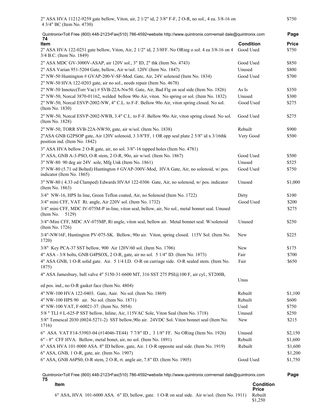| 2" ASA HVA 11212-9259 gate bellow, Viton, air, 2 1/2" id, 2 3/8" F-F, 2 O-R, no sol., 4 ea. 3/8-16 on<br>4 3/4" BC (Item No. 4730) |                  | \$750        |
|------------------------------------------------------------------------------------------------------------------------------------|------------------|--------------|
| Quintronix•Toll Free (800) 448-2123•Fax(510) 786-4592•website http://www.quintronix.com•email dale@quintronix.com<br>74            |                  | Page         |
| Item                                                                                                                               | <b>Condition</b> | <b>Price</b> |
| 2" ASA HVA 122-0251 gate bellow, Viton, Air, 2 1/2" id, 2 3/8FF. No ORing o sol. 4 ea 3/8-16 on 4<br>3/4 B.C. (Item No. 1849)      | Good Used        | \$750        |
| 2" ASA MDC GV-3000V-ASAP, air 120V sol., 3" ID, 2" thk (Item No. 4743)                                                             | Good Used        | \$850        |
| 2" ASA Varian 951-5204 Gate, bellow, Air w/sol. 120V (Item No. 1847)                                                               | Unused           | \$800        |
| 2" NW-50 Huntington # GVAP-200-V-SF-Mod. Gate, Air, 24V solenoid (Item No. 1834)                                                   | Good Used        | \$700        |
| 2" NW-50 HVA 122-0203 gate, air no sol., needs repair (Item No. 4678)                                                              |                  |              |
| 2" NW-50 Innotec(Torr Vac) # SVB-22A-Nw50. Gate, Air, Bad Flg on seal side (Item No. 1826)                                         | As Is            | \$350        |
| 2" NW-50, Norcal 3870-01162, welded bellow 90o Air, viton. No spring or sol. (Item No. 1832)                                       | Unused           | \$300        |
| 2" NW-50, Norcal ESVP-2002-NW, 4" C.L. to F-F. Bellow 90o Air, viton spring closed. No sol.<br>(Item No. 1830)                     | Good Used        | \$275        |
| 2" NW-50, Norcal ESVP-2002-NWB, 3.4" C.L. to F-F. Bellow 90o Air, viton spring closed. No sol.<br>(Item No. 1828)                  | Good Used        | \$275        |
| 2" NW-50, TORR SVB-22A-NW50, gate, air w/sol. (Item No. 1838)                                                                      | Rebuilt          | \$900        |
| 2"ASA GNB G2PSOP gate, Air 120V solenoid, 3 3/8"FF, 1 OR opp seal plate 2 5/8" id x 3/16thk<br>position ind. (Item No. 1842)       | Very Good        | \$500        |
| 3" ASA HVA bellow 2 O-R gate, air, no sol. 3/8"-16 tapped holes (Item No. 4781)                                                    |                  |              |
| 3" ASA, GNB A-3-PSO, O-R stem, 2 O-R, 90o, air w/sol. (Item No. 1867)                                                              | Good Used        | \$500        |
| 3" NW-80 90 deg air 24V sole, Mfg Unk (Item No. 1861)                                                                              | Unused           | \$525        |
| 3" NW-80 (5.71 od Bolted) Huntington # GVAP-300V-Mod, HVA Gate, Air, no solenoid, w/ pos.<br>indicator (Item No. 1865)             | Good Used        | \$750        |
| 3" NW-80 (4.33 od Clamped) Edwards HVA# 122-0306 Gate, Air, no solenoid, w/ pos. indicator<br>(Item No. 1863)                      | Unused           | \$1,000      |
| 3/4" NW-16, HPS In line, Green Teflon coated, Air, no Solenoid (Item No. 1722)                                                     | Dirty            | \$100        |
| 3/4" mini CFF, VAT Rt. angle, Air 220V sol. (Item No. 1732)                                                                        | Good Used        | \$200        |
| 3/4" mini CFF, MDC IV-075M-P in-line, viton seal, bellow, air, No sol., metal bonnet seal. Unused<br>(Item No.<br>5129)            |                  | \$275        |
| 3/4"-Mini CFF, MDC AV-075MP, Rt angle, viton seal, bellow air. Metal bonnet seal. W/solenoid<br>(Item No. 1726)                    | Unused           | \$250        |
| 3/4"-NW16F, Huntington PV-075-SK. Bellow, 90o air. Viton, spring closed. 115V Sol. (Item No.<br>1720)                              | New              | \$225        |
| 3/8" Key PCA-37 SST bellow, 900 Air 120V/60 sol. (Item No. 1706)                                                                   | New              | \$175        |
| 4" ASA - 3/8 bolts, GNB G4PSOX, 2 O-R, gate, air no sol. 5 1/4" ID. (Item No. 1873)                                                | Fair             | \$700        |
| 4" ASA GNB, 1 O-R solid gate. Air. 5 1/4 I.D. O-R on carriage side. O-R sealed stem. (Item No.<br>1875)                            | Fair             | \$650        |
| 4" ASA Jamesbury, ball valve 4" 5150-31-6600 MT, 316 SST 275 PSI@100 F, air cyl., ST200B,                                          | Unus             |              |
| ed pos. ind., no O-R gasket face (Item No. 4804)                                                                                   |                  |              |
| 4" NW-100 HVA 122-0403. Gate, Aair. No sol. (Item No. 1869)                                                                        | Rebuilt          | \$1,100      |
| 4" NW-100 HPS 90 air. No sol. (Item No. 1871)                                                                                      | Rebuilt          | \$600        |
| 4" NW-100 VAT, F-60021-37. (Item No. 5054)                                                                                         | Used             | \$750        |
| 5/8 " TLI # L-625-P SST bellow, Inline, Air, 115VAC Sole, Viton Seal (Item No. 1718)                                               | Unused           | \$250        |
| 5/8" Temescal 2030 (0024-5271-2) SST bellow, 90o air. 24VDC Sol. Viton bonnet seal (Item No.<br>1716)                              | New              | \$215        |
| 6" ASA VAT F14-53903-04 (#14046-TE44) 7 7/8" ID, 3 1/8" FF. No ORing (Item No. 1926)                                               | Unused           | \$2,150      |
| 6" - 8" CFF HVA. Bellow, metal bonet, air, no sol. (Item No. 1891)                                                                 | Rebuilt          | \$1,600      |
| 6" ASA HVA 101-8000 ASA. 8" ID bellow, gate, Air. 1 O-R opposite seal side. (Item No. 1919)                                        | Rebuilt          | \$1,600      |
| 6" ASA, GNB, 1 O-R, gate, air. (Item No. 1907)                                                                                     |                  | \$1,200      |
| 6" ASA, GNB A6PS0, O-R stem, 2 O-R, rt. angle air, 7.8" ID. (Item No. 1905)                                                        | Good Used        | \$1,750      |
|                                                                                                                                    |                  |              |

Quintronix•Toll Free (800) 448-2123•Fax(510) 786-4592•website http://www.quintronix.com•email dale@quintronix.com **Page 75 Item Condition Condition<br>Price**<br>Rebuilt

6" ASA, HVA 101-6000 ASA. 6" ID, bellow, gate. 1 O-R on seal side. Air w/sol. (Item No. 1911) \$1,250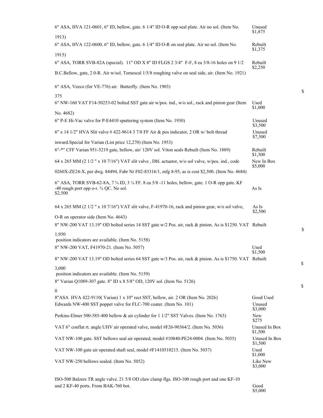| 6" ASA, HVA 121-0601, 6" ID, bellow, gate. 6 1/4" ID O-R opp seal plate. Air no sol. (Item No.                                                         | Unused<br>\$1,875        |
|--------------------------------------------------------------------------------------------------------------------------------------------------------|--------------------------|
| 1913)                                                                                                                                                  |                          |
| 6" ASA, HVA 122-0600, 6" ID, bellow, gate. 6 1/4" ID O-R on seal plate. Air no sol. (Item No.                                                          | Rebuilt<br>\$1,375       |
| 1915)                                                                                                                                                  |                          |
| 6" ASA, TORR SVB-82A (special). 11" OD X 8" ID FLGS 2 3/4" F-F, 8 ea 3/8-16 holes on 9 1/2                                                             | Rebuilt<br>\$2,250       |
| B.C.Bellow, gate, 2 0-R. Air w/sol. Temescal 1/5/8 roughing valve on seal side, air. (Item No. 1921)                                                   |                          |
| 6" ASA, Veeco (for VE-776) air. Butterfly. (Item No. 1903)                                                                                             |                          |
| 375                                                                                                                                                    |                          |
| 6" NW-160 VAT F14-50253-02 bolted SST gate air w/pos. ind., w/o sol., rack and pinion gear (Item                                                       | Used<br>\$1,000          |
| No. 4682)                                                                                                                                              |                          |
| 6" P-E Hi-Vac valve for P-E4410 sputtering system (Item No. 1930)                                                                                      | Unused<br>\$3,500        |
| $6''$ x 14 1/2" HVA Slit valve #422-9614 3 7/8 FF Air & pos indicator, 2 OR w/ bolt thread                                                             | Unused<br>\$7,500        |
| inward.Special for Varian (List price 12,270) (Item No. 1953)                                                                                          |                          |
| 6"-*" CFF Varian 951-5219 gate, bellow, air/ 120V sol. Viton seals Rebuilt (Item No. 1889)                                                             | Rebuilt<br>\$1,300       |
| 64 x 265 MM (2 1/2 " x 10 7/16") VAT slit valve, Dbl. actuator, w/o sol valve, w/pos. ind., code                                                       | New In Box<br>\$5,000    |
| 0260X-ZE24-X, per dwg. 84494, Fabr Nr F02-83316/1, mfg 8-95, as is cost \$2,500. (Item No. 4684)                                                       |                          |
| 6" ASA, TORR SVB-62-8A, 7 3/4 ID, 3 1/4 FF. 8 ea 5/8 -11 holes, bellow, gate. 1 O-R opp gate. KF<br>-40 rough port opp o-r. 3/4 QC. No sol.<br>\$2,500 | As Is                    |
| 64 x 265 MM (2 1/2 " x 10 7/16") VAT slit valve, F-41970-16, rack and pinion gear, w/o sol valve,                                                      | As Is<br>\$2,500         |
| O-R on operator side (Item No. 4643)                                                                                                                   |                          |
| 8" NW-200 VAT 13.19" OD bolted series 14 SST gate w/2 Pos. air, rack & pinion. As is \$1250. VAT Rebuilt                                               |                          |
| 1.950                                                                                                                                                  |                          |
| position indicators are available. (Item No. 5158)<br>8" NW-200 VAT, F41970-21. (Item No. 5057)                                                        | Used                     |
|                                                                                                                                                        | \$1,500                  |
| 8" NW-200 VAT 13.19" OD bolted series 64 SST gate w/3 Pos. air, rack & pinion. As is \$1750. VAT Rebuilt                                               |                          |
| 3,000<br>position indicators are available. (Item No. 5159)                                                                                            |                          |
| 8" Varian Q1089-307 gate. 8" ID x 8 5/8" OD, 120V sol. (Item No. 5126)                                                                                 |                          |
| 0                                                                                                                                                      |                          |
| 8"ASA HVA 422-9110(Varian) 1 x 10" rect SST, bellow, air. 2 OR (Item No. 2026)                                                                         | Good Used                |
| Edwards NW-400 SST poppet valve for FLC-700 coater. (Item No. 101)                                                                                     | Unused<br>\$3,000        |
| Perkins-Elmer 500-585-400 bellow & air cylinder for 1 1/2" SST Valves. (Item No. 1763)                                                                 | New<br>\$275             |
| VAT 6" conflat rt. angle UHV air operated valve, model #F26-90364/2. (Item No. 5036)                                                                   | Unused In Box<br>\$1,500 |
| VAT NW-100 gate. SST bellows seal air operated, model #10840-PE24-0004. (Item No. 5035)                                                                | Unused In Box<br>\$1,500 |
| VAT NW-100 gate air operated shaft seal, model #F1410510215. (Item No. 5037)                                                                           | Used<br>\$1,000          |
| VAT NW-250 bellows sealed. (Item No. 5052)                                                                                                             | Like New<br>\$3,000      |
|                                                                                                                                                        |                          |

ISO-500 Balzers TR angle valve. 21 5/8 OD claw clamp flgs. ISO-100 rough port and one KF-10 and 2 KF-40 ports. From BAK-760 bot.

Good<br>\$5,000

\$

\$

 $\mathbb S$ 

 $\mathbb S$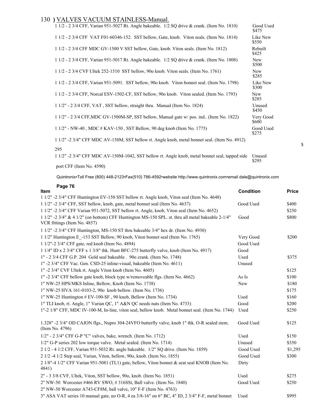### 130 **)** VALVES VACUUM STAINLESS-Manual.

| 1 1/2 - 2 3/4 CFF, Varian 951-5027 Rt. Angle bakeable. 1/2 SQ drive & crank. (Item No. 1810)   | Good Used<br>\$475  |
|------------------------------------------------------------------------------------------------|---------------------|
| 1 1/2 - 2 3/4 CFF VAT F01-60346-152. SST bellow, Gate, knob. Viton seals. (Item No. 1814)      | Like New<br>\$550   |
| 1 1/2 - 2 3/4 CFF MDC GV-1500 V SST bellow, Gate, knob. Viton seals. (Item No. 1812)           | Rebuilt<br>\$425    |
| 1 1/2 - 2 3/4 CFF, Varian 951-5017 Rt. Angle bakeable. 1/2 SQ drive & crank. (Item No. 1808)   | <b>New</b><br>\$500 |
| 1 1/2 - 2 3/4 CVF Ultek 252-1510 SST bellow, 900 knob. Viton seals. (Item No. 1761)            | New<br>\$285        |
| 1 1/2 - 2 3/4 CFF, Varian 951-5091. SST bellow, 900 knob. Viton bonnet seal. (Item No. 1798)   | Like New<br>\$300   |
| 1 1/2 - 2 3/4 CFF, Norcal ESV-1502-CF, SST bellow, 90o knob. Viton sealed. (Item No. 1793)     | New<br>\$285        |
| 1 1/2" - 2 3/4 CFF, VAT, SST bellow, straight thru. Manual (Item No. 1824)                     | Unused<br>\$450     |
| 1 1/2" - 2 3/4 CFF, MDC GV-1500M-SP, SST bellow, Manual gate w/ pos. ind (Item No. 1822)       | Very Good<br>\$600  |
| 1 1/2" - NW-40, MDC # KAV-150, SST Bellow, 90 deg knob (Item No. 1775)                         | Good Used<br>\$275  |
| 1 1/2" -2 3/4" CFF MDC AV-150M, SST bellow rt. Angle knob, metal bonnet seal. (Item No. 4912)  |                     |
| 295                                                                                            |                     |
| 1 1/2" -2 3/4" CFF MDC AV-150M-1042, SST bellow rt. Angle knob, metal bonnet seal, tapped side | Unused              |

Quintronix•Toll Free (800) 448-2123•Fax(510) 786-4592•website http://www.quintronix.com•email dale@quintronix.com

| Page<br>ĥ<br>$\prime$ |  |
|-----------------------|--|
|-----------------------|--|

port CFF (Item No. 4590)

| <b>Item</b>                                                                                                                         | <b>Condition</b> | <b>Price</b> |
|-------------------------------------------------------------------------------------------------------------------------------------|------------------|--------------|
| 1 1/2" -2 3/4" CFF Huntington EV-150 SST bellow rt. Angle knob, Viton seal (Item No. 4648)                                          |                  |              |
| 1 1/2" -2 3/4" CFF, SST bellow, knob, gate, metal bonnet seal (Item No. 4637)                                                       | Good Used        | \$400        |
| 1 1/2" -2 3/4" CFF Varian 951-5072, SST bellow rt. Angle, knob, Viton seal (Item No. 4652)                                          |                  | \$250        |
| $11/2$ " -2 3/4" & 4 1/2" (on bottom) CFF Huntington MS-150 SPL. st. thru all metal bakeable 2-1/4"<br>VCR fittings (Item No. 4857) | Good             | \$800        |
| 1 1/2" -2 3/4" CFF Huntington, MS-150 ST thru bakeable 3/4" hex dr. (Item No. 4930)                                                 |                  |              |
| 1 1/2" Huntington E -153 SST Bellow, 90 knob, Viton bonnet seal (Item No. 1765)                                                     | Very Good        | \$200        |
| 1 1/2"-2 3/4" CFF gate, red knob (Item No. 4894)                                                                                    | Good Used        |              |
| $11/4$ " ID x 2 3/4" CFF x 1 3/8" thk. Hunt BFC-275 butterfly valve, knob (Item No. 4917)                                           | Good             |              |
| 1" - 2 3/4 CFF G.P. 204 Gold seal bakeable . 90 crank. (Item No. 1748)                                                              | Used             | \$375        |
| 1" -2 3/4" CFF Vac. Gen. CSD-25 inline-visual, bakeable (Item No. 4611)                                                             | Unused           |              |
| 1" -2 3/4" CVF Ultek rt. Angle Viton knob (Item No. 4605)                                                                           |                  | \$125        |
| 1" -2 3/4" CFF bellow gate knob, block type w/removeable flgs. (Item No. 4662)                                                      | As Is            | \$100        |
| 1" NW-25 HPS/MKS Inline, Bellow, Knob (Item No. 1738)                                                                               | New              | \$180        |
| 1" NW-25 HVA 161-0103-2, 900 knob bellow. (Item No. 1736)                                                                           |                  | \$175        |
| $1"$ NW-25 Huntington $#$ EV-100-SF, 90 knob, Bellow (Item No. 1734)                                                                | Used             | \$160        |
| 1" TLI knob, rt. Angle, 1" Varian QC, 1" A&N QC needs nuts (Item No. 4733)                                                          | Good             | \$200        |
| 1"-2 1/8" CFF, MDC IV-100-M, In-line, viton seal, bellow knob. Metal bonnet seal. (Item No. 1744)                                   | Used             | \$250        |
| 1.328" -2 3/4" OD CAJON flgs., Nupro 304-24VFO butterfly valve, knob 1" thk. O-R sealed stem.<br>(Item No. 4796)                    | Good Used        | \$125        |
| 1/2" - 2 3/4" CFF G-P "C" valves, bake, wrench. (Item No. 1712)                                                                     | Used             | \$150        |
| 1/2" G-P series 202 low torque valve. Metal sealed. (Item No. 1714)                                                                 | Unused           | \$350        |
| 2 1/2 - 4 1/2 CFF, Varian 951-5032 Rt. angle bakeable. 1/2" SQ drive. (Item No. 1859)                                               | Good Used        | \$1,295      |
| 2 1/2 -4 1/2 Step seal, Varian, Viton, bellow, 90o, knob. (Item No. 1855)                                                           | Good Used        | \$300        |
| 2 1/8"-4 1/2" CFF Varian 951-5081 (TL1) gate, bellow, Viton bonnet & seat seal KNOB (Item No.<br>4841)                              | Dirty            |              |
| 2" - 3 3/8 CVF, Ultek, Viton, SST bellow, 90o, knob. (Item No. 1851)                                                                | Used             | \$275        |
| 2" NW-50 Worcester #466 RV SWO, #316SSt, Ball valve. (Item No. 1840)                                                                | Good Used        | \$250        |
| 2" NW-50 Worcester A743-CF8M, ball valve, 10" F-F (Item No. 4763)                                                                   |                  |              |
| 3" ASA VAT series 10 manual gate, no O-R, 4 ea 3/8-16" on 6" BC, 4" ID, 2 3/4" F-F, metal bonnet                                    | Used             | \$995        |
|                                                                                                                                     |                  |              |

\$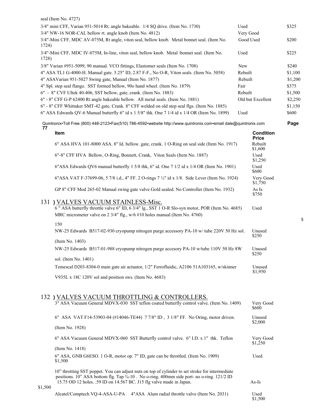|         | seal (Item No. 4727)                                                                                                                                                                                                                                                  |           |                                  |                  |
|---------|-----------------------------------------------------------------------------------------------------------------------------------------------------------------------------------------------------------------------------------------------------------------------|-----------|----------------------------------|------------------|
|         | 3/4" mini CFF, Varian 951-5014 Rt. angle bakeable. 1/4 SQ drive. (Item No. 1730)                                                                                                                                                                                      | Used      |                                  | \$325            |
|         | 3/4" NW-16 NOR-CAL bellow rt. angle knob (Item No. 4812)                                                                                                                                                                                                              | Very Good |                                  |                  |
| 1724)   | 3/4"-Mini CFF, MDC AV-075M, Rt angle, viton seal, bellow knob. Metal bonnet seal. (Item No.                                                                                                                                                                           | Good Used |                                  | \$200            |
| 1728)   | 3/4"-Mini CFF, MDC IV-075M, In-line, viton seal, bellow knob. Metal \bonnet seal. (Item No.                                                                                                                                                                           | Used      |                                  | \$225            |
|         | 3/8" Varian #951-5099, 90 manual. VCO fittings, Elastomer seals (Item No. 1708)                                                                                                                                                                                       | New       |                                  | \$240            |
|         | 4" ASA TL1 G-4000-H. Manual gate. 5.25" ID, 2.87 F-F., No O-R, Viton seals. (Item No. 5058)                                                                                                                                                                           | Rebuilt   |                                  | \$1,100          |
|         | 4" ASAVarian 951-5027 Swing gate, Manual (Item No. 1877)                                                                                                                                                                                                              | Rebuilt   |                                  | \$1,200          |
|         | 4" Spl. step seal flange. SST formed bellow, 90o hand wheel. (Item No. 1879)                                                                                                                                                                                          | Fair      |                                  | \$375            |
|         | 6" - 8" CVF Ultek 40-406, SST bellow, gate, crank. (Item No. 1883)                                                                                                                                                                                                    | Rebuilt   |                                  | \$1,500          |
|         | 6" - 8" CFF G-P 62400 Rt angle bakeable bellow. All metal seals. (Item No. 1881)                                                                                                                                                                                      |           | Old but Excellent                | \$2,250          |
|         | 6" - 8" CFF Whittaker SMT-42 gate, Crank. 8" CFF welded on old step seal flgs. (Item No. 1885)<br>6" ASA Edwards QV-6 Manual butterfly 6" id x 1 5/8" thk. One 7 1/4 id x 1/4 OR (Item No. 1899)                                                                      | Used      |                                  | \$1,150<br>\$600 |
| 77      | Quintronix•Toll Free (800) 448-2123•Fax(510) 786-4592•website http://www.quintronix.com•email dale@quintronix.com                                                                                                                                                     |           |                                  | Page             |
|         | Item                                                                                                                                                                                                                                                                  |           | <b>Condition</b><br><b>Price</b> |                  |
|         | 6" ASA HVA 101-8000 ASA. 8" Id. bellow. gate, crank. 1 O-Ring on seal side (Item No. 1917)                                                                                                                                                                            |           | Rebuilt<br>\$1,600               |                  |
|         | 6"-8" CFF HVA Bellow, O-Ring, Bonnett, Crank, Viton Seals (Item No. 1887)                                                                                                                                                                                             |           | Used<br>\$1,250                  |                  |
|         | 6" ASA Edwards QV6 manual butterfly 1 5/8 thk, 6" id. One 7 1/2 id x 1/4 OR (Item No. 1901)                                                                                                                                                                           |           | Used<br>\$600                    |                  |
|         | 6"ASA VAT F-37699-06, 5 7/8 i.d., 4" FF. 2 O-rings 7 1/2" id x 1/8. Side Lever (Item No. 1924)                                                                                                                                                                        |           | Very Good<br>\$1,750             |                  |
|         | GP 8" CFF Mod 265-02 Manual swing gate valve Gold sealed. No Controller (Item No. 1932)                                                                                                                                                                               |           | As Is<br>\$750                   |                  |
|         | 131) VALVES VACUUM STAINLESS-Misc.                                                                                                                                                                                                                                    |           |                                  |                  |
|         | 6" ASA butterfly throttle valve 6" ID, 6 3/4" lg., SST 1 O-R Slo-syn motor, POR (Item No. 4685)<br>MRC micrometer valve on 2 3/4" flg., w/6 #10 holes manual (Item No. 4760)                                                                                          |           | Used                             |                  |
|         |                                                                                                                                                                                                                                                                       |           |                                  | \$               |
|         | 150<br>NW-25 Edwards B517-02-930 cryopump nitrogen purge accessory PA-10 w/ tube 220V 50 Hz sol.                                                                                                                                                                      |           | Unused                           |                  |
|         | (Item No. 1403)                                                                                                                                                                                                                                                       |           | \$250                            |                  |
|         | NW-25 Edwards B517-01-988 cryopump nitrogen purge accesory PA-10 w/tube 110V 50 Hz 8W                                                                                                                                                                                 |           | Unused                           |                  |
|         |                                                                                                                                                                                                                                                                       |           | \$250                            |                  |
|         | sol. (Item No. 1401)                                                                                                                                                                                                                                                  |           |                                  |                  |
|         | Temescal D203-8304-0 main gate air actuator, 1/2" Ferrofluidic, A2106 51A103165, w/skinner                                                                                                                                                                            |           | Unused<br>\$1,950                |                  |
|         | V935L x 18C 120V sol and position sws. (Item No. 4683)                                                                                                                                                                                                                |           |                                  |                  |
|         | 132) VALVES VACUUM THROTTLING & CONTROLLERS.                                                                                                                                                                                                                          |           |                                  |                  |
|         | 3" ASA Vacuum General MDVX-030 SST teflon coated butterfly control valve. (Item No. 1409)                                                                                                                                                                             |           | Very Good<br>\$600               |                  |
|         | 6" ASA VAT F14-53903-04 (#14046-TE44) 7 7/8" ID, 3 1/8" FF. No Oring, motor driven.                                                                                                                                                                                   |           | Unused<br>\$2,000                |                  |
|         | (Item No. 1928)                                                                                                                                                                                                                                                       |           |                                  |                  |
|         | 6" ASA Vacuum General MDVX-060 SST Butterfly control valve. 6" I.D. x 1" thk. Teflon                                                                                                                                                                                  |           | Very Good<br>\$1,250             |                  |
|         | (Item No. 1418)                                                                                                                                                                                                                                                       |           |                                  |                  |
|         | 6" ASA, GNB G6ESO. 1 O-R, motor op. 7" ID, gate can be throttled. (Item No. 1909)<br>\$1,500                                                                                                                                                                          |           | Used                             |                  |
| \$1,500 | 10" throtting SST poppet. You can adjust nuts on top of cylinder to set stroke for intermediate<br>positions. 10" ASA bottom flg. Tap 3/4-10. No o-ring. 400mm side port- no o-ring. 121/2 ID<br>15.75 OD 12 holes. .59 ID on 14.567 BC. J15 flg valve made in Japan. |           | As-Is                            |                  |
|         | Alcatel/Comptech VQ-4-ASA-U-PA 4"ASA Alum radial throttle valve (Item No. 2031)                                                                                                                                                                                       |           | Used<br>\$1,500                  |                  |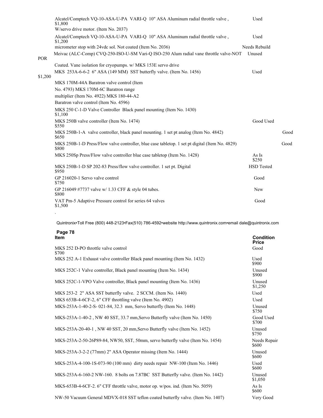|            | Alcatel/Comptech VO-10-ASA-U-PA VARI-O 10" ASA Aluminum radial throttle valve,<br>\$1,800               | Used              |      |
|------------|---------------------------------------------------------------------------------------------------------|-------------------|------|
|            | W/servo drive motor. (Item No. 2037)                                                                    |                   |      |
|            | Alcatel/Comptech VO-10-ASA-U-PA VARI-O 10" ASA Aluminum radial throttle valve,<br>\$1,200               | Used              |      |
|            | micrometer stop with 24vdc sol. Not coated (Item No. 2036)                                              | Needs Rebuild     |      |
| <b>POR</b> | Meivac (ALC-Comp) CVQ-250-ISO-U-SM Vari-Q ISO-250 Alum radial vane throttle valve-NOT                   | Unused            |      |
|            | Coated. Vane isolation for cryopumps. w/ MKS 153E servo drive                                           |                   |      |
| \$1,200    | MKS 253A-6-6-2 6" ASA (149 MM) SST butterfly valve. (Item No. 1456)                                     | Used              |      |
|            | MKS 170M-44A Baratron valve control (Item                                                               |                   |      |
|            | No. 4793) MKS 170M-6C Baratron range                                                                    |                   |      |
|            | multiplier (Item No. 4922) MKS 180-44-A2                                                                |                   |      |
|            | Baratron valve control (Item No. 4596)                                                                  |                   |      |
|            | MKS 250 C-1-D Valve Controller Black panel mounting (Item No. 1430)<br>\$1,100                          |                   |      |
|            | MKS 250B valve controller (Item No. 1474)<br>\$550                                                      | Good Used         |      |
|            | MKS 250B-1-A valve controller, black panel mounting. 1 set pt analog (Item No. 4842)<br>\$650           |                   | Good |
|            | MKS 250B-1-D Press/Flow valve controller, blue case tabletop. 1 set pt digital (Item No. 4829)<br>\$800 |                   | Good |
|            | MKS 250Sp Press/Flow valve controller blue case tabletop (Item No. 1428)                                | As Is<br>\$250    |      |
|            | MKS 250B-1-D SP 202-83 Press/flow valve controller. 1 set pt. Digital<br>\$950                          | <b>HSD</b> Tested |      |
|            | GP 216020-1 Servo valve control<br>\$750                                                                | Good              |      |
|            | GP 216049 #7737 valve w/ 1.33 CFF & style 04 tubes.<br>\$800                                            | <b>New</b>        |      |
|            | VAT Pm-5 Adaptive Pressure control for series 64 valves<br>\$1,500                                      | Good              |      |
|            |                                                                                                         |                   |      |

## **Page 78**

.

| <b>Item</b>                                                                      | <b>Condition</b><br><b>Price</b> |
|----------------------------------------------------------------------------------|----------------------------------|
| MKS 252 D-PO throttle valve control<br>\$700                                     | Good                             |
| MKS 252 A-1 Exhaust valve controller Black panel mounting (Item No. 1432)        | Used<br>\$900                    |
| MKS 252C-1 Valve controller, Black panel mounting (Item No. 1434)                | Unused<br>\$900                  |
| MKS 252C-1-VPO Valve controller, Black panel mounting (Item No. 1436)            | Unused<br>\$1,250                |
| MKS 253-2 2" ASA SST butterfly valve. 2 SCCM. (Item No. 1440)                    | Used                             |
| MKS 653B-4-6CF-2, 6" CFF throttling valve (Item No. 4902)                        | Used                             |
| MKS-253A-1-40-2-S-021-84, 32.3 mm, Servo butterfly (Item No. 1448)               | Unused<br>\$750                  |
| MKS-253A-1-40-2, NW 40 SST, 33.7 mm, Servo Butterfly valve (Item No. 1450)       | Good Used<br>\$700               |
| MKS-253A-20-40-1, NW 40 SST, 20 mm, Servo Butterfly valve (Item No. 1452)        | Unused<br>\$750                  |
| MKS-253A-2-50-26P89-84, NW50, SST, 50mm, servo butterfly valve (Item No. 1454)   | Needs Repair<br>\$600            |
| MKS-253A-3-2-2 (77mm) 2" ASA Operator missing (Item No. 1444)                    | Unused<br>\$600                  |
| MKS-253A-4-100-1S-073-90 (100 mm) dirty needs repair NW-100 (Item No. 1446)      | Used<br>\$600                    |
| MKS-253A-6-160-2 NW-160. 8 bolts on 7.87BC SST Butterfly valve. (Item No. 1442)  | Unused<br>\$1,050                |
| MKS-653B-4-6CF-2. 6" CFF throttle valve, motor op. w/pos. ind. (Item No. 5059)   | As Is<br>\$600                   |
| NW-50 Vacuum General MDVX-018 SST teflon coated butterfly valve. (Item No. 1407) | Very Good                        |
|                                                                                  |                                  |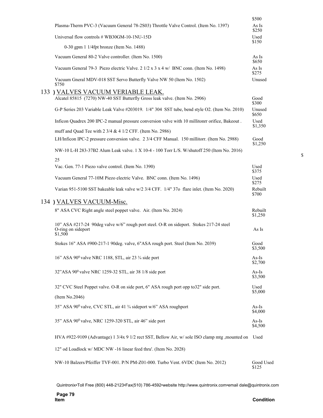|                                                                                                                          | \$500              |
|--------------------------------------------------------------------------------------------------------------------------|--------------------|
| Plasma-Therm PVC-3 (Vacuum General 78-2803) Throttle Valve Control. (Item No. 1397)                                      | As Is<br>\$250     |
| Universal flow controls # WB30GM-10-1NU-15D                                                                              | Used<br>\$150      |
| 0-30 gpm 1 1/4fpt bronze (Item No. 1488)                                                                                 |                    |
| Vacuum General 80-2 Valve controller. (Item No. 1500)                                                                    | As Is<br>\$650     |
| Vacuum General 79-3 Piezo electric Valve. $2 \frac{1}{2} \times 3 \times 4 \frac{w}{BNC}$ conn. (Item No. 1498)          | As Is<br>\$275     |
| Vacuum Gneral MDV-018 SST Servo Butterfly Valve NW 50 (Item No. 1502)<br>\$750                                           | Unused             |
| 133 ) VALVES VACUUM VERIABLE LEAK.<br>Alcatel 85815 (7270) NW-40 SST Butterfly Gross leak valve. (Item No. 2906)         | Good<br>\$300      |
| G-P Series 203 Variable Leak Valve #203019. 1/4" 304 SST tube, bend style O2. (Item No. 2010)                            | Unused<br>\$650    |
| Inficon Quadrex 200 IPC-2 manual pressure conversion valve with 10 millitonrr orifice, Bakeout.                          | Used<br>\$1,350    |
| muff and Quad Tee with 2 3/4 & 4 1/2 CFF. (Item No. 2986)                                                                |                    |
| LH/Inficon IPC-2 pressure conversion valve. 2 3/4 CFF Manual. 150 millitorr. (Item No. 2988)                             | Good<br>\$1,250    |
| NW-10 L-H 283-37B2 Alum Leak valve. 1 X 10-4 - 100 Torr L/S. W/shutoff 250 (Item No. 2016)                               |                    |
| 25<br>Vac. Gen. 77-1 Piezo valve control. (Item No. 1390)                                                                | Used<br>\$375      |
| Vacuum General 77-10M Piezo electric Valve. BNC conn. (Item No. 1496)                                                    | Used<br>\$275      |
| Varian 951-5100 SST bakeable leak valve w/2 3/4 CFF. 1/4" 370 flare inlet. (Item No. 2020)                               | Rebuilt<br>\$700   |
| 134) VALVES VACUUM-Misc.                                                                                                 |                    |
| 8" ASA CVC Right angle steel poppet valve. Air. (Item No. 2024)                                                          | Rebuilt<br>\$1,250 |
| 10" ASA #217-24 90deg valve w/6" rough port steel. O-R on sideport. Stokes 217-24 steel<br>O-ring on sideport<br>\$1,500 | As Is              |
| Stokes 16" ASA #900-217-1 90deg. valve, 6"ASA rough port. Steel (Item No. 2039)                                          | Good<br>\$3,500    |
| 16" ASA 90° valve NRC 1188, STL, air 23 3/4 side port                                                                    | $As-Is$<br>\$2,700 |
| 32"ASA 90° valve NRC 1259-32 STL, air 38 1/8 side port                                                                   | As-Is<br>\$3,500   |
| 32" CVC Steel Poppet valve. O-R on side port, 6" ASA rough port opp to 32" side port.                                    | Used<br>\$5,000    |
| (Item No.2046)                                                                                                           |                    |
| 35" ASA 90° valve, CVC STL, air 41 3⁄4 sideport w/6" ASA roughport                                                       | $As-Is$<br>\$4,000 |
| 35" ASA 90 <sup>0</sup> valve, NRC 1259-320 STL, air 46" side port                                                       | $As-Is$<br>\$4,500 |
| HVA #922-9109 (Advantage) 1 3/4x 9 1/2 rect SST, Bellow Air, w/ sole ISO clamp mtg , mounted on Used                     |                    |
| 12" od Loadlock w/ MDC NW -16 linear feed thru'. (Item No. 2028)                                                         |                    |
| NW-10 Balzers/Pfeiffer TVF-001. P/N PM-Z01-000. Turbo Vent. 6VDC (Item No. 2012)                                         | Good Used<br>\$125 |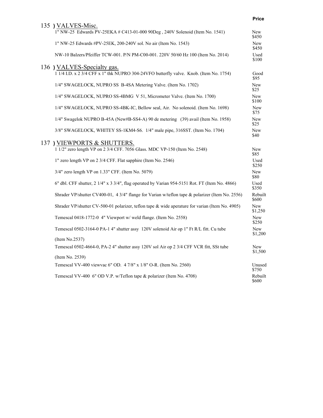|                                                                                                          | <b>Price</b>     |
|----------------------------------------------------------------------------------------------------------|------------------|
| 135 ) VALVES-Misc.                                                                                       |                  |
| 1" NW-25 Edwards PV-25EKA # C413-01-000 90Deg, 240V Solenoid (Item No. 1541)                             | New<br>\$450     |
| 1" NW-25 Edwards #PV-25EK, 200-240V sol. No air (Item No. 1543)                                          | New<br>\$450     |
| NW-10 Balzers/Pfeiffer TCW-001. P/N PM-C00-001. 220V 50/60 Hz 100 (Item No. 2014)                        | Used<br>\$100    |
| 136 ) VALVES-Specialty gas.                                                                              |                  |
| 1 1/4 I.D. x 2 3/4 CFF x 1" thk NUPRO 304-24VFO butterfly valve. Knob. (Item No. 1754)                   | Good<br>\$95     |
| 1/4" SWAGELOCK, NUPRO SS B-4SA Metering Valve. (Item No. 1702)                                           | New<br>\$25      |
| 1/4" SWAGELOCK, NUPRO SS-4BMG V 51, Micrometer Valve. (Item No. 1700)                                    | New<br>\$100     |
| 1/4" SWAGELOCK, NUPRO SS-4BK-IC, Bellow seal, Air. No solenoid. (Item No. 1698)                          | New<br>\$75      |
| 1/4" Swagelok NUPRO B-45A (New#B-SS4-A) 90 de metering (39) avail (Item No. 1958)                        | New<br>\$25      |
| 3/8" SWAGELOCK, WHITEY SS-1KM4-S6. 1/4" male pipe, 316SST. (Item No. 1704)                               | New<br>\$40      |
|                                                                                                          |                  |
| 137) VIEWPORTS & SHUTTERS.<br>1 1/2" zero length VP on 2 3/4 CFF. 7056 Glass. MDC VP-150 (Item No. 2548) | New<br>\$85      |
| 1" zero length VP on 2 3/4 CFF. Flat sapphire (Item No. 2546)                                            | Used<br>\$250    |
| 3/4" zero length VP on 1.33" CFF. (Item No. 5079)                                                        | New<br>\$80      |
| 6" dbl. CFF shutter, 2 1/4" x 3 3/4", flag operated by Varian 954-5151 Rot. FT (Item No. 4866)           | Used<br>\$350    |
| Shrader VP/shutter CV400-01, 4 3/4" flange for Varian w/teflon tape & polarizer (Item No. 2556)          | Rebuilt<br>\$600 |
| Shrader VP/shutter CV-500-01 polarizer, teflon tape & wide aperature for varian (Item No. 4905)          | New<br>\$1,250   |
| Temescal 0418-1772-0 4" Viewport w/ weld flange. (Item No. 2558)                                         | New<br>\$250     |
| Temescal 0502-3164-0 PA-1 4" shutter assy 120V solenoid Air op 1" Ft R/L fitt. Cu tube                   | New<br>\$1,200   |
| (Item No.2537)                                                                                           |                  |
| Temescal 0502-4664-0, PA-2 4" shutter assy 120V sol Air op 2 3/4 CFF VCR fitt, SSt tube                  | New<br>\$1,500   |
| (Item No. 2539)                                                                                          |                  |
| Temescal VV-400 viewvac 6" OD. 4 7/8" x 1/8" O-R. (Item No. 2560)                                        | Unused<br>\$750  |
| Temescal VV-400 6" OD V.P. w/Teflon tape & polarizer (Item No. 4708)                                     | Rebuilt<br>\$600 |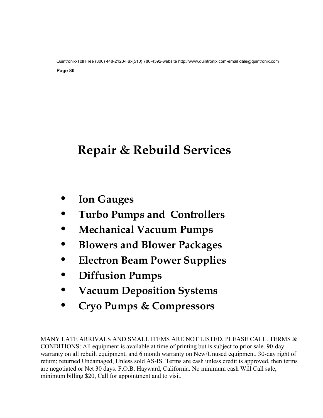# **Repair & Rebuild Services**

- **Ion Gauges**
- **Turbo Pumps and Controllers**
- **Mechanical Vacuum Pumps**
- **Blowers and Blower Packages**
- **Electron Beam Power Supplies**
- **Diffusion Pumps**
- **Vacuum Deposition Systems**
- **Cryo Pumps & Compressors**

MANY LATE ARRIVALS AND SMALL ITEMS ARE NOT LISTED, PLEASE CALL. TERMS & CONDITIONS: All equipment is available at time of printing but is subject to prior sale. 90-day warranty on all rebuilt equipment, and 6 month warranty on New/Unused equipment. 30-day right of return; returned Undamaged, Unless sold AS-IS. Terms are cash unless credit is approved, then terms are negotiated or Net 30 days. F.O.B. Hayward, California. No minimum cash Will Call sale, minimum billing \$20, Call for appointment and to visit.